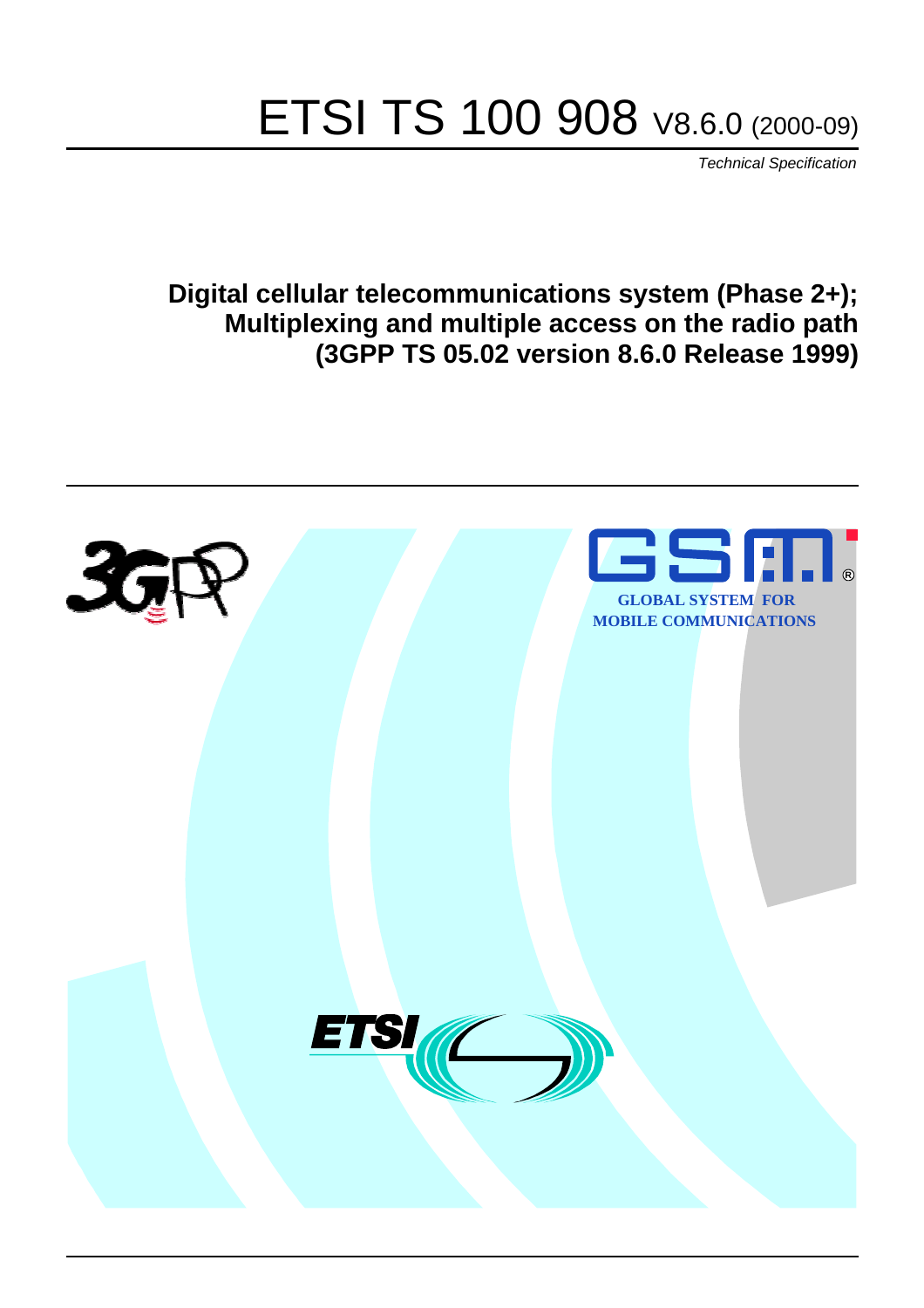# ETSI TS 100 908 V8.6.0 (2000-09)

Technical Specification

**Digital cellular telecommunications system (Phase 2+); Multiplexing and multiple access on the radio path (3GPP TS 05.02 version 8.6.0 Release 1999)**

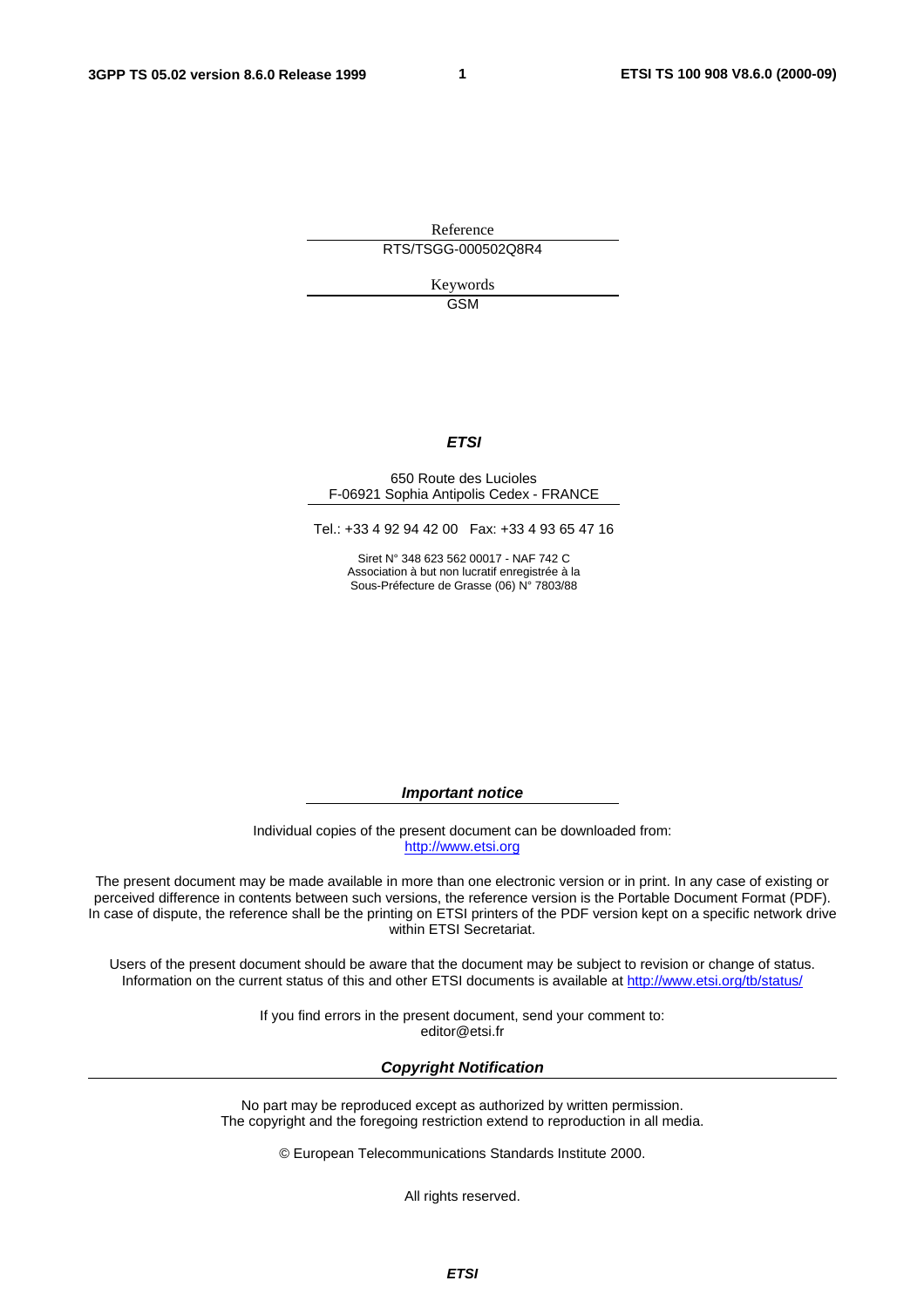**1** 

Reference RTS/TSGG-000502Q8R4

> Keywords GSM

#### **ETSI**

#### 650 Route des Lucioles F-06921 Sophia Antipolis Cedex - FRANCE

Tel.: +33 4 92 94 42 00 Fax: +33 4 93 65 47 16

Siret N° 348 623 562 00017 - NAF 742 C Association à but non lucratif enregistrée à la Sous-Préfecture de Grasse (06) N° 7803/88

**Important notice** 

Individual copies of the present document can be downloaded from: [http://www.etsi.org](http://www.etsi.org/)

The present document may be made available in more than one electronic version or in print. In any case of existing or perceived difference in contents between such versions, the reference version is the Portable Document Format (PDF). In case of dispute, the reference shall be the printing on ETSI printers of the PDF version kept on a specific network drive within ETSI Secretariat.

Users of the present document should be aware that the document may be subject to revision or change of status. Information on the current status of this and other ETSI documents is available at [http://www.etsi.org/tb/status/](http://www.etsi.org/tb/status)

> If you find errors in the present document, send your comment to: <editor@etsi.fr>

#### **Copyright Notification**

No part may be reproduced except as authorized by written permission. The copyright and the foregoing restriction extend to reproduction in all media.

© European Telecommunications Standards Institute 2000.

All rights reserved.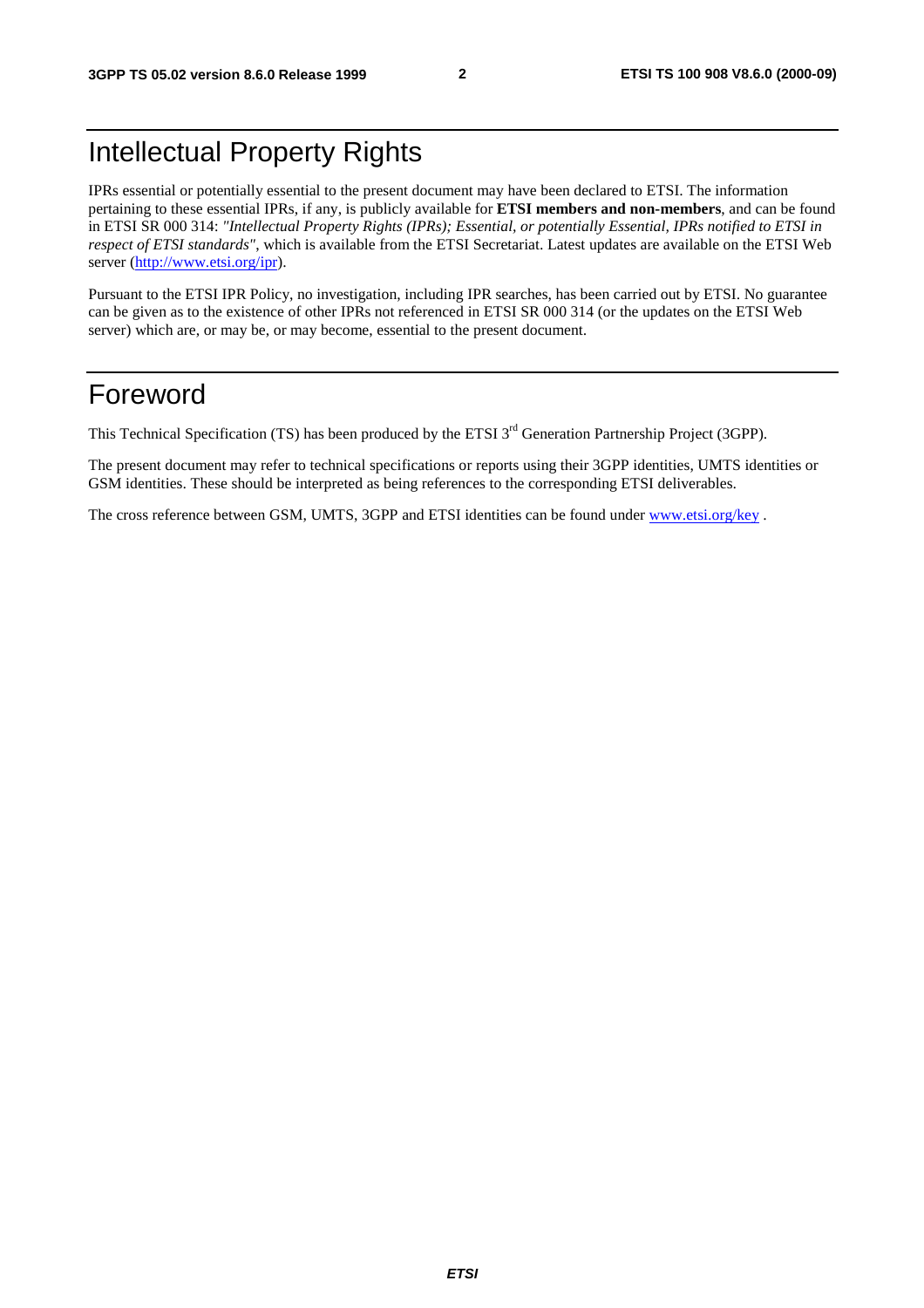# Intellectual Property Rights

IPRs essential or potentially essential to the present document may have been declared to ETSI. The information pertaining to these essential IPRs, if any, is publicly available for **ETSI members and non-members**, and can be found in ETSI SR 000 314: *"Intellectual Property Rights (IPRs); Essential, or potentially Essential, IPRs notified to ETSI in respect of ETSI standards"*, which is available from the ETSI Secretariat. Latest updates are available on the ETSI Web server [\(http://www.etsi.org/ipr](http://www.etsi.org/ipr)).

Pursuant to the ETSI IPR Policy, no investigation, including IPR searches, has been carried out by ETSI. No guarantee can be given as to the existence of other IPRs not referenced in ETSI SR 000 314 (or the updates on the ETSI Web server) which are, or may be, or may become, essential to the present document.

# Foreword

This Technical Specification (TS) has been produced by the ETSI 3<sup>rd</sup> Generation Partnership Project (3GPP).

The present document may refer to technical specifications or reports using their 3GPP identities, UMTS identities or GSM identities. These should be interpreted as being references to the corresponding ETSI deliverables.

The cross reference between GSM, UMTS, 3GPP and ETSI identities can be found under www.etsi.org/key.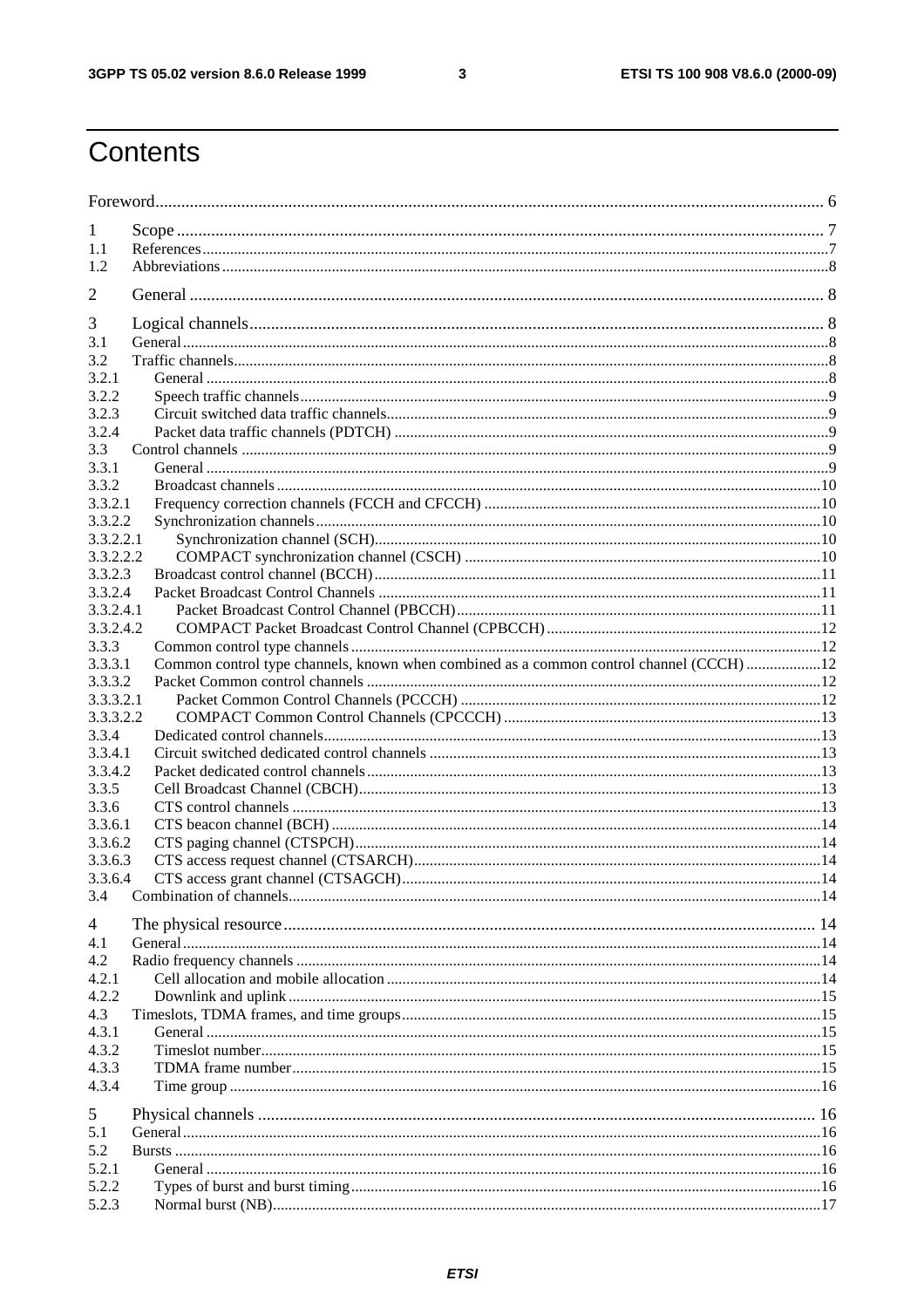$\mathbf{3}$ 

# Contents

| 1                  |                                                                                         |  |
|--------------------|-----------------------------------------------------------------------------------------|--|
| 1.1                |                                                                                         |  |
| 1.2                |                                                                                         |  |
| 2                  |                                                                                         |  |
|                    |                                                                                         |  |
| 3                  |                                                                                         |  |
| 3.1                |                                                                                         |  |
| 3.2                |                                                                                         |  |
| 3.2.1<br>3.2.2     |                                                                                         |  |
| 3.2.3              |                                                                                         |  |
| 3.2.4              |                                                                                         |  |
| 3.3                |                                                                                         |  |
| 3.3.1              |                                                                                         |  |
| 3.3.2              |                                                                                         |  |
| 3.3.2.1            |                                                                                         |  |
| 3.3.2.2            |                                                                                         |  |
| 3.3.2.2.1          |                                                                                         |  |
| 3.3.2.2.2          |                                                                                         |  |
| 3.3.2.3            |                                                                                         |  |
| 3.3.2.4            |                                                                                         |  |
| 3.3.2.4.1          |                                                                                         |  |
| 3.3.2.4.2          |                                                                                         |  |
| 3.3.3              |                                                                                         |  |
| 3.3.3.1            | Common control type channels, known when combined as a common control channel (CCCH) 12 |  |
| 3.3.3.2            |                                                                                         |  |
| 3.3.3.2.1          |                                                                                         |  |
| 3.3.3.2.2          |                                                                                         |  |
| 3.3.4              |                                                                                         |  |
| 3.3.4.1            |                                                                                         |  |
| 3.3.4.2            |                                                                                         |  |
| 3.3.5              |                                                                                         |  |
| 3.3.6              |                                                                                         |  |
| 3.3.6.1<br>3.3.6.2 |                                                                                         |  |
| 3.3.6.3            |                                                                                         |  |
| 3.3.6.4            |                                                                                         |  |
| 3.4                |                                                                                         |  |
|                    |                                                                                         |  |
| 4                  |                                                                                         |  |
| 4.1                |                                                                                         |  |
| 4.2                |                                                                                         |  |
| 4.2.1              |                                                                                         |  |
| 4.2.2              |                                                                                         |  |
| 4.3                |                                                                                         |  |
| 4.3.1              |                                                                                         |  |
| 4.3.2              |                                                                                         |  |
| 4.3.3<br>4.3.4     |                                                                                         |  |
|                    |                                                                                         |  |
| 5                  |                                                                                         |  |
| 5.1                |                                                                                         |  |
| 5.2<br>5.2.1       |                                                                                         |  |
| 5.2.2              |                                                                                         |  |
| 5.2.3              |                                                                                         |  |
|                    |                                                                                         |  |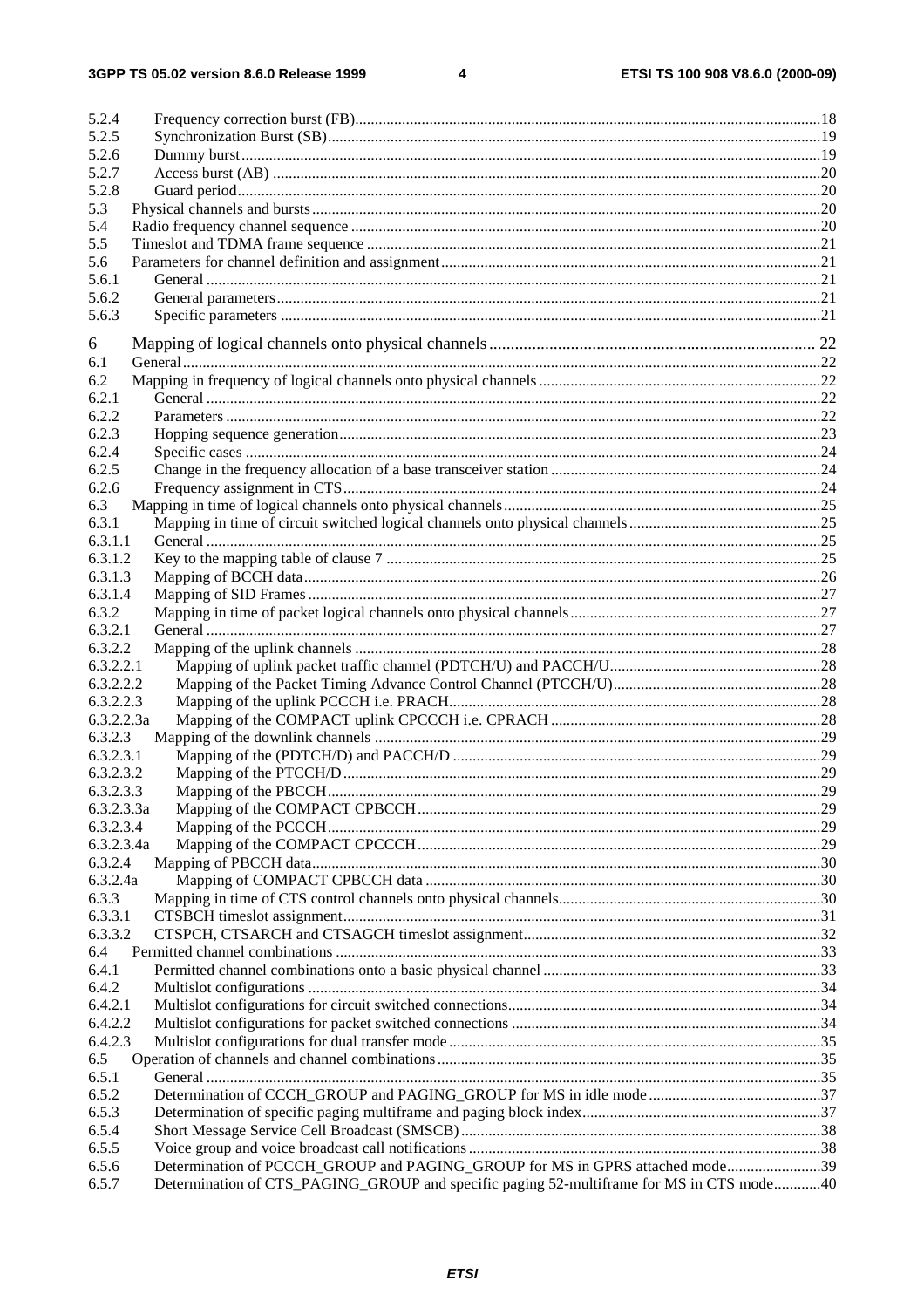$\overline{\mathbf{4}}$ 

| 5.2.4      |                                                                              |  |
|------------|------------------------------------------------------------------------------|--|
| 5.2.5      |                                                                              |  |
| 5.2.6      |                                                                              |  |
| 5.2.7      |                                                                              |  |
| 5.2.8      |                                                                              |  |
| 5.3        |                                                                              |  |
| 5.4        |                                                                              |  |
| 5.5        |                                                                              |  |
| 5.6        |                                                                              |  |
| 5.6.1      |                                                                              |  |
| 5.6.2      |                                                                              |  |
| 5.6.3      |                                                                              |  |
|            |                                                                              |  |
| 6          |                                                                              |  |
| 6.1        |                                                                              |  |
| 6.2        |                                                                              |  |
| 6.2.1      |                                                                              |  |
| 6.2.2      |                                                                              |  |
| 6.2.3      |                                                                              |  |
| 6.2.4      |                                                                              |  |
| 6.2.5      |                                                                              |  |
| 6.2.6      |                                                                              |  |
| 6.3        |                                                                              |  |
| 6.3.1      |                                                                              |  |
| 6.3.1.1    |                                                                              |  |
| 6.3.1.2    |                                                                              |  |
| 6.3.1.3    |                                                                              |  |
| 6.3.1.4    |                                                                              |  |
| 6.3.2      |                                                                              |  |
| 6.3.2.1    |                                                                              |  |
| 6.3.2.2    |                                                                              |  |
| 6.3.2.2.1  |                                                                              |  |
| 6.3.2.2.2  |                                                                              |  |
| 6.3.2.2.3  |                                                                              |  |
| 6.3.2.2.3a |                                                                              |  |
| 6.3.2.3    |                                                                              |  |
| 6.3.2.3.1  |                                                                              |  |
| 6.3.2.3.2  |                                                                              |  |
| 6.3.2.3.3  |                                                                              |  |
| 6.3.2.3.3a |                                                                              |  |
| 6.3.2.3.4  |                                                                              |  |
| 6.3.2.3.4a |                                                                              |  |
| 6.3.2.4    |                                                                              |  |
| 6.3.2.4a   |                                                                              |  |
| 6.3.3      |                                                                              |  |
| 6.3.3.1    |                                                                              |  |
| 6.3.3.2    |                                                                              |  |
| 6.4        |                                                                              |  |
| 6.4.1      |                                                                              |  |
| 6.4.2      |                                                                              |  |
| 6.4.2.1    |                                                                              |  |
| 6.4.2.2    |                                                                              |  |
| 6.4.2.3    |                                                                              |  |
| 6.5        |                                                                              |  |
| 6.5.1      |                                                                              |  |
| 6.5.2      |                                                                              |  |
| 6.5.3      |                                                                              |  |
| 6.5.4      |                                                                              |  |
|            |                                                                              |  |
| 6.5.5      |                                                                              |  |
| 6.5.6      | Determination of PCCCH_GROUP and PAGING_GROUP for MS in GPRS attached mode39 |  |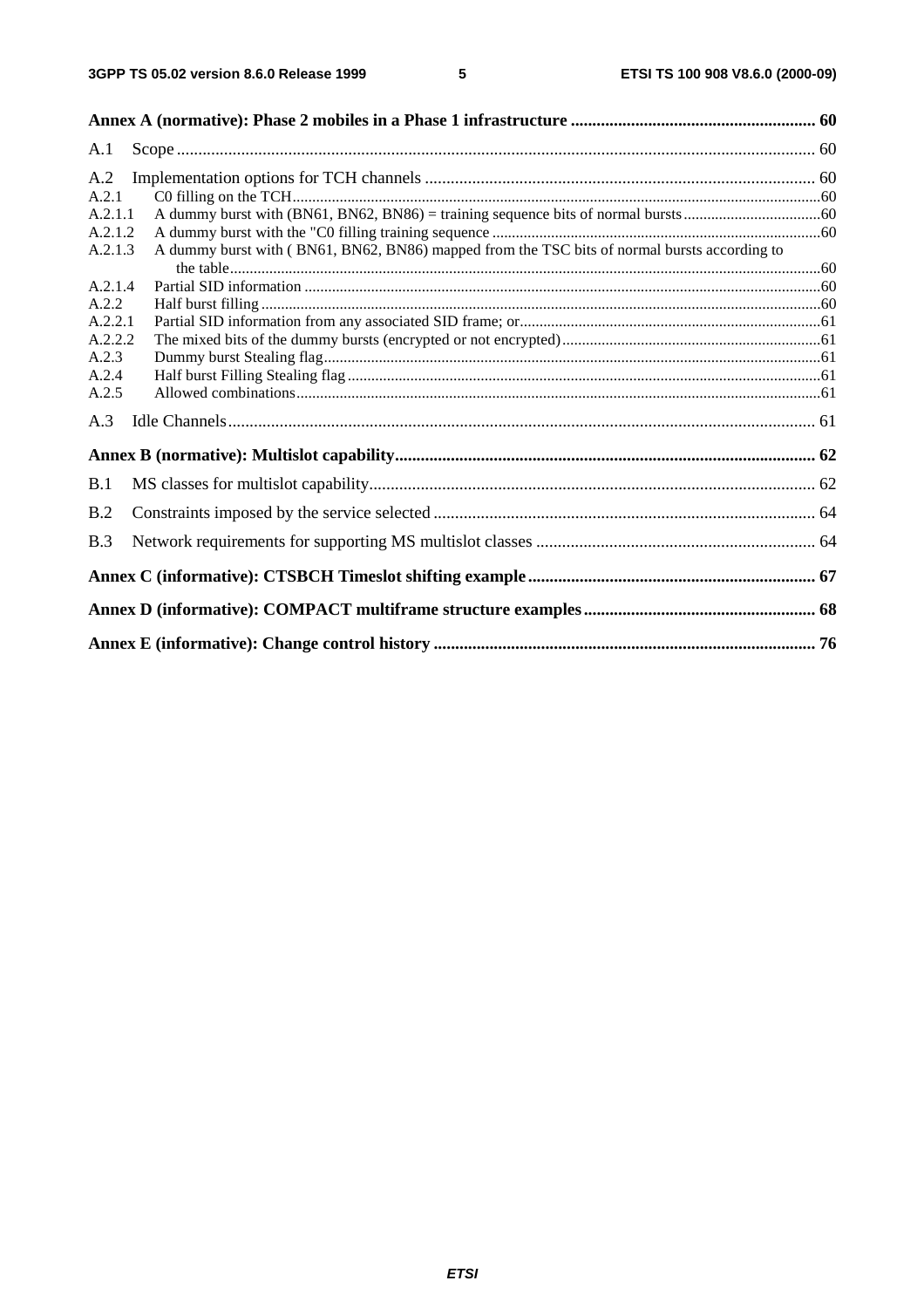| A.1     |                                                                                              |  |
|---------|----------------------------------------------------------------------------------------------|--|
| A.2     |                                                                                              |  |
| A.2.1   |                                                                                              |  |
| A.2.1.1 |                                                                                              |  |
| A.2.1.2 |                                                                                              |  |
| A.2.1.3 | A dummy burst with (BN61, BN62, BN86) mapped from the TSC bits of normal bursts according to |  |
| A.2.1.4 |                                                                                              |  |
| A.2.2   |                                                                                              |  |
| A.2.2.1 |                                                                                              |  |
| A.2.2.2 |                                                                                              |  |
| A.2.3   |                                                                                              |  |
| A.2.4   |                                                                                              |  |
| A.2.5   |                                                                                              |  |
| A.3     |                                                                                              |  |
|         |                                                                                              |  |
| B.1     |                                                                                              |  |
| B.2     |                                                                                              |  |
| B.3     |                                                                                              |  |
|         |                                                                                              |  |
|         |                                                                                              |  |
|         |                                                                                              |  |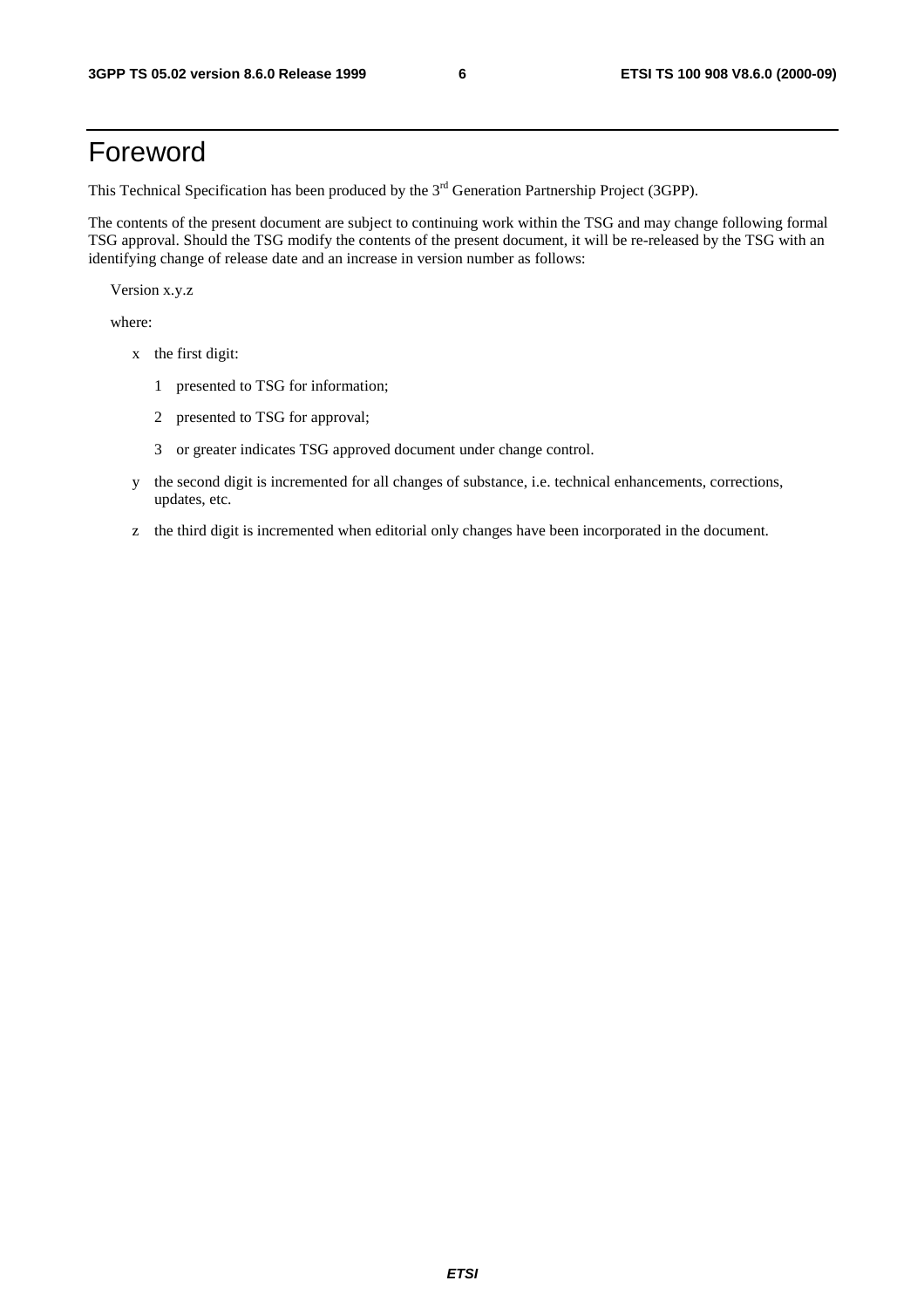# Foreword

This Technical Specification has been produced by the 3<sup>rd</sup> Generation Partnership Project (3GPP).

The contents of the present document are subject to continuing work within the TSG and may change following formal TSG approval. Should the TSG modify the contents of the present document, it will be re-released by the TSG with an identifying change of release date and an increase in version number as follows:

Version x.y.z

where:

- x the first digit:
	- 1 presented to TSG for information;
	- 2 presented to TSG for approval;
	- 3 or greater indicates TSG approved document under change control.
- y the second digit is incremented for all changes of substance, i.e. technical enhancements, corrections, updates, etc.
- z the third digit is incremented when editorial only changes have been incorporated in the document.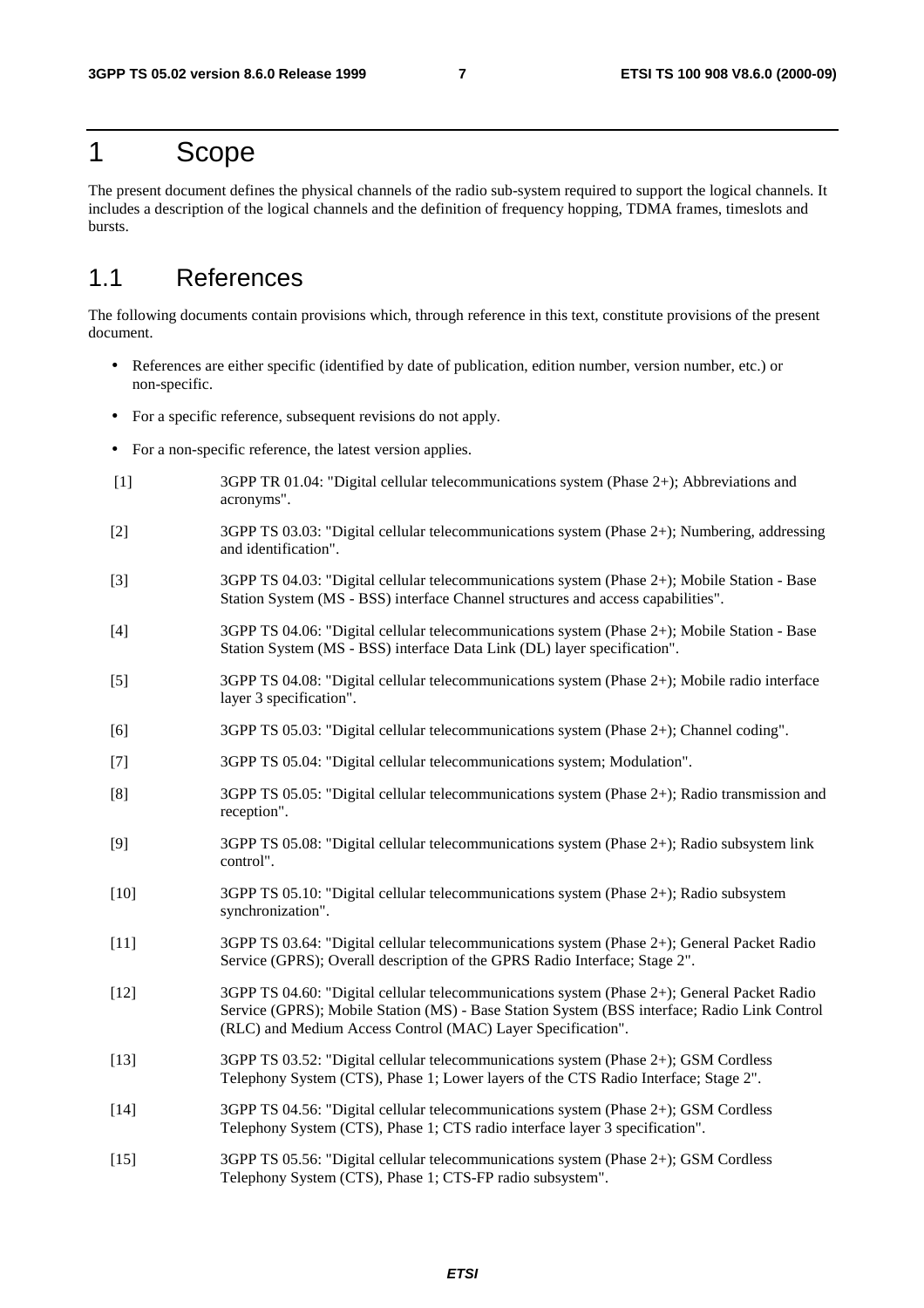# 1 Scope

The present document defines the physical channels of the radio sub-system required to support the logical channels. It includes a description of the logical channels and the definition of frequency hopping, TDMA frames, timeslots and bursts.

# 1.1 References

The following documents contain provisions which, through reference in this text, constitute provisions of the present document.

- References are either specific (identified by date of publication, edition number, version number, etc.) or non-specific.
- For a specific reference, subsequent revisions do not apply.
- For a non-specific reference, the latest version applies.
- [1] 3GPP TR 01.04: "Digital cellular telecommunications system (Phase 2+); Abbreviations and acronyms".
- [2] 3GPP TS 03.03: "Digital cellular telecommunications system (Phase 2+); Numbering, addressing and identification".
- [3] 3GPP TS 04.03: "Digital cellular telecommunications system (Phase 2+); Mobile Station Base Station System (MS - BSS) interface Channel structures and access capabilities".
- [4] 3GPP TS 04.06: "Digital cellular telecommunications system (Phase 2+); Mobile Station Base Station System (MS - BSS) interface Data Link (DL) layer specification".
- [5] 3GPP TS 04.08: "Digital cellular telecommunications system (Phase 2+); Mobile radio interface layer 3 specification".
- [6] 3GPP TS 05.03: "Digital cellular telecommunications system (Phase 2+); Channel coding".
- [7] 3GPP TS 05.04: "Digital cellular telecommunications system; Modulation".
- [8] 3GPP TS 05.05: "Digital cellular telecommunications system (Phase 2+); Radio transmission and reception".
- [9] 3GPP TS 05.08: "Digital cellular telecommunications system (Phase 2+); Radio subsystem link control".
- [10] 3GPP TS 05.10: "Digital cellular telecommunications system (Phase 2+); Radio subsystem synchronization".
- [11] 3GPP TS 03.64: "Digital cellular telecommunications system (Phase 2+); General Packet Radio Service (GPRS); Overall description of the GPRS Radio Interface; Stage 2".
- [12] 3GPP TS 04.60: "Digital cellular telecommunications system (Phase 2+); General Packet Radio Service (GPRS); Mobile Station (MS) - Base Station System (BSS interface; Radio Link Control (RLC) and Medium Access Control (MAC) Layer Specification".
- [13] 3GPP TS 03.52: "Digital cellular telecommunications system (Phase 2+); GSM Cordless Telephony System (CTS), Phase 1; Lower layers of the CTS Radio Interface; Stage 2".
- [14] 3GPP TS 04.56: "Digital cellular telecommunications system (Phase 2+); GSM Cordless Telephony System (CTS), Phase 1; CTS radio interface layer 3 specification".
- [15] 3GPP TS 05.56: "Digital cellular telecommunications system (Phase 2+); GSM Cordless Telephony System (CTS), Phase 1; CTS-FP radio subsystem".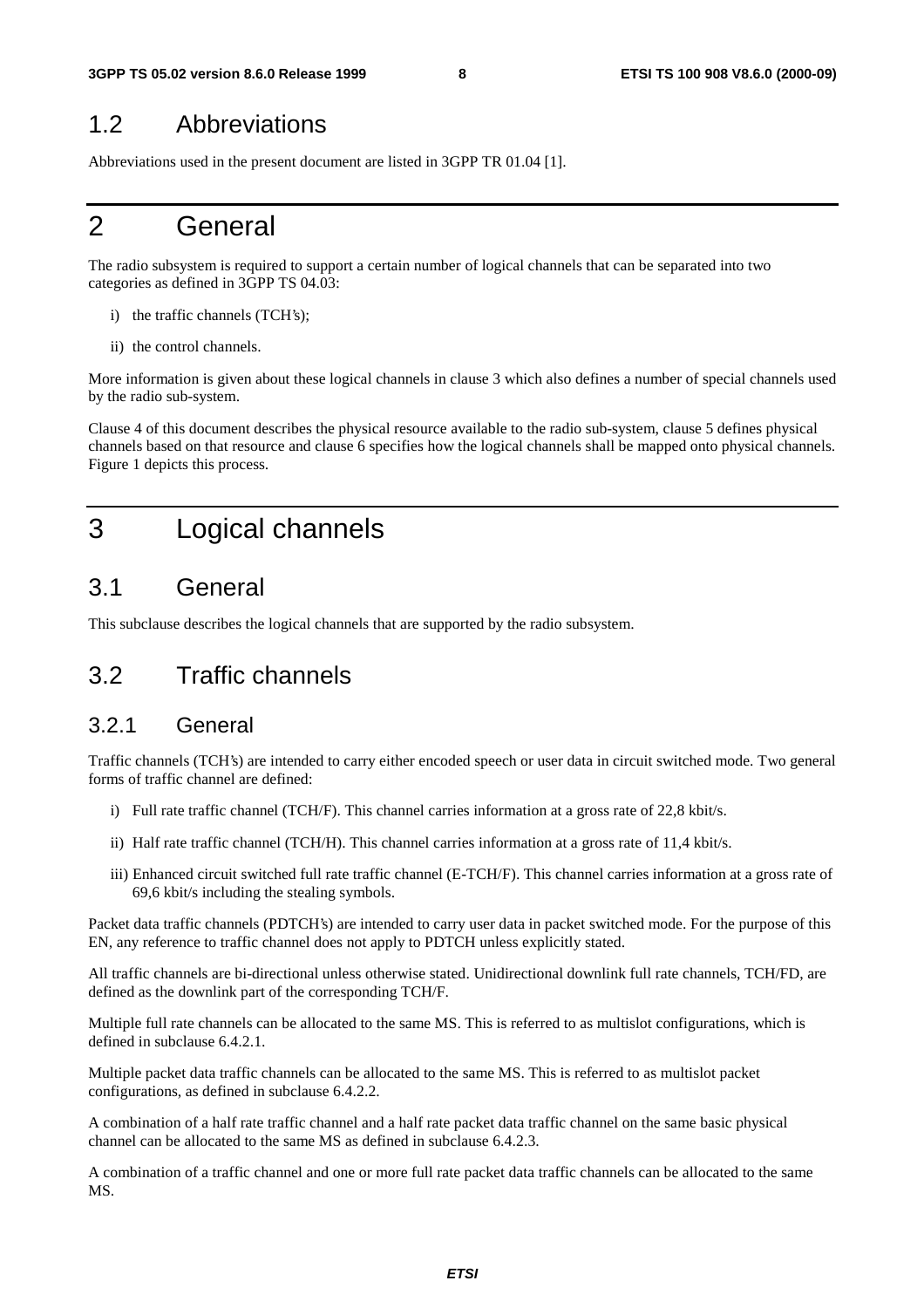# 1.2 Abbreviations

Abbreviations used in the present document are listed in 3GPP TR 01.04 [1].

# 2 General

The radio subsystem is required to support a certain number of logical channels that can be separated into two categories as defined in 3GPP TS 04.03:

- i) the traffic channels (TCH's);
- ii) the control channels.

More information is given about these logical channels in clause 3 which also defines a number of special channels used by the radio sub-system.

Clause 4 of this document describes the physical resource available to the radio sub-system, clause 5 defines physical channels based on that resource and clause 6 specifies how the logical channels shall be mapped onto physical channels. Figure 1 depicts this process.

# 3 Logical channels

# 3.1 General

This subclause describes the logical channels that are supported by the radio subsystem.

# 3.2 Traffic channels

### 3.2.1 General

Traffic channels (TCH's) are intended to carry either encoded speech or user data in circuit switched mode. Two general forms of traffic channel are defined:

- i) Full rate traffic channel (TCH/F). This channel carries information at a gross rate of 22,8 kbit/s.
- ii) Half rate traffic channel (TCH/H). This channel carries information at a gross rate of 11,4 kbit/s.
- iii) Enhanced circuit switched full rate traffic channel (E-TCH/F). This channel carries information at a gross rate of 69,6 kbit/s including the stealing symbols.

Packet data traffic channels (PDTCH's) are intended to carry user data in packet switched mode. For the purpose of this EN, any reference to traffic channel does not apply to PDTCH unless explicitly stated.

All traffic channels are bi-directional unless otherwise stated. Unidirectional downlink full rate channels, TCH/FD, are defined as the downlink part of the corresponding TCH/F.

Multiple full rate channels can be allocated to the same MS. This is referred to as multislot configurations, which is defined in subclause 6.4.2.1.

Multiple packet data traffic channels can be allocated to the same MS. This is referred to as multislot packet configurations, as defined in subclause 6.4.2.2.

A combination of a half rate traffic channel and a half rate packet data traffic channel on the same basic physical channel can be allocated to the same MS as defined in subclause 6.4.2.3.

A combination of a traffic channel and one or more full rate packet data traffic channels can be allocated to the same MS.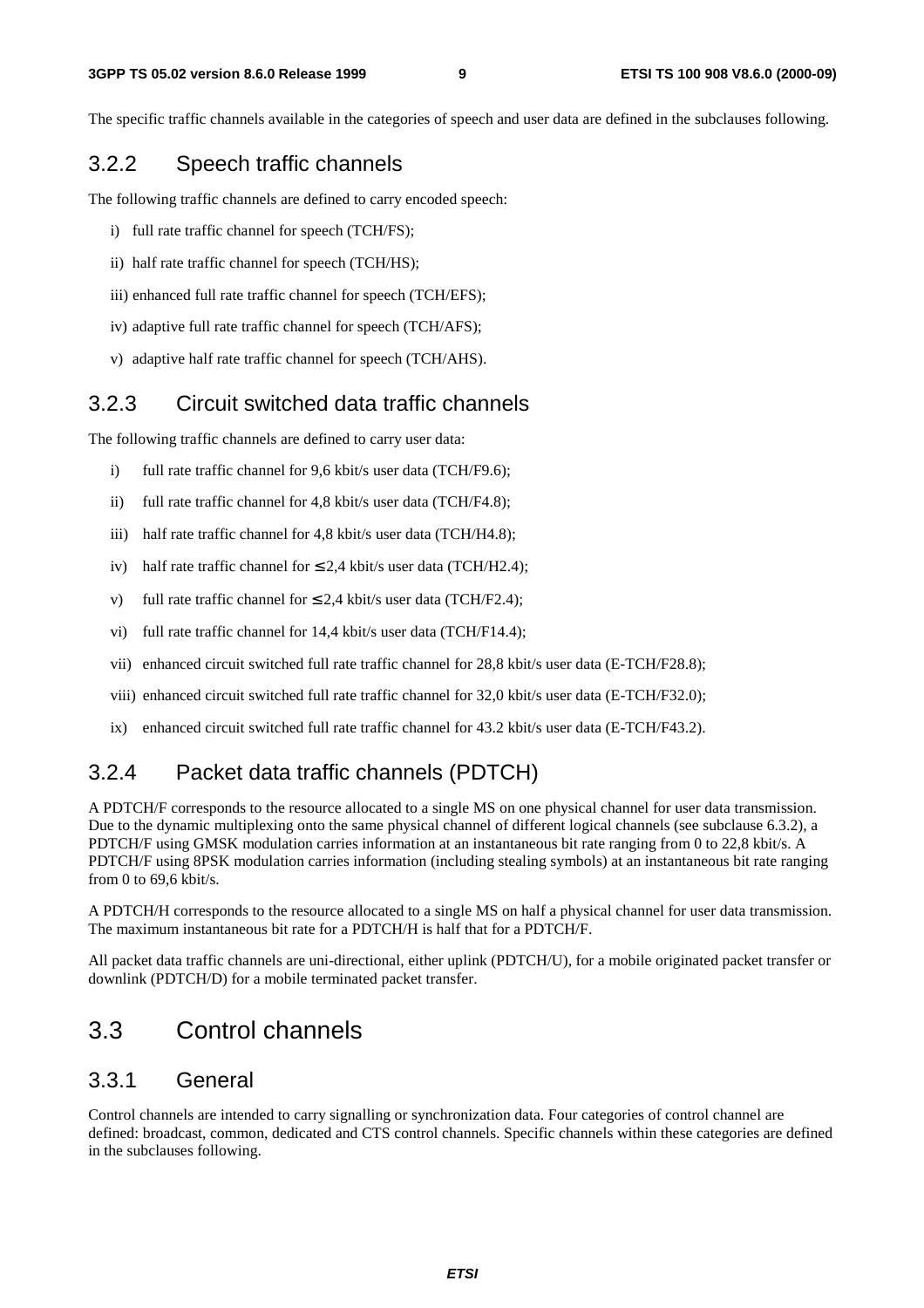The specific traffic channels available in the categories of speech and user data are defined in the subclauses following.

### 3.2.2 Speech traffic channels

The following traffic channels are defined to carry encoded speech:

- i) full rate traffic channel for speech (TCH/FS);
- ii) half rate traffic channel for speech (TCH/HS);
- iii) enhanced full rate traffic channel for speech (TCH/EFS);
- iv) adaptive full rate traffic channel for speech (TCH/AFS);
- v) adaptive half rate traffic channel for speech (TCH/AHS).

### 3.2.3 Circuit switched data traffic channels

The following traffic channels are defined to carry user data:

- i) full rate traffic channel for 9,6 kbit/s user data (TCH/F9.6);
- ii) full rate traffic channel for 4,8 kbit/s user data (TCH/F4.8);
- iii) half rate traffic channel for 4,8 kbit/s user data (TCH/H4.8);
- iv) half rate traffic channel for  $\leq 2.4$  kbit/s user data (TCH/H2.4);
- v) full rate traffic channel for  $\leq 2.4$  kbit/s user data (TCH/F2.4);
- vi) full rate traffic channel for 14,4 kbit/s user data (TCH/F14.4);
- vii) enhanced circuit switched full rate traffic channel for 28,8 kbit/s user data (E-TCH/F28.8);
- viii) enhanced circuit switched full rate traffic channel for 32,0 kbit/s user data (E-TCH/F32.0);
- ix) enhanced circuit switched full rate traffic channel for 43.2 kbit/s user data (E-TCH/F43.2).

### 3.2.4 Packet data traffic channels (PDTCH)

A PDTCH/F corresponds to the resource allocated to a single MS on one physical channel for user data transmission. Due to the dynamic multiplexing onto the same physical channel of different logical channels (see subclause 6.3.2), a PDTCH/F using GMSK modulation carries information at an instantaneous bit rate ranging from 0 to 22,8 kbit/s. A PDTCH/F using 8PSK modulation carries information (including stealing symbols) at an instantaneous bit rate ranging from 0 to 69,6 kbit/s.

A PDTCH/H corresponds to the resource allocated to a single MS on half a physical channel for user data transmission. The maximum instantaneous bit rate for a PDTCH/H is half that for a PDTCH/F.

All packet data traffic channels are uni-directional, either uplink (PDTCH/U), for a mobile originated packet transfer or downlink (PDTCH/D) for a mobile terminated packet transfer.

# 3.3 Control channels

### 3.3.1 General

Control channels are intended to carry signalling or synchronization data. Four categories of control channel are defined: broadcast, common, dedicated and CTS control channels. Specific channels within these categories are defined in the subclauses following.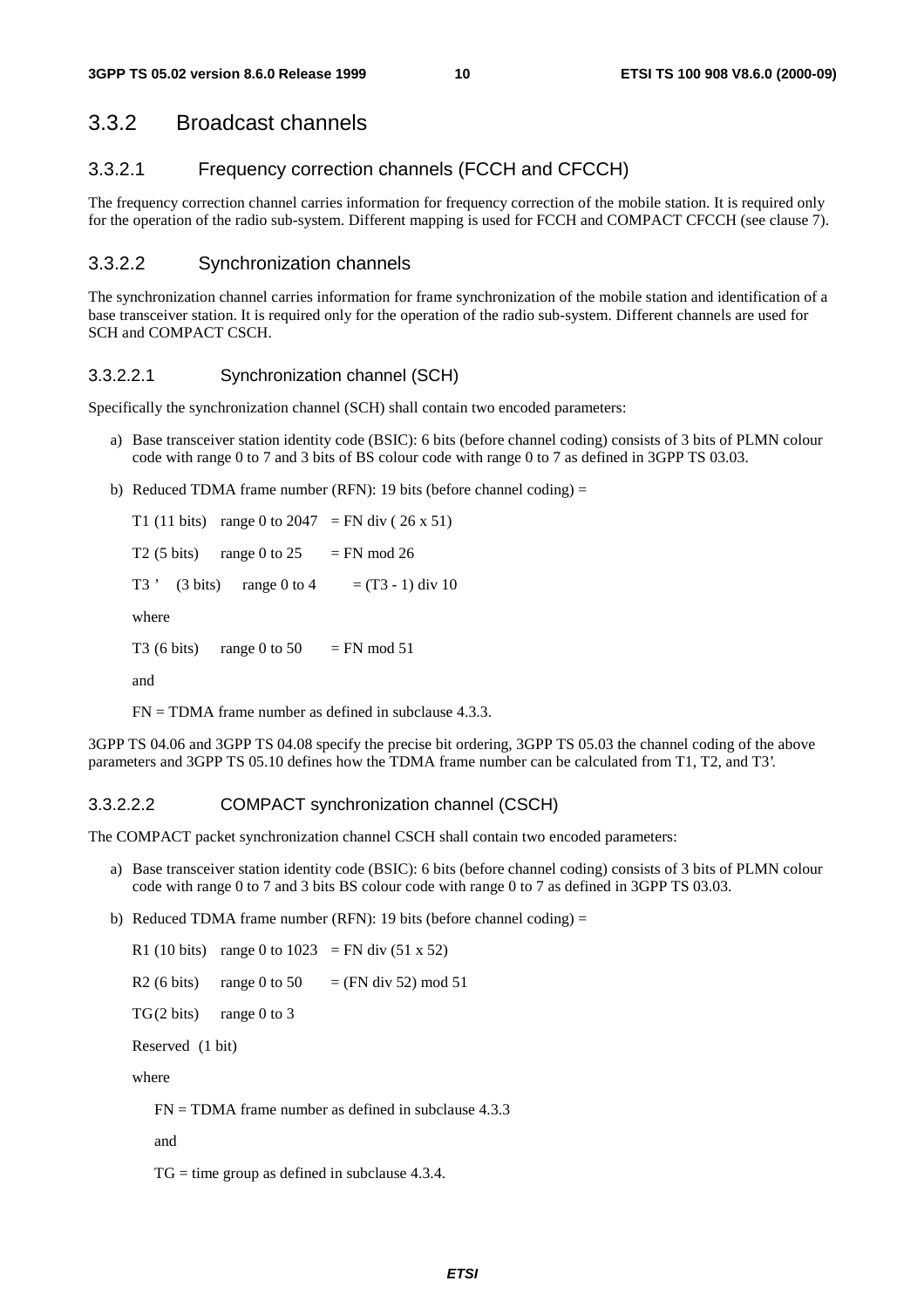# 3.3.2 Broadcast channels

### 3.3.2.1 Frequency correction channels (FCCH and CFCCH)

The frequency correction channel carries information for frequency correction of the mobile station. It is required only for the operation of the radio sub-system. Different mapping is used for FCCH and COMPACT CFCCH (see clause 7).

### 3.3.2.2 Synchronization channels

The synchronization channel carries information for frame synchronization of the mobile station and identification of a base transceiver station. It is required only for the operation of the radio sub-system. Different channels are used for SCH and COMPACT CSCH.

#### 3.3.2.2.1 Synchronization channel (SCH)

Specifically the synchronization channel (SCH) shall contain two encoded parameters:

- a) Base transceiver station identity code (BSIC): 6 bits (before channel coding) consists of 3 bits of PLMN colour code with range 0 to 7 and 3 bits of BS colour code with range 0 to 7 as defined in 3GPP TS 03.03.
- b) Reduced TDMA frame number (RFN): 19 bits (before channel coding) =

T1 (11 bits) range 0 to 2047 = FN div (26 x 51) T2 (5 bits) range 0 to  $25 = FN$  mod 26 T3 ' (3 bits) range 0 to 4 =  $(T3 - 1)$  div 10 where T3 (6 bits) range 0 to 50 = FN mod 51 and

 $FN = TDMA$  frame number as defined in subclause 4.3.3.

3GPP TS 04.06 and 3GPP TS 04.08 specify the precise bit ordering, 3GPP TS 05.03 the channel coding of the above parameters and 3GPP TS 05.10 defines how the TDMA frame number can be calculated from T1, T2, and T3'.

#### 3.3.2.2.2 COMPACT synchronization channel (CSCH)

The COMPACT packet synchronization channel CSCH shall contain two encoded parameters:

- a) Base transceiver station identity code (BSIC): 6 bits (before channel coding) consists of 3 bits of PLMN colour code with range 0 to 7 and 3 bits BS colour code with range 0 to 7 as defined in 3GPP TS 03.03.
- b) Reduced TDMA frame number (RFN): 19 bits (before channel coding) =

R1 (10 bits) range 0 to  $1023$  = FN div (51 x 52) R2 (6 bits) range 0 to 50 = (FN div 52) mod 51  $TG(2 \text{ bits})$  range 0 to 3 Reserved (1 bit)

where

 $FN = TDMA$  frame number as defined in subclause 4.3.3

and

 $TG = time group as defined in subclause 4.3.4.$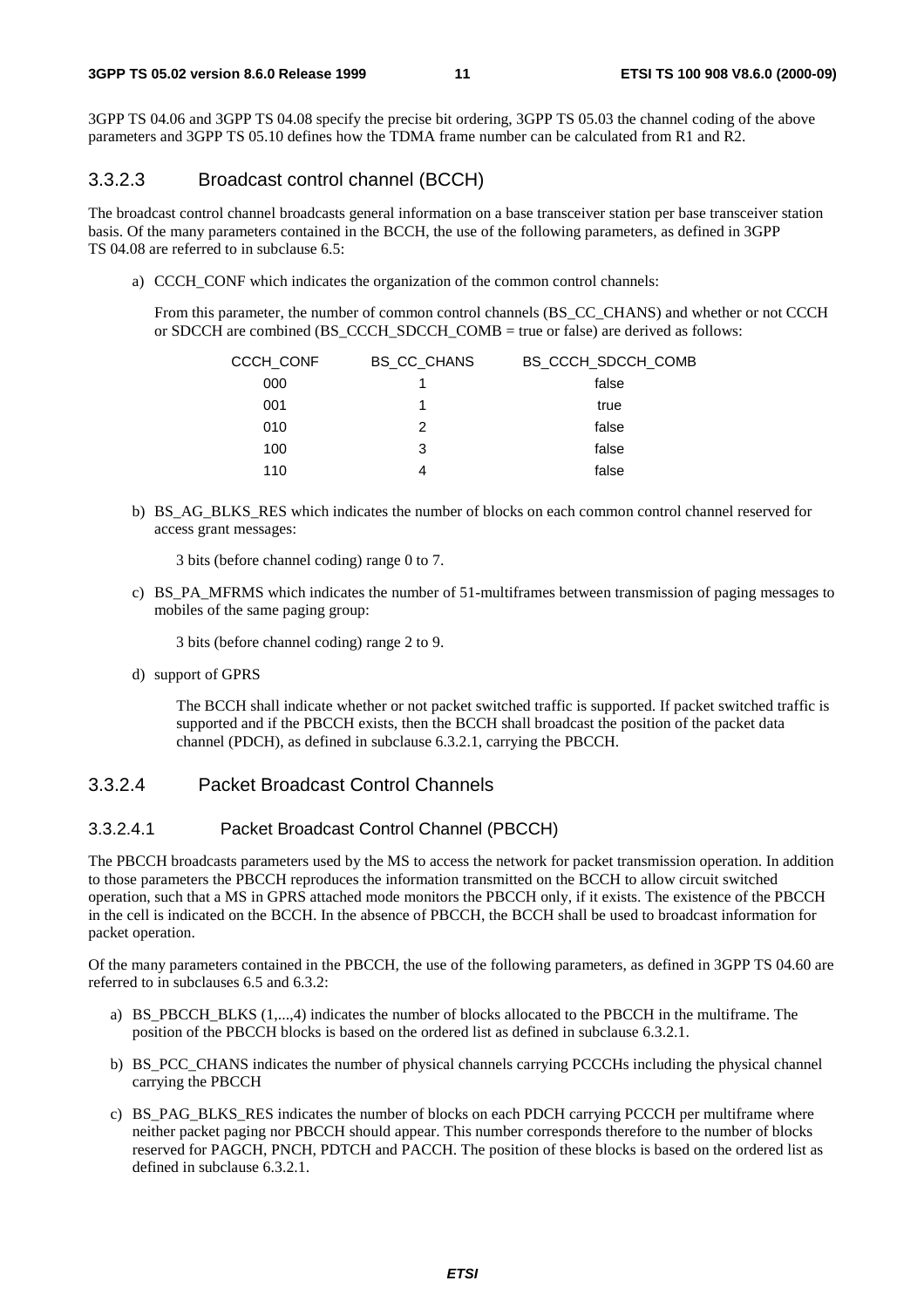3GPP TS 04.06 and 3GPP TS 04.08 specify the precise bit ordering, 3GPP TS 05.03 the channel coding of the above parameters and 3GPP TS 05.10 defines how the TDMA frame number can be calculated from R1 and R2.

#### 3.3.2.3 Broadcast control channel (BCCH)

The broadcast control channel broadcasts general information on a base transceiver station per base transceiver station basis. Of the many parameters contained in the BCCH, the use of the following parameters, as defined in 3GPP TS 04.08 are referred to in subclause 6.5:

a) CCCH CONF which indicates the organization of the common control channels:

 From this parameter, the number of common control channels (BS\_CC\_CHANS) and whether or not CCCH or SDCCH are combined (BS\_CCCH\_SDCCH\_COMB = true or false) are derived as follows:

| CCCH CONF | <b>BS CC CHANS</b> | BS CCCH SDCCH COMB |
|-----------|--------------------|--------------------|
| 000       |                    | false              |
| 001       |                    | true               |
| 010       | 2                  | false              |
| 100       | 3                  | false              |
| 110       | 4                  | false              |

b) BS\_AG\_BLKS\_RES which indicates the number of blocks on each common control channel reserved for access grant messages:

3 bits (before channel coding) range 0 to 7.

c) BS\_PA\_MFRMS which indicates the number of 51-multiframes between transmission of paging messages to mobiles of the same paging group:

3 bits (before channel coding) range 2 to 9.

d) support of GPRS

 The BCCH shall indicate whether or not packet switched traffic is supported. If packet switched traffic is supported and if the PBCCH exists, then the BCCH shall broadcast the position of the packet data channel (PDCH), as defined in subclause 6.3.2.1, carrying the PBCCH.

#### 3.3.2.4 Packet Broadcast Control Channels

#### 3.3.2.4.1 Packet Broadcast Control Channel (PBCCH)

The PBCCH broadcasts parameters used by the MS to access the network for packet transmission operation. In addition to those parameters the PBCCH reproduces the information transmitted on the BCCH to allow circuit switched operation, such that a MS in GPRS attached mode monitors the PBCCH only, if it exists. The existence of the PBCCH in the cell is indicated on the BCCH. In the absence of PBCCH, the BCCH shall be used to broadcast information for packet operation.

Of the many parameters contained in the PBCCH, the use of the following parameters, as defined in 3GPP TS 04.60 are referred to in subclauses 6.5 and 6.3.2:

- a) BS\_PBCCH\_BLKS (1,...,4) indicates the number of blocks allocated to the PBCCH in the multiframe. The position of the PBCCH blocks is based on the ordered list as defined in subclause 6.3.2.1.
- b) BS PCC CHANS indicates the number of physical channels carrying PCCCHs including the physical channel carrying the PBCCH
- c) BS\_PAG\_BLKS\_RES indicates the number of blocks on each PDCH carrying PCCCH per multiframe where neither packet paging nor PBCCH should appear. This number corresponds therefore to the number of blocks reserved for PAGCH, PNCH, PDTCH and PACCH. The position of these blocks is based on the ordered list as defined in subclause 6.3.2.1.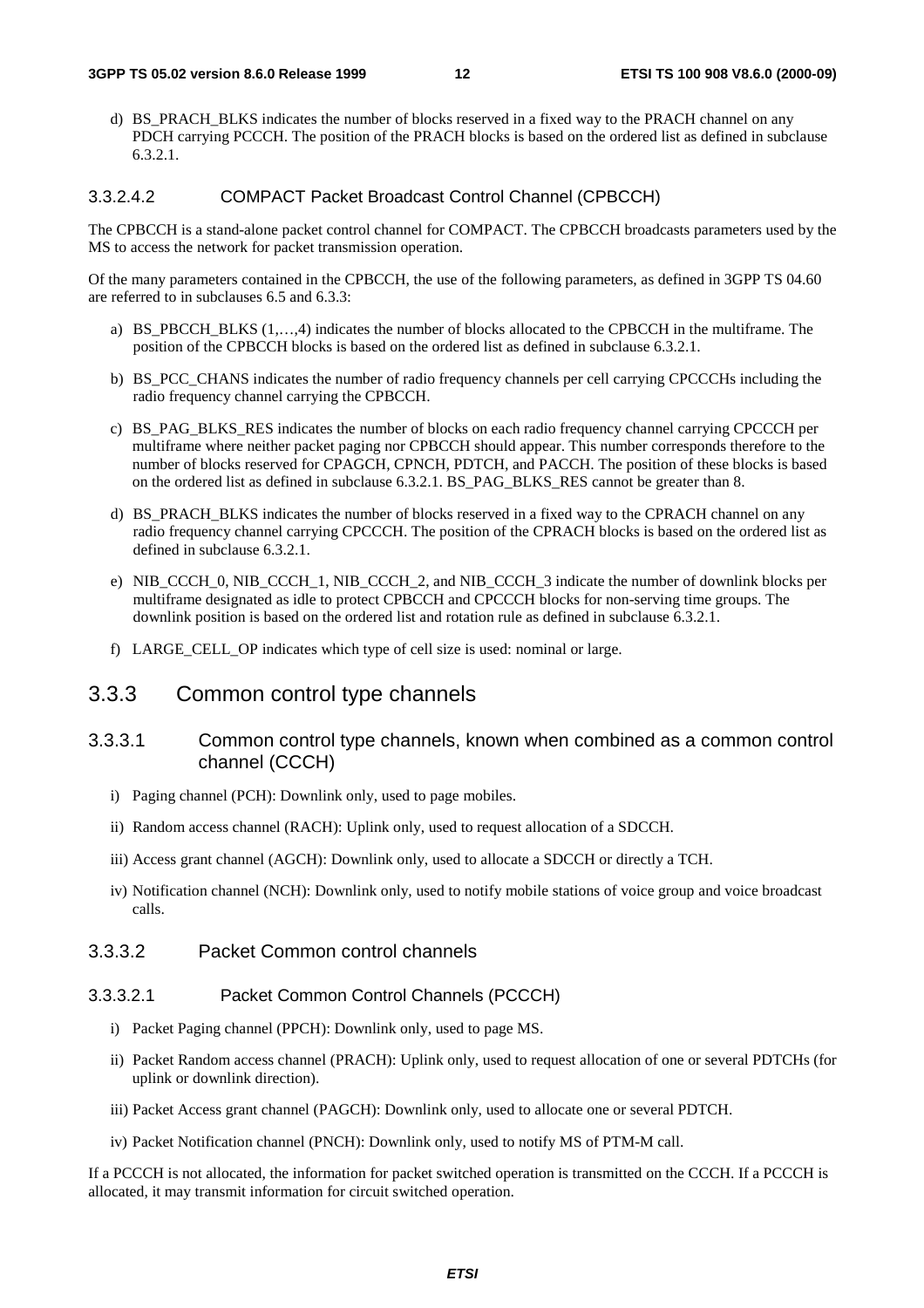d) BS\_PRACH\_BLKS indicates the number of blocks reserved in a fixed way to the PRACH channel on any PDCH carrying PCCCH. The position of the PRACH blocks is based on the ordered list as defined in subclause 6.3.2.1.

#### 3.3.2.4.2 COMPACT Packet Broadcast Control Channel (CPBCCH)

The CPBCCH is a stand-alone packet control channel for COMPACT. The CPBCCH broadcasts parameters used by the MS to access the network for packet transmission operation.

Of the many parameters contained in the CPBCCH, the use of the following parameters, as defined in 3GPP TS 04.60 are referred to in subclauses 6.5 and 6.3.3:

- a) BS\_PBCCH\_BLKS (1,…,4) indicates the number of blocks allocated to the CPBCCH in the multiframe. The position of the CPBCCH blocks is based on the ordered list as defined in subclause 6.3.2.1.
- b) BS\_PCC\_CHANS indicates the number of radio frequency channels per cell carrying CPCCCHs including the radio frequency channel carrying the CPBCCH.
- c) BS\_PAG\_BLKS\_RES indicates the number of blocks on each radio frequency channel carrying CPCCCH per multiframe where neither packet paging nor CPBCCH should appear. This number corresponds therefore to the number of blocks reserved for CPAGCH, CPNCH, PDTCH, and PACCH. The position of these blocks is based on the ordered list as defined in subclause 6.3.2.1. BS\_PAG\_BLKS\_RES cannot be greater than 8.
- d) BS\_PRACH\_BLKS indicates the number of blocks reserved in a fixed way to the CPRACH channel on any radio frequency channel carrying CPCCCH. The position of the CPRACH blocks is based on the ordered list as defined in subclause 6.3.2.1.
- e) NIB\_CCCH\_0, NIB\_CCCH\_1, NIB\_CCCH\_2, and NIB\_CCCH\_3 indicate the number of downlink blocks per multiframe designated as idle to protect CPBCCH and CPCCCH blocks for non-serving time groups. The downlink position is based on the ordered list and rotation rule as defined in subclause 6.3.2.1.
- f) LARGE\_CELL\_OP indicates which type of cell size is used: nominal or large.

#### 3.3.3 Common control type channels

#### 3.3.3.1 Common control type channels, known when combined as a common control channel (CCCH)

- i) Paging channel (PCH): Downlink only, used to page mobiles.
- ii) Random access channel (RACH): Uplink only, used to request allocation of a SDCCH.
- iii) Access grant channel (AGCH): Downlink only, used to allocate a SDCCH or directly a TCH.
- iv) Notification channel (NCH): Downlink only, used to notify mobile stations of voice group and voice broadcast calls.

#### 3.3.3.2 Packet Common control channels

#### 3.3.3.2.1 Packet Common Control Channels (PCCCH)

- i) Packet Paging channel (PPCH): Downlink only, used to page MS.
- ii) Packet Random access channel (PRACH): Uplink only, used to request allocation of one or several PDTCHs (for uplink or downlink direction).
- iii) Packet Access grant channel (PAGCH): Downlink only, used to allocate one or several PDTCH.
- iv) Packet Notification channel (PNCH): Downlink only, used to notify MS of PTM-M call.

If a PCCCH is not allocated, the information for packet switched operation is transmitted on the CCCH. If a PCCCH is allocated, it may transmit information for circuit switched operation.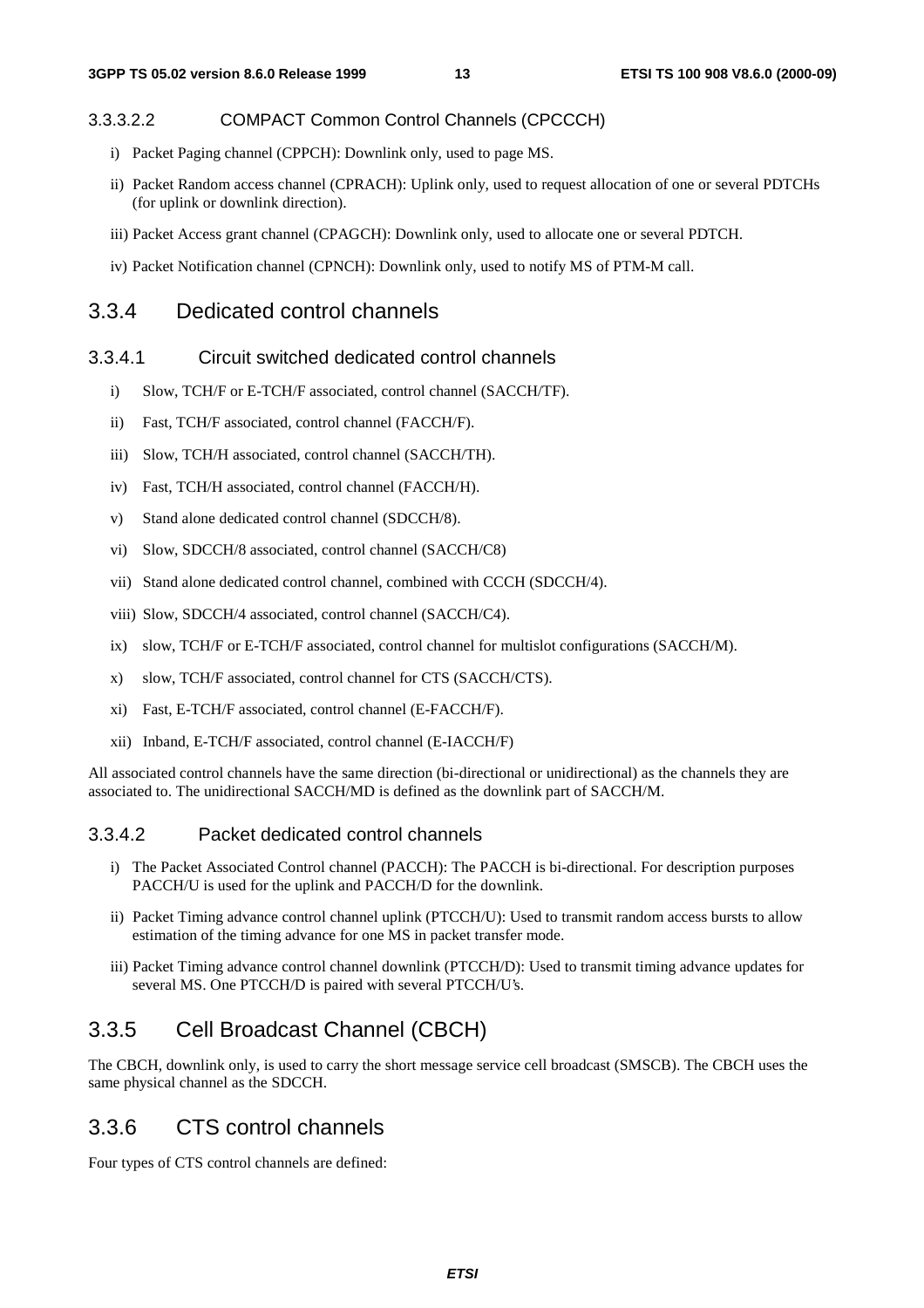#### 3.3.3.2.2 COMPACT Common Control Channels (CPCCCH)

- i) Packet Paging channel (CPPCH): Downlink only, used to page MS.
- ii) Packet Random access channel (CPRACH): Uplink only, used to request allocation of one or several PDTCHs (for uplink or downlink direction).
- iii) Packet Access grant channel (CPAGCH): Downlink only, used to allocate one or several PDTCH.
- iv) Packet Notification channel (CPNCH): Downlink only, used to notify MS of PTM-M call.

#### 3.3.4 Dedicated control channels

#### 3.3.4.1 Circuit switched dedicated control channels

- i) Slow, TCH/F or E-TCH/F associated, control channel (SACCH/TF).
- ii) Fast, TCH/F associated, control channel (FACCH/F).
- iii) Slow, TCH/H associated, control channel (SACCH/TH).
- iv) Fast, TCH/H associated, control channel (FACCH/H).
- v) Stand alone dedicated control channel (SDCCH/8).
- vi) Slow, SDCCH/8 associated, control channel (SACCH/C8)
- vii) Stand alone dedicated control channel, combined with CCCH (SDCCH/4).
- viii) Slow, SDCCH/4 associated, control channel (SACCH/C4).
- ix) slow, TCH/F or E-TCH/F associated, control channel for multislot configurations (SACCH/M).
- x) slow, TCH/F associated, control channel for CTS (SACCH/CTS).
- xi) Fast, E-TCH/F associated, control channel (E-FACCH/F).
- xii) Inband, E-TCH/F associated, control channel (E-IACCH/F)

All associated control channels have the same direction (bi-directional or unidirectional) as the channels they are associated to. The unidirectional SACCH/MD is defined as the downlink part of SACCH/M.

#### 3.3.4.2 Packet dedicated control channels

- i) The Packet Associated Control channel (PACCH): The PACCH is bi-directional. For description purposes PACCH/U is used for the uplink and PACCH/D for the downlink.
- ii) Packet Timing advance control channel uplink (PTCCH/U): Used to transmit random access bursts to allow estimation of the timing advance for one MS in packet transfer mode.
- iii) Packet Timing advance control channel downlink (PTCCH/D): Used to transmit timing advance updates for several MS. One PTCCH/D is paired with several PTCCH/U's.

### 3.3.5 Cell Broadcast Channel (CBCH)

The CBCH, downlink only, is used to carry the short message service cell broadcast (SMSCB). The CBCH uses the same physical channel as the SDCCH.

### 3.3.6 CTS control channels

Four types of CTS control channels are defined: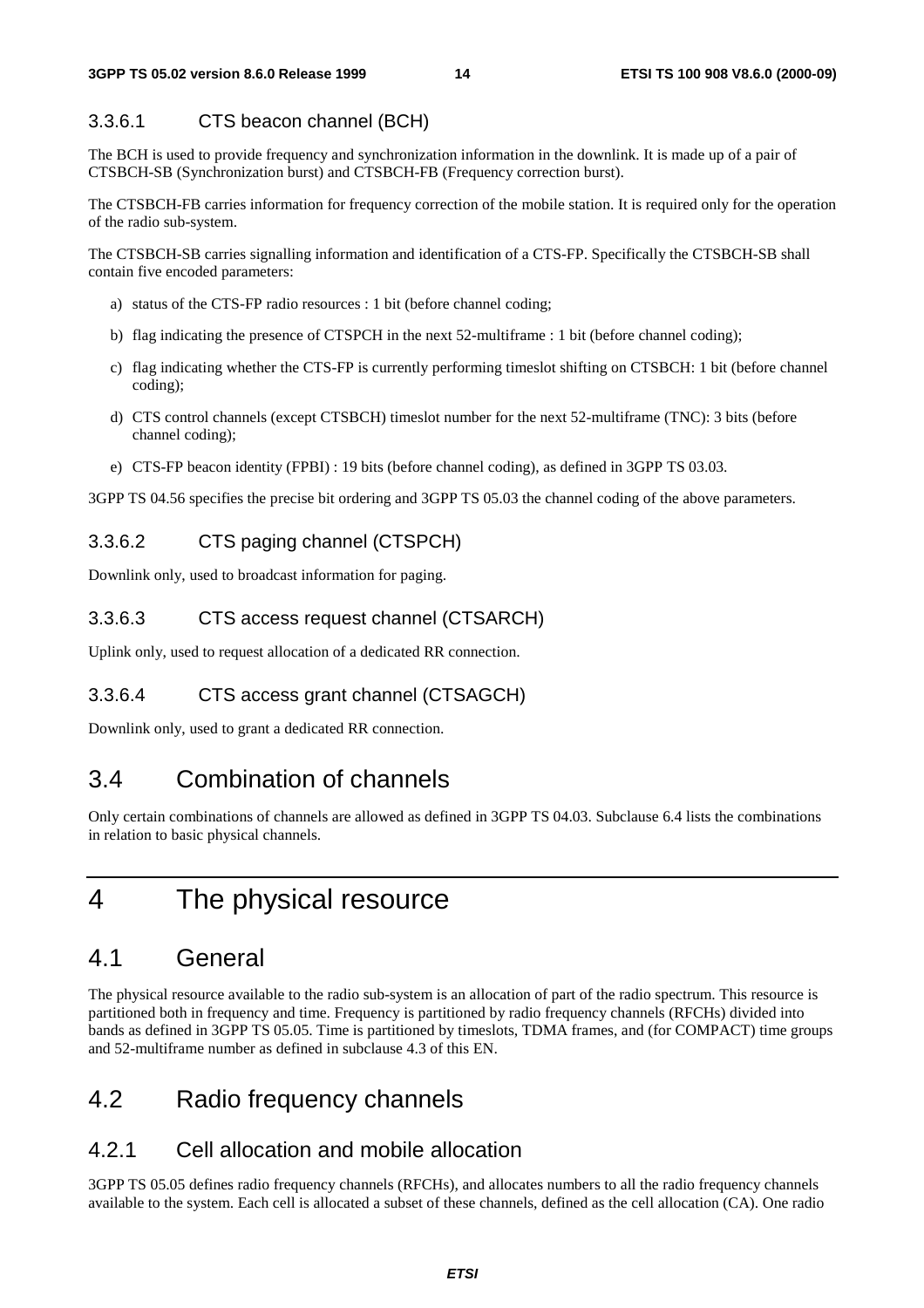### 3.3.6.1 CTS beacon channel (BCH)

The BCH is used to provide frequency and synchronization information in the downlink. It is made up of a pair of CTSBCH-SB (Synchronization burst) and CTSBCH-FB (Frequency correction burst).

The CTSBCH-FB carries information for frequency correction of the mobile station. It is required only for the operation of the radio sub-system.

The CTSBCH-SB carries signalling information and identification of a CTS-FP. Specifically the CTSBCH-SB shall contain five encoded parameters:

- a) status of the CTS-FP radio resources : 1 bit (before channel coding;
- b) flag indicating the presence of CTSPCH in the next 52-multiframe : 1 bit (before channel coding);
- c) flag indicating whether the CTS-FP is currently performing timeslot shifting on CTSBCH: 1 bit (before channel coding);
- d) CTS control channels (except CTSBCH) timeslot number for the next 52-multiframe (TNC): 3 bits (before channel coding);
- e) CTS-FP beacon identity (FPBI) : 19 bits (before channel coding), as defined in 3GPP TS 03.03.

3GPP TS 04.56 specifies the precise bit ordering and 3GPP TS 05.03 the channel coding of the above parameters.

#### 3.3.6.2 CTS paging channel (CTSPCH)

Downlink only, used to broadcast information for paging.

#### 3.3.6.3 CTS access request channel (CTSARCH)

Uplink only, used to request allocation of a dedicated RR connection.

### 3.3.6.4 CTS access grant channel (CTSAGCH)

Downlink only, used to grant a dedicated RR connection.

# 3.4 Combination of channels

Only certain combinations of channels are allowed as defined in 3GPP TS 04.03. Subclause 6.4 lists the combinations in relation to basic physical channels.

# 4 The physical resource

# 4.1 General

The physical resource available to the radio sub-system is an allocation of part of the radio spectrum. This resource is partitioned both in frequency and time. Frequency is partitioned by radio frequency channels (RFCHs) divided into bands as defined in 3GPP TS 05.05. Time is partitioned by timeslots, TDMA frames, and (for COMPACT) time groups and 52-multiframe number as defined in subclause 4.3 of this EN.

# 4.2 Radio frequency channels

# 4.2.1 Cell allocation and mobile allocation

3GPP TS 05.05 defines radio frequency channels (RFCHs), and allocates numbers to all the radio frequency channels available to the system. Each cell is allocated a subset of these channels, defined as the cell allocation (CA). One radio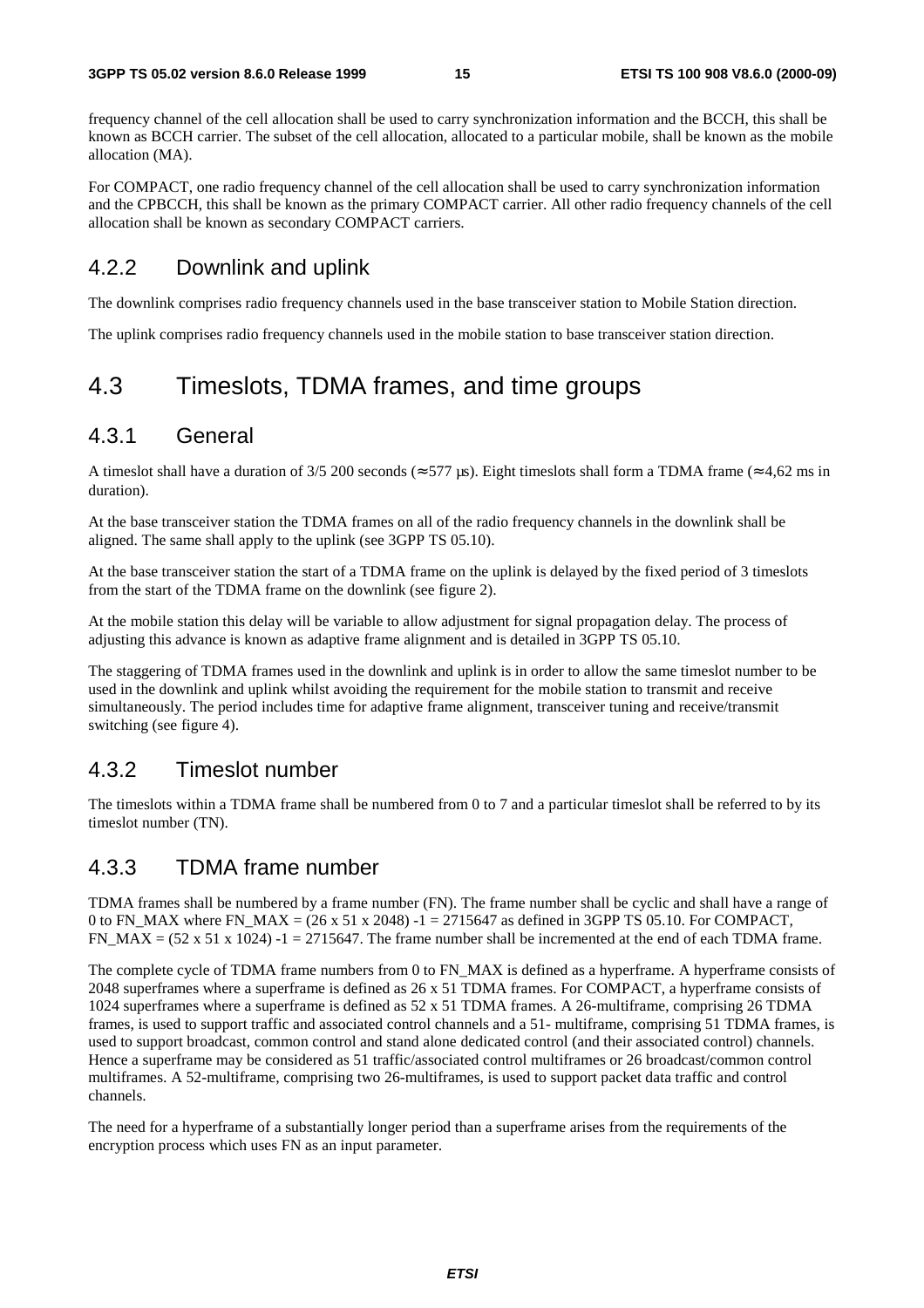frequency channel of the cell allocation shall be used to carry synchronization information and the BCCH, this shall be known as BCCH carrier. The subset of the cell allocation, allocated to a particular mobile, shall be known as the mobile allocation (MA).

For COMPACT, one radio frequency channel of the cell allocation shall be used to carry synchronization information and the CPBCCH, this shall be known as the primary COMPACT carrier. All other radio frequency channels of the cell allocation shall be known as secondary COMPACT carriers.

### 4.2.2 Downlink and uplink

The downlink comprises radio frequency channels used in the base transceiver station to Mobile Station direction.

The uplink comprises radio frequency channels used in the mobile station to base transceiver station direction.

# 4.3 Timeslots, TDMA frames, and time groups

### 4.3.1 General

A timeslot shall have a duration of 3/5 200 seconds ( $\approx$  577 us). Eight timeslots shall form a TDMA frame ( $\approx$  4.62 ms in duration).

At the base transceiver station the TDMA frames on all of the radio frequency channels in the downlink shall be aligned. The same shall apply to the uplink (see 3GPP TS 05.10).

At the base transceiver station the start of a TDMA frame on the uplink is delayed by the fixed period of 3 timeslots from the start of the TDMA frame on the downlink (see figure 2).

At the mobile station this delay will be variable to allow adjustment for signal propagation delay. The process of adjusting this advance is known as adaptive frame alignment and is detailed in 3GPP TS 05.10.

The staggering of TDMA frames used in the downlink and uplink is in order to allow the same timeslot number to be used in the downlink and uplink whilst avoiding the requirement for the mobile station to transmit and receive simultaneously. The period includes time for adaptive frame alignment, transceiver tuning and receive/transmit switching (see figure 4).

### 4.3.2 Timeslot number

The timeslots within a TDMA frame shall be numbered from 0 to 7 and a particular timeslot shall be referred to by its timeslot number (TN).

#### 4.3.3 TDMA frame number

TDMA frames shall be numbered by a frame number (FN). The frame number shall be cyclic and shall have a range of 0 to FN\_MAX where FN\_MAX =  $(26 \times 51 \times 2048)$  -1 = 2715647 as defined in 3GPP TS 05.10. For COMPACT, FN\_MAX =  $(52 \times 51 \times 1024)$  -1 = 2715647. The frame number shall be incremented at the end of each TDMA frame.

The complete cycle of TDMA frame numbers from 0 to FN\_MAX is defined as a hyperframe. A hyperframe consists of 2048 superframes where a superframe is defined as 26 x 51 TDMA frames. For COMPACT, a hyperframe consists of 1024 superframes where a superframe is defined as 52 x 51 TDMA frames. A 26-multiframe, comprising 26 TDMA frames, is used to support traffic and associated control channels and a 51- multiframe, comprising 51 TDMA frames, is used to support broadcast, common control and stand alone dedicated control (and their associated control) channels. Hence a superframe may be considered as 51 traffic/associated control multiframes or 26 broadcast/common control multiframes. A 52-multiframe, comprising two 26-multiframes, is used to support packet data traffic and control channels.

The need for a hyperframe of a substantially longer period than a superframe arises from the requirements of the encryption process which uses FN as an input parameter.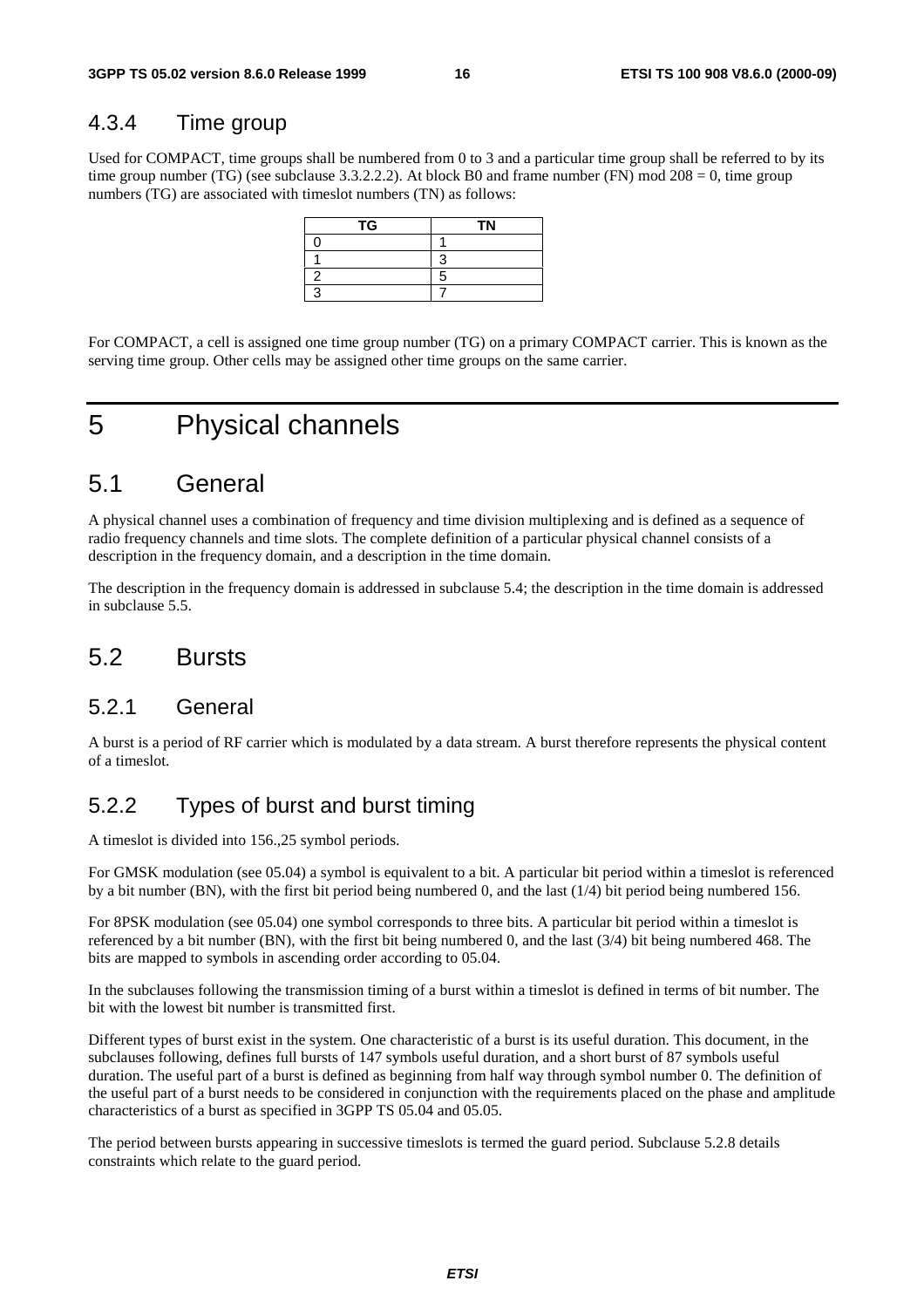### 4.3.4 Time group

Used for COMPACT, time groups shall be numbered from 0 to 3 and a particular time group shall be referred to by its time group number (TG) (see subclause 3.3.2.2.2). At block B0 and frame number (FN) mod 208 = 0, time group numbers (TG) are associated with timeslot numbers (TN) as follows:

| TG | <b>TN</b> |
|----|-----------|
|    |           |
|    |           |
|    |           |
|    |           |

For COMPACT, a cell is assigned one time group number (TG) on a primary COMPACT carrier. This is known as the serving time group. Other cells may be assigned other time groups on the same carrier.

# 5 Physical channels

# 5.1 General

A physical channel uses a combination of frequency and time division multiplexing and is defined as a sequence of radio frequency channels and time slots. The complete definition of a particular physical channel consists of a description in the frequency domain, and a description in the time domain.

The description in the frequency domain is addressed in subclause 5.4; the description in the time domain is addressed in subclause 5.5.

# 5.2 Bursts

### 5.2.1 General

A burst is a period of RF carrier which is modulated by a data stream. A burst therefore represents the physical content of a timeslot.

### 5.2.2 Types of burst and burst timing

A timeslot is divided into 156.,25 symbol periods.

For GMSK modulation (see 05.04) a symbol is equivalent to a bit. A particular bit period within a timeslot is referenced by a bit number (BN), with the first bit period being numbered 0, and the last (1/4) bit period being numbered 156.

For 8PSK modulation (see 05.04) one symbol corresponds to three bits. A particular bit period within a timeslot is referenced by a bit number (BN), with the first bit being numbered 0, and the last (3/4) bit being numbered 468. The bits are mapped to symbols in ascending order according to 05.04.

In the subclauses following the transmission timing of a burst within a timeslot is defined in terms of bit number. The bit with the lowest bit number is transmitted first.

Different types of burst exist in the system. One characteristic of a burst is its useful duration. This document, in the subclauses following, defines full bursts of 147 symbols useful duration, and a short burst of 87 symbols useful duration. The useful part of a burst is defined as beginning from half way through symbol number 0. The definition of the useful part of a burst needs to be considered in conjunction with the requirements placed on the phase and amplitude characteristics of a burst as specified in 3GPP TS 05.04 and 05.05.

The period between bursts appearing in successive timeslots is termed the guard period. Subclause 5.2.8 details constraints which relate to the guard period.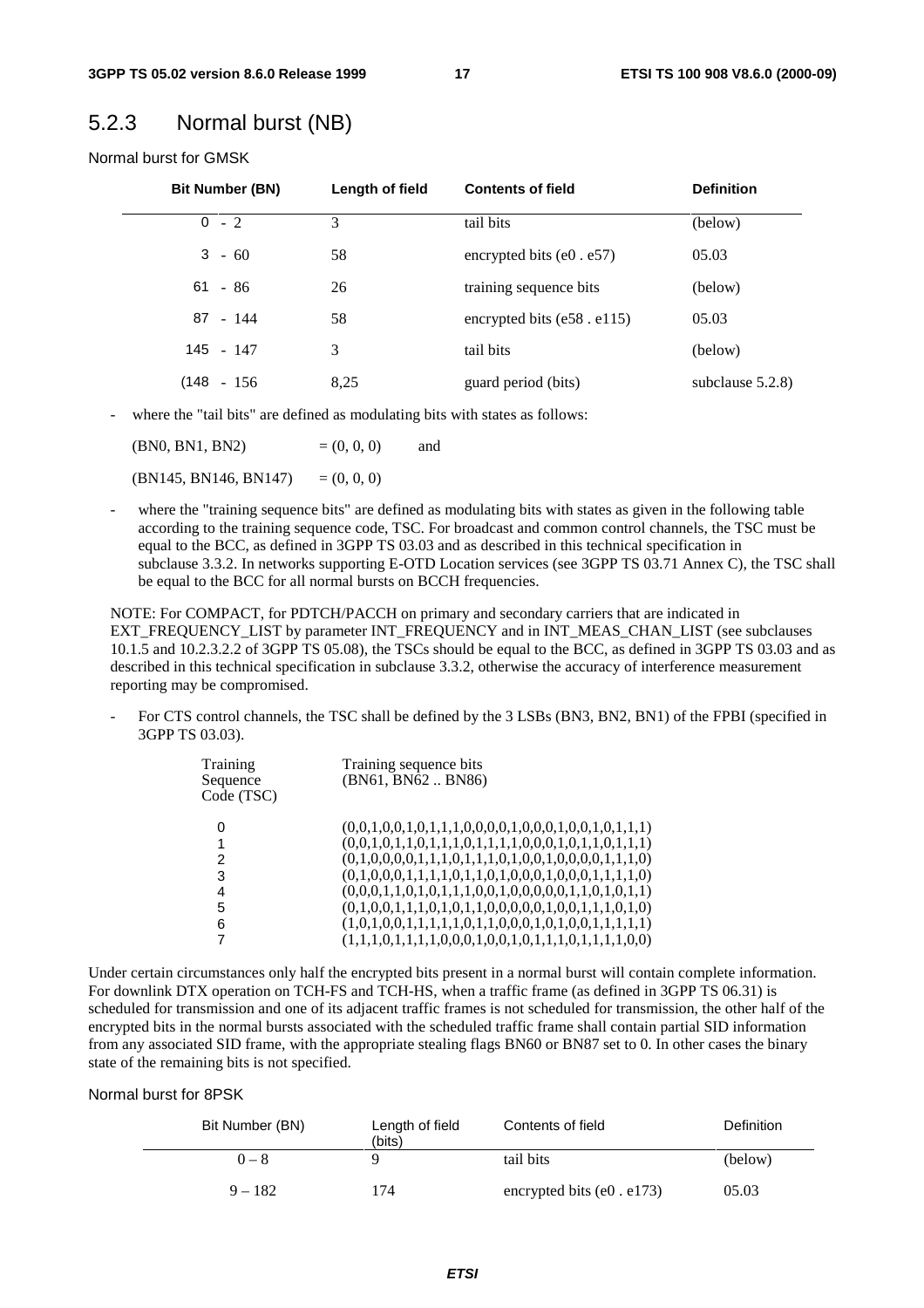### 5.2.3 Normal burst (NB)

Normal burst for GMSK

| <b>Bit Number (BN)</b> | Length of field | <b>Contents of field</b>          | <b>Definition</b>   |
|------------------------|-----------------|-----------------------------------|---------------------|
| $0 - 2$                | 3               | tail bits                         | (below)             |
| $3 - 60$               | 58              | encrypted bits $(e0 \cdot e57)$   | 05.03               |
| $61 - 86$              | 26              | training sequence bits            | (below)             |
| $87 - 144$             | 58              | encrypted bits $(e58 \cdot e115)$ | 05.03               |
| 145 - 147              | 3               | tail bits                         | (below)             |
| $(148 - 156)$          | 8,25            | guard period (bits)               | subclause $5.2.8$ ) |

where the "tail bits" are defined as modulating bits with states as follows:

 $(BN0, BN1, BN2)$  =  $(0, 0, 0)$  and

 $(BN145, BN146, BN147) = (0, 0, 0)$ 

where the "training sequence bits" are defined as modulating bits with states as given in the following table according to the training sequence code, TSC. For broadcast and common control channels, the TSC must be equal to the BCC, as defined in 3GPP TS 03.03 and as described in this technical specification in subclause 3.3.2. In networks supporting E-OTD Location services (see 3GPP TS 03.71 Annex C), the TSC shall be equal to the BCC for all normal bursts on BCCH frequencies.

NOTE: For COMPACT, for PDTCH/PACCH on primary and secondary carriers that are indicated in EXT\_FREQUENCY\_LIST by parameter INT\_FREQUENCY and in INT\_MEAS\_CHAN\_LIST (see subclauses 10.1.5 and 10.2.3.2.2 of 3GPP TS 05.08), the TSCs should be equal to the BCC, as defined in 3GPP TS 03.03 and as described in this technical specification in subclause 3.3.2, otherwise the accuracy of interference measurement reporting may be compromised.

For CTS control channels, the TSC shall be defined by the 3 LSBs (BN3, BN2, BN1) of the FPBI (specified in 3GPP TS 03.03).

| Training<br>Sequence<br>Code (TSC) | Training sequence bits<br>(BN61, BN62 BN86)             |
|------------------------------------|---------------------------------------------------------|
|                                    | $(0,0,1,0,0,1,0,1,1,1,0,0,0,0,1,0,0,1,0,0,1,0,1,1,1)$   |
| 1                                  | $(0,0,1,0,1,1,0,1,1,1,0,1,1,1,1,0,0,0,1,0,1,1,0,1,1,1)$ |
| 2                                  | $(0,1,0,0,0,0,1,1,1,0,1,1,1,0,1,0,0,1,0,0,0,0,1,1,1,0)$ |
| 3                                  | $(0,1,0,0,0,1,1,1,1,0,1,1,0,1,0,0,0,1,0,0,0,1,1,1,1,0)$ |
| 4                                  | $(0,0,0,1,1,0,1,0,1,1,1,0,0,1,0,0,0,0,1,1,0,1,0,1,1)$   |
| 5                                  | $(0,1,0,0,1,1,1,0,1,0,1,1,0,0,0,0,0,1,0,0,1,1,1,0,1,0)$ |
| 6                                  |                                                         |
|                                    | $(1,1,1,0,1,1,1,1,0,0,0,1,0,0,1,0,1,1,1,0,1,1,1,1,0,0)$ |

Under certain circumstances only half the encrypted bits present in a normal burst will contain complete information. For downlink DTX operation on TCH-FS and TCH-HS, when a traffic frame (as defined in 3GPP TS 06.31) is scheduled for transmission and one of its adjacent traffic frames is not scheduled for transmission, the other half of the encrypted bits in the normal bursts associated with the scheduled traffic frame shall contain partial SID information from any associated SID frame, with the appropriate stealing flags BN60 or BN87 set to 0. In other cases the binary state of the remaining bits is not specified.

#### Normal burst for 8PSK

| Bit Number (BN) | Length of field<br>(bits) | Contents of field          | Definition |
|-----------------|---------------------------|----------------------------|------------|
| $0 - 8$         |                           | tail bits                  | (below)    |
| $9 - 182$       | 74                        | encrypted bits $(e0.e173)$ | 05.03      |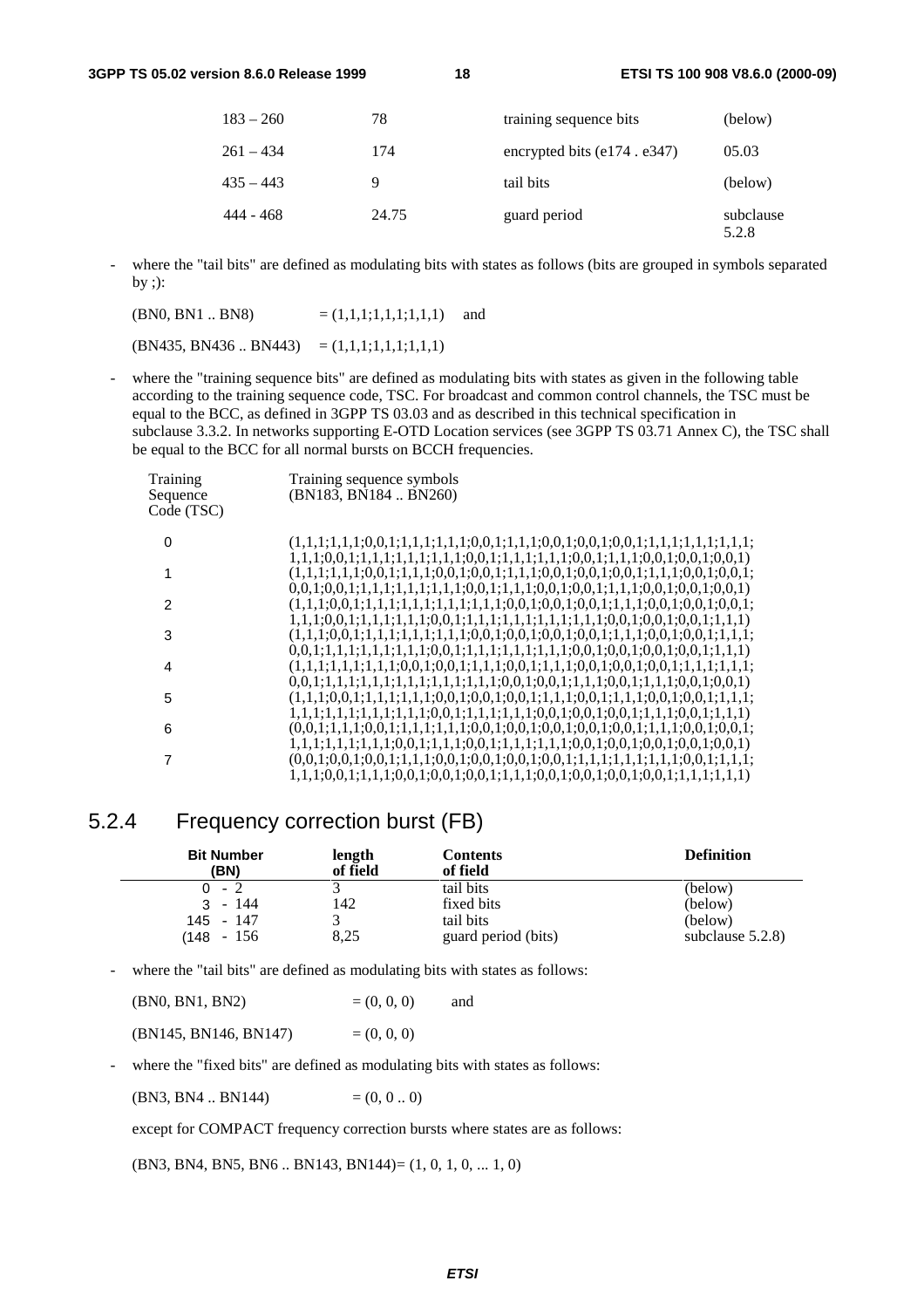| $183 - 260$ | 78    | training sequence bits             | (below)            |
|-------------|-------|------------------------------------|--------------------|
| $261 - 434$ | 174   | encrypted bits $(e174 \cdot e347)$ | 05.03              |
| $435 - 443$ | 9     | tail bits                          | (below)            |
| 444 - 468   | 24.75 | guard period                       | subclause<br>5.2.8 |

where the "tail bits" are defined as modulating bits with states as follows (bits are grouped in symbols separated by ; $)$ :

 $(BN0, BN1 \dots BN8)$  =  $(1,1,1,1,1,1,1,1)$  and  $(BN435, BN436..BN443) = (1,1,1;1,1,1;1,1,1)$ 

where the "training sequence bits" are defined as modulating bits with states as given in the following table according to the training sequence code, TSC. For broadcast and common control channels, the TSC must be equal to the BCC, as defined in 3GPP TS 03.03 and as described in this technical specification in subclause 3.3.2. In networks supporting E-OTD Location services (see 3GPP TS 03.71 Annex C), the TSC shall be equal to the BCC for all normal bursts on BCCH frequencies.

| Training<br>Sequence<br>Code (TSC) | Training sequence symbols<br>(BN183, BN184  BN260)                                                                           |
|------------------------------------|------------------------------------------------------------------------------------------------------------------------------|
| 0                                  |                                                                                                                              |
|                                    | $1, 1, 1, 0, 0, 1, 1, 1, 1, 1, 1, 1, 1, 1, 1, 0, 0, 1, 1, 1, 1, 1, 1, 1, 1, 0, 0, 1, 1, 1, 1, 0, 0, 1, 0, 0, 1, 0, 0, 1)$    |
| 2                                  | $0.0, 1; 0.0, 1; 1, 1, 1; 1, 1, 1; 1, 1, 1; 0, 0, 1; 1, 1, 1; 0, 0, 1; 0, 0, 1; 1, 1, 1; 0, 0, 1; 0, 0, 1; 0, 0, 1)$         |
|                                    |                                                                                                                              |
| 3                                  |                                                                                                                              |
| 4                                  |                                                                                                                              |
|                                    | $0,0,1;1,1,1;1,1,1;1,1,1;1,1,1;1,1,1;0,0,1;0,0,1;1,1,1;0,0,1;1,1,1;0,0,1;0,0,1)$                                             |
| 5                                  |                                                                                                                              |
|                                    | $1, 1, 1, 1, 1, 1, 1, 1, 1, 1, 1, 1, 0, 0, 1, 1, 1, 1, 1, 1, 1, 1, 1, 0, 0, 1, 1, 0, 0, 1, 1, 1, 1, 1, 1, 1, 1, 1)$          |
| 6                                  |                                                                                                                              |
|                                    | $1, 1, 1, 1, 1, 1, 1, 1, 1, 0, 0, 1, 1, 1, 1, 0, 0, 1, 1, 1, 1, 1, 1, 1, 1, 1, 0, 0, 1, 0, 0, 1, 0, 0, 1, 0, 0, 1, 0, 0, 1)$ |
| 7                                  |                                                                                                                              |
|                                    | $1,1,1;0,0,1;1,1,1;0,0,1;0,0,1;0,0,1;1,1,1;0,0,1;0,0,1;0,0,1;0,0,1;1,1,1;1,1)$                                               |

### 5.2.4 Frequency correction burst (FB)

| <b>Bit Number</b> | length   | <b>Contents</b>     | <b>Definition</b>   |
|-------------------|----------|---------------------|---------------------|
| (BN)              | of field | of field            |                     |
| $0 - 2$           | 142      | tail bits           | (below)             |
| $3 - 144$         |          | fixed bits          | (below)             |
| 145 - 147         | 8,25     | tail bits           | (below)             |
| $(148 - 156)$     |          | guard period (bits) | subclause $5.2.8$ ) |

where the "tail bits" are defined as modulating bits with states as follows:

| (BN0, BN1, BN2)       | $= (0, 0, 0)$ | and |
|-----------------------|---------------|-----|
| (BN145, BN146, BN147) | $= (0, 0, 0)$ |     |

where the "fixed bits" are defined as modulating bits with states as follows:

 $(BN3, BN4, BN144)$  = (0, 0, 0)

except for COMPACT frequency correction bursts where states are as follows:

 $(BN3, BN4, BN5, BN6.. BN143, BN144) = (1, 0, 1, 0, ... 1, 0)$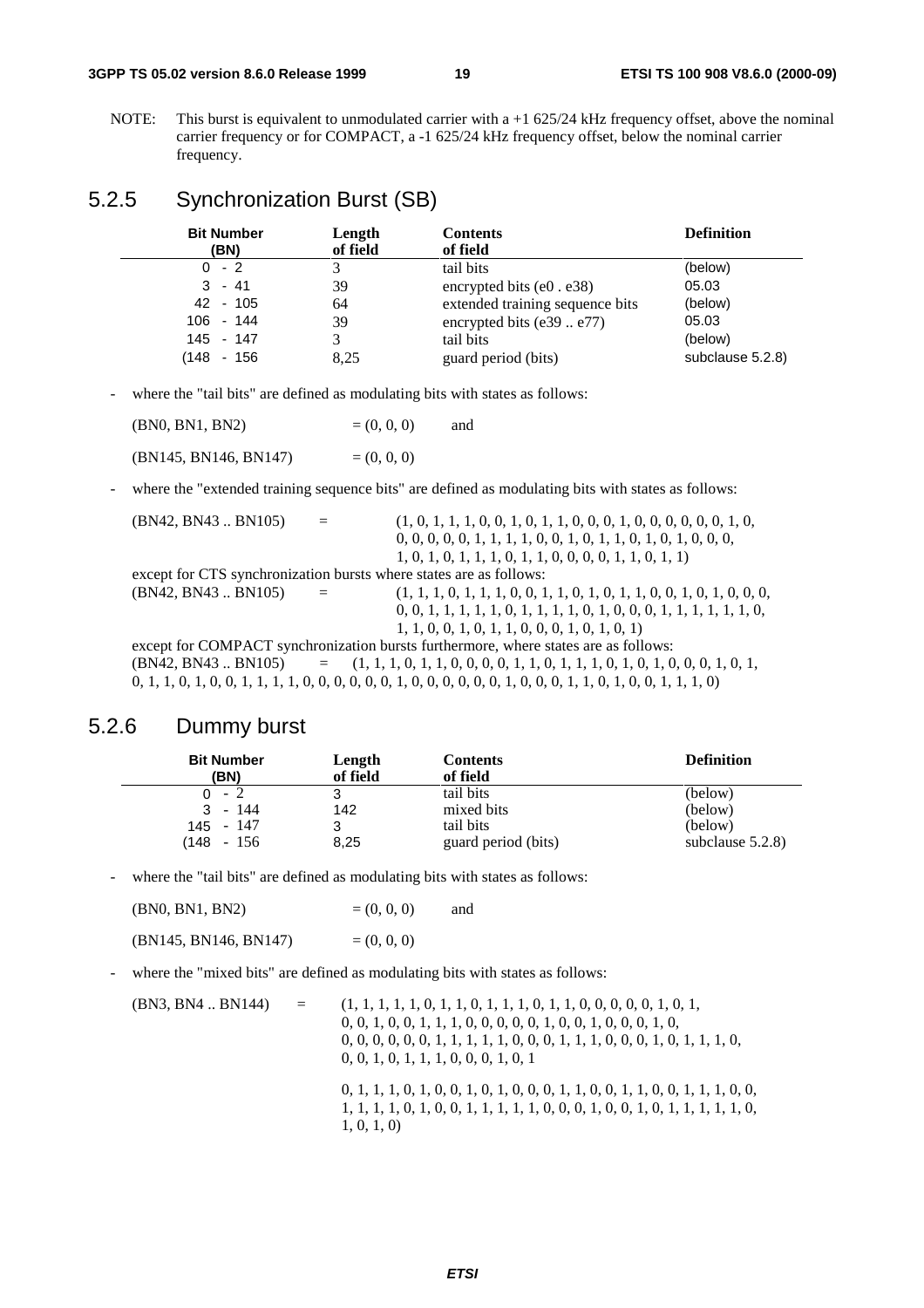#### **3GPP TS 05.02 version 8.6.0 Release 1999 19 ETSI TS 100 908 V8.6.0 (2000-09)**

NOTE: This burst is equivalent to unmodulated carrier with a +1 625/24 kHz frequency offset, above the nominal carrier frequency or for COMPACT, a -1 625/24 kHz frequency offset, below the nominal carrier frequency.

# 5.2.5 Synchronization Burst (SB)

| <b>Bit Number</b><br>(BN) | Length<br>of field | <b>Contents</b><br>of field     | <b>Definition</b> |
|---------------------------|--------------------|---------------------------------|-------------------|
| $0 - 2$                   |                    | tail bits                       | (below)           |
| $3 - 41$                  | 39                 | encrypted bits $(e0. e38)$      | 05.03             |
| 42 - 105                  | 64                 | extended training sequence bits | (below)           |
| $106 - 144$               | 39                 | encrypted bits $(e39e77)$       | 05.03             |
| 145 - 147                 |                    | tail bits                       | (below)           |
| 148  <br>- 156            | 8,25               | guard period (bits)             | subclause 5.2.8)  |

- where the "tail bits" are defined as modulating bits with states as follows:

| (BN0, BN1, BN2) | $= (0, 0, 0)$ | and |
|-----------------|---------------|-----|
|                 |               |     |

 $(BN145, BN146, BN147) = (0, 0, 0)$ 

- where the "extended training sequence bits" are defined as modulating bits with states as follows:

| (BN42, BN43 BN105)                                                 | $=$                     | $(1, 0, 1, 1, 1, 0, 0, 1, 0, 1, 1, 0, 0, 0, 1, 0, 0, 0, 0, 0, 1, 0,$                                                                                                                                                               |
|--------------------------------------------------------------------|-------------------------|------------------------------------------------------------------------------------------------------------------------------------------------------------------------------------------------------------------------------------|
|                                                                    |                         | $0, 0, 0, 0, 0, 1, 1, 1, 1, 0, 0, 1, 0, 1, 1, 0, 1, 0, 1, 0, 0, 0, 0,$                                                                                                                                                             |
|                                                                    |                         | $1, 0, 1, 0, 1, 1, 1, 0, 1, 1, 0, 0, 0, 0, 1, 1, 0, 1, 1)$                                                                                                                                                                         |
| except for CTS synchronization bursts where states are as follows: |                         |                                                                                                                                                                                                                                    |
| (BN42, BN43 BN105)                                                 | $\alpha_{\rm c} = 0.01$ |                                                                                                                                                                                                                                    |
|                                                                    |                         | $0, 0, 1, 1, 1, 1, 1, 0, 1, 1, 1, 1, 0, 1, 0, 0, 0, 1, 1, 1, 1, 1, 1, 0,$                                                                                                                                                          |
|                                                                    |                         | $1, 1, 0, 0, 1, 0, 1, 1, 0, 0, 0, 1, 0, 1, 0, 1)$                                                                                                                                                                                  |
|                                                                    |                         | except for COMPACT synchronization bursts furthermore, where states are as follows:                                                                                                                                                |
|                                                                    |                         | $(BN42, BN43 BN105)$ = $(1, 1, 1, 0, 1, 1, 0, 0, 0, 0, 1, 1, 0, 1, 1, 1, 0, 1, 0, 1, 0, 0, 0, 1, 0, 1, 0, 1, 0, 1, 0, 1, 0, 1, 0, 1, 0, 1, 0, 1, 0, 1, 0, 1, 0, 1, 0, 1, 0, 1, 0, 1, 0, 1, 0, 1, 0, 1, 0, 1, 0, 1, 0, 1, 0, 1, 0,$ |
|                                                                    |                         | $0, 1, 1, 0, 1, 0, 0, 1, 1, 1, 1, 0, 0, 0, 0, 0, 0, 1, 0, 0, 0, 0, 0, 0, 1, 0, 0, 0, 1, 1, 0, 1, 0, 0, 1, 1, 1, 0)$                                                                                                                |
|                                                                    |                         |                                                                                                                                                                                                                                    |

### 5.2.6 Dummy burst

| <b>Bit Number</b> | Length   | <b>Contents</b>     | <b>Definition</b>   |
|-------------------|----------|---------------------|---------------------|
| (BN)              | of field | of field            |                     |
| $0 - 2$           |          | tail bits           | (below)             |
| $3 - 144$         | 142      | mixed bits          | (below)             |
| 145 - 147         |          | tail bits           | (below)             |
| $(148 - 156)$     | 8,25     | guard period (bits) | subclause $5.2.8$ ) |

where the "tail bits" are defined as modulating bits with states as follows:

| (BN0, BN1, BN2)       | $= (0, 0, 0)$ | and |
|-----------------------|---------------|-----|
| (BN145, BN146, BN147) | $= (0, 0, 0)$ |     |

where the "mixed bits" are defined as modulating bits with states as follows:

(BN3, BN4 .. BN144) = (1, 1, 1, 1, 1, 0, 1, 1, 0, 1, 1, 1, 0, 1, 1, 0, 0, 0, 0, 0, 1, 0, 1, 0, 0, 1, 0, 0, 1, 1, 1, 0, 0, 0, 0, 0, 1, 0, 0, 1, 0, 0, 0, 1, 0, 0, 0, 0, 0, 0, 0, 1, 1, 1, 1, 1, 0, 0, 0, 1, 1, 1, 0, 0, 0, 1, 0, 1, 1, 1, 0, 0, 0, 1, 0, 1, 1, 1, 0, 0, 0, 1, 0, 1 0, 1, 1, 1, 0, 1, 0, 0, 1, 0, 1, 0, 0, 0, 1, 1, 0, 0, 1, 1, 0, 0, 1, 1, 1, 0, 0, 1, 1, 1, 1, 0, 1, 0, 0, 1, 1, 1, 1, 1, 0, 0, 0, 1, 0, 0, 1, 0, 1, 1, 1, 1, 1, 0, 1, 0, 1, 0)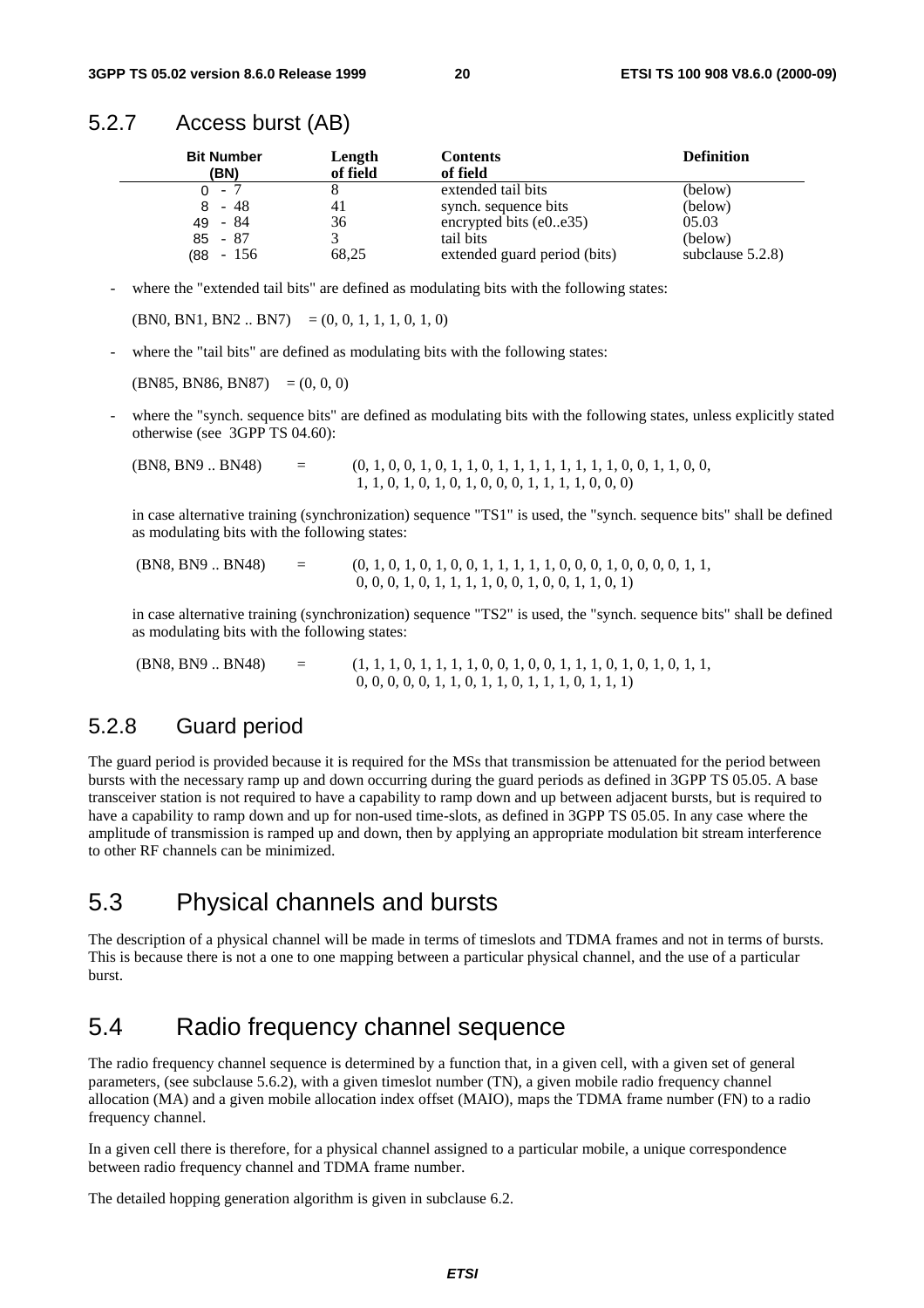#### 5.2.7 Access burst (AB)

| <b>Bit Number</b><br>(BN) | Length<br>of field | <b>Contents</b><br>of field  | <b>Definition</b>   |
|---------------------------|--------------------|------------------------------|---------------------|
| $0 - 7$                   |                    | extended tail bits           | (below)             |
| - 48<br>8                 |                    | synch. sequence bits         | (below)             |
| 49 - 84                   | 36                 | encrypted bits $(e0e35)$     | 05.03               |
| $85 - 87$                 |                    | tail bits                    | (below)             |
| - 156<br>(88              | 68,25              | extended guard period (bits) | subclause $5.2.8$ ) |

where the "extended tail bits" are defined as modulating bits with the following states:

 $(BN0, BN1, BN2 ... BN7) = (0, 0, 1, 1, 1, 0, 1, 0)$ 

where the "tail bits" are defined as modulating bits with the following states:

 $(BN85, BN86, BN87) = (0, 0, 0)$ 

where the "synch. sequence bits" are defined as modulating bits with the following states, unless explicitly stated otherwise (see 3GPP TS 04.60):

 $(BNS, BNS, B48)$  = (0, 1, 0, 0, 1, 0, 1, 1, 0, 1, 1, 1, 1, 1, 1, 1, 1, 0, 0, 1, 1, 0, 0, 1, 1, 0, 0, 1, 1, 0, 0, 1, 1, 0, 0, 1, 1, 0, 0, 1, 1, 0, 0, 1, 1, 0, 0, 1, 1, 0, 0, 1, 1, 0, 0, 1, 1, 0, 0, 1, 1, 0, 0, 1, 1, 0, 0, 1, 1 1, 1, 0, 1, 0, 1, 0, 1, 0, 0, 0, 1, 1, 1, 1, 0, 0, 0)

in case alternative training (synchronization) sequence "TS1" is used, the "synch. sequence bits" shall be defined as modulating bits with the following states:

| (BN8, BN9 BN48) | $=$ | $(0, 1, 0, 1, 0, 1, 0, 0, 1, 1, 1, 1, 1, 0, 0, 0, 1, 0, 0, 0, 1, 1,$ |  |
|-----------------|-----|----------------------------------------------------------------------|--|
|                 |     | $0, 0, 0, 1, 0, 1, 1, 1, 1, 0, 0, 1, 0, 0, 1, 1, 0, 1)$              |  |

in case alternative training (synchronization) sequence "TS2" is used, the "synch. sequence bits" shall be defined as modulating bits with the following states:

 (BN8, BN9 .. BN48) = (1, 1, 1, 0, 1, 1, 1, 1, 0, 0, 1, 0, 0, 1, 1, 1, 0, 1, 0, 1, 0, 1, 1, 0, 0, 0, 0, 0, 1, 1, 0, 1, 1, 0, 1, 1, 1, 0, 1, 1, 1)

### 5.2.8 Guard period

The guard period is provided because it is required for the MSs that transmission be attenuated for the period between bursts with the necessary ramp up and down occurring during the guard periods as defined in 3GPP TS 05.05. A base transceiver station is not required to have a capability to ramp down and up between adjacent bursts, but is required to have a capability to ramp down and up for non-used time-slots, as defined in 3GPP TS 05.05. In any case where the amplitude of transmission is ramped up and down, then by applying an appropriate modulation bit stream interference to other RF channels can be minimized.

# 5.3 Physical channels and bursts

The description of a physical channel will be made in terms of timeslots and TDMA frames and not in terms of bursts. This is because there is not a one to one mapping between a particular physical channel, and the use of a particular burst.

# 5.4 Radio frequency channel sequence

The radio frequency channel sequence is determined by a function that, in a given cell, with a given set of general parameters, (see subclause 5.6.2), with a given timeslot number (TN), a given mobile radio frequency channel allocation (MA) and a given mobile allocation index offset (MAIO), maps the TDMA frame number (FN) to a radio frequency channel.

In a given cell there is therefore, for a physical channel assigned to a particular mobile, a unique correspondence between radio frequency channel and TDMA frame number.

The detailed hopping generation algorithm is given in subclause 6.2.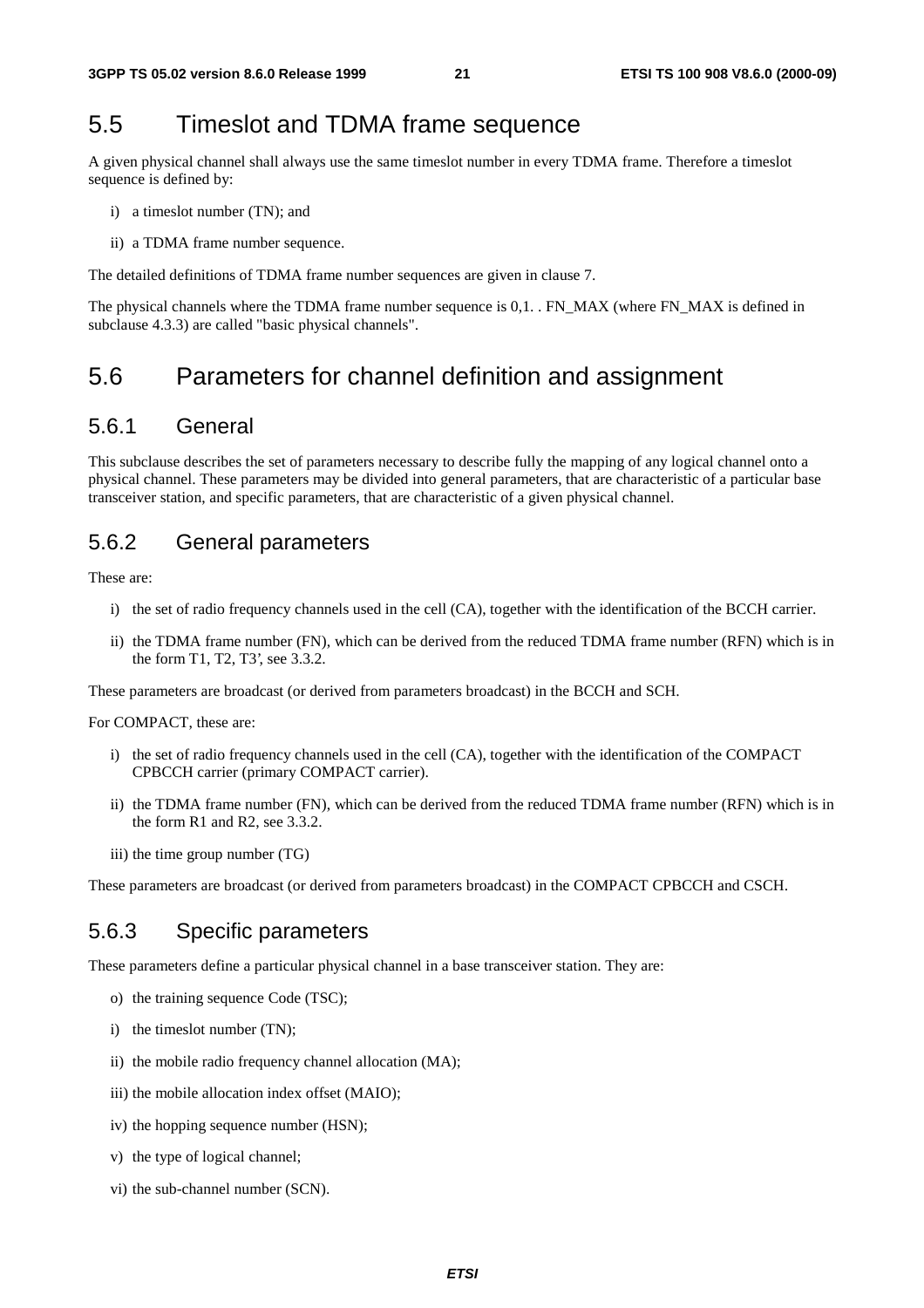# 5.5 Timeslot and TDMA frame sequence

A given physical channel shall always use the same timeslot number in every TDMA frame. Therefore a timeslot sequence is defined by:

- i) a timeslot number (TN); and
- ii) a TDMA frame number sequence.

The detailed definitions of TDMA frame number sequences are given in clause 7.

The physical channels where the TDMA frame number sequence is 0,1. . FN\_MAX (where FN\_MAX is defined in subclause 4.3.3) are called "basic physical channels".

# 5.6 Parameters for channel definition and assignment

#### 5.6.1 General

This subclause describes the set of parameters necessary to describe fully the mapping of any logical channel onto a physical channel. These parameters may be divided into general parameters, that are characteristic of a particular base transceiver station, and specific parameters, that are characteristic of a given physical channel.

### 5.6.2 General parameters

These are:

- i) the set of radio frequency channels used in the cell (CA), together with the identification of the BCCH carrier.
- ii) the TDMA frame number (FN), which can be derived from the reduced TDMA frame number (RFN) which is in the form T1, T2, T3', see 3.3.2.

These parameters are broadcast (or derived from parameters broadcast) in the BCCH and SCH.

For COMPACT, these are:

- i) the set of radio frequency channels used in the cell (CA), together with the identification of the COMPACT CPBCCH carrier (primary COMPACT carrier).
- ii) the TDMA frame number (FN), which can be derived from the reduced TDMA frame number (RFN) which is in the form R1 and R2, see 3.3.2.
- iii) the time group number (TG)

These parameters are broadcast (or derived from parameters broadcast) in the COMPACT CPBCCH and CSCH.

### 5.6.3 Specific parameters

These parameters define a particular physical channel in a base transceiver station. They are:

- o) the training sequence Code (TSC);
- i) the timeslot number (TN);
- ii) the mobile radio frequency channel allocation (MA);
- iii) the mobile allocation index offset (MAIO);
- iv) the hopping sequence number (HSN);
- v) the type of logical channel;
- vi) the sub-channel number (SCN).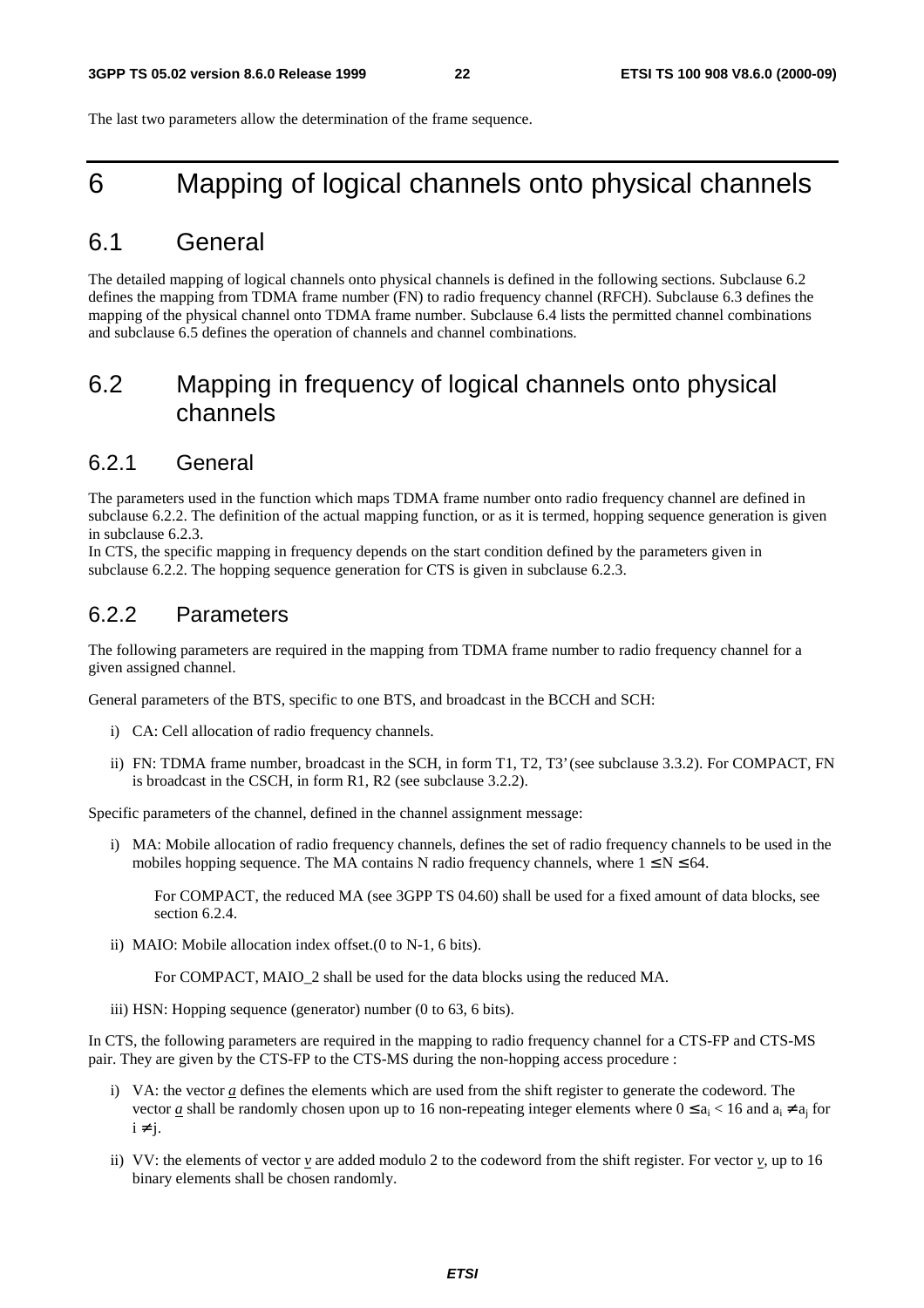The last two parameters allow the determination of the frame sequence.

# 6 Mapping of logical channels onto physical channels

# 6.1 General

The detailed mapping of logical channels onto physical channels is defined in the following sections. Subclause 6.2 defines the mapping from TDMA frame number (FN) to radio frequency channel (RFCH). Subclause 6.3 defines the mapping of the physical channel onto TDMA frame number. Subclause 6.4 lists the permitted channel combinations and subclause 6.5 defines the operation of channels and channel combinations.

# 6.2 Mapping in frequency of logical channels onto physical channels

#### 6.2.1 General

The parameters used in the function which maps TDMA frame number onto radio frequency channel are defined in subclause 6.2.2. The definition of the actual mapping function, or as it is termed, hopping sequence generation is given in subclause 6.2.3.

In CTS, the specific mapping in frequency depends on the start condition defined by the parameters given in subclause 6.2.2. The hopping sequence generation for CTS is given in subclause 6.2.3.

### 6.2.2 Parameters

The following parameters are required in the mapping from TDMA frame number to radio frequency channel for a given assigned channel.

General parameters of the BTS, specific to one BTS, and broadcast in the BCCH and SCH:

- i) CA: Cell allocation of radio frequency channels.
- ii) FN: TDMA frame number, broadcast in the SCH, in form T1, T2, T3' (see subclause 3.3.2). For COMPACT, FN is broadcast in the CSCH, in form R1, R2 (see subclause 3.2.2).

Specific parameters of the channel, defined in the channel assignment message:

i) MA: Mobile allocation of radio frequency channels, defines the set of radio frequency channels to be used in the mobiles hopping sequence. The MA contains N radio frequency channels, where  $1 \le N \le 64$ .

 For COMPACT, the reduced MA (see 3GPP TS 04.60) shall be used for a fixed amount of data blocks, see section 6.2.4.

ii) MAIO: Mobile allocation index offset.(0 to N-1, 6 bits).

For COMPACT, MAIO 2 shall be used for the data blocks using the reduced MA.

iii) HSN: Hopping sequence (generator) number (0 to 63, 6 bits).

In CTS, the following parameters are required in the mapping to radio frequency channel for a CTS-FP and CTS-MS pair. They are given by the CTS-FP to the CTS-MS during the non-hopping access procedure :

- i) VA: the vector *a* defines the elements which are used from the shift register to generate the codeword. The vector <u>a</u> shall be randomly chosen upon up to 16 non-repeating integer elements where  $0 \le a_i < 16$  and  $a_i \ne a_j$  for  $i \neq i$ .
- ii) VV: the elements of vector  $\bf{v}$  are added modulo 2 to the codeword from the shift register. For vector  $\bf{v}$ , up to 16 binary elements shall be chosen randomly.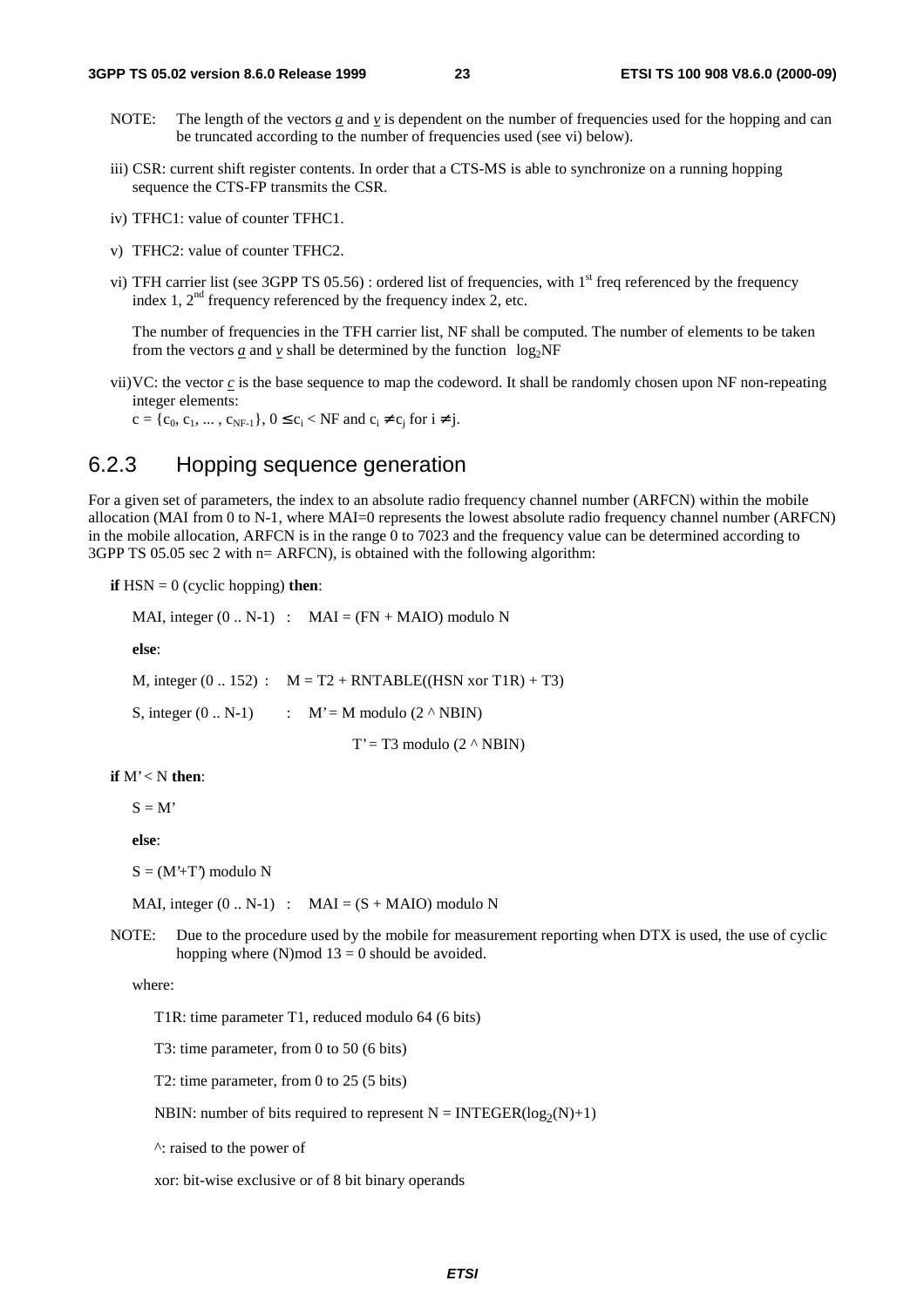- NOTE: The length of the vectors  $\underline{a}$  and  $\underline{v}$  is dependent on the number of frequencies used for the hopping and can be truncated according to the number of frequencies used (see vi) below).
- iii) CSR: current shift register contents. In order that a CTS-MS is able to synchronize on a running hopping sequence the CTS-FP transmits the CSR.
- iv) TFHC1: value of counter TFHC1.
- v) TFHC2: value of counter TFHC2.
- vi) TFH carrier list (see 3GPP TS 05.56) : ordered list of frequencies, with  $1<sup>st</sup>$  freq referenced by the frequency index 1,  $2<sup>nd</sup>$  frequency referenced by the frequency index 2, etc.

 The number of frequencies in the TFH carrier list, NF shall be computed. The number of elements to be taken from the vectors *a* and *v* shall be determined by the function  $\lceil log_2NF \rceil$ 

vii) VC: the vector *c* is the base sequence to map the codeword. It shall be randomly chosen upon NF non-repeating integer elements:

 $c = \{c_0, c_1, ..., c_{NF-1}\}, 0 \le c_i < NF$  and  $c_i \ne c_i$  for  $i \ne j$ .

### 6.2.3 Hopping sequence generation

For a given set of parameters, the index to an absolute radio frequency channel number (ARFCN) within the mobile allocation (MAI from 0 to N-1, where MAI=0 represents the lowest absolute radio frequency channel number (ARFCN) in the mobile allocation, ARFCN is in the range 0 to 7023 and the frequency value can be determined according to 3GPP TS 05.05 sec 2 with n= ARFCN), is obtained with the following algorithm:

**if**  $HSN = 0$  (cyclic hopping) **then**:

MAI, integer  $(0.. N-1)$  : MAI =  $(FN + MAIO)$  modulo N

 **else**:

M, integer  $(0.. 152)$  :  $M = T2 + RNTABLE((HSN xor T1R) + T3)$ 

S, integer  $(0.. N-1)$  :  $M' = M$  modulo  $(2 \wedge NBIN)$ 

 $T' = T3$  modulo  $(2 \land NBIN)$ 

#### **if** M' < N **then**:

 $S = M'$ 

**else**:

 $S = (M^2 + T^2)$  modulo N

MAI, integer  $(0.. N-1)$  : MAI =  $(S + MAIO)$  modulo N

NOTE: Due to the procedure used by the mobile for measurement reporting when DTX is used, the use of cyclic hopping where  $(N)$  mod  $13 = 0$  should be avoided.

where:

T1R: time parameter T1, reduced modulo 64 (6 bits)

T3: time parameter, from 0 to 50 (6 bits)

T2: time parameter, from 0 to 25 (5 bits)

NBIN: number of bits required to represent  $N = INTEGR(log_2(N)+1)$ 

^: raised to the power of

xor: bit-wise exclusive or of 8 bit binary operands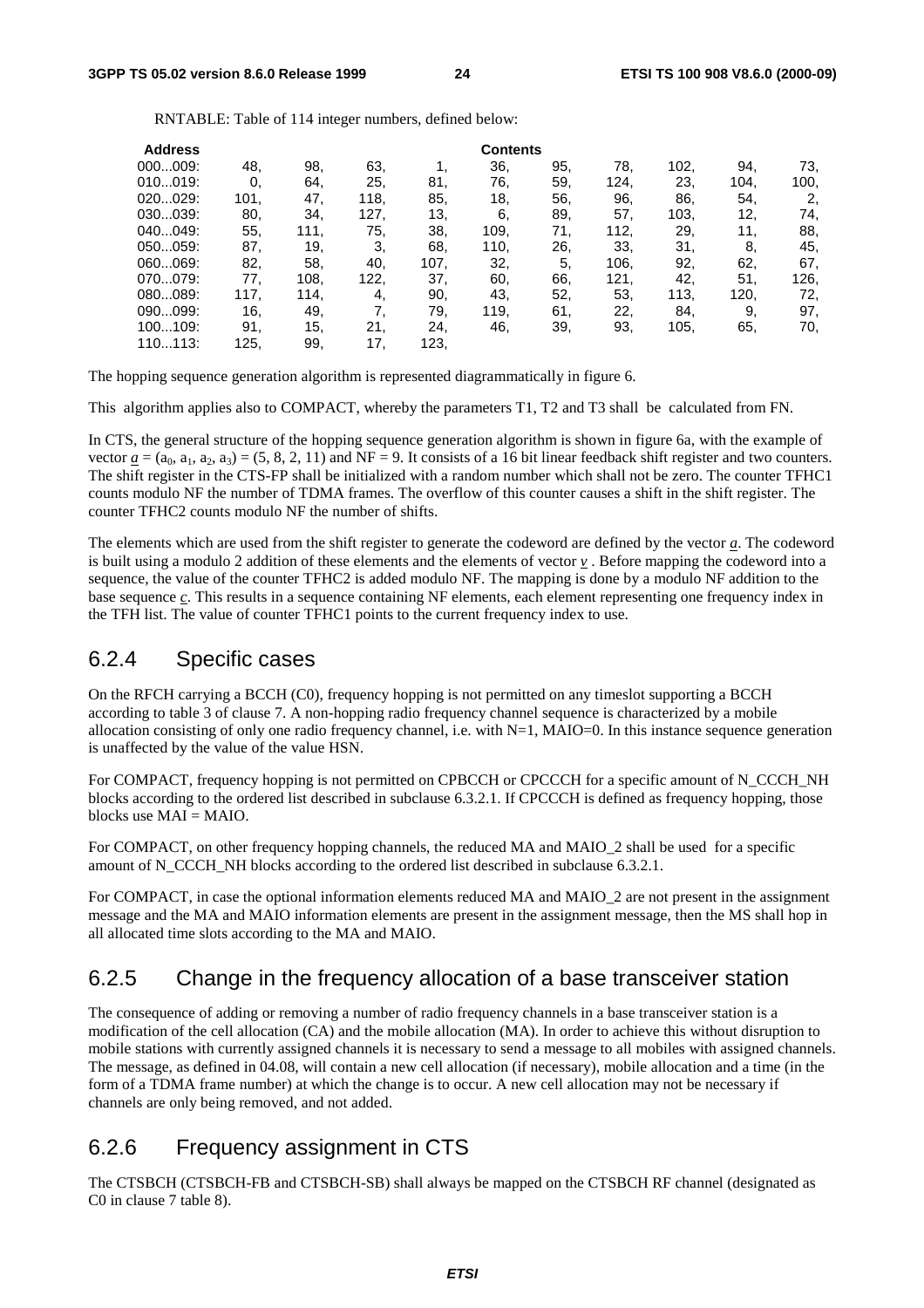RNTABLE: Table of 114 integer numbers, defined below:

| <b>Address</b> |      |      |      |      | <b>Contents</b> |     |      |      |      |      |
|----------------|------|------|------|------|-----------------|-----|------|------|------|------|
| 000009:        | 48.  | 98.  | 63.  |      | 36,             | 95. | 78.  | 102, | 94.  | 73,  |
| 010019:        | 0.   | 64.  | 25.  | 81.  | 76.             | 59. | 124, | 23.  | 104. | 100, |
| 020029:        | 101, | 47,  | 118. | 85.  | 18,             | 56. | 96.  | 86.  | 54.  | 2.   |
| 030039:        | 80,  | 34.  | 127, | 13,  | 6,              | 89. | 57.  | 103, | 12,  | 74,  |
| 040049:        | 55,  | 111. | 75,  | 38.  | 109.            | 71. | 112, | 29.  | 11.  | 88,  |
| 050059:        | 87.  | 19.  | 3.   | 68.  | 110,            | 26. | 33.  | 31.  | 8,   | 45.  |
| 060069:        | 82,  | 58.  | 40,  | 107, | 32.             | 5.  | 106, | 92.  | 62.  | 67,  |
| 070079:        | 77.  | 108. | 122. | 37.  | 60.             | 66. | 121, | 42,  | 51.  | 126, |
| 080089:        | 117, | 114. | 4,   | 90.  | 43.             | 52. | 53.  | 113, | 120. | 72.  |
| 090099:        | 16,  | 49.  | 7.   | 79.  | 119,            | 61. | 22.  | 84.  | 9.   | 97,  |
| 100109:        | 91.  | 15,  | 21.  | 24.  | 46.             | 39. | 93.  | 105, | 65.  | 70,  |
| 110113:        | 125, | 99.  | 17   | 123, |                 |     |      |      |      |      |

The hopping sequence generation algorithm is represented diagrammatically in figure 6.

This algorithm applies also to COMPACT, whereby the parameters T1, T2 and T3 shall be calculated from FN.

In CTS, the general structure of the hopping sequence generation algorithm is shown in figure 6a, with the example of vector  $a = (a_0, a_1, a_2, a_3) = (5, 8, 2, 11)$  and NF = 9. It consists of a 16 bit linear feedback shift register and two counters. The shift register in the CTS-FP shall be initialized with a random number which shall not be zero. The counter TFHC1 counts modulo NF the number of TDMA frames. The overflow of this counter causes a shift in the shift register. The counter TFHC2 counts modulo NF the number of shifts.

The elements which are used from the shift register to generate the codeword are defined by the vector *a*. The codeword is built using a modulo 2 addition of these elements and the elements of vector *v* . Before mapping the codeword into a sequence, the value of the counter TFHC2 is added modulo NF. The mapping is done by a modulo NF addition to the base sequence *c*. This results in a sequence containing NF elements, each element representing one frequency index in the TFH list. The value of counter TFHC1 points to the current frequency index to use.

### 6.2.4 Specific cases

On the RFCH carrying a BCCH (C0), frequency hopping is not permitted on any timeslot supporting a BCCH according to table 3 of clause 7. A non-hopping radio frequency channel sequence is characterized by a mobile allocation consisting of only one radio frequency channel, i.e. with  $N=1$ ,  $MAIO=0$ . In this instance sequence generation is unaffected by the value of the value HSN.

For COMPACT, frequency hopping is not permitted on CPBCCH or CPCCCH for a specific amount of N\_CCCH\_NH blocks according to the ordered list described in subclause 6.3.2.1. If CPCCCH is defined as frequency hopping, those blocks use  $MAI = MAIO$ .

For COMPACT, on other frequency hopping channels, the reduced MA and MAIO\_2 shall be used for a specific amount of N\_CCCH\_NH blocks according to the ordered list described in subclause 6.3.2.1.

For COMPACT, in case the optional information elements reduced MA and MAIO 2 are not present in the assignment message and the MA and MAIO information elements are present in the assignment message, then the MS shall hop in all allocated time slots according to the MA and MAIO.

# 6.2.5 Change in the frequency allocation of a base transceiver station

The consequence of adding or removing a number of radio frequency channels in a base transceiver station is a modification of the cell allocation (CA) and the mobile allocation (MA). In order to achieve this without disruption to mobile stations with currently assigned channels it is necessary to send a message to all mobiles with assigned channels. The message, as defined in 04.08, will contain a new cell allocation (if necessary), mobile allocation and a time (in the form of a TDMA frame number) at which the change is to occur. A new cell allocation may not be necessary if channels are only being removed, and not added.

# 6.2.6 Frequency assignment in CTS

The CTSBCH (CTSBCH-FB and CTSBCH-SB) shall always be mapped on the CTSBCH RF channel (designated as C0 in clause 7 table 8).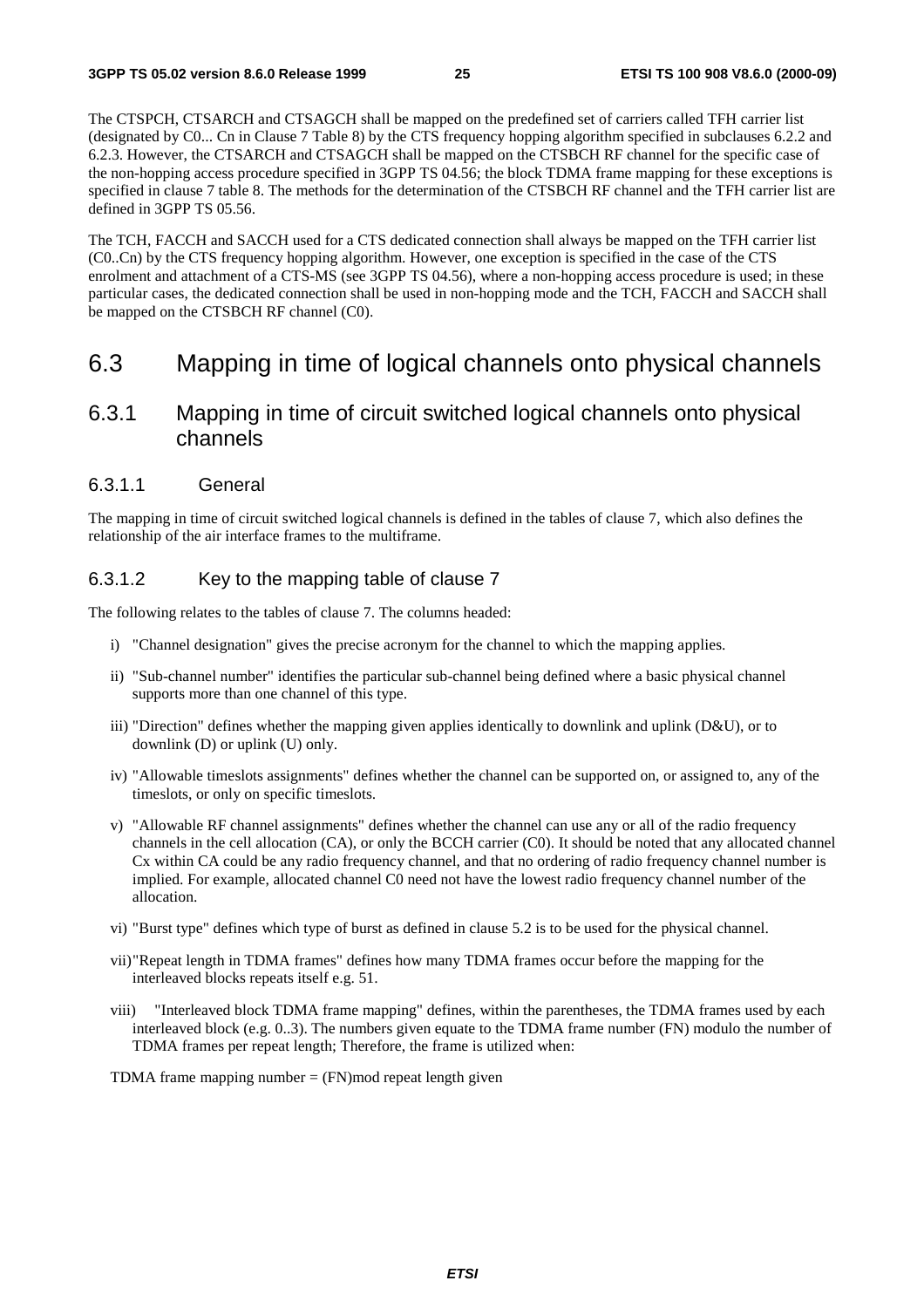The CTSPCH, CTSARCH and CTSAGCH shall be mapped on the predefined set of carriers called TFH carrier list (designated by C0... Cn in Clause 7 Table 8) by the CTS frequency hopping algorithm specified in subclauses 6.2.2 and 6.2.3. However, the CTSARCH and CTSAGCH shall be mapped on the CTSBCH RF channel for the specific case of the non-hopping access procedure specified in 3GPP TS 04.56; the block TDMA frame mapping for these exceptions is specified in clause 7 table 8. The methods for the determination of the CTSBCH RF channel and the TFH carrier list are defined in 3GPP TS 05.56.

The TCH, FACCH and SACCH used for a CTS dedicated connection shall always be mapped on the TFH carrier list (C0..Cn) by the CTS frequency hopping algorithm. However, one exception is specified in the case of the CTS enrolment and attachment of a CTS-MS (see 3GPP TS 04.56), where a non-hopping access procedure is used; in these particular cases, the dedicated connection shall be used in non-hopping mode and the TCH, FACCH and SACCH shall be mapped on the CTSBCH RF channel (C0).

### 6.3 Mapping in time of logical channels onto physical channels

### 6.3.1 Mapping in time of circuit switched logical channels onto physical channels

#### 6.3.1.1 General

The mapping in time of circuit switched logical channels is defined in the tables of clause 7, which also defines the relationship of the air interface frames to the multiframe.

#### 6.3.1.2 Key to the mapping table of clause 7

The following relates to the tables of clause 7. The columns headed:

- i) "Channel designation" gives the precise acronym for the channel to which the mapping applies.
- ii) "Sub-channel number" identifies the particular sub-channel being defined where a basic physical channel supports more than one channel of this type.
- iii) "Direction" defines whether the mapping given applies identically to downlink and uplink (D&U), or to downlink (D) or uplink (U) only.
- iv) "Allowable timeslots assignments" defines whether the channel can be supported on, or assigned to, any of the timeslots, or only on specific timeslots.
- v) "Allowable RF channel assignments" defines whether the channel can use any or all of the radio frequency channels in the cell allocation (CA), or only the BCCH carrier (C0). It should be noted that any allocated channel Cx within CA could be any radio frequency channel, and that no ordering of radio frequency channel number is implied. For example, allocated channel C0 need not have the lowest radio frequency channel number of the allocation.
- vi) "Burst type" defines which type of burst as defined in clause 5.2 is to be used for the physical channel.
- vii) "Repeat length in TDMA frames" defines how many TDMA frames occur before the mapping for the interleaved blocks repeats itself e.g. 51.
- viii) "Interleaved block TDMA frame mapping" defines, within the parentheses, the TDMA frames used by each interleaved block (e.g. 0..3). The numbers given equate to the TDMA frame number (FN) modulo the number of TDMA frames per repeat length; Therefore, the frame is utilized when:

TDMA frame mapping number  $=$  (FN)mod repeat length given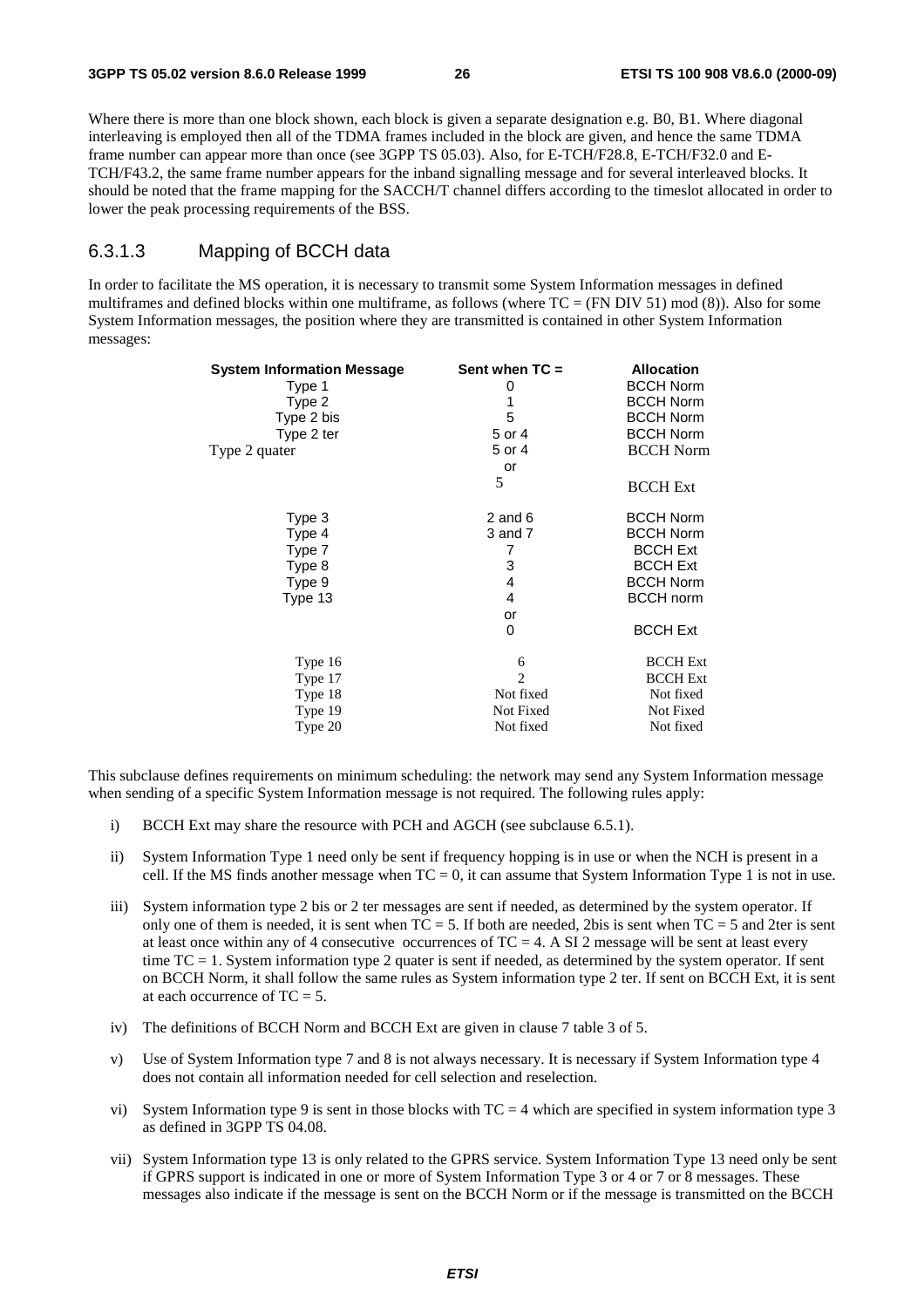Where there is more than one block shown, each block is given a separate designation e.g. B0, B1. Where diagonal interleaving is employed then all of the TDMA frames included in the block are given, and hence the same TDMA frame number can appear more than once (see 3GPP TS 05.03). Also, for E-TCH/F28.8, E-TCH/F32.0 and E-TCH/F43.2, the same frame number appears for the inband signalling message and for several interleaved blocks. It should be noted that the frame mapping for the SACCH/T channel differs according to the timeslot allocated in order to lower the peak processing requirements of the BSS.

#### 6.3.1.3 Mapping of BCCH data

In order to facilitate the MS operation, it is necessary to transmit some System Information messages in defined multiframes and defined blocks within one multiframe, as follows (where  $TC = (FN DIV 51) mod (8)$ ). Also for some System Information messages, the position where they are transmitted is contained in other System Information messages:

| Sent when $TC =$ | <b>Allocation</b>               |
|------------------|---------------------------------|
|                  | <b>BCCH Norm</b>                |
|                  | <b>BCCH Norm</b>                |
|                  | <b>BCCH Norm</b>                |
|                  | <b>BCCH Norm</b>                |
|                  | <b>BCCH</b> Norm                |
| or               |                                 |
| 5                | <b>BCCH</b> Ext                 |
| 2 and $6$        | <b>BCCH Norm</b>                |
| 3 and 7          | <b>BCCH Norm</b>                |
| 7                | <b>BCCH Ext</b>                 |
| 3                | <b>BCCH Ext</b>                 |
| 4                | <b>BCCH Norm</b>                |
| $\overline{4}$   | <b>BCCH</b> norm                |
| or               |                                 |
| 0                | <b>BCCH Ext</b>                 |
| 6                | <b>BCCH</b> Ext                 |
| $\overline{c}$   | <b>BCCH</b> Ext                 |
| Not fixed        | Not fixed                       |
| Not Fixed        | Not Fixed                       |
| Not fixed        | Not fixed                       |
|                  | 0<br>1<br>5<br>5 or 4<br>5 or 4 |

This subclause defines requirements on minimum scheduling: the network may send any System Information message when sending of a specific System Information message is not required. The following rules apply:

- i) BCCH Ext may share the resource with PCH and AGCH (see subclause 6.5.1).
- ii) System Information Type 1 need only be sent if frequency hopping is in use or when the NCH is present in a cell. If the MS finds another message when  $TC = 0$ , it can assume that System Information Type 1 is not in use.
- iii) System information type 2 bis or 2 ter messages are sent if needed, as determined by the system operator. If only one of them is needed, it is sent when  $TC = 5$ . If both are needed, 2bis is sent when  $TC = 5$  and 2ter is sent at least once within any of 4 consecutive occurrences of  $TC = 4$ . A SI 2 message will be sent at least every time TC = 1. System information type 2 quater is sent if needed, as determined by the system operator. If sent on BCCH Norm, it shall follow the same rules as System information type 2 ter. If sent on BCCH Ext, it is sent at each occurrence of  $TC = 5$ .
- iv) The definitions of BCCH Norm and BCCH Ext are given in clause 7 table 3 of 5.
- v) Use of System Information type 7 and 8 is not always necessary. It is necessary if System Information type 4 does not contain all information needed for cell selection and reselection.
- vi) System Information type 9 is sent in those blocks with  $TC = 4$  which are specified in system information type 3 as defined in 3GPP TS 04.08.
- vii) System Information type 13 is only related to the GPRS service. System Information Type 13 need only be sent if GPRS support is indicated in one or more of System Information Type 3 or 4 or 7 or 8 messages. These messages also indicate if the message is sent on the BCCH Norm or if the message is transmitted on the BCCH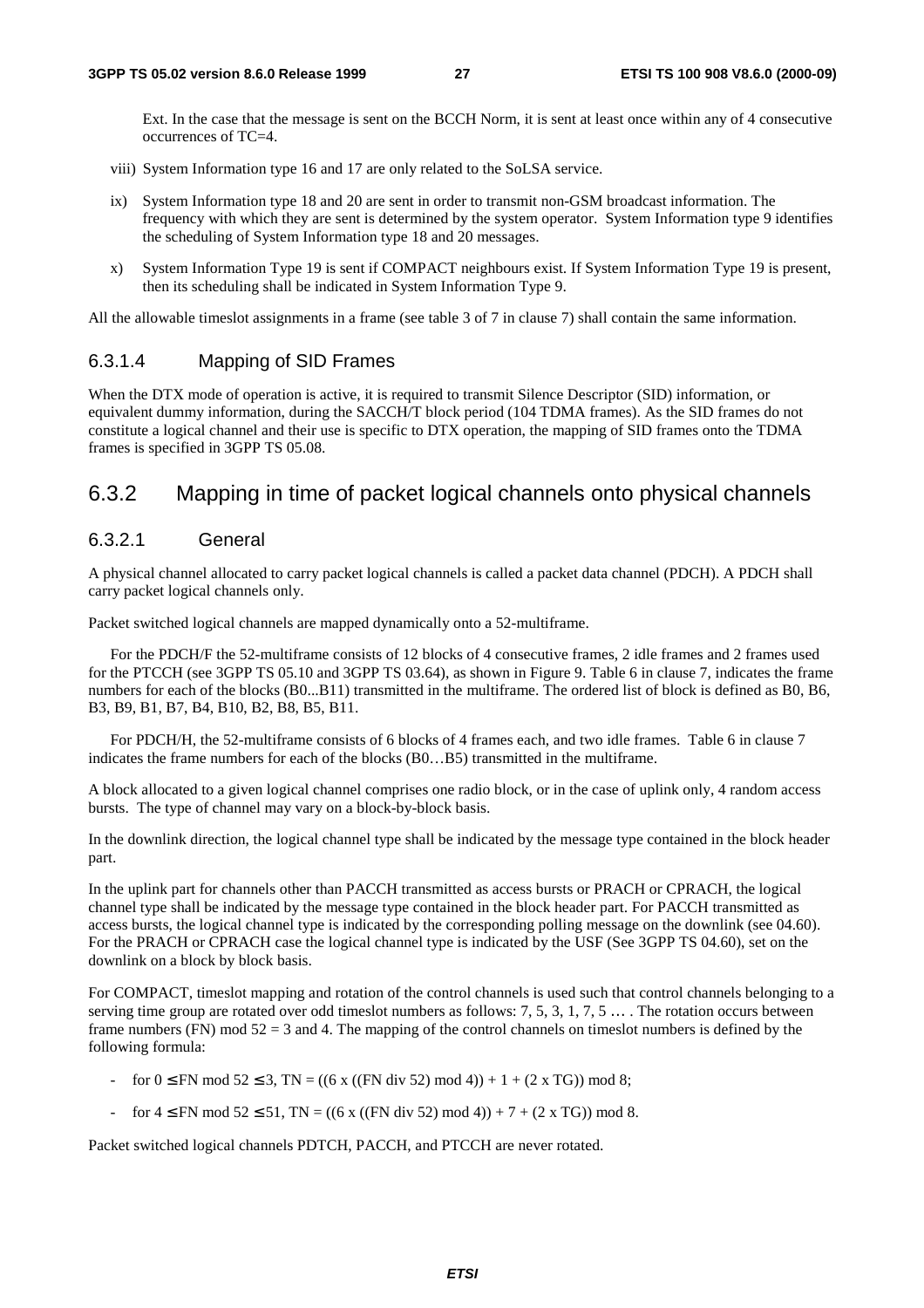Ext. In the case that the message is sent on the BCCH Norm, it is sent at least once within any of 4 consecutive occurrences of TC=4.

- viii) System Information type 16 and 17 are only related to the SoLSA service.
- ix) System Information type 18 and 20 are sent in order to transmit non-GSM broadcast information. The frequency with which they are sent is determined by the system operator. System Information type 9 identifies the scheduling of System Information type 18 and 20 messages.
- x) System Information Type 19 is sent if COMPACT neighbours exist. If System Information Type 19 is present, then its scheduling shall be indicated in System Information Type 9.

All the allowable timeslot assignments in a frame (see table 3 of 7 in clause 7) shall contain the same information.

#### 6.3.1.4 Mapping of SID Frames

When the DTX mode of operation is active, it is required to transmit Silence Descriptor (SID) information, or equivalent dummy information, during the SACCH/T block period (104 TDMA frames). As the SID frames do not constitute a logical channel and their use is specific to DTX operation, the mapping of SID frames onto the TDMA frames is specified in 3GPP TS 05.08.

### 6.3.2 Mapping in time of packet logical channels onto physical channels

#### 6.3.2.1 General

A physical channel allocated to carry packet logical channels is called a packet data channel (PDCH). A PDCH shall carry packet logical channels only.

Packet switched logical channels are mapped dynamically onto a 52-multiframe.

 For the PDCH/F the 52-multiframe consists of 12 blocks of 4 consecutive frames, 2 idle frames and 2 frames used for the PTCCH (see 3GPP TS 05.10 and 3GPP TS 03.64), as shown in Figure 9. Table 6 in clause 7, indicates the frame numbers for each of the blocks (B0...B11) transmitted in the multiframe. The ordered list of block is defined as B0, B6, B3, B9, B1, B7, B4, B10, B2, B8, B5, B11.

 For PDCH/H, the 52-multiframe consists of 6 blocks of 4 frames each, and two idle frames. Table 6 in clause 7 indicates the frame numbers for each of the blocks (B0…B5) transmitted in the multiframe.

A block allocated to a given logical channel comprises one radio block, or in the case of uplink only, 4 random access bursts. The type of channel may vary on a block-by-block basis.

In the downlink direction, the logical channel type shall be indicated by the message type contained in the block header part.

In the uplink part for channels other than PACCH transmitted as access bursts or PRACH or CPRACH, the logical channel type shall be indicated by the message type contained in the block header part. For PACCH transmitted as access bursts, the logical channel type is indicated by the corresponding polling message on the downlink (see 04.60). For the PRACH or CPRACH case the logical channel type is indicated by the USF (See 3GPP TS 04.60), set on the downlink on a block by block basis.

For COMPACT, timeslot mapping and rotation of the control channels is used such that control channels belonging to a serving time group are rotated over odd timeslot numbers as follows:  $7, 5, 3, 1, 7, 5, \ldots$ . The rotation occurs between frame numbers (FN) mod  $52 = 3$  and 4. The mapping of the control channels on timeslot numbers is defined by the following formula:

- for  $0 \le FN \mod 52 \le 3$ ,  $TN = ((6 \times ((FN \div 52) \mod 4)) + 1 + (2 \times TG)) \mod 8$ ;
- for  $4 \leq FN \mod 52 \leq 51$ , TN = ((6 x ((FN div 52) mod 4)) + 7 + (2 x TG)) mod 8.

Packet switched logical channels PDTCH, PACCH, and PTCCH are never rotated.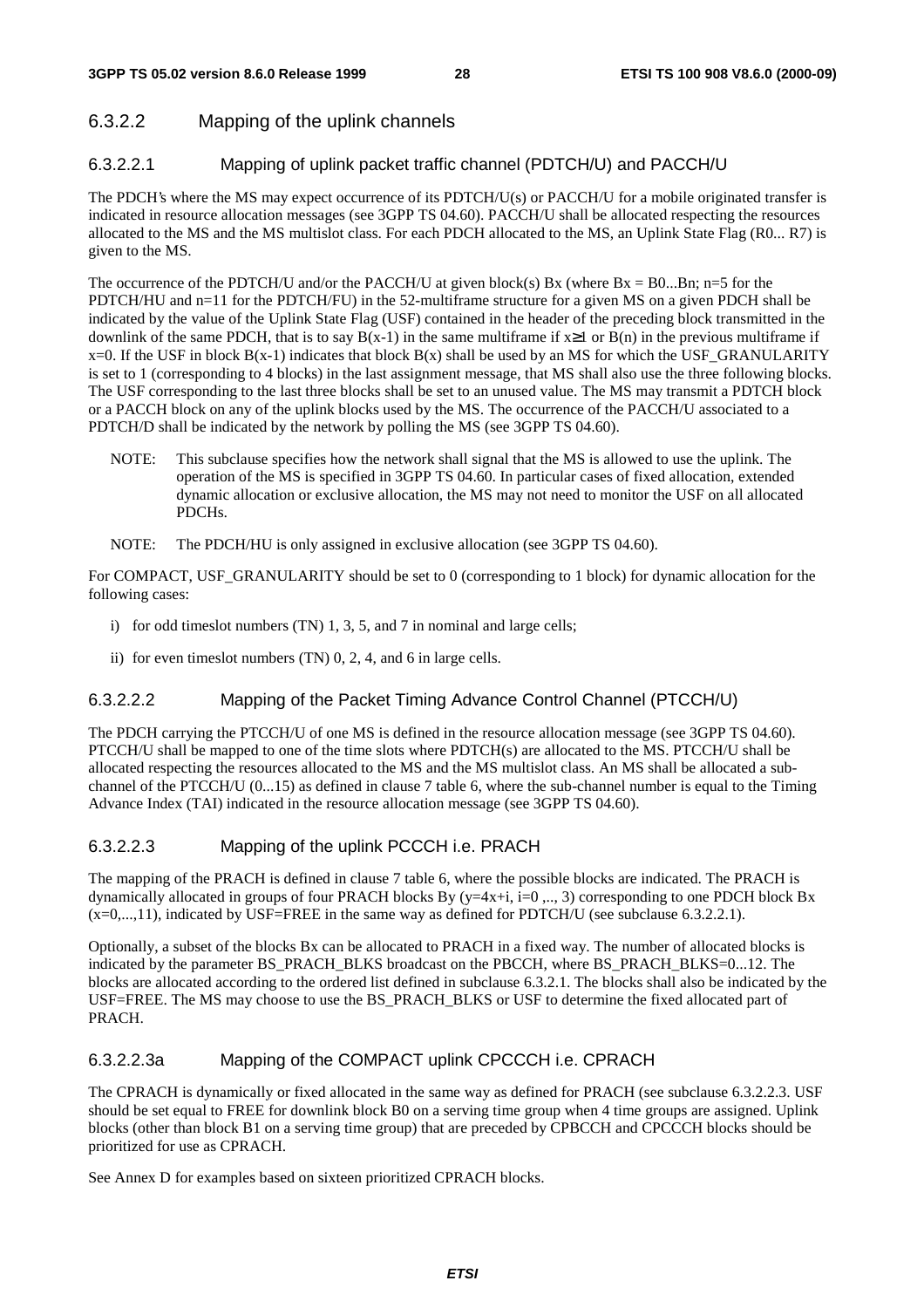### 6.3.2.2 Mapping of the uplink channels

#### 6.3.2.2.1 Mapping of uplink packet traffic channel (PDTCH/U) and PACCH/U

The PDCH's where the MS may expect occurrence of its PDTCH/U(s) or PACCH/U for a mobile originated transfer is indicated in resource allocation messages (see 3GPP TS 04.60). PACCH/U shall be allocated respecting the resources allocated to the MS and the MS multislot class. For each PDCH allocated to the MS, an Uplink State Flag (R0... R7) is given to the MS.

The occurrence of the PDTCH/U and/or the PACCH/U at given block(s) Bx (where  $Bx = B0...Bn$ ; n=5 for the PDTCH/HU and n=11 for the PDTCH/FU) in the 52-multiframe structure for a given MS on a given PDCH shall be indicated by the value of the Uplink State Flag (USF) contained in the header of the preceding block transmitted in the downlink of the same PDCH, that is to say  $B(x-1)$  in the same multiframe if  $x\geq 1$  or  $B(n)$  in the previous multiframe if  $x=0$ . If the USF in block  $B(x-1)$  indicates that block  $B(x)$  shall be used by an MS for which the USF\_GRANULARITY is set to 1 (corresponding to 4 blocks) in the last assignment message, that MS shall also use the three following blocks. The USF corresponding to the last three blocks shall be set to an unused value. The MS may transmit a PDTCH block or a PACCH block on any of the uplink blocks used by the MS. The occurrence of the PACCH/U associated to a PDTCH/D shall be indicated by the network by polling the MS (see 3GPP TS 04.60).

- NOTE: This subclause specifies how the network shall signal that the MS is allowed to use the uplink. The operation of the MS is specified in 3GPP TS 04.60. In particular cases of fixed allocation, extended dynamic allocation or exclusive allocation, the MS may not need to monitor the USF on all allocated PDCHs.
- NOTE: The PDCH/HU is only assigned in exclusive allocation (see 3GPP TS 04.60).

For COMPACT, USF\_GRANULARITY should be set to 0 (corresponding to 1 block) for dynamic allocation for the following cases:

- i) for odd timeslot numbers (TN) 1, 3, 5, and 7 in nominal and large cells;
- ii) for even timeslot numbers (TN) 0, 2, 4, and 6 in large cells.

#### 6.3.2.2.2 Mapping of the Packet Timing Advance Control Channel (PTCCH/U)

The PDCH carrying the PTCCH/U of one MS is defined in the resource allocation message (see 3GPP TS 04.60). PTCCH/U shall be mapped to one of the time slots where PDTCH(s) are allocated to the MS. PTCCH/U shall be allocated respecting the resources allocated to the MS and the MS multislot class. An MS shall be allocated a subchannel of the PTCCH/U (0...15) as defined in clause 7 table 6, where the sub-channel number is equal to the Timing Advance Index (TAI) indicated in the resource allocation message (see 3GPP TS 04.60).

#### 6.3.2.2.3 Mapping of the uplink PCCCH i.e. PRACH

The mapping of the PRACH is defined in clause 7 table 6, where the possible blocks are indicated. The PRACH is dynamically allocated in groups of four PRACH blocks By  $(y=4x+i, i=0, ..., 3)$  corresponding to one PDCH block Bx  $(x=0,...,11)$ , indicated by USF=FREE in the same way as defined for PDTCH/U (see subclause 6.3.2.2.1).

Optionally, a subset of the blocks Bx can be allocated to PRACH in a fixed way. The number of allocated blocks is indicated by the parameter BS\_PRACH\_BLKS broadcast on the PBCCH, where BS\_PRACH\_BLKS=0...12. The blocks are allocated according to the ordered list defined in subclause 6.3.2.1. The blocks shall also be indicated by the USF=FREE. The MS may choose to use the BS\_PRACH\_BLKS or USF to determine the fixed allocated part of PRACH.

#### 6.3.2.2.3a Mapping of the COMPACT uplink CPCCCH i.e. CPRACH

The CPRACH is dynamically or fixed allocated in the same way as defined for PRACH (see subclause 6.3.2.2.3. USF should be set equal to FREE for downlink block B0 on a serving time group when 4 time groups are assigned. Uplink blocks (other than block B1 on a serving time group) that are preceded by CPBCCH and CPCCCH blocks should be prioritized for use as CPRACH.

See Annex D for examples based on sixteen prioritized CPRACH blocks.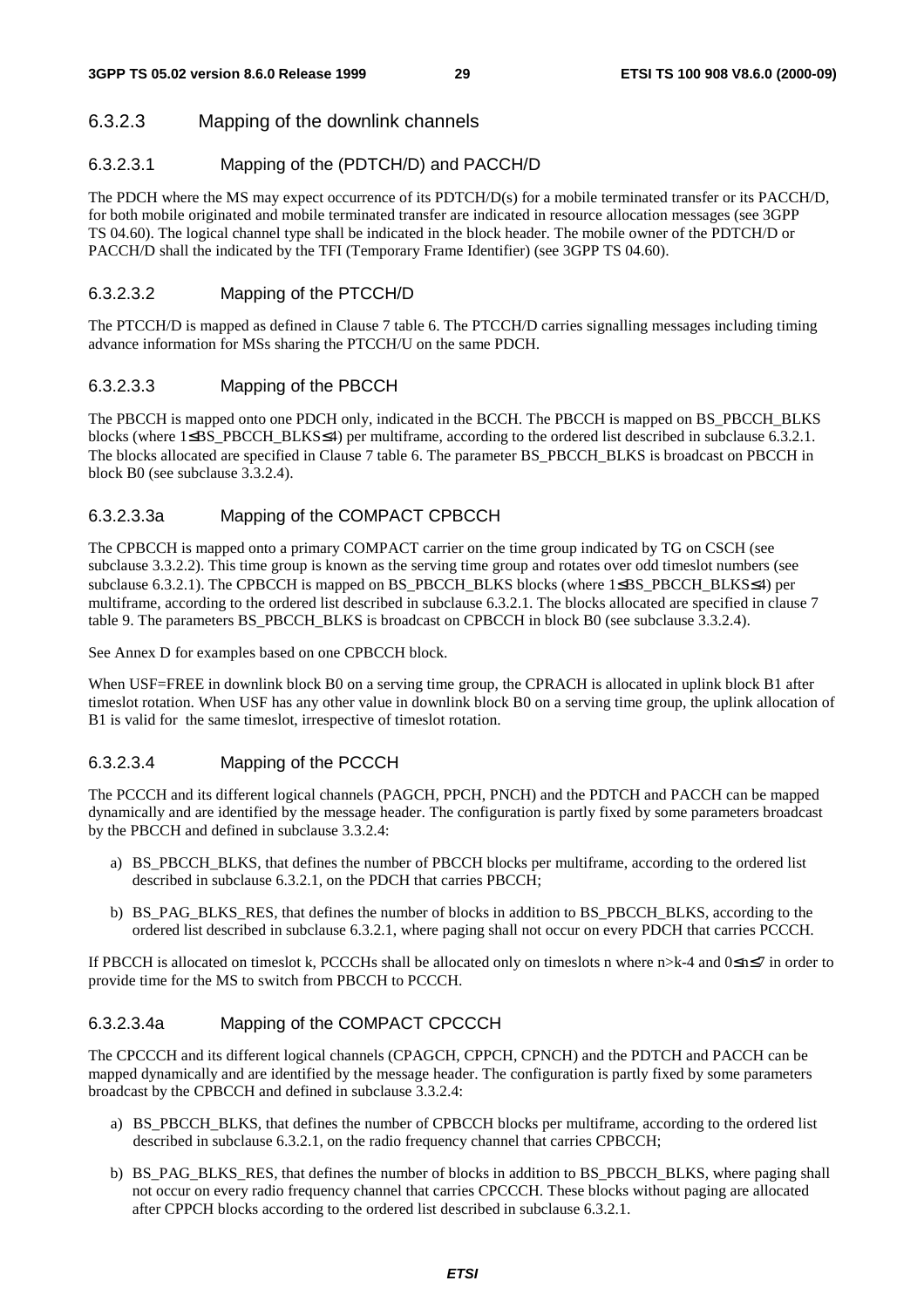#### 6.3.2.3 Mapping of the downlink channels

#### 6.3.2.3.1 Mapping of the (PDTCH/D) and PACCH/D

The PDCH where the MS may expect occurrence of its PDTCH/D(s) for a mobile terminated transfer or its PACCH/D, for both mobile originated and mobile terminated transfer are indicated in resource allocation messages (see 3GPP TS 04.60). The logical channel type shall be indicated in the block header. The mobile owner of the PDTCH/D or PACCH/D shall the indicated by the TFI (Temporary Frame Identifier) (see 3GPP TS 04.60).

#### 6.3.2.3.2 Mapping of the PTCCH/D

The PTCCH/D is mapped as defined in Clause 7 table 6. The PTCCH/D carries signalling messages including timing advance information for MSs sharing the PTCCH/U on the same PDCH.

#### 6.3.2.3.3 Mapping of the PBCCH

The PBCCH is mapped onto one PDCH only, indicated in the BCCH. The PBCCH is mapped on BS\_PBCCH\_BLKS blocks (where 1≤BS\_PBCCH\_BLKS≤4) per multiframe, according to the ordered list described in subclause 6.3.2.1. The blocks allocated are specified in Clause 7 table 6. The parameter BS\_PBCCH\_BLKS is broadcast on PBCCH in block B0 (see subclause 3.3.2.4).

#### 6.3.2.3.3a Mapping of the COMPACT CPBCCH

The CPBCCH is mapped onto a primary COMPACT carrier on the time group indicated by TG on CSCH (see subclause 3.3.2.2). This time group is known as the serving time group and rotates over odd timeslot numbers (see subclause 6.3.2.1). The CPBCCH is mapped on BS\_PBCCH\_BLKS blocks (where 1≤BS\_PBCCH\_BLKS≤4) per multiframe, according to the ordered list described in subclause 6.3.2.1. The blocks allocated are specified in clause 7 table 9. The parameters BS\_PBCCH\_BLKS is broadcast on CPBCCH in block B0 (see subclause 3.3.2.4).

See Annex D for examples based on one CPBCCH block.

When USF=FREE in downlink block B0 on a serving time group, the CPRACH is allocated in uplink block B1 after timeslot rotation. When USF has any other value in downlink block B0 on a serving time group, the uplink allocation of B1 is valid for the same timeslot, irrespective of timeslot rotation.

#### 6.3.2.3.4 Mapping of the PCCCH

The PCCCH and its different logical channels (PAGCH, PPCH, PNCH) and the PDTCH and PACCH can be mapped dynamically and are identified by the message header. The configuration is partly fixed by some parameters broadcast by the PBCCH and defined in subclause 3.3.2.4:

- a) BS\_PBCCH\_BLKS, that defines the number of PBCCH blocks per multiframe, according to the ordered list described in subclause 6.3.2.1, on the PDCH that carries PBCCH;
- b) BS\_PAG\_BLKS\_RES, that defines the number of blocks in addition to BS\_PBCCH\_BLKS, according to the ordered list described in subclause 6.3.2.1, where paging shall not occur on every PDCH that carries PCCCH.

If PBCCH is allocated on timeslot k, PCCCHs shall be allocated only on timeslots n where n>k-4 and 0≤n≤7 in order to provide time for the MS to switch from PBCCH to PCCCH.

#### 6.3.2.3.4a Mapping of the COMPACT CPCCCH

The CPCCCH and its different logical channels (CPAGCH, CPPCH, CPNCH) and the PDTCH and PACCH can be mapped dynamically and are identified by the message header. The configuration is partly fixed by some parameters broadcast by the CPBCCH and defined in subclause 3.3.2.4:

- a) BS\_PBCCH\_BLKS, that defines the number of CPBCCH blocks per multiframe, according to the ordered list described in subclause 6.3.2.1, on the radio frequency channel that carries CPBCCH;
- b) BS\_PAG\_BLKS\_RES, that defines the number of blocks in addition to BS\_PBCCH\_BLKS, where paging shall not occur on every radio frequency channel that carries CPCCCH. These blocks without paging are allocated after CPPCH blocks according to the ordered list described in subclause 6.3.2.1.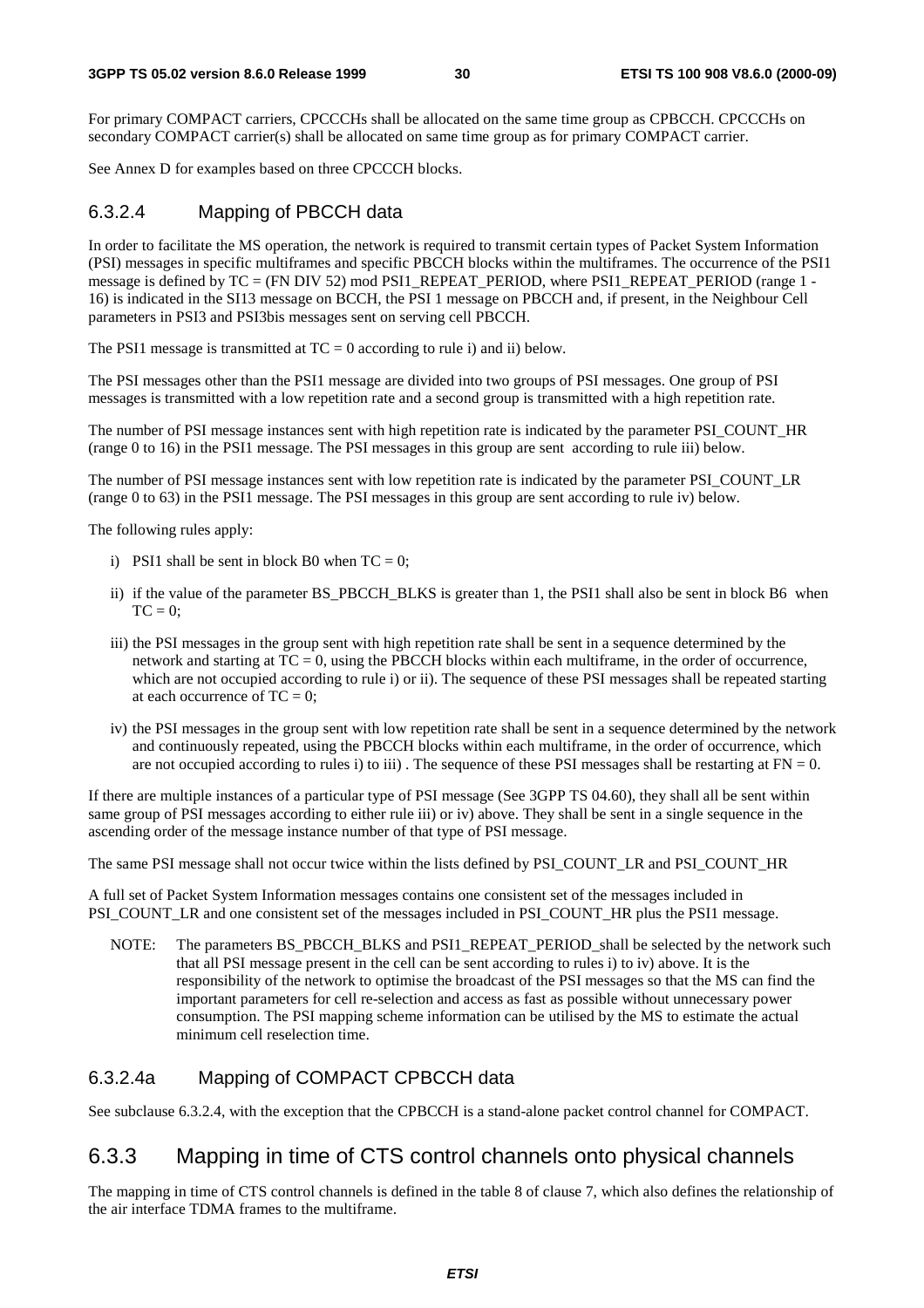For primary COMPACT carriers, CPCCCHs shall be allocated on the same time group as CPBCCH. CPCCCHs on secondary COMPACT carrier(s) shall be allocated on same time group as for primary COMPACT carrier.

See Annex D for examples based on three CPCCCH blocks.

#### 6.3.2.4 Mapping of PBCCH data

In order to facilitate the MS operation, the network is required to transmit certain types of Packet System Information (PSI) messages in specific multiframes and specific PBCCH blocks within the multiframes. The occurrence of the PSI1 message is defined by TC = (FN DIV 52) mod PSI1\_REPEAT\_PERIOD, where PSI1\_REPEAT\_PERIOD (range 1 - 16) is indicated in the SI13 message on BCCH, the PSI 1 message on PBCCH and, if present, in the Neighbour Cell parameters in PSI3 and PSI3bis messages sent on serving cell PBCCH.

The PSI1 message is transmitted at  $TC = 0$  according to rule i) and ii) below.

The PSI messages other than the PSI1 message are divided into two groups of PSI messages. One group of PSI messages is transmitted with a low repetition rate and a second group is transmitted with a high repetition rate.

The number of PSI message instances sent with high repetition rate is indicated by the parameter PSI\_COUNT\_HR (range 0 to 16) in the PSI1 message. The PSI messages in this group are sent according to rule iii) below.

The number of PSI message instances sent with low repetition rate is indicated by the parameter PSI\_COUNT\_LR (range 0 to 63) in the PSI1 message. The PSI messages in this group are sent according to rule iv) below.

The following rules apply:

- i) PSI1 shall be sent in block B0 when  $TC = 0$ ;
- ii) if the value of the parameter BS\_PBCCH\_BLKS is greater than 1, the PSI1 shall also be sent in block B6 when  $TC = 0$ :
- iii) the PSI messages in the group sent with high repetition rate shall be sent in a sequence determined by the network and starting at TC = 0, using the PBCCH blocks within each multiframe, in the order of occurrence, which are not occupied according to rule i) or ii). The sequence of these PSI messages shall be repeated starting at each occurrence of  $TC = 0$ ;
- iv) the PSI messages in the group sent with low repetition rate shall be sent in a sequence determined by the network and continuously repeated, using the PBCCH blocks within each multiframe, in the order of occurrence, which are not occupied according to rules i) to iii). The sequence of these PSI messages shall be restarting at  $FN = 0$ .

If there are multiple instances of a particular type of PSI message (See 3GPP TS 04.60), they shall all be sent within same group of PSI messages according to either rule iii) or iv) above. They shall be sent in a single sequence in the ascending order of the message instance number of that type of PSI message.

The same PSI message shall not occur twice within the lists defined by PSI\_COUNT\_LR and PSI\_COUNT\_HR

A full set of Packet System Information messages contains one consistent set of the messages included in PSI\_COUNT\_LR and one consistent set of the messages included in PSI\_COUNT\_HR plus the PSI1 message.

NOTE: The parameters BS\_PBCCH\_BLKS and PSI1\_REPEAT\_PERIOD\_shall be selected by the network such that all PSI message present in the cell can be sent according to rules i) to iv) above. It is the responsibility of the network to optimise the broadcast of the PSI messages so that the MS can find the important parameters for cell re-selection and access as fast as possible without unnecessary power consumption. The PSI mapping scheme information can be utilised by the MS to estimate the actual minimum cell reselection time.

#### 6.3.2.4a Mapping of COMPACT CPBCCH data

See subclause 6.3.2.4, with the exception that the CPBCCH is a stand-alone packet control channel for COMPACT.

### 6.3.3 Mapping in time of CTS control channels onto physical channels

The mapping in time of CTS control channels is defined in the table 8 of clause 7, which also defines the relationship of the air interface TDMA frames to the multiframe.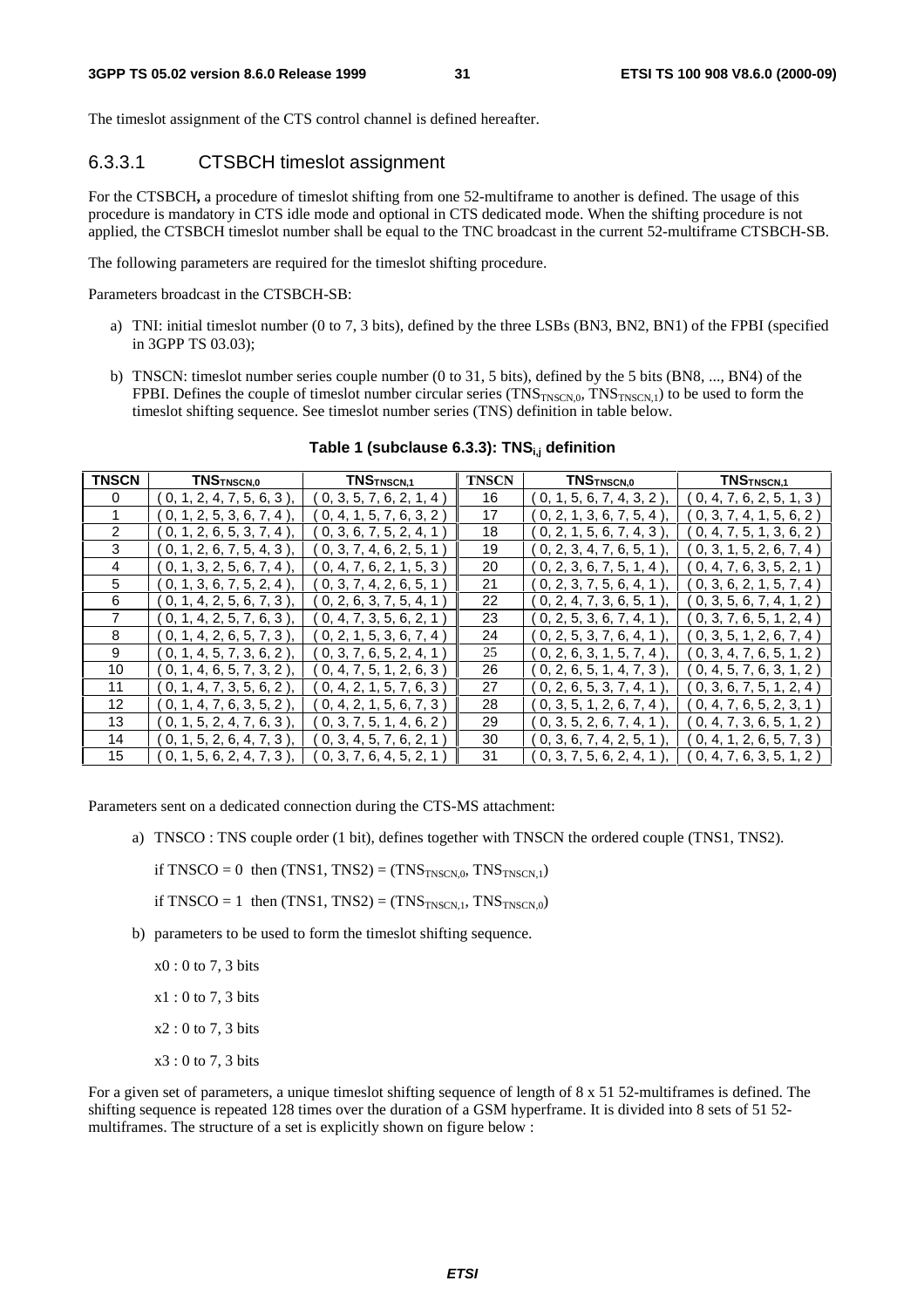The timeslot assignment of the CTS control channel is defined hereafter.

#### 6.3.3.1 CTSBCH timeslot assignment

For the CTSBCH**,** a procedure of timeslot shifting from one 52-multiframe to another is defined. The usage of this procedure is mandatory in CTS idle mode and optional in CTS dedicated mode. When the shifting procedure is not applied, the CTSBCH timeslot number shall be equal to the TNC broadcast in the current 52-multiframe CTSBCH-SB.

The following parameters are required for the timeslot shifting procedure.

Parameters broadcast in the CTSBCH-SB:

- a) TNI: initial timeslot number (0 to 7, 3 bits), defined by the three LSBs (BN3, BN2, BN1) of the FPBI (specified in 3GPP TS 03.03);
- b) TNSCN: timeslot number series couple number (0 to 31, 5 bits), defined by the 5 bits (BN8, ..., BN4) of the FPBI. Defines the couple of timeslot number circular series  $(TNS_{TNSCN,0}, TNS_{TNSCN,1})$  to be used to form the timeslot shifting sequence. See timeslot number series (TNS) definition in table below.

| <b>TNSCN</b> | TNSTNSCN,0                     | TNS <sub>TNSCN,1</sub>   | <b>TNSCN</b> | TNS <sub>TNSCN,0</sub>              | TNS <sub>TNSCN,1</sub>   |
|--------------|--------------------------------|--------------------------|--------------|-------------------------------------|--------------------------|
| 0            | 0, 1, 2, 4, 7, 5, 6, 3         | 0, 3, 5, 7, 6, 2, 1, 4   | 16           | $($ 0, 1, 5, 6, 7, 4, 3, 2 $)$      | 0, 4, 7, 6, 2, 5, 1, 3   |
|              | (0, 1, 2, 5, 3, 6, 7, 4)       | 0, 4, 1, 5, 7, 6, 3, 2)  | 17           | (0, 2, 1, 3, 6, 7, 5, 4)            | 0, 3, 7, 4, 1, 5, 6, 2   |
| 2            | (0, 1, 2, 6, 5, 3, 7, 4)       | [0, 3, 6, 7, 5, 2, 4, 1] | 18           | (0, 2, 1, 5, 6, 7, 4, 3)            | [0, 4, 7, 5, 1, 3, 6, 2] |
| 3            | (0, 1, 2, 6, 7, 5, 4, 3)       | 0, 3, 7, 4, 6, 2, 5, 1   | 19           | ( 0, 2, 3, 4, 7, 6, 5, 1            | [0, 3, 1, 5, 2, 6, 7, 4] |
| 4            | $($ 0, 1, 3, 2, 5, 6, 7, 4 $)$ | 0, 4, 7, 6, 2, 1, 5, 3   | 20           | $($ 0, 2, 3, 6, 7, 5, 1, 4 $]$      | 0, 4, 7, 6, 3, 5, 2, 1   |
| 5            | $0, 1, 3, 6, 7, 5, 2, 4$ )     | 0, 3, 7, 4, 2, 6, 5, 1   | 21           | 0, 2, 3, 7, 5, 6, 4, 1              | 0, 3, 6, 2, 1, 5, 7, 4   |
| 6            | (0, 1, 4, 2, 5, 6, 7, 3)       | 0, 2, 6, 3, 7, 5, 4, 1)  | 22           | (0, 2, 4, 7, 3, 6, 5, 1)            | [0, 3, 5, 6, 7, 4, 1, 2] |
| 7            | (0, 1, 4, 2, 5, 7, 6, 3)       | 0, 4, 7, 3, 5, 6, 2, 1)  | 23           | (0, 2, 5, 3, 6, 7, 4, 1)            | 0, 3, 7, 6, 5, 1, 2, 4   |
| 8            | (0, 1, 4, 2, 6, 5, 7, 3)       | 0, 2, 1, 5, 3, 6, 7, 4)  | 24           | ( 0, 2, 5, 3, 7, 6, 4, 1            | [0, 3, 5, 1, 2, 6, 7, 4] |
| 9            | (0, 1, 4, 5, 7, 3, 6, 2)       | [0, 3, 7, 6, 5, 2, 4, 1] | 25           | ( 0, 2, 6, 3, 1, 5, 7, 4 $^{\circ}$ | [0, 3, 4, 7, 6, 5, 1, 2] |
| 10           | (0, 1, 4, 6, 5, 7, 3, 2)       | 0, 4, 7, 5, 1, 2, 6, 3   | 26           | (0, 2, 6, 5, 1, 4, 7, 3)            | 0, 4, 5, 7, 6, 3, 1, 2   |
| 11           | 0, 1, 4, 7, 3, 5, 6, 2         | 0, 4, 2, 1, 5, 7, 6, 3   | 27           | 0, 2, 6, 5, 3, 7, 4, 1              | 0, 3, 6, 7, 5, 1, 2, 4   |
| 12           | 0, 1, 4, 7, 6, 3, 5, 2         | 0, 4, 2, 1, 5, 6, 7, 3   | 28           | (0, 3, 5, 1, 2, 6, 7, 4)            | 0, 4, 7, 6, 5, 2, 3, 1   |
| 13           | (0, 1, 5, 2, 4, 7, 6, 3)       | 0, 3, 7, 5, 1, 4, 6, 2)  | 29           | (0, 3, 5, 2, 6, 7, 4, 1)            | 0, 4, 7, 3, 6, 5, 1, 2   |
| 14           | [0, 1, 5, 2, 6, 4, 7, 3]       | 0, 3, 4, 5, 7, 6, 2, 1   | 30           | ( 0, 3, 6, 7, 4, 2, 5, 1            | [0, 4, 1, 2, 6, 5, 7, 3] |
| 15           | 0, 1, 5, 6, 2, 4, 7, 3         | 0, 3, 7, 6, 4, 5, 2, 1   | 31           | 0, 3, 7, 5, 6, 2, 4, 1              | 0, 4, 7, 6, 3, 5, 1, 2   |

#### Table 1 (subclause 6.3.3): TNS<sub>i,j</sub> definition

Parameters sent on a dedicated connection during the CTS-MS attachment:

a) TNSCO : TNS couple order (1 bit), defines together with TNSCN the ordered couple (TNS1, TNS2).

if TNSCO = 0 then  $(TNS1, TNS2) = (TNS<sub>TNSCN.0</sub>, TNS<sub>TNSCN.1</sub>)$ 

if TNSCO = 1 then  $(TNS1, TNS2) = (TNS<sub>TNSCN,1</sub>, TNS<sub>TNSCN,0</sub>)$ 

b) parameters to be used to form the timeslot shifting sequence.

 $x0:0$  to 7, 3 bits

 $x1:0$  to 7, 3 bits

x2 : 0 to 7, 3 bits

x3 : 0 to 7, 3 bits

For a given set of parameters, a unique timeslot shifting sequence of length of 8 x 51 52-multiframes is defined. The shifting sequence is repeated 128 times over the duration of a GSM hyperframe. It is divided into 8 sets of 51 52 multiframes. The structure of a set is explicitly shown on figure below :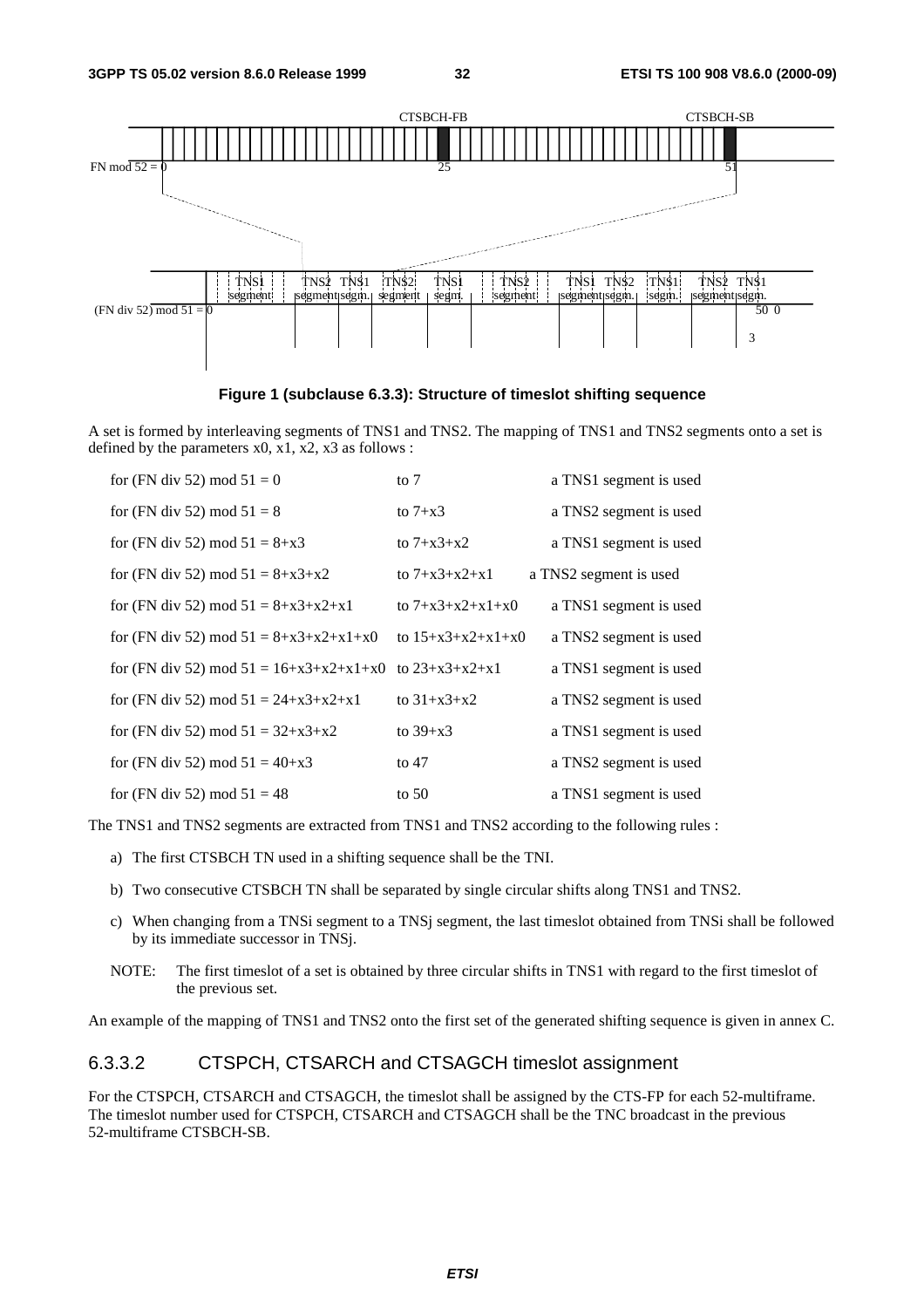

**Figure 1 (subclause 6.3.3): Structure of timeslot shifting sequence** 

A set is formed by interleaving segments of TNS1 and TNS2. The mapping of TNS1 and TNS2 segments onto a set is defined by the parameters  $x0$ ,  $x1$ ,  $x2$ ,  $x3$  as follows :

| for (FN div 52) mod $51 = 0$                               | to $7$              | a TNS1 segment is used |
|------------------------------------------------------------|---------------------|------------------------|
| for (FN div 52) mod $51 = 8$                               | to $7+x3$           | a TNS2 segment is used |
| for (FN div 52) mod $51 = 8+x3$                            | to $7 + x3 + x2$    | a TNS1 segment is used |
| for (FN div 52) mod $51 = 8 + x3 + x2$                     | to $7+x3+x2+x1$     | a TNS2 segment is used |
| for (FN div 52) mod $51 = 8 + x3 + x2 + x1$                | to $7+x3+x2+x1+x0$  | a TNS1 segment is used |
| for (FN div 52) mod $51 = 8 + x3 + x2 + x1 + x0$           | to $15+x3+x2+x1+x0$ | a TNS2 segment is used |
| for (FN div 52) mod $51 = 16+x3+x2+x1+x0$ to $23+x3+x2+x1$ |                     | a TNS1 segment is used |
| for (FN div 52) mod $51 = 24 + x3 + x2 + x1$               | to $31+x3+x2$       | a TNS2 segment is used |
| for (FN div 52) mod $51 = 32+x3+x2$                        | to $39+x3$          | a TNS1 segment is used |
| for (FN div 52) mod $51 = 40+x3$                           | to $47$             | a TNS2 segment is used |
| for (FN div 52) mod $51 = 48$                              | to $50$             | a TNS1 segment is used |

The TNS1 and TNS2 segments are extracted from TNS1 and TNS2 according to the following rules :

- a) The first CTSBCH TN used in a shifting sequence shall be the TNI.
- b) Two consecutive CTSBCH TN shall be separated by single circular shifts along TNS1 and TNS2.
- c) When changing from a TNSi segment to a TNSj segment, the last timeslot obtained from TNSi shall be followed by its immediate successor in TNSj.
- NOTE: The first timeslot of a set is obtained by three circular shifts in TNS1 with regard to the first timeslot of the previous set.

An example of the mapping of TNS1 and TNS2 onto the first set of the generated shifting sequence is given in annex C.

#### 6.3.3.2 CTSPCH, CTSARCH and CTSAGCH timeslot assignment

For the CTSPCH, CTSARCH and CTSAGCH, the timeslot shall be assigned by the CTS-FP for each 52-multiframe. The timeslot number used for CTSPCH, CTSARCH and CTSAGCH shall be the TNC broadcast in the previous 52-multiframe CTSBCH-SB.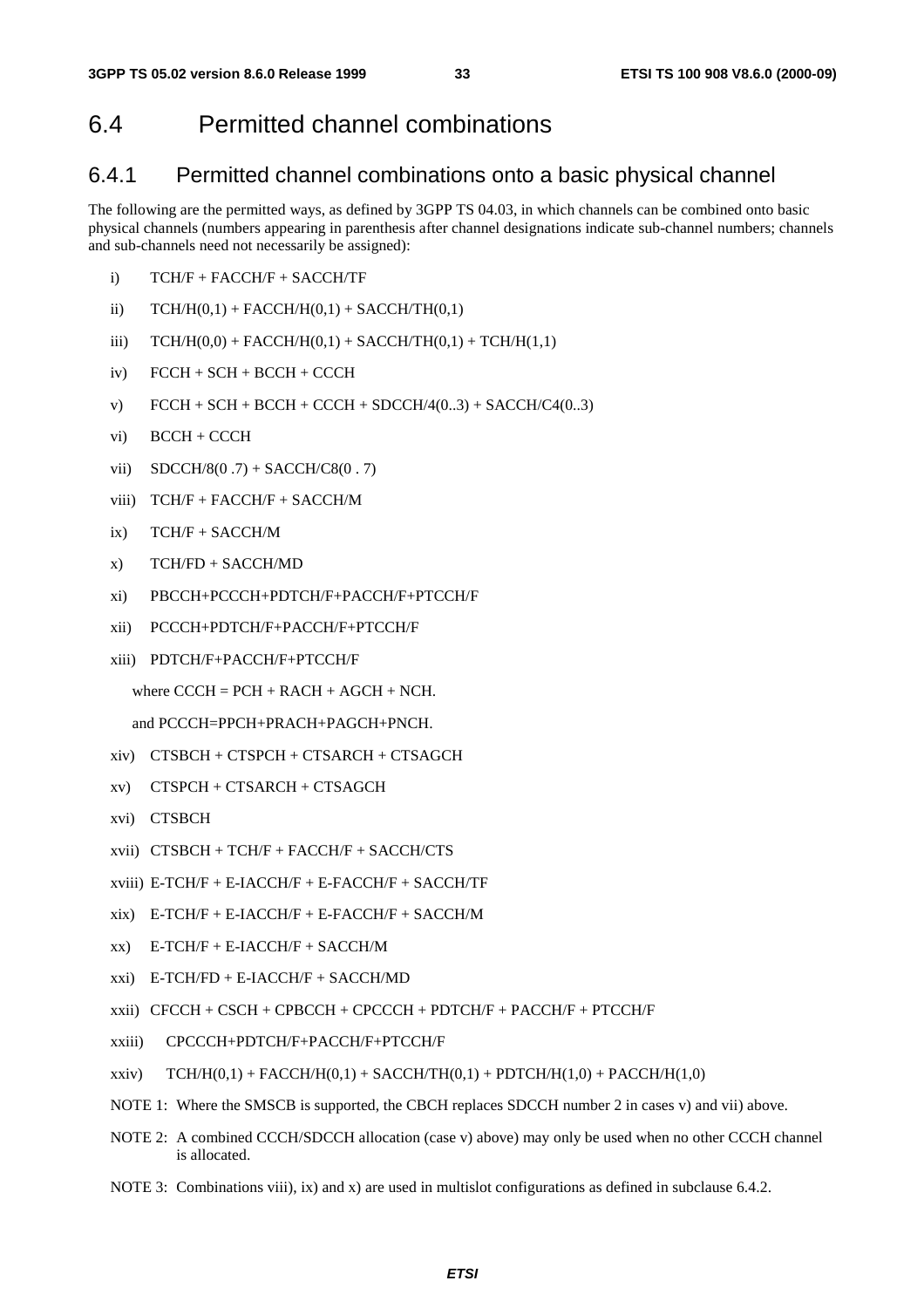# 6.4 Permitted channel combinations

#### 6.4.1 Permitted channel combinations onto a basic physical channel

The following are the permitted ways, as defined by 3GPP TS 04.03, in which channels can be combined onto basic physical channels (numbers appearing in parenthesis after channel designations indicate sub-channel numbers; channels and sub-channels need not necessarily be assigned):

- i) TCH/F + FACCH/F + SACCH/TF
- ii)  $TCH/H(0,1) + FACTH/H(0,1) + SACCH/TH(0,1)$
- iii)  $TCH/H(0,0) + FACT/H(0,1) + SACCH/TH(0,1) + TCH/H(1,1)$
- iv) FCCH + SCH + BCCH + CCCH
- v)  $FCCH + SCH + BACH + CACH + SDCCH/4(0..3) + SACCH/C4(0..3)$
- vi) BCCH + CCCH
- vii)  $SDCCH/8(0.7) + SACCH/CS(0.7)$
- viii) TCH/F + FACCH/F + SACCH/M
- ix) TCH/F + SACCH/M
- x) TCH/FD + SACCH/MD
- xi) PBCCH+PCCCH+PDTCH/F+PACCH/F+PTCCH/F
- xii) PCCCH+PDTCH/F+PACCH/F+PTCCH/F
- xiii) PDTCH/F+PACCH/F+PTCCH/F

```
where C CCH = PCH + RACH + AGCH + NCH.
```
and PCCCH=PPCH+PRACH+PAGCH+PNCH.

- xiv) CTSBCH + CTSPCH + CTSARCH + CTSAGCH
- xv) CTSPCH + CTSARCH + CTSAGCH
- xvi) CTSBCH
- xvii) CTSBCH + TCH/F + FACCH/F + SACCH/CTS
- xviii) E-TCH/F + E-IACCH/F + E-FACCH/F + SACCH/TF
- $xix)$  E-TCH/F + E-IACCH/F + E-FACCH/F + SACCH/M
- $xx$ ) E-TCH/F + E-IACCH/F + SACCH/M
- xxi) E-TCH/FD + E-IACCH/F + SACCH/MD
- xxii) CFCCH + CSCH + CPBCCH + CPCCCH + PDTCH/F + PACCH/F + PTCCH/F
- xxiii) CPCCCH+PDTCH/F+PACCH/F+PTCCH/F
- xxiv)  $TCH/H(0,1) + FACTH/H(0,1) + SACCH/TH(0,1) + DTCH/H(1,0) + PACCH/H(1,0)$
- NOTE 1: Where the SMSCB is supported, the CBCH replaces SDCCH number 2 in cases v) and vii) above.
- NOTE 2: A combined CCCH/SDCCH allocation (case v) above) may only be used when no other CCCH channel is allocated.
- NOTE 3: Combinations viii), ix) and x) are used in multislot configurations as defined in subclause 6.4.2.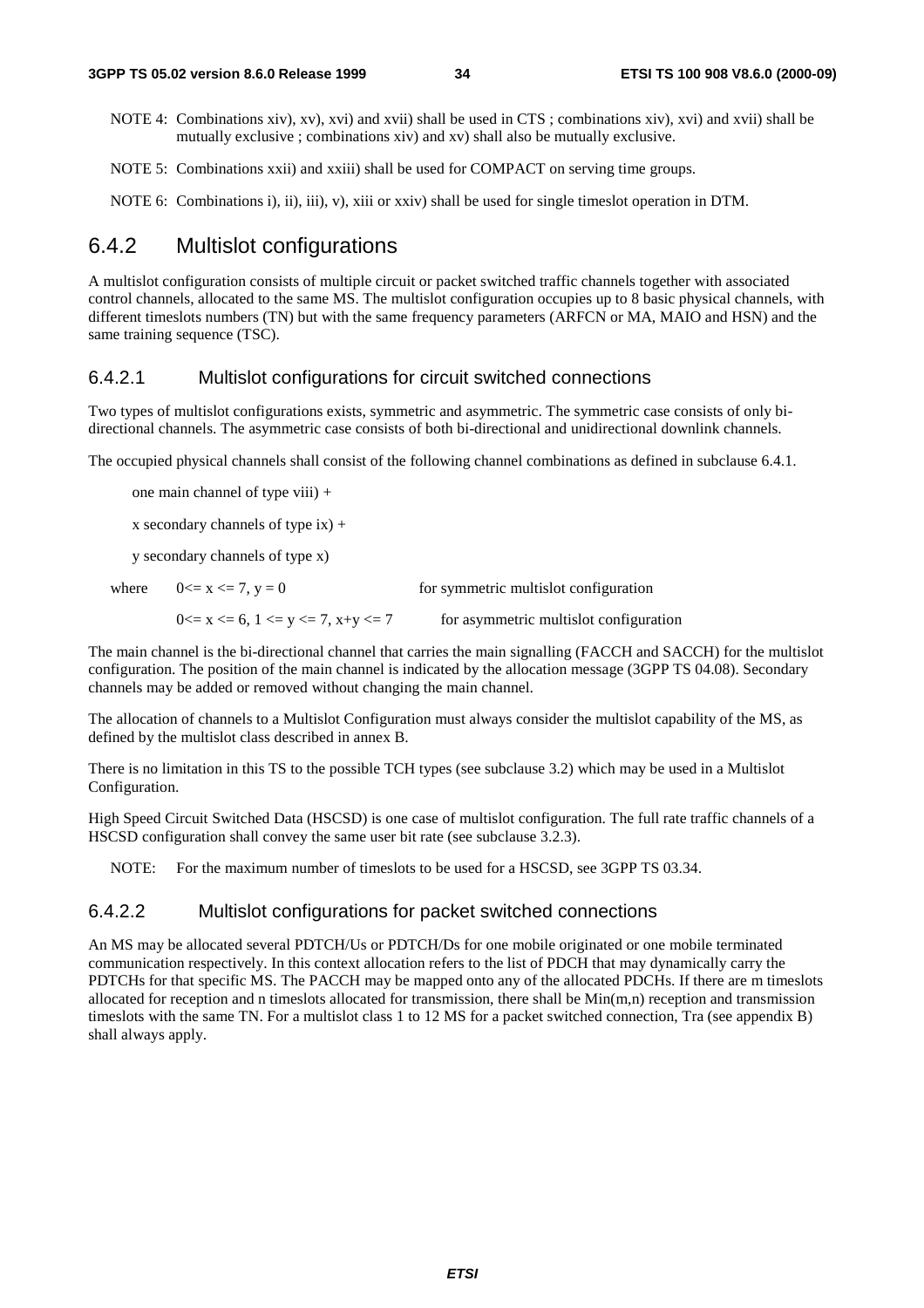- NOTE 4: Combinations xiv), xv), xvi) and xvii) shall be used in CTS ; combinations xiv), xvi) and xvii) shall be mutually exclusive ; combinations xiv) and xv) shall also be mutually exclusive.
- NOTE 5: Combinations xxii) and xxiii) shall be used for COMPACT on serving time groups.
- NOTE 6: Combinations i), ii), iii), v), xiii or xxiv) shall be used for single timeslot operation in DTM.

### 6.4.2 Multislot configurations

A multislot configuration consists of multiple circuit or packet switched traffic channels together with associated control channels, allocated to the same MS. The multislot configuration occupies up to 8 basic physical channels, with different timeslots numbers (TN) but with the same frequency parameters (ARFCN or MA, MAIO and HSN) and the same training sequence (TSC).

#### 6.4.2.1 Multislot configurations for circuit switched connections

Two types of multislot configurations exists, symmetric and asymmetric. The symmetric case consists of only bidirectional channels. The asymmetric case consists of both bi-directional and unidirectional downlink channels.

The occupied physical channels shall consist of the following channel combinations as defined in subclause 6.4.1.

- one main channel of type viii) +
- x secondary channels of type  $ix$ ) +

y secondary channels of type x)

| where $0 \le x \le 7, y = 0$                    | for symmetric multislot configuration  |
|-------------------------------------------------|----------------------------------------|
| $0 \le x \le 6$ , $1 \le y \le 7$ , $x+y \le 7$ | for asymmetric multislot configuration |

The main channel is the bi-directional channel that carries the main signalling (FACCH and SACCH) for the multislot configuration. The position of the main channel is indicated by the allocation message (3GPP TS 04.08). Secondary channels may be added or removed without changing the main channel.

The allocation of channels to a Multislot Configuration must always consider the multislot capability of the MS, as defined by the multislot class described in annex B.

There is no limitation in this TS to the possible TCH types (see subclause 3.2) which may be used in a Multislot Configuration.

High Speed Circuit Switched Data (HSCSD) is one case of multislot configuration. The full rate traffic channels of a HSCSD configuration shall convey the same user bit rate (see subclause 3.2.3).

NOTE: For the maximum number of timeslots to be used for a HSCSD, see 3GPP TS 03.34.

#### 6.4.2.2 Multislot configurations for packet switched connections

An MS may be allocated several PDTCH/Us or PDTCH/Ds for one mobile originated or one mobile terminated communication respectively. In this context allocation refers to the list of PDCH that may dynamically carry the PDTCHs for that specific MS. The PACCH may be mapped onto any of the allocated PDCHs. If there are m timeslots allocated for reception and n timeslots allocated for transmission, there shall be  $Min(m, n)$  reception and transmission timeslots with the same TN. For a multislot class 1 to 12 MS for a packet switched connection, Tra (see appendix B) shall always apply.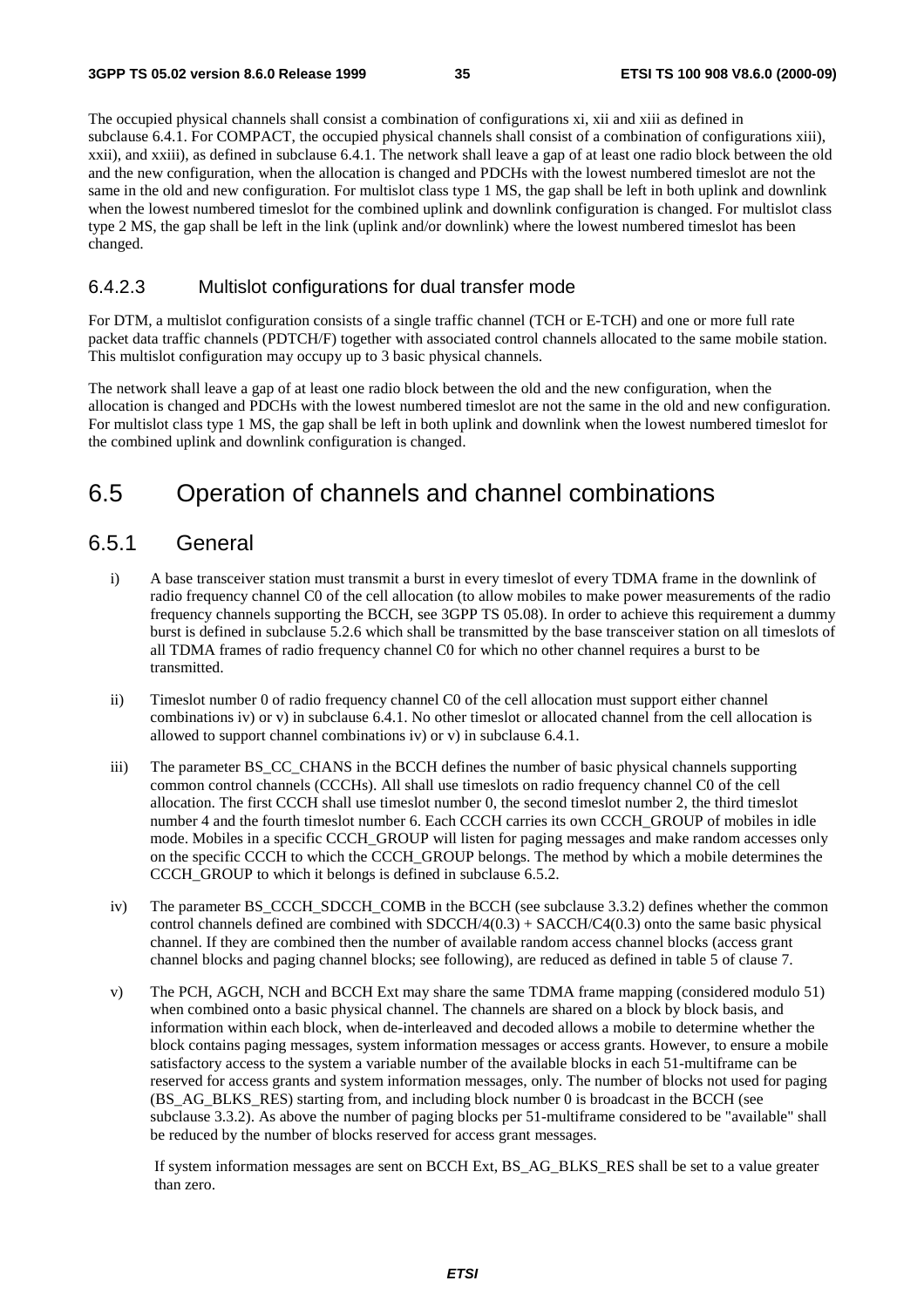The occupied physical channels shall consist a combination of configurations xi, xii and xiii as defined in subclause 6.4.1. For COMPACT, the occupied physical channels shall consist of a combination of configurations xiii), xxii), and xxiii), as defined in subclause 6.4.1. The network shall leave a gap of at least one radio block between the old and the new configuration, when the allocation is changed and PDCHs with the lowest numbered timeslot are not the same in the old and new configuration. For multislot class type 1 MS, the gap shall be left in both uplink and downlink when the lowest numbered timeslot for the combined uplink and downlink configuration is changed. For multislot class type 2 MS, the gap shall be left in the link (uplink and/or downlink) where the lowest numbered timeslot has been changed.

#### 6.4.2.3 Multislot configurations for dual transfer mode

For DTM, a multislot configuration consists of a single traffic channel (TCH or E-TCH) and one or more full rate packet data traffic channels (PDTCH/F) together with associated control channels allocated to the same mobile station. This multislot configuration may occupy up to 3 basic physical channels.

The network shall leave a gap of at least one radio block between the old and the new configuration, when the allocation is changed and PDCHs with the lowest numbered timeslot are not the same in the old and new configuration. For multislot class type 1 MS, the gap shall be left in both uplink and downlink when the lowest numbered timeslot for the combined uplink and downlink configuration is changed.

# 6.5 Operation of channels and channel combinations

### 6.5.1 General

- i) A base transceiver station must transmit a burst in every timeslot of every TDMA frame in the downlink of radio frequency channel C0 of the cell allocation (to allow mobiles to make power measurements of the radio frequency channels supporting the BCCH, see 3GPP TS 05.08). In order to achieve this requirement a dummy burst is defined in subclause 5.2.6 which shall be transmitted by the base transceiver station on all timeslots of all TDMA frames of radio frequency channel C0 for which no other channel requires a burst to be transmitted.
- ii) Timeslot number 0 of radio frequency channel C0 of the cell allocation must support either channel combinations iv) or v) in subclause 6.4.1. No other timeslot or allocated channel from the cell allocation is allowed to support channel combinations iv) or v) in subclause 6.4.1.
- iii) The parameter BS\_CC\_CHANS in the BCCH defines the number of basic physical channels supporting common control channels (CCCHs). All shall use timeslots on radio frequency channel C0 of the cell allocation. The first CCCH shall use timeslot number 0, the second timeslot number 2, the third timeslot number 4 and the fourth timeslot number 6. Each CCCH carries its own CCCH\_GROUP of mobiles in idle mode. Mobiles in a specific CCCH\_GROUP will listen for paging messages and make random accesses only on the specific CCCH to which the CCCH\_GROUP belongs. The method by which a mobile determines the CCCH\_GROUP to which it belongs is defined in subclause 6.5.2.
- iv) The parameter BS\_CCCH\_SDCCH\_COMB in the BCCH (see subclause 3.3.2) defines whether the common control channels defined are combined with  $SDCCH/4(0.3) + SACCH/C4(0.3)$  onto the same basic physical channel. If they are combined then the number of available random access channel blocks (access grant channel blocks and paging channel blocks; see following), are reduced as defined in table 5 of clause 7.
- v) The PCH, AGCH, NCH and BCCH Ext may share the same TDMA frame mapping (considered modulo 51) when combined onto a basic physical channel. The channels are shared on a block by block basis, and information within each block, when de-interleaved and decoded allows a mobile to determine whether the block contains paging messages, system information messages or access grants. However, to ensure a mobile satisfactory access to the system a variable number of the available blocks in each 51-multiframe can be reserved for access grants and system information messages, only. The number of blocks not used for paging (BS\_AG\_BLKS\_RES) starting from, and including block number 0 is broadcast in the BCCH (see subclause 3.3.2). As above the number of paging blocks per 51-multiframe considered to be "available" shall be reduced by the number of blocks reserved for access grant messages.

 If system information messages are sent on BCCH Ext, BS\_AG\_BLKS\_RES shall be set to a value greater than zero.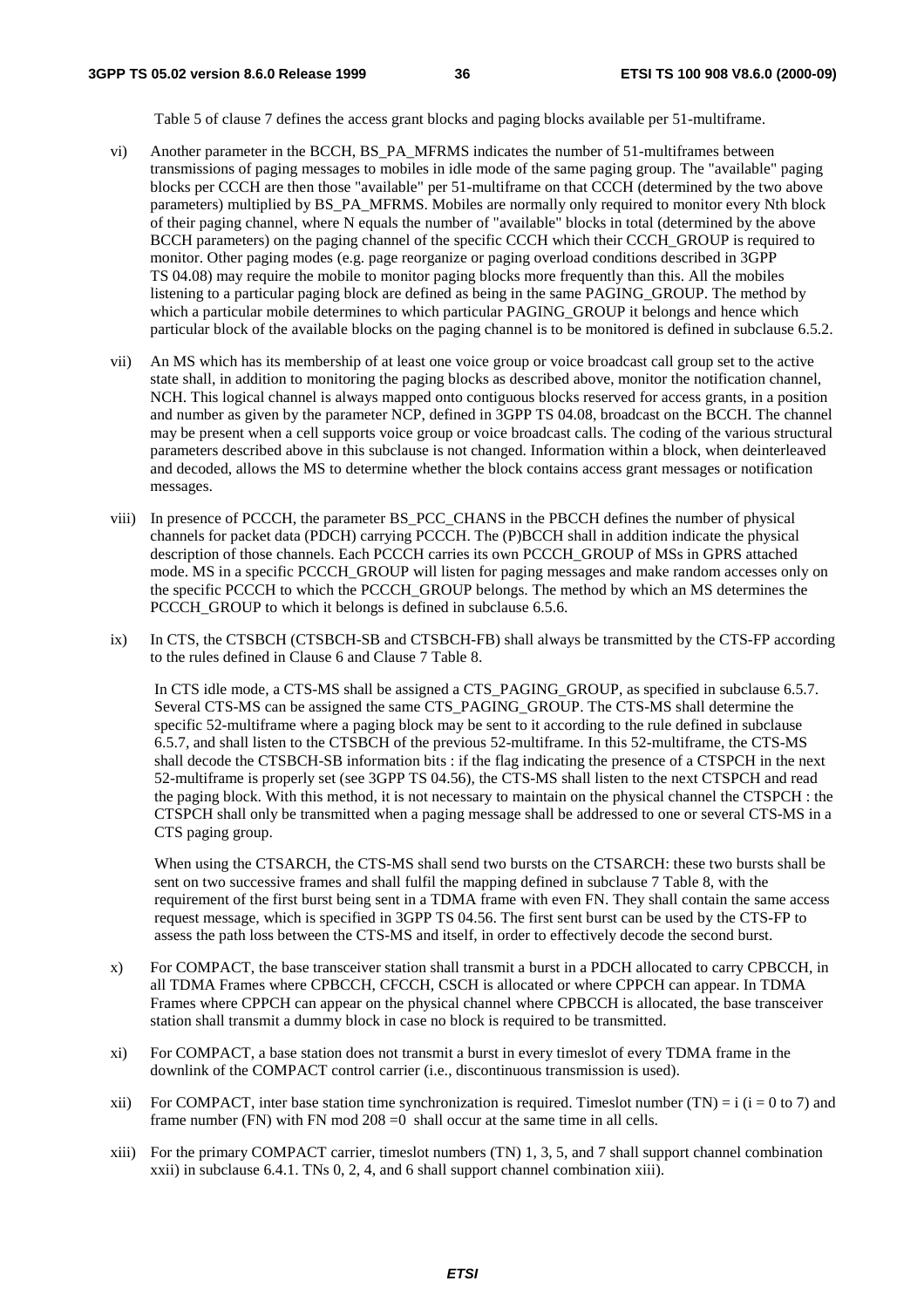Table 5 of clause 7 defines the access grant blocks and paging blocks available per 51-multiframe.

- vi) Another parameter in the BCCH, BS\_PA\_MFRMS indicates the number of 51-multiframes between transmissions of paging messages to mobiles in idle mode of the same paging group. The "available" paging blocks per CCCH are then those "available" per 51-multiframe on that CCCH (determined by the two above parameters) multiplied by BS\_PA\_MFRMS. Mobiles are normally only required to monitor every Nth block of their paging channel, where N equals the number of "available" blocks in total (determined by the above BCCH parameters) on the paging channel of the specific CCCH which their CCCH\_GROUP is required to monitor. Other paging modes (e.g. page reorganize or paging overload conditions described in 3GPP TS 04.08) may require the mobile to monitor paging blocks more frequently than this. All the mobiles listening to a particular paging block are defined as being in the same PAGING\_GROUP. The method by which a particular mobile determines to which particular PAGING\_GROUP it belongs and hence which particular block of the available blocks on the paging channel is to be monitored is defined in subclause 6.5.2.
- vii) An MS which has its membership of at least one voice group or voice broadcast call group set to the active state shall, in addition to monitoring the paging blocks as described above, monitor the notification channel, NCH. This logical channel is always mapped onto contiguous blocks reserved for access grants, in a position and number as given by the parameter NCP, defined in 3GPP TS 04.08, broadcast on the BCCH. The channel may be present when a cell supports voice group or voice broadcast calls. The coding of the various structural parameters described above in this subclause is not changed. Information within a block, when deinterleaved and decoded, allows the MS to determine whether the block contains access grant messages or notification messages.
- viii) In presence of PCCCH, the parameter BS\_PCC\_CHANS in the PBCCH defines the number of physical channels for packet data (PDCH) carrying PCCCH. The (P)BCCH shall in addition indicate the physical description of those channels. Each PCCCH carries its own PCCCH\_GROUP of MSs in GPRS attached mode. MS in a specific PCCCH\_GROUP will listen for paging messages and make random accesses only on the specific PCCCH to which the PCCCH\_GROUP belongs. The method by which an MS determines the PCCCH\_GROUP to which it belongs is defined in subclause 6.5.6.
- ix) In CTS, the CTSBCH (CTSBCH-SB and CTSBCH-FB) shall always be transmitted by the CTS-FP according to the rules defined in Clause 6 and Clause 7 Table 8.

In CTS idle mode, a CTS-MS shall be assigned a CTS\_PAGING\_GROUP, as specified in subclause 6.5.7. Several CTS-MS can be assigned the same CTS\_PAGING\_GROUP. The CTS-MS shall determine the specific 52-multiframe where a paging block may be sent to it according to the rule defined in subclause 6.5.7, and shall listen to the CTSBCH of the previous 52-multiframe. In this 52-multiframe, the CTS-MS shall decode the CTSBCH-SB information bits : if the flag indicating the presence of a CTSPCH in the next 52-multiframe is properly set (see 3GPP TS 04.56), the CTS-MS shall listen to the next CTSPCH and read the paging block. With this method, it is not necessary to maintain on the physical channel the CTSPCH : the CTSPCH shall only be transmitted when a paging message shall be addressed to one or several CTS-MS in a CTS paging group.

 When using the CTSARCH, the CTS-MS shall send two bursts on the CTSARCH: these two bursts shall be sent on two successive frames and shall fulfil the mapping defined in subclause 7 Table 8, with the requirement of the first burst being sent in a TDMA frame with even FN. They shall contain the same access request message, which is specified in 3GPP TS 04.56. The first sent burst can be used by the CTS-FP to assess the path loss between the CTS-MS and itself, in order to effectively decode the second burst.

- x) For COMPACT, the base transceiver station shall transmit a burst in a PDCH allocated to carry CPBCCH, in all TDMA Frames where CPBCCH, CFCCH, CSCH is allocated or where CPPCH can appear. In TDMA Frames where CPPCH can appear on the physical channel where CPBCCH is allocated, the base transceiver station shall transmit a dummy block in case no block is required to be transmitted.
- xi) For COMPACT, a base station does not transmit a burst in every timeslot of every TDMA frame in the downlink of the COMPACT control carrier (i.e., discontinuous transmission is used).
- xii) For COMPACT, inter base station time synchronization is required. Timeslot number (TN) = i (i = 0 to 7) and frame number (FN) with FN mod  $208 = 0$  shall occur at the same time in all cells.
- xiii) For the primary COMPACT carrier, timeslot numbers (TN) 1, 3, 5, and 7 shall support channel combination xxii) in subclause 6.4.1. TNs 0, 2, 4, and 6 shall support channel combination xiii).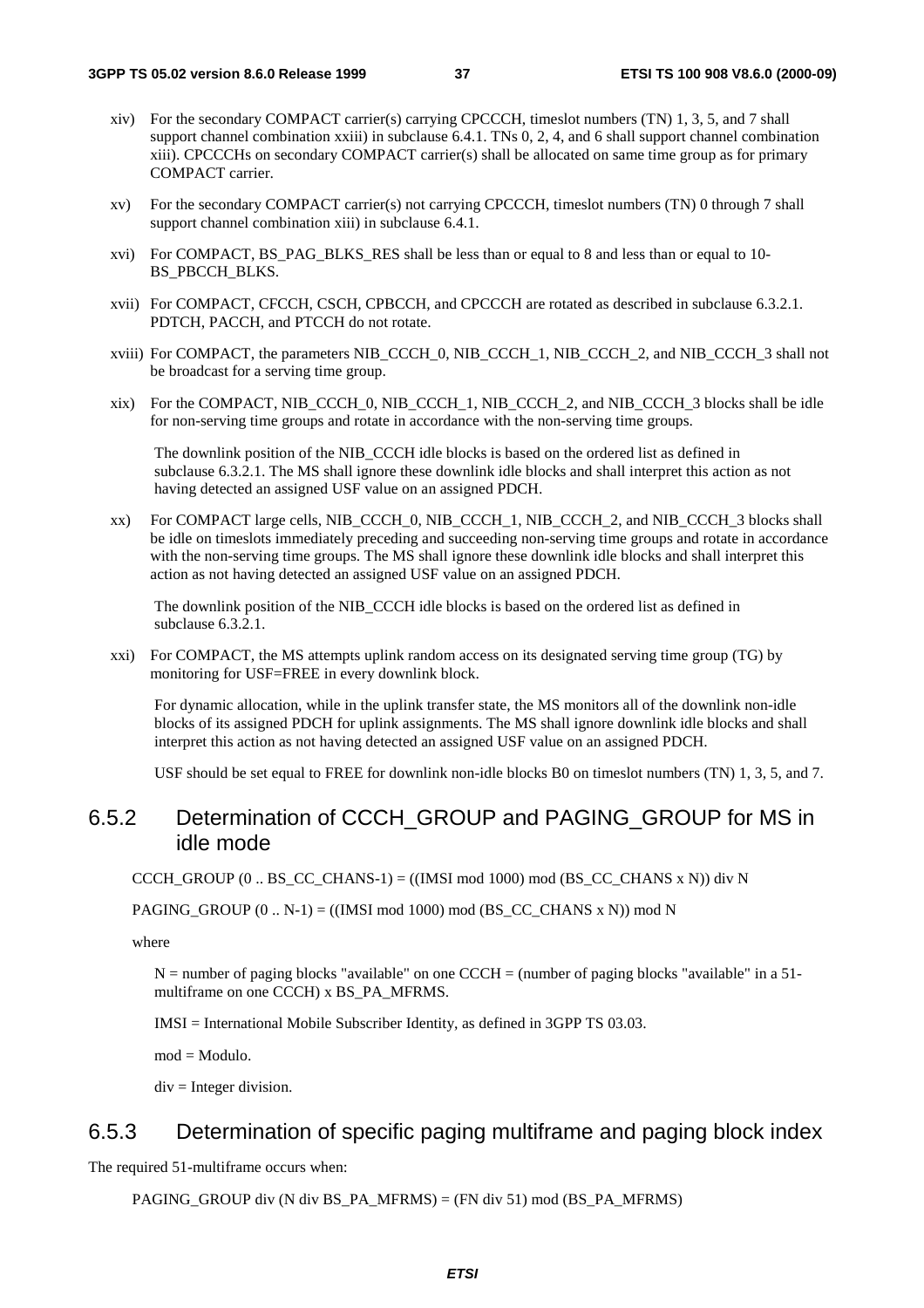- xiv) For the secondary COMPACT carrier(s) carrying CPCCCH, timeslot numbers (TN) 1, 3, 5, and 7 shall support channel combination xxiii) in subclause 6.4.1. TNs 0, 2, 4, and 6 shall support channel combination xiii). CPCCCHs on secondary COMPACT carrier(s) shall be allocated on same time group as for primary COMPACT carrier.
- xv) For the secondary COMPACT carrier(s) not carrying CPCCCH, timeslot numbers (TN) 0 through 7 shall support channel combination xiii) in subclause 6.4.1.
- xvi) For COMPACT, BS\_PAG\_BLKS\_RES shall be less than or equal to 8 and less than or equal to 10- BS\_PBCCH\_BLKS.
- xvii) For COMPACT, CFCCH, CSCH, CPBCCH, and CPCCCH are rotated as described in subclause 6.3.2.1. PDTCH, PACCH, and PTCCH do not rotate.
- xviii) For COMPACT, the parameters NIB\_CCCH\_0, NIB\_CCCH\_1, NIB\_CCCH\_2, and NIB\_CCCH\_3 shall not be broadcast for a serving time group.
- xix) For the COMPACT, NIB\_CCCH\_0, NIB\_CCCH\_1, NIB\_CCCH\_2, and NIB\_CCCH\_3 blocks shall be idle for non-serving time groups and rotate in accordance with the non-serving time groups.

 The downlink position of the NIB\_CCCH idle blocks is based on the ordered list as defined in subclause 6.3.2.1. The MS shall ignore these downlink idle blocks and shall interpret this action as not having detected an assigned USF value on an assigned PDCH.

xx) For COMPACT large cells, NIB\_CCCH\_0, NIB\_CCCH\_1, NIB\_CCCH\_2, and NIB\_CCCH\_3 blocks shall be idle on timeslots immediately preceding and succeeding non-serving time groups and rotate in accordance with the non-serving time groups. The MS shall ignore these downlink idle blocks and shall interpret this action as not having detected an assigned USF value on an assigned PDCH.

 The downlink position of the NIB\_CCCH idle blocks is based on the ordered list as defined in subclause 6.3.2.1.

xxi) For COMPACT, the MS attempts uplink random access on its designated serving time group (TG) by monitoring for USF=FREE in every downlink block.

 For dynamic allocation, while in the uplink transfer state, the MS monitors all of the downlink non-idle blocks of its assigned PDCH for uplink assignments. The MS shall ignore downlink idle blocks and shall interpret this action as not having detected an assigned USF value on an assigned PDCH.

USF should be set equal to FREE for downlink non-idle blocks B0 on timeslot numbers (TN) 1, 3, 5, and 7.

### 6.5.2 Determination of CCCH\_GROUP and PAGING\_GROUP for MS in idle mode

CCCH\_GROUP (0 .. BS\_CC\_CHANS-1) = ((IMSI mod 1000) mod (BS\_CC\_CHANS x N)) div N

PAGING GROUP  $(0 \dots N-1) = ((IMSI \mod 1000) \mod (BSCCCHANS X N)) \mod N$ 

where

 $N =$  number of paging blocks "available" on one CCCH = (number of paging blocks "available" in a 51multiframe on one CCCH) x BS\_PA\_MFRMS.

IMSI = International Mobile Subscriber Identity, as defined in 3GPP TS 03.03.

 $mod = Modulo$ .

 $div =$  Integer division.

## 6.5.3 Determination of specific paging multiframe and paging block index

The required 51-multiframe occurs when:

PAGING GROUP div (N div BS\_PA\_MFRMS) = (FN div 51) mod (BS\_PA\_MFRMS)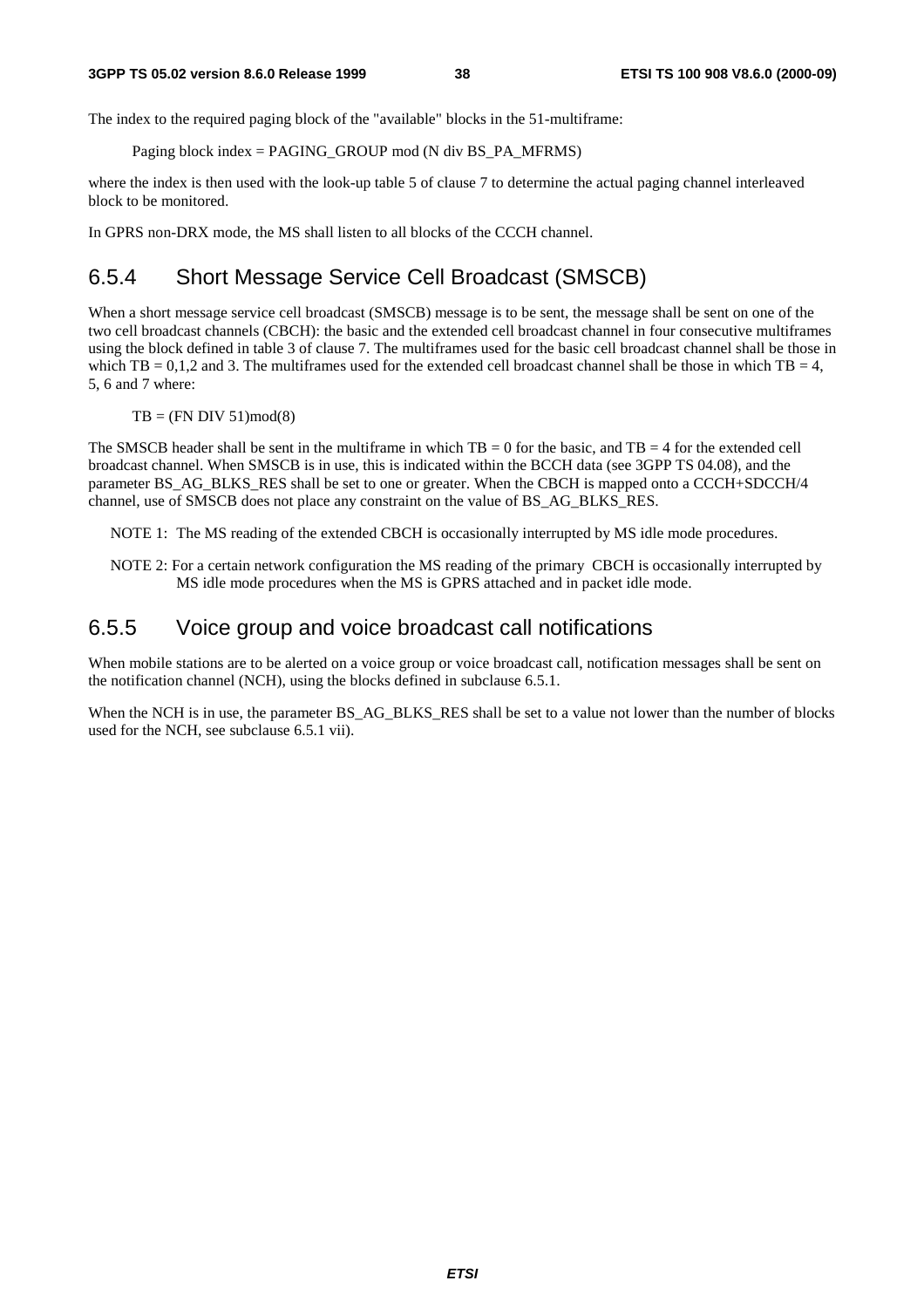The index to the required paging block of the "available" blocks in the 51-multiframe:

Paging block index = PAGING\_GROUP mod (N div BS\_PA\_MFRMS)

where the index is then used with the look-up table 5 of clause 7 to determine the actual paging channel interleaved block to be monitored.

In GPRS non-DRX mode, the MS shall listen to all blocks of the CCCH channel.

## 6.5.4 Short Message Service Cell Broadcast (SMSCB)

When a short message service cell broadcast (SMSCB) message is to be sent, the message shall be sent on one of the two cell broadcast channels (CBCH): the basic and the extended cell broadcast channel in four consecutive multiframes using the block defined in table 3 of clause 7. The multiframes used for the basic cell broadcast channel shall be those in which TB = 0,1,2 and 3. The multiframes used for the extended cell broadcast channel shall be those in which  $TB = 4$ , 5, 6 and 7 where:

 $TB = (FN DIV 51)mod(8)$ 

The SMSCB header shall be sent in the multiframe in which  $TB = 0$  for the basic, and  $TB = 4$  for the extended cell broadcast channel. When SMSCB is in use, this is indicated within the BCCH data (see 3GPP TS 04.08), and the parameter BS\_AG\_BLKS\_RES shall be set to one or greater. When the CBCH is mapped onto a CCCH+SDCCH/4 channel, use of SMSCB does not place any constraint on the value of BS\_AG\_BLKS\_RES.

NOTE 1: The MS reading of the extended CBCH is occasionally interrupted by MS idle mode procedures.

NOTE 2: For a certain network configuration the MS reading of the primary CBCH is occasionally interrupted by MS idle mode procedures when the MS is GPRS attached and in packet idle mode.

### 6.5.5 Voice group and voice broadcast call notifications

When mobile stations are to be alerted on a voice group or voice broadcast call, notification messages shall be sent on the notification channel (NCH), using the blocks defined in subclause 6.5.1.

When the NCH is in use, the parameter BS\_AG\_BLKS\_RES shall be set to a value not lower than the number of blocks used for the NCH, see subclause 6.5.1 vii).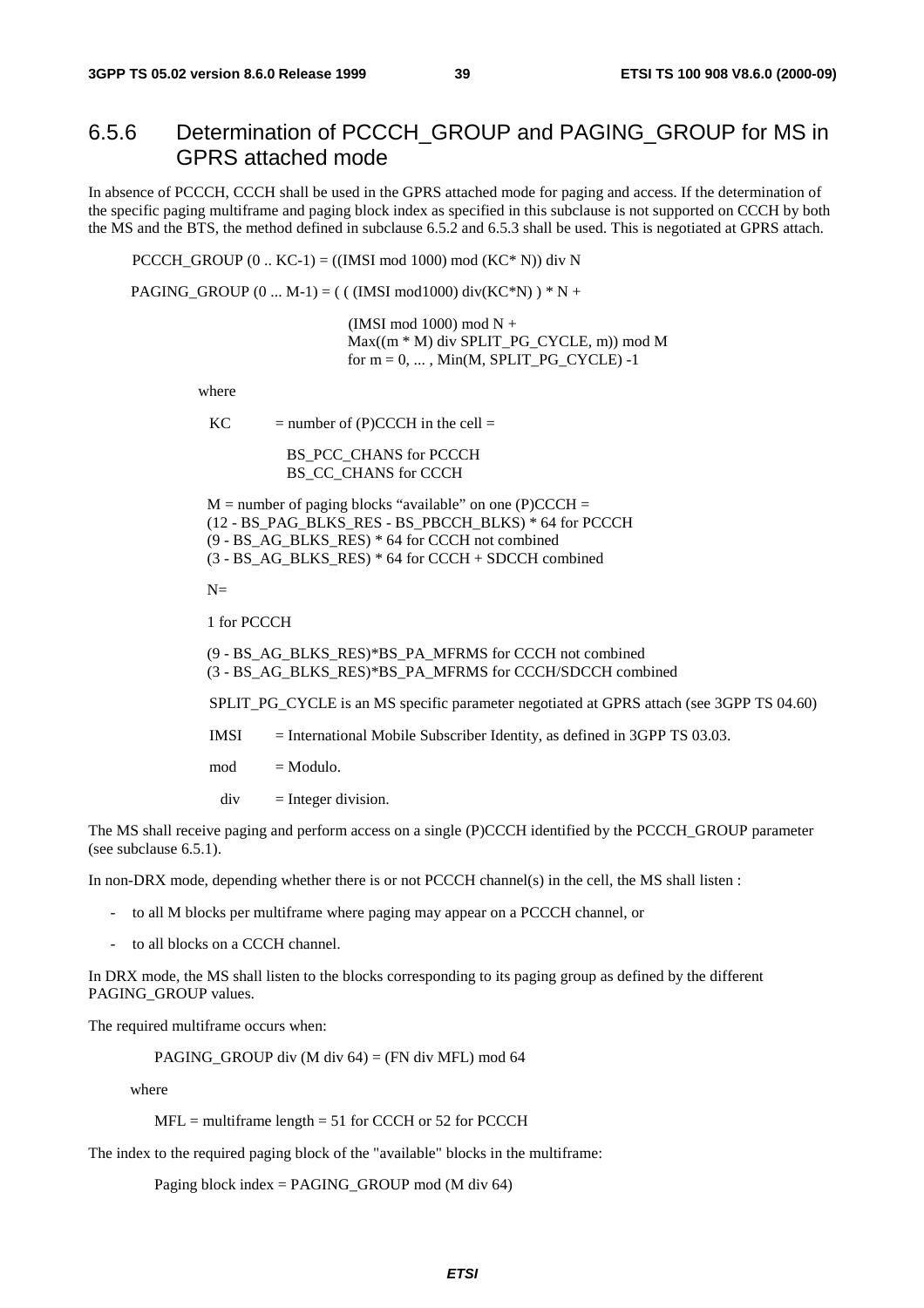## 6.5.6 Determination of PCCCH\_GROUP and PAGING\_GROUP for MS in GPRS attached mode

In absence of PCCCH, CCCH shall be used in the GPRS attached mode for paging and access. If the determination of the specific paging multiframe and paging block index as specified in this subclause is not supported on CCCH by both the MS and the BTS, the method defined in subclause 6.5.2 and 6.5.3 shall be used. This is negotiated at GPRS attach.

PCCCH\_GROUP  $(0..$  KC-1) =  $((IMSI \mod 1000) \mod (KC^* N))$  div N

PAGING\_GROUP  $(0 ... M-1) = ( ( (IMSI mod 1000) div(KC*N) ) * N +$ 

 (IMSI mod 1000) mod N + Max((m \* M) div SPLIT\_PG\_CYCLE, m)) mod M for  $m = 0, \ldots$ , Min(M, SPLIT\_PG\_CYCLE) -1

where

 $KC$  = number of  $(P)CCCH$  in the cell =

BS\_PCC\_CHANS for PCCCH BS CC\_CHANS for CCCH

 $M =$  number of paging blocks "available" on one (P)CCCH = (12 - BS\_PAG\_BLKS\_RES - BS\_PBCCH\_BLKS) \* 64 for PCCCH (9 - BS\_AG\_BLKS\_RES) \* 64 for CCCH not combined (3 - BS\_AG\_BLKS\_RES) \* 64 for CCCH + SDCCH combined

 $N=$ 

1 for PCCCH

(9 - BS\_AG\_BLKS\_RES)\*BS\_PA\_MFRMS for CCCH not combined (3 - BS\_AG\_BLKS\_RES)\*BS\_PA\_MFRMS for CCCH/SDCCH combined

SPLIT\_PG\_CYCLE is an MS specific parameter negotiated at GPRS attach (see 3GPP TS 04.60)

IMSI = International Mobile Subscriber Identity, as defined in 3GPP TS 03.03.

 $mod = Modulo$ .

 $div =$  Integer division.

The MS shall receive paging and perform access on a single (P)CCCH identified by the PCCCH\_GROUP parameter (see subclause 6.5.1).

In non-DRX mode, depending whether there is or not PCCCH channel(s) in the cell, the MS shall listen :

- to all M blocks per multiframe where paging may appear on a PCCCH channel, or
- to all blocks on a CCCH channel.

In DRX mode, the MS shall listen to the blocks corresponding to its paging group as defined by the different PAGING\_GROUP values.

The required multiframe occurs when:

PAGING GROUP div (M div  $64$ ) = (FN div MFL) mod 64

where

 $MFL$  = multiframe length = 51 for CCCH or 52 for PCCCH

The index to the required paging block of the "available" blocks in the multiframe:

Paging block index = PAGING GROUP mod (M div 64)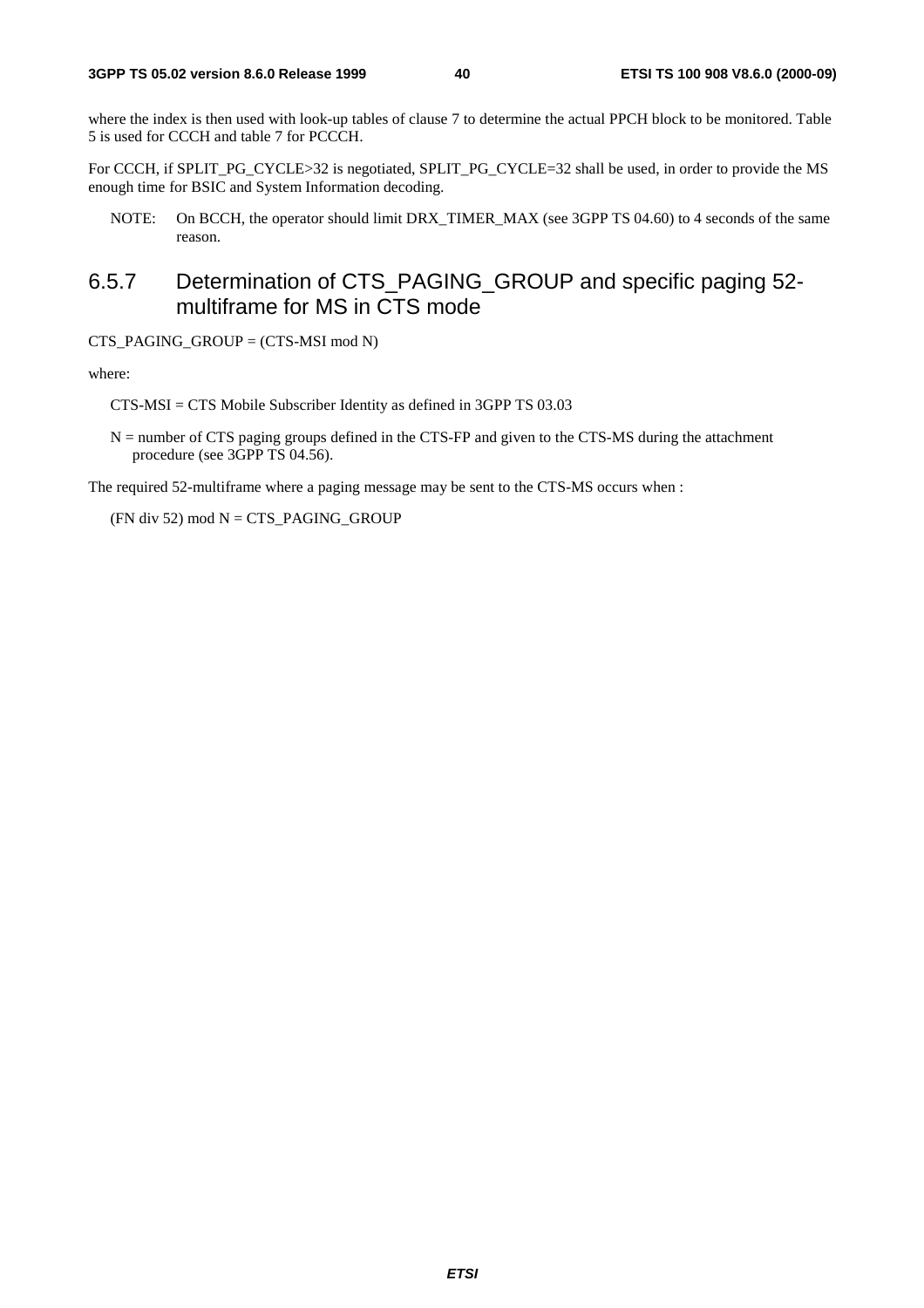where the index is then used with look-up tables of clause 7 to determine the actual PPCH block to be monitored. Table 5 is used for CCCH and table 7 for PCCCH.

For CCCH, if SPLIT\_PG\_CYCLE>32 is negotiated, SPLIT\_PG\_CYCLE=32 shall be used, in order to provide the MS enough time for BSIC and System Information decoding.

NOTE: On BCCH, the operator should limit DRX\_TIMER\_MAX (see 3GPP TS 04.60) to 4 seconds of the same reason.

## 6.5.7 Determination of CTS\_PAGING\_GROUP and specific paging 52 multiframe for MS in CTS mode

CTS\_PAGING\_GROUP = (CTS-MSI mod N)

where:

CTS-MSI = CTS Mobile Subscriber Identity as defined in 3GPP TS 03.03

N = number of CTS paging groups defined in the CTS-FP and given to the CTS-MS during the attachment procedure (see 3GPP TS 04.56).

The required 52-multiframe where a paging message may be sent to the CTS-MS occurs when :

 $(FN$  div 52) mod  $N = CTS$ <sub>PAGING</sub> GROUP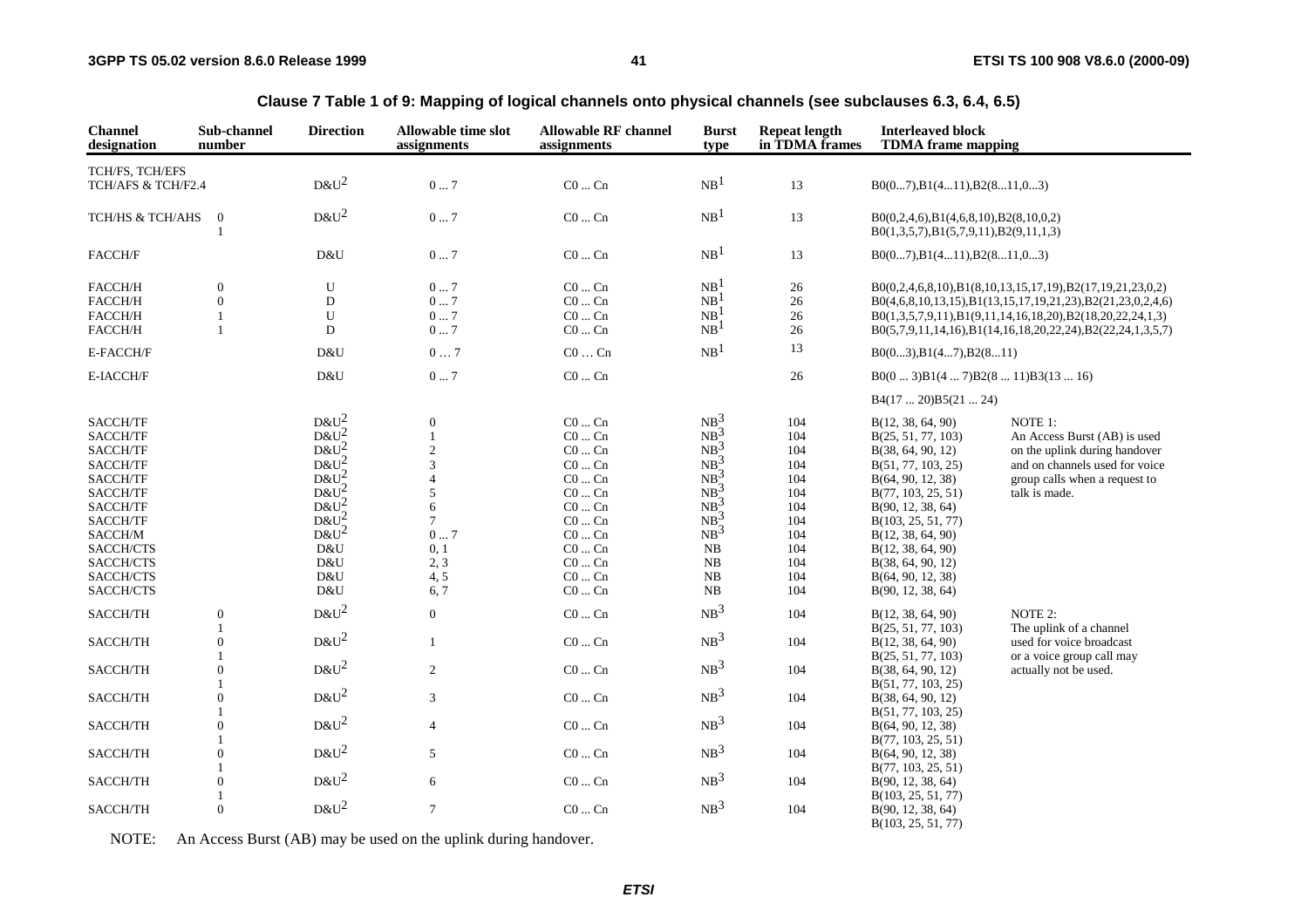| <b>Channel</b><br>designation | Sub-channel<br>number            | <b>Direction</b> | Allowable time slot<br>assignments | <b>Allowable RF channel</b><br>assignments | <b>Burst</b><br>type               | <b>Repeat length</b><br>in TDMA frames | <b>Interleaved block</b><br><b>TDMA</b> frame mapping                                        |                                                                |
|-------------------------------|----------------------------------|------------------|------------------------------------|--------------------------------------------|------------------------------------|----------------------------------------|----------------------------------------------------------------------------------------------|----------------------------------------------------------------|
| TCH/FS, TCH/EFS               |                                  |                  |                                    |                                            |                                    |                                        |                                                                                              |                                                                |
| TCH/AFS & TCH/F2.4            |                                  | $D&U^2$          | 07                                 | $CO \dots Cn$                              | NB <sup>1</sup>                    | 13                                     | $B0(07), B1(411), B2(811,03)$                                                                |                                                                |
| TCH/HS & TCH/AHS              | $\mathbf{0}$                     | $D&U^2$          | 07                                 | $CO \dots Cn$                              | NB <sup>1</sup>                    | 13                                     | $B0(0,2,4,6)$ , $B1(4,6,8,10)$ , $B2(8,10,0,2)$<br>$B0(1,3,5,7), B1(5,7,9,11), B2(9,11,1,3)$ |                                                                |
| FACCH/F                       |                                  | D&U              | $0 \dots 7$                        | $\rm CO$ $\ldots$ $\rm Cn$                 | NB <sup>1</sup>                    | 13                                     | $B0(07), B1(411), B2(811,03)$                                                                |                                                                |
| FACCH/H<br>FACCH/H            | $\overline{0}$<br>$\overline{0}$ | U<br>$\mathbf D$ | 07<br>07                           | $CO \dots Cn$<br>$CO \dots Cn$             | NB <sup>1</sup><br>NB <sup>1</sup> | 26<br>26                               |                                                                                              | $B0(0,2,4,6,8,10), B1(8,10,13,15,17,19), B2(17,19,21,23,0,2)$  |
|                               |                                  |                  |                                    |                                            |                                    |                                        |                                                                                              | $B0(4,6,8,10,13,15), B1(13,15,17,19,21,23), B2(21,23,0,2,4,6)$ |
| FACCH/H                       |                                  | U                | 07                                 | $CO \dots Cn$                              | NB <sup>1</sup>                    | 26                                     |                                                                                              | $B0(1,3,5,7,9,11), B1(9,11,14,16,18,20), B2(18,20,22,24,1,3)$  |
| FACCH/H                       | -1                               | D                | 07                                 | $CO \dots Cn$                              | NB <sup>1</sup>                    | 26                                     |                                                                                              | $B0(5,7,9,11,14,16), B1(14,16,18,20,22,24), B2(22,24,1,3,5,7)$ |
| E-FACCH/F                     |                                  | D&U              | 07                                 | $\rm CO$ $\ldots$ $\rm Cn$                 | NB <sup>1</sup>                    | 13                                     | B0(03), B1(47), B2(811)                                                                      |                                                                |
| E-IACCH/F                     |                                  | D&U              | 07                                 | $CO \dots Cn$                              |                                    | 26                                     | $B0(03)B1(47)B2(811)B3(1316)$                                                                |                                                                |
|                               |                                  |                  |                                    |                                            |                                    |                                        | B4(1720)B5(2124)                                                                             |                                                                |
| SACCH/TF                      |                                  | $D\&U^2$         | $\mathbf{0}$                       | $CO \dots Cn$                              | $NB^3$                             | 104                                    | B(12, 38, 64, 90)                                                                            | NOTE 1:                                                        |
| SACCH/TF                      |                                  | $D&U^2$          |                                    | $CO \dots Cn$                              | $NB^3$                             | 104                                    | B(25, 51, 77, 103)                                                                           | An Access Burst (AB) is used                                   |
| SACCH/TF                      |                                  | $D&U^2$          | $\overline{2}$                     | $CO \dots Cn$                              | $NB^3$                             | 104                                    | B(38, 64, 90, 12)                                                                            | on the uplink during handover                                  |
| SACCH/TF                      |                                  | $D&U^2$          | 3                                  | $CO \dots Cn$                              | $NB^3$                             | 104                                    | B(51, 77, 103, 25)                                                                           | and on channels used for voice                                 |
| SACCH/TF                      |                                  | $D&U^2$          | 4                                  | $CO \dots Cn$                              | $NB^3$                             | 104                                    | B(64, 90, 12, 38)                                                                            | group calls when a request to                                  |
| SACCH/TF                      |                                  | $D&U^2$          | 5                                  | $CO \dots Cn$                              | $NB^3$                             | 104                                    | B(77, 103, 25, 51)                                                                           | talk is made.                                                  |
| SACCH/TF                      |                                  | $D&U^2$          | 6                                  | $\rm CO$ $\ldots$ $\rm Cn$                 | $NB^3$                             | 104                                    | B(90, 12, 38, 64)                                                                            |                                                                |
|                               |                                  | $D\&U^2$         |                                    | $CO \dots Cn$                              | $NB^3$                             |                                        |                                                                                              |                                                                |
| SACCH/TF                      |                                  |                  | $\tau$                             |                                            |                                    | 104                                    | B(103, 25, 51, 77)                                                                           |                                                                |
| SACCH/M                       |                                  | $D&U^2$          | 07                                 | $CO \dots Cn$                              | NB <sup>3</sup>                    | 104                                    | B(12, 38, 64, 90)                                                                            |                                                                |
| SACCH/CTS                     |                                  | D&U              | 0, 1                               | $CO \dots Cn$                              | NB                                 | 104                                    | B(12, 38, 64, 90)                                                                            |                                                                |
| SACCH/CTS                     |                                  | D&U              | 2, 3                               | $CO \dots Cn$                              | NB                                 | 104                                    | B(38, 64, 90, 12)                                                                            |                                                                |
| SACCH/CTS                     |                                  | D&U              | 4, 5                               | $CO \dots Cn$                              | NB                                 | 104                                    | B(64, 90, 12, 38)                                                                            |                                                                |
| SACCH/CTS                     |                                  | D&U              | 6,7                                | $CO \dots Cn$                              | NB                                 | 104                                    | B(90, 12, 38, 64)                                                                            |                                                                |
| SACCH/TH                      | $\mathbf{0}$<br>1                | $D&U^2$          | $\overline{0}$                     | $CO \dots Cn$                              | NB <sup>3</sup>                    | 104                                    | B(12, 38, 64, 90)                                                                            | NOTE 2:<br>The uplink of a channel                             |
| SACCH/TH                      | $\theta$                         | $D&U^2$          | $\mathbf{1}$                       | $CO \dots Cn$                              | NB <sup>3</sup>                    | 104                                    | B(25, 51, 77, 103)<br>B(12, 38, 64, 90)                                                      | used for voice broadcast                                       |
| SACCH/TH                      | $\Omega$                         | $D&U^2$          | $\overline{c}$                     | $\rm CO$ $\ldots$ $\rm Cn$                 | NB <sup>3</sup>                    | 104                                    | B(25, 51, 77, 103)<br>B(38, 64, 90, 12)                                                      | or a voice group call may<br>actually not be used.             |
|                               | 1                                |                  |                                    |                                            |                                    |                                        | B(51, 77, 103, 25)                                                                           |                                                                |
| SACCH/TH                      | $\theta$<br>1                    | $D&U^2$          | 3                                  | $CO \dots Cn$                              | NB <sup>3</sup>                    | 104                                    | B(38, 64, 90, 12)                                                                            |                                                                |
| SACCH/TH                      | $\theta$                         | $D&U^2$          | $\overline{4}$                     | $CO \dots Cn$                              | NB <sup>3</sup>                    | 104                                    | B(51, 77, 103, 25)<br>B(64, 90, 12, 38)                                                      |                                                                |
|                               |                                  |                  |                                    |                                            |                                    |                                        | B(77, 103, 25, 51)                                                                           |                                                                |
| SACCH/TH                      | $\theta$                         | $D&U^2$          | 5                                  | $CO \dots Cn$                              | NB <sup>3</sup>                    | 104                                    | B(64, 90, 12, 38)<br>B(77, 103, 25, 51)                                                      |                                                                |
| SACCH/TH                      | $\theta$                         | $D&U^2$          | 6                                  | $CO \dots Cn$                              | NB <sup>3</sup>                    | 104                                    | B(90, 12, 38, 64)                                                                            |                                                                |
|                               | 1                                |                  |                                    |                                            |                                    |                                        | B(103, 25, 51, 77)                                                                           |                                                                |
| SACCH/TH                      | $\Omega$                         | $D&U^2$          | $\overline{7}$                     | $CO \dots Cn$                              | NB <sup>3</sup>                    | 104                                    | B(90, 12, 38, 64)                                                                            |                                                                |

**Clause 7 Table 1 of 9: Mapping of logical channels onto physical channels (see subclauses 6.3, 6.4, 6.5)**

NOTE: An Access Burst (AB) may be used on the uplink during handover.

B(103, 25, 51, 77)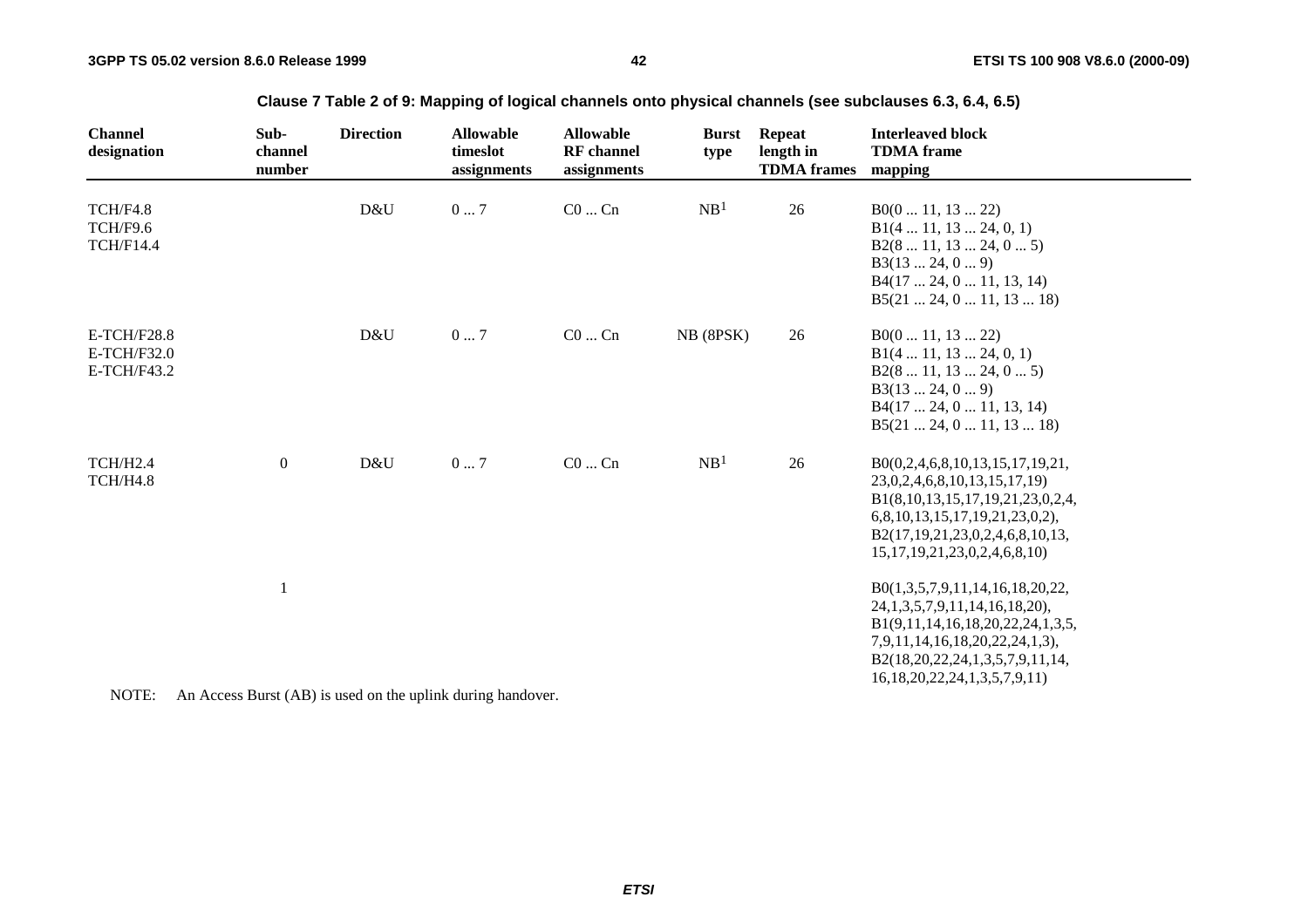| <b>Channel</b><br>designation                    | Sub-<br>channel<br>number                                                                                                                                                                                                                                                                                                               | <b>Direction</b> | <b>Allowable</b><br>timeslot<br>assignments | <b>Allowable</b><br><b>RF</b> channel<br>assignments | <b>Burst</b><br>type | <b>Repeat</b><br>length in<br><b>TDMA</b> frames | <b>Interleaved block</b><br><b>TDMA</b> frame<br>mapping                                                                                                                                                                     |
|--------------------------------------------------|-----------------------------------------------------------------------------------------------------------------------------------------------------------------------------------------------------------------------------------------------------------------------------------------------------------------------------------------|------------------|---------------------------------------------|------------------------------------------------------|----------------------|--------------------------------------------------|------------------------------------------------------------------------------------------------------------------------------------------------------------------------------------------------------------------------------|
| TCH/F4.8<br>TCH/F9.6<br><b>TCH/F14.4</b>         |                                                                                                                                                                                                                                                                                                                                         | D&U              | 07                                          | $C0$ $Cn$                                            | NB <sup>1</sup>      | 26                                               | B0(011, 1322)<br>B1(4 11, 13 24, 0, 1)<br>B2(8 11, 13 24, 0 5)<br>B3(1324, 09)<br>B4(17 24, 0 11, 13, 14)<br>B5(21 24, 0 11, 13 18)                                                                                          |
| <b>E-TCH/F28.8</b><br>E-TCH/F32.0<br>E-TCH/F43.2 |                                                                                                                                                                                                                                                                                                                                         | D&U              | 07                                          | $C0$ $Cn$                                            | NB (8PSK)            | 26                                               | B0(011, 1322)<br>B1(4 11, 13 24, 0, 1)<br>B2(8 11, 13 24, 0 5)<br>B3(1324, 09)<br>B4(17 24, 0 11, 13, 14)<br>B5(21 24, 0 11, 13 18)                                                                                          |
| TCH/H <sub>2.4</sub><br>TCH/H4.8                 | $\boldsymbol{0}$                                                                                                                                                                                                                                                                                                                        | D&U              | $0\ldots7$                                  | $C0$ $Cn$                                            | NB <sup>1</sup>      | 26                                               | B0(0,2,4,6,8,10,13,15,17,19,21,<br>23, 0, 2, 4, 6, 8, 10, 13, 15, 17, 19)<br>B1(8,10,13,15,17,19,21,23,0,2,4,<br>6,8,10,13,15,17,19,21,23,0,2),<br>B2(17,19,21,23,0,2,4,6,8,10,13,<br>15, 17, 19, 21, 23, 0, 2, 4, 6, 8, 10) |
| $\sqrt{2}$                                       | 1<br>$\mathbf{r}$ $\mathbf{r}$ $\mathbf{r}$ $\mathbf{r}$ $\mathbf{r}$ $\mathbf{r}$ $\mathbf{r}$ $\mathbf{r}$ $\mathbf{r}$ $\mathbf{r}$ $\mathbf{r}$ $\mathbf{r}$ $\mathbf{r}$ $\mathbf{r}$ $\mathbf{r}$ $\mathbf{r}$ $\mathbf{r}$ $\mathbf{r}$ $\mathbf{r}$ $\mathbf{r}$ $\mathbf{r}$ $\mathbf{r}$ $\mathbf{r}$ $\mathbf{r}$ $\mathbf{$ |                  | .                                           |                                                      |                      |                                                  | B0(1,3,5,7,9,11,14,16,18,20,22,<br>24, 1, 3, 5, 7, 9, 11, 14, 16, 18, 20),<br>B1(9,11,14,16,18,20,22,24,1,3,5,<br>7,9,11,14,16,18,20,22,24,1,3),<br>B2(18,20,22,24,1,3,5,7,9,11,14,<br>16, 18, 20, 22, 24, 1, 3, 5, 7, 9, 11 |

**Clause 7 Table 2 of 9: Mapping of logical channels onto physical channels (see subclauses 6.3, 6.4, 6.5)**

NOTE: An Access Burst (AB) is used on the uplink during handover.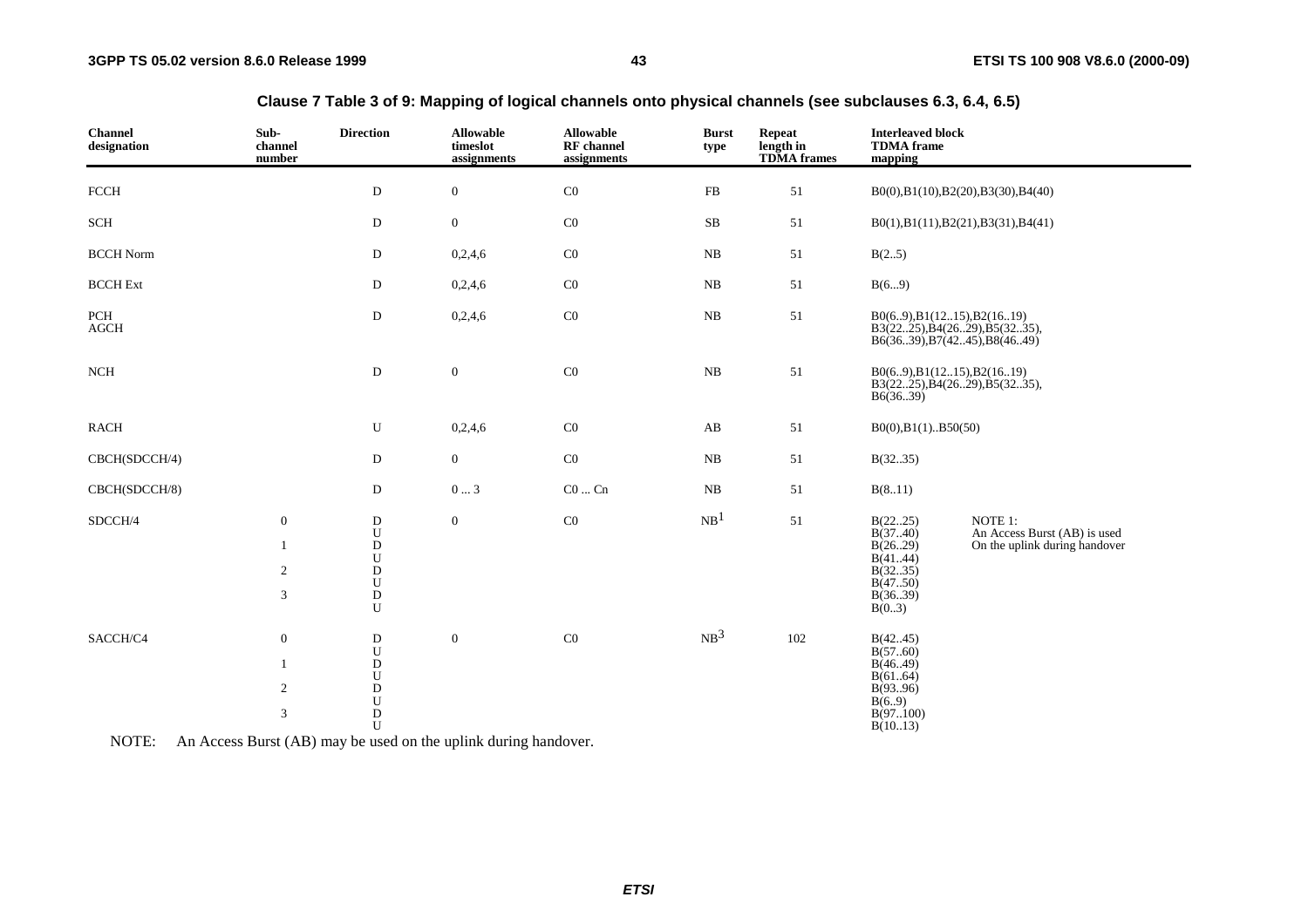| <b>Channel</b><br>designation | Sub-<br>channel<br>number                                              | <b>Direction</b>                                                                                                                 | <b>Allowable</b><br>timeslot<br>assignments | <b>Allowable</b><br><b>RF</b> channel<br>assignments | <b>Burst</b><br>type | <b>Repeat</b><br>length in<br><b>TDMA</b> frames | <b>Interleaved block</b><br><b>TDMA</b> frame<br>mapping                             |                                                                                         |
|-------------------------------|------------------------------------------------------------------------|----------------------------------------------------------------------------------------------------------------------------------|---------------------------------------------|------------------------------------------------------|----------------------|--------------------------------------------------|--------------------------------------------------------------------------------------|-----------------------------------------------------------------------------------------|
| FCCH                          |                                                                        | D                                                                                                                                | $\overline{0}$                              | C <sub>0</sub>                                       | FB                   | 51                                               |                                                                                      | B0(0),B1(10),B2(20),B3(30),B4(40)                                                       |
| $\operatorname{SCH}$          |                                                                        | ${\bf D}$                                                                                                                        | $\boldsymbol{0}$                            | $\rm CO$                                             | $\rm SB$             | 51                                               |                                                                                      | B0(1),B1(11),B2(21),B3(31),B4(41)                                                       |
| <b>BCCH Norm</b>              |                                                                        | ${\rm D}$                                                                                                                        | 0,2,4,6                                     | $\rm CO$                                             | $_{\rm NB}$          | $51\,$                                           | B(25)                                                                                |                                                                                         |
| <b>BCCH</b> Ext               |                                                                        | ${\rm D}$                                                                                                                        | 0,2,4,6                                     | C <sub>0</sub>                                       | $_{\rm NB}$          | 51                                               | B(69)                                                                                |                                                                                         |
| PCH<br>$\rm{AGCH}$            |                                                                        | ${\rm D}$                                                                                                                        | 0,2,4,6                                     | $\rm CO$                                             | ${\rm NB}$           | 51                                               |                                                                                      | B0(69),B1(1215),B2(1619)<br>B3(2225),B4(2629),B5(3235),<br>B6(3639), B7(4245), B8(4649) |
| <b>NCH</b>                    |                                                                        | ${\bf D}$                                                                                                                        | $\boldsymbol{0}$                            | $\rm CO$                                             | $_{\rm NB}$          | 51                                               | B6(3639)                                                                             | B0(69), B1(1215), B2(1619)<br>B3(2225), B4(2629), B5(3235),                             |
| <b>RACH</b>                   |                                                                        | U                                                                                                                                | 0,2,4,6                                     | $\rm CO$                                             | AB                   | 51                                               | $B0(0), B1(1)$ $B50(50)$                                                             |                                                                                         |
| CBCH(SDCCH/4)                 |                                                                        | ${\rm D}$                                                                                                                        | $\boldsymbol{0}$                            | $\rm CO$                                             | NB                   | 51                                               | B(3235)                                                                              |                                                                                         |
| CBCH(SDCCH/8)                 |                                                                        | ${\rm D}$                                                                                                                        | $0 \ldots 3$                                | $CO \dots Cn$                                        | $_{\rm NB}$          | 51                                               | B(811)                                                                               |                                                                                         |
| SDCCH/4                       | $\boldsymbol{0}$<br>1<br>$\overline{c}$<br>3                           | $_{\rm U}^{\rm D}$<br>${\bf U}$<br>$\rm \overset{\_}{D}$<br>$\mathbf D$<br>${\bf U}$                                             | $\overline{0}$                              | $\rm CO$                                             | NB <sup>1</sup>      | 51                                               | B(2225)<br>B(3740)<br>B(2629)<br>B(4144)<br>B(3235)<br>B(4750)<br>B(3639)<br>B(0.3)  | NOTE 1:<br>An Access Burst (AB) is used<br>On the uplink during handover                |
| SACCH/C4                      | $\boldsymbol{0}$<br>1<br>$\overline{2}$<br>$\ensuremath{\mathfrak{Z}}$ | $\mathbf D$<br>${\bf U}$<br>${\rm D}$<br>${\bf U}$<br>$\begin{array}{c} \mathbf{D} \\ \mathbf{U} \\ \mathbf{D} \end{array}$<br>U | $\boldsymbol{0}$                            | $\rm CO$                                             | NB <sup>3</sup>      | 102                                              | B(4245)<br>B(5760)<br>B(4649)<br>B(6164)<br>B(9396)<br>B(6.9)<br>B(97100)<br>B(1013) |                                                                                         |

### **Clause 7 Table 3 of 9: Mapping of logical channels onto physical channels (see subclauses 6.3, 6.4, 6.5)**

NOTE: An Access Burst (AB) may be used on the uplink during handover.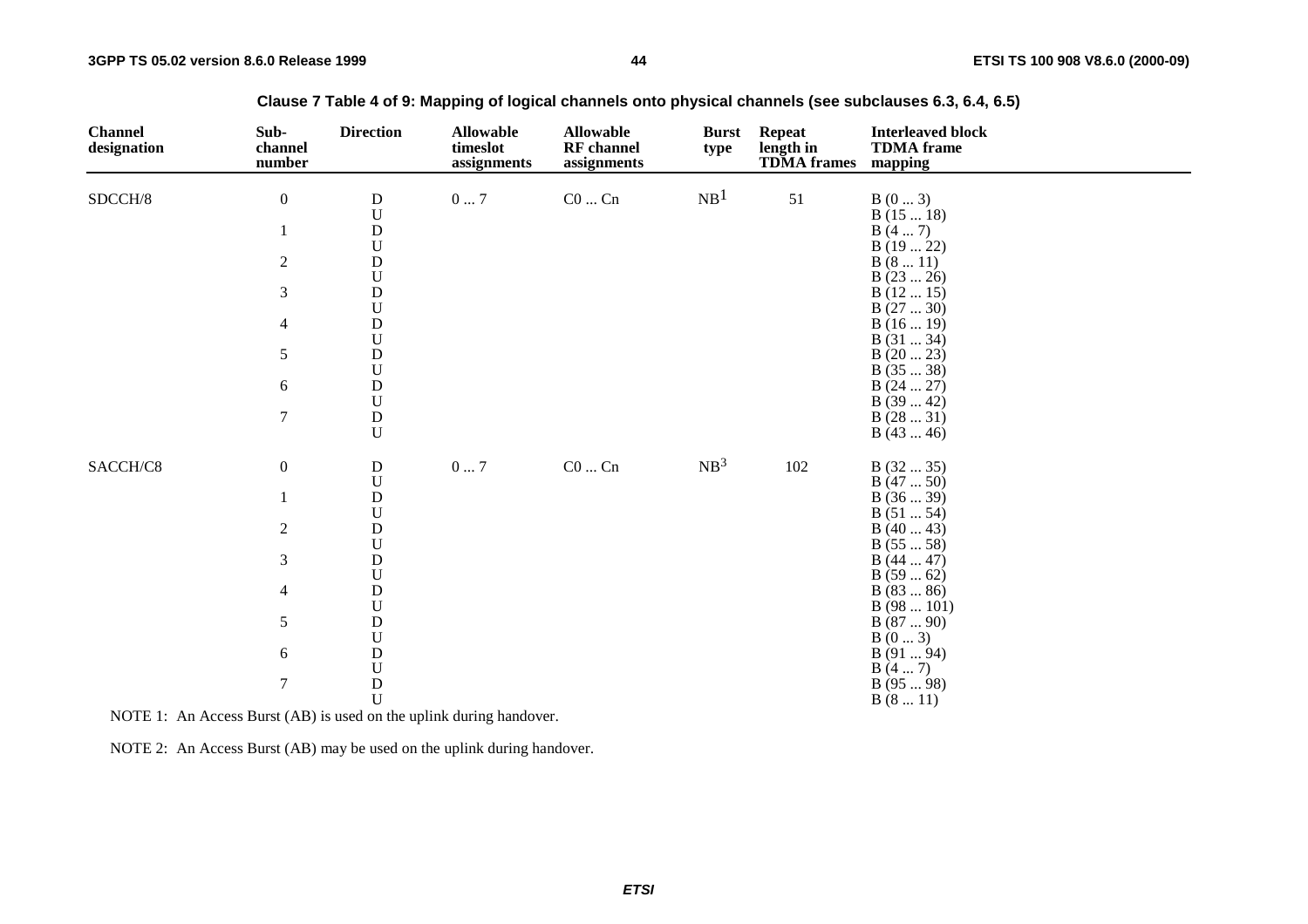| <b>Channel</b><br>designation | Sub-<br>channel<br>number | <b>Direction</b>          | <b>Allowable</b><br>timeslot<br>assignments | <b>Allowable</b><br><b>RF</b> channel<br>assignments | <b>Burst</b><br>type | <b>Repeat</b><br>length in<br><b>TDMA</b> frames | <b>Interleaved block</b><br><b>TDMA</b> frame<br>mapping |
|-------------------------------|---------------------------|---------------------------|---------------------------------------------|------------------------------------------------------|----------------------|--------------------------------------------------|----------------------------------------------------------|
| SDCCH/8                       | $\boldsymbol{0}$          | $\mathbf D$<br>${\bf U}$  | $0\ldots7$                                  | $\rm CO$ $\rm Cn$                                    | NB <sup>1</sup>      | 51                                               | B(03)<br>B(1518)                                         |
|                               | 1                         | ${\bf D}$                 |                                             |                                                      |                      |                                                  | B(47)                                                    |
|                               |                           | $\mathbf U$               |                                             |                                                      |                      |                                                  | B(1922)                                                  |
|                               | $\overline{2}$            | ${\bf D}$                 |                                             |                                                      |                      |                                                  | B(811)                                                   |
|                               |                           | ${\bf U}$                 |                                             |                                                      |                      |                                                  | B(2326)                                                  |
|                               | 3                         | ${\bf D}$                 |                                             |                                                      |                      |                                                  | B(1215)                                                  |
|                               |                           | ${\bf U}$                 |                                             |                                                      |                      |                                                  | B(2730)                                                  |
|                               | $\overline{4}$            | ${\bf D}$                 |                                             |                                                      |                      |                                                  | B(1619)                                                  |
|                               |                           | ${\bf U}$                 |                                             |                                                      |                      |                                                  | B(3134)                                                  |
|                               | $\mathfrak s$             | ${\bf D}$                 |                                             |                                                      |                      |                                                  | B(2023)                                                  |
|                               |                           | $\ensuremath{\mathbf{U}}$ |                                             |                                                      |                      |                                                  | B(3538)                                                  |
|                               | $\boldsymbol{6}$          | ${\bf D}$<br>${\bf U}$    |                                             |                                                      |                      |                                                  | B(2427)                                                  |
|                               | $\tau$                    | ${\bf D}$                 |                                             |                                                      |                      |                                                  | B(3942)<br>B(2831)                                       |
|                               |                           | U                         |                                             |                                                      |                      |                                                  | B(4346)                                                  |
| SACCH/C8                      | $\boldsymbol{0}$          | $\mathbf D$               | $0\ldots7$                                  | $\rm CO$ $\ldots$ $\rm Cn$                           | NB <sup>3</sup>      | 102                                              | B(3235)                                                  |
|                               |                           | ${\bf U}$                 |                                             |                                                      |                      |                                                  | B(4750)                                                  |
|                               |                           | ${\bf D}$                 |                                             |                                                      |                      |                                                  | B(3639)                                                  |
|                               |                           | ${\bf U}$                 |                                             |                                                      |                      |                                                  | B(5154)                                                  |
|                               | $\boldsymbol{2}$          | ${\bf D}$<br>${\bf U}$    |                                             |                                                      |                      |                                                  | B(4043)                                                  |
|                               | 3                         | ${\bf D}$                 |                                             |                                                      |                      |                                                  | B(5558)<br>B(4447)                                       |
|                               |                           | ${\bf U}$                 |                                             |                                                      |                      |                                                  | B(5962)                                                  |
|                               | $\overline{4}$            | ${\bf D}$                 |                                             |                                                      |                      |                                                  | B(8386)                                                  |
|                               |                           | ${\bf U}$                 |                                             |                                                      |                      |                                                  | B(98101)                                                 |
|                               | $\sqrt{5}$                | ${\bf D}$                 |                                             |                                                      |                      |                                                  | B(8790)                                                  |
|                               |                           | ${\bf U}$                 |                                             |                                                      |                      |                                                  | B(03)                                                    |
|                               | $\sqrt{6}$                | ${\bf D}$                 |                                             |                                                      |                      |                                                  | B (91  94)                                               |
|                               |                           | $\mathbf U$               |                                             |                                                      |                      |                                                  | B(47)                                                    |
|                               | $\tau$                    | ${\bf D}$                 |                                             |                                                      |                      |                                                  | B(9598)                                                  |
|                               |                           | $\mathbf U$               |                                             |                                                      |                      |                                                  | B(811)                                                   |

**Clause 7 Table 4 of 9: Mapping of logical channels onto physical channels (see subclauses 6.3, 6.4, 6.5)**

NOTE 1: An Access Burst (AB) is used on the uplink during handover.

NOTE 2: An Access Burst (AB) may be used on the uplink during handover.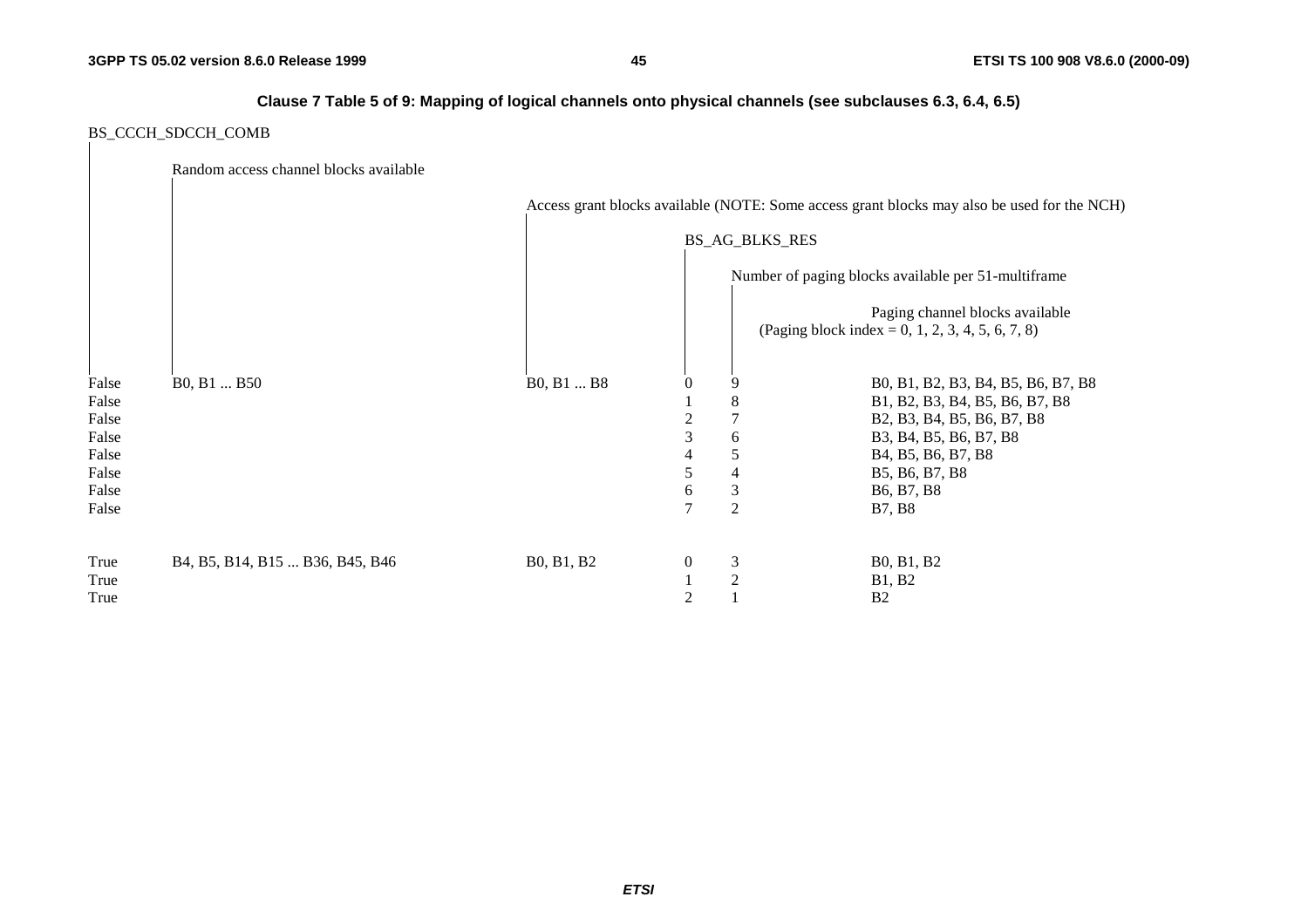### **Clause 7 Table 5 of 9: Mapping of logical channels onto physical channels (see subclauses 6.3, 6.4, 6.5)**

### BS\_CCCH\_SDCCH\_COMB

|       | Random access channel blocks available          |            |                |                       |                                                                                             |
|-------|-------------------------------------------------|------------|----------------|-----------------------|---------------------------------------------------------------------------------------------|
|       |                                                 |            |                |                       | Access grant blocks available (NOTE: Some access grant blocks may also be used for the NCH) |
|       |                                                 |            |                | <b>BS_AG_BLKS_RES</b> |                                                                                             |
|       |                                                 |            |                |                       | Number of paging blocks available per 51-multiframe                                         |
|       |                                                 |            |                |                       | Paging channel blocks available<br>(Paging block index = 0, 1, 2, 3, 4, 5, 6, 7, 8)         |
| False | B <sub>0</sub> , B <sub>1</sub> B <sub>50</sub> | B0, B1  B8 | 0              |                       | B0, B1, B2, B3, B4, B5, B6, B7, B8                                                          |
| False |                                                 |            |                | 8                     | B1, B2, B3, B4, B5, B6, B7, B8                                                              |
| False |                                                 |            | 2              |                       | B2, B3, B4, B5, B6, B7, B8                                                                  |
| False |                                                 |            | 3              | 6                     | B3, B4, B5, B6, B7, B8                                                                      |
| False |                                                 |            | 4              | 5                     | B <sub>4</sub> , B <sub>5</sub> , B <sub>6</sub> , B <sub>7</sub> , B <sub>8</sub>          |
| False |                                                 |            | 5              | 4                     | B5, B6, B7, B8                                                                              |
| False |                                                 |            | 6              | 3                     | B <sub>6</sub> , B <sub>7</sub> , B <sub>8</sub>                                            |
| False |                                                 |            | $\overline{7}$ | $\overline{2}$        | <b>B7, B8</b>                                                                               |
| True  | B4, B5, B14, B15  B36, B45, B46                 | B0, B1, B2 | $\overline{0}$ | $\mathfrak{Z}$        | B0, B1, B2                                                                                  |
| True  |                                                 |            |                | 2                     | <b>B1, B2</b>                                                                               |
| True  |                                                 |            | 2              |                       | B <sub>2</sub>                                                                              |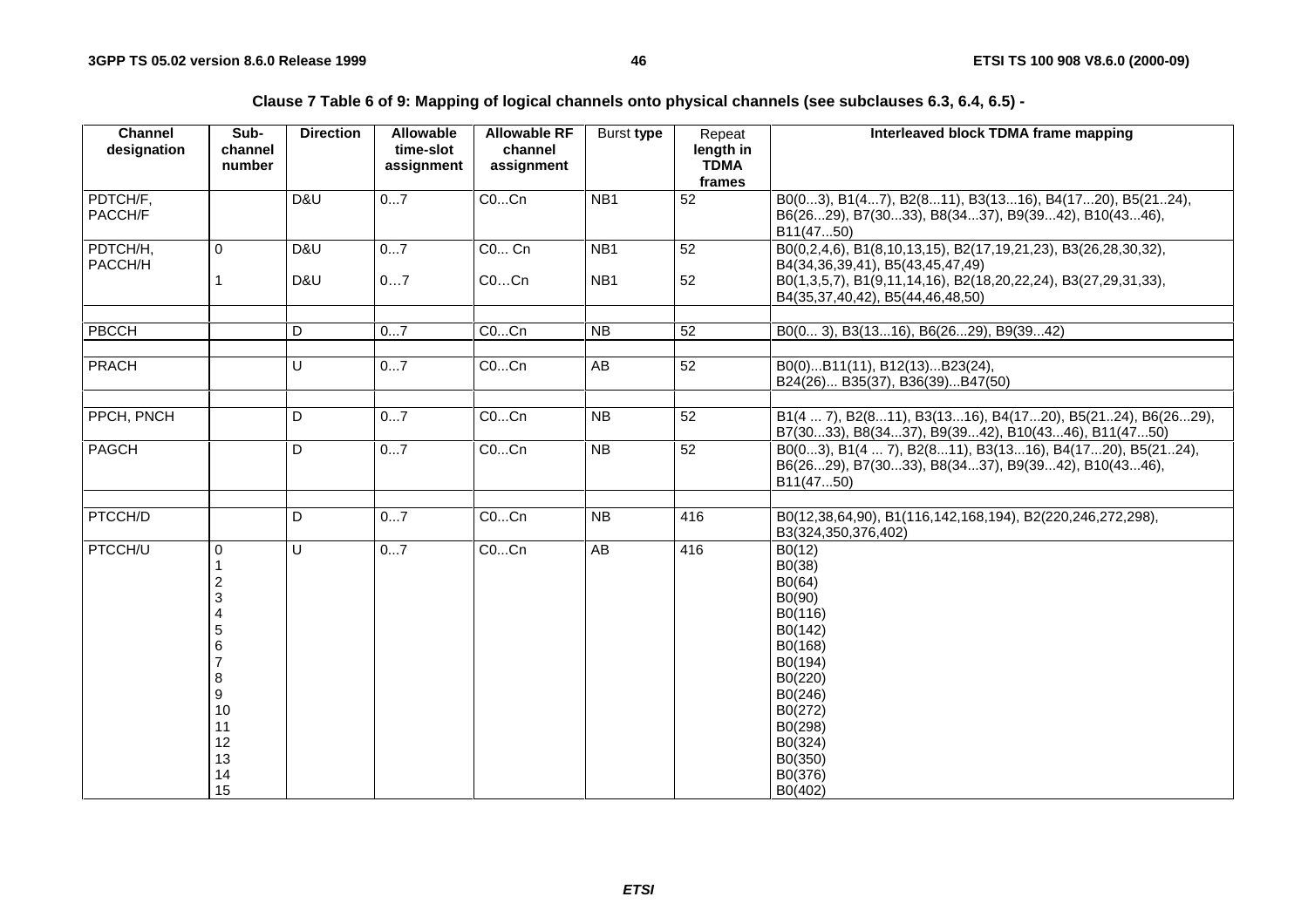**Clause 7 Table 6 of 9: Mapping of logical channels onto physical channels (see subclauses 6.3, 6.4, 6.5) -** 

| <b>Channel</b><br>designation | Sub-<br>channel<br>number                                                                                              | <b>Direction</b> | Allowable<br>time-slot<br>assignment | <b>Allowable RF</b><br>channel<br>assignment | Burst type                         | Repeat<br>length in<br><b>TDMA</b><br>frames | Interleaved block TDMA frame mapping                                                                                                                                                                     |
|-------------------------------|------------------------------------------------------------------------------------------------------------------------|------------------|--------------------------------------|----------------------------------------------|------------------------------------|----------------------------------------------|----------------------------------------------------------------------------------------------------------------------------------------------------------------------------------------------------------|
| PDTCH/F,<br>PACCH/F           |                                                                                                                        | D&U              | 07                                   | COCn                                         | NB <sub>1</sub>                    | $\overline{52}$                              | B0(03), B1(47), B2(811), B3(1316), B4(1720), B5(2124),<br>B6(2629), B7(3033), B8(3437), B9(3942), B10(4346),<br>B11(4750)                                                                                |
| PDTCH/H,<br>PACCH/H           | $\Omega$<br>1                                                                                                          | D&U<br>D&U       | 07<br>07                             | <b>CO Cn</b><br>COCn                         | NB <sub>1</sub><br>NB <sub>1</sub> | 52<br>52                                     | B0(0,2,4,6), B1(8,10,13,15), B2(17,19,21,23), B3(26,28,30,32),<br>B4(34,36,39,41), B5(43,45,47,49)<br>B0(1,3,5,7), B1(9,11,14,16), B2(18,20,22,24), B3(27,29,31,33),<br>B4(35,37,40,42), B5(44,46,48,50) |
| PBCCH                         |                                                                                                                        | D                | 07                                   | COCn                                         | <b>NB</b>                          | 52                                           | B0(0 3), B3(1316), B6(2629), B9(3942)                                                                                                                                                                    |
| <b>PRACH</b>                  |                                                                                                                        | U                | 07                                   | COCn                                         | AB                                 | 52                                           | B0(0)B11(11), B12(13)B23(24),<br>B24(26) B35(37), B36(39)B47(50)                                                                                                                                         |
| PPCH, PNCH                    |                                                                                                                        | D                | 07                                   | COCn                                         | <b>NB</b>                          | 52                                           | B1(4  7), B2(811), B3(1316), B4(1720), B5(2124), B6(2629),<br>B7(3033), B8(3437), B9(3942), B10(4346), B11(4750)                                                                                         |
| PAGCH                         |                                                                                                                        | D                | 07                                   | COCn                                         | <b>NB</b>                          | 52                                           | B0(03), B1(4  7), B2(811), B3(1316), B4(1720), B5(2124),<br>B6(2629), B7(3033), B8(3437), B9(3942), B10(4346),<br>B11(4750)                                                                              |
| PTCCH/D                       |                                                                                                                        | D                | 07                                   | COCn                                         | <b>NB</b>                          | 416                                          | B0(12,38,64,90), B1(116,142,168,194), B2(220,246,272,298),<br>B3(324,350,376,402)                                                                                                                        |
| PTCCH/U                       | $\mathbf 0$<br>1<br>$\overline{c}$<br>3<br>4<br>5<br>6<br>$\overline{7}$<br>8<br>9<br>10<br>11<br>12<br>13<br>14<br>15 | $\cup$           | 07                                   | COCn                                         | AB                                 | 416                                          | B0(12)<br>B0(38)<br>B0(64)<br>B0(90)<br>B0(116)<br>B0(142)<br>B0(168)<br>B0(194)<br>B0(220)<br>B0(246)<br>B0(272)<br>B0(298)<br>B0(324)<br>B0(350)<br>B0(376)<br>B0(402)                                 |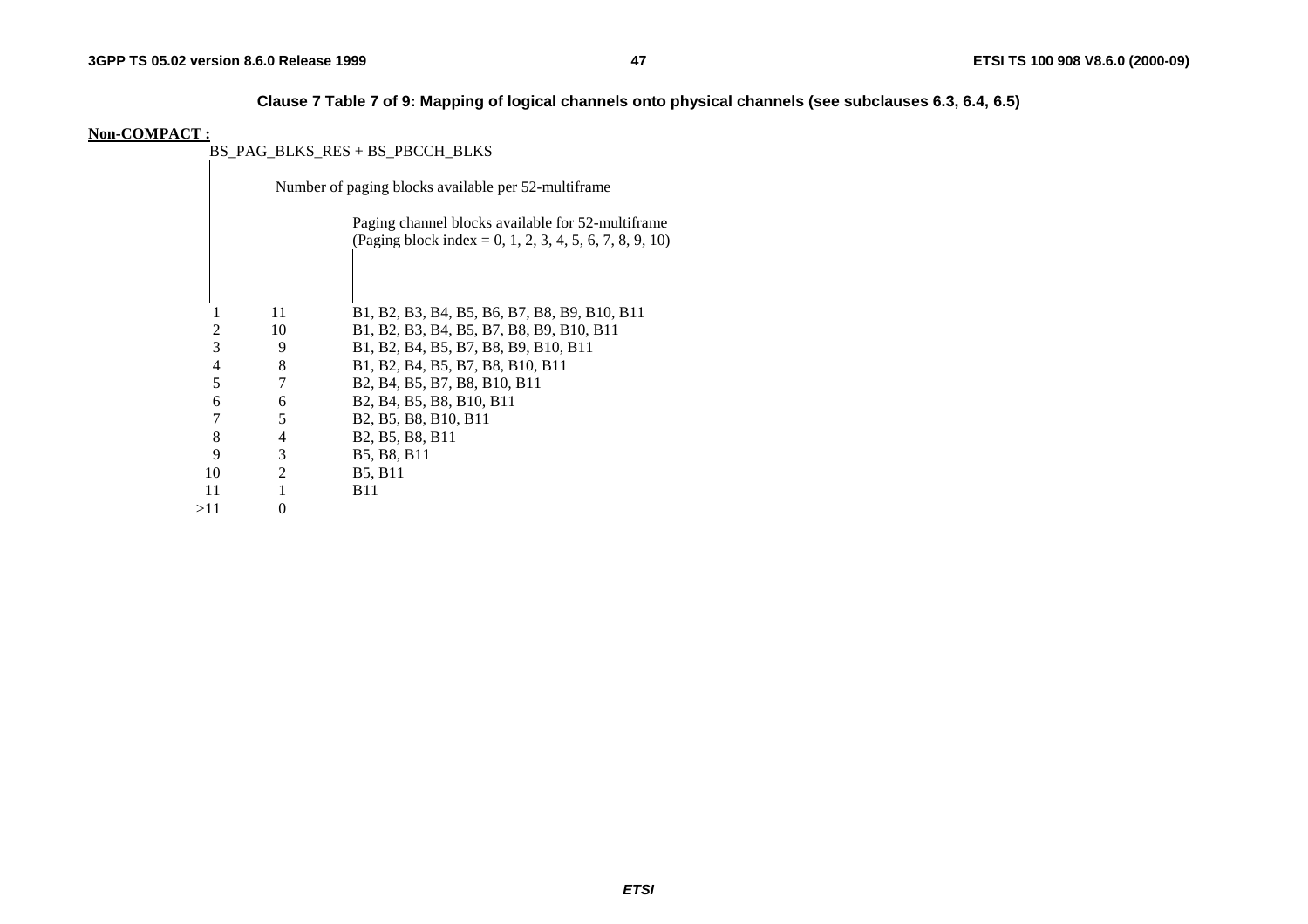**Clause 7 Table 7 of 9: Mapping of logical channels onto physical channels (see subclauses 6.3, 6.4, 6.5)** 

#### **Non-COMPACT :**

BS\_PAG\_BLKS\_RES + BS\_PBCCH\_BLKS

|     |   |                | Number of paging blocks available per 52-multiframe                                                                    |
|-----|---|----------------|------------------------------------------------------------------------------------------------------------------------|
|     |   |                | Paging channel blocks available for 52-multiframe<br>(Paging block index = 0, 1, 2, 3, 4, 5, 6, 7, 8, 9, 10)           |
|     |   |                |                                                                                                                        |
|     |   | 11             | B1, B2, B3, B4, B5, B6, B7, B8, B9, B10, B11                                                                           |
|     | 2 | 10             | B1, B2, B3, B4, B5, B7, B8, B9, B10, B11                                                                               |
|     | 3 | 9              | B1, B2, B4, B5, B7, B8, B9, B10, B11                                                                                   |
|     | 4 | 8              | B1, B2, B4, B5, B7, B8, B10, B11                                                                                       |
|     | 5 | 7              | B <sub>2</sub> , B <sub>4</sub> , B <sub>5</sub> , B <sub>7</sub> , B <sub>8</sub> , B <sub>10</sub> , B <sub>11</sub> |
|     | 6 | 6              | B <sub>2</sub> , B <sub>4</sub> , B <sub>5</sub> , B <sub>8</sub> , B <sub>10</sub> , B <sub>11</sub>                  |
|     | 7 | 5              | B <sub>2</sub> , B <sub>5</sub> , B <sub>8</sub> , B <sub>10</sub> , B <sub>11</sub>                                   |
|     | 8 | 4              | B <sub>2</sub> , B <sub>5</sub> , B <sub>8</sub> , B <sub>11</sub>                                                     |
|     | 9 | 3              | B5, B8, B11                                                                                                            |
| 10  |   | $\overline{2}$ | <b>B5, B11</b>                                                                                                         |
| 11  |   |                | <b>B</b> 11                                                                                                            |
| >11 |   | 0              |                                                                                                                        |
|     |   |                |                                                                                                                        |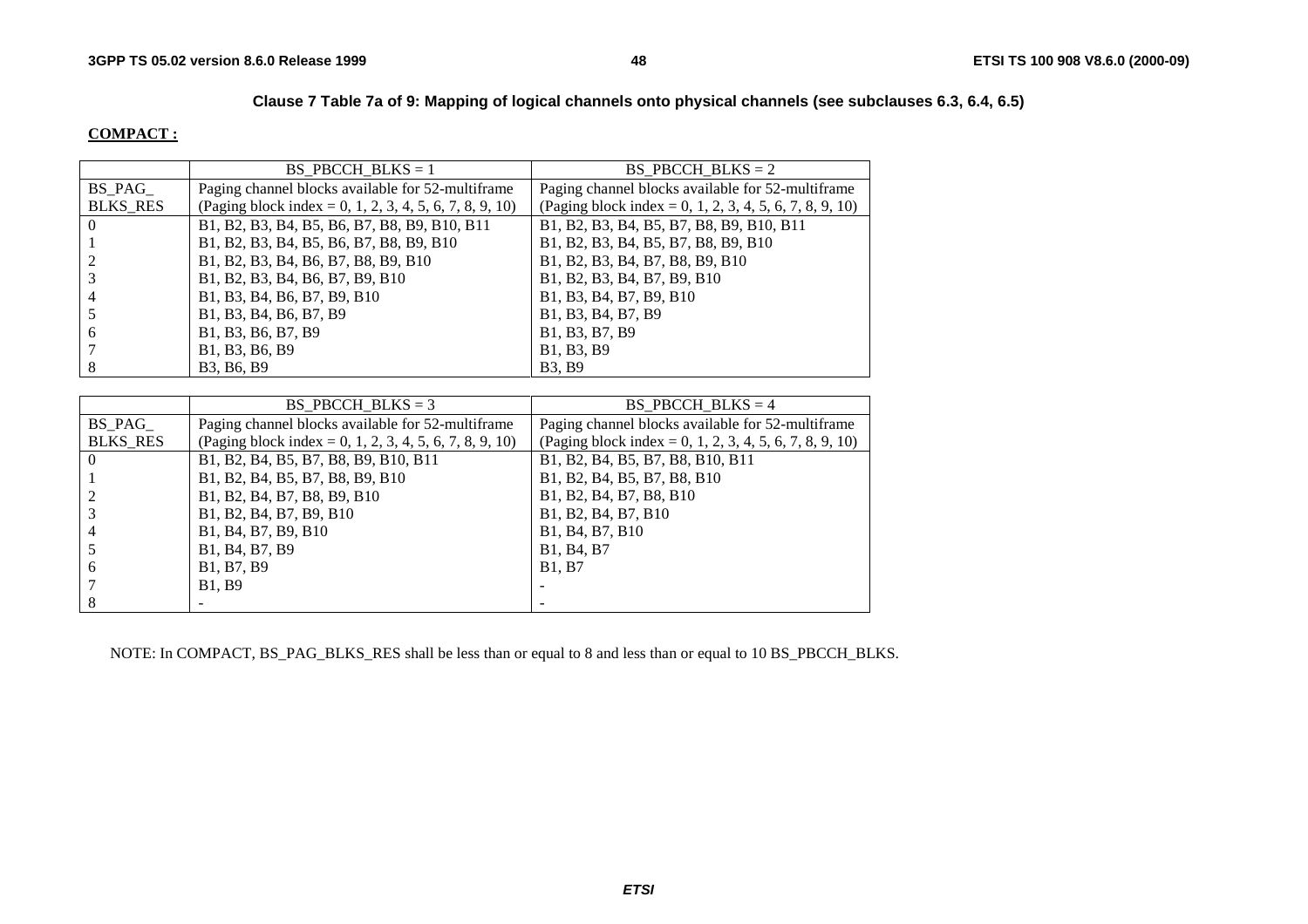### **Clause 7 Table 7a of 9: Mapping of logical channels onto physical channels (see subclauses 6.3, 6.4, 6.5)**

#### **COMPACT :**

|                 | BS PBCCH BLKS $= 1$                                     | BS PBCCH BLKS = $2$                                     |
|-----------------|---------------------------------------------------------|---------------------------------------------------------|
| BS PAG          | Paging channel blocks available for 52-multiframe       | Paging channel blocks available for 52-multiframe       |
| <b>BLKS RES</b> | (Paging block index = 0, 1, 2, 3, 4, 5, 6, 7, 8, 9, 10) | (Paging block index = 0, 1, 2, 3, 4, 5, 6, 7, 8, 9, 10) |
| $\theta$        | B1, B2, B3, B4, B5, B6, B7, B8, B9, B10, B11            | B1, B2, B3, B4, B5, B7, B8, B9, B10, B11                |
|                 | B1, B2, B3, B4, B5, B6, B7, B8, B9, B10                 | B1, B2, B3, B4, B5, B7, B8, B9, B10                     |
|                 | B1, B2, B3, B4, B6, B7, B8, B9, B10                     | B1, B2, B3, B4, B7, B8, B9, B10                         |
|                 | B1, B2, B3, B4, B6, B7, B9, B10                         | B1, B2, B3, B4, B7, B9, B10                             |
| 4               | B1, B3, B4, B6, B7, B9, B10                             | B1, B3, B4, B7, B9, B10                                 |
|                 | B1, B3, B4, B6, B7, B9                                  | B1, B3, B4, B7, B9                                      |
| 6               | B1, B3, B6, B7, B9                                      | B1, B3, B7, B9                                          |
|                 | B1, B3, B6, B9                                          | B1, B3, B9                                              |
| 8               | B3, B6, B9                                              | <b>B3, B9</b>                                           |

|                 | BS PBCCH BLKS = $3$                                     | BS PBCCH BLKS = $4$                                                |
|-----------------|---------------------------------------------------------|--------------------------------------------------------------------|
| BS PAG          | Paging channel blocks available for 52-multiframe       | Paging channel blocks available for 52-multiframe                  |
| <b>BLKS RES</b> | (Paging block index = 0, 1, 2, 3, 4, 5, 6, 7, 8, 9, 10) | (Paging block index = 0, 1, 2, 3, 4, 5, 6, 7, 8, 9, 10)            |
| $\Omega$        | B1, B2, B4, B5, B7, B8, B9, B10, B11                    | B1, B2, B4, B5, B7, B8, B10, B11                                   |
|                 | B1, B2, B4, B5, B7, B8, B9, B10                         | B1, B2, B4, B5, B7, B8, B10                                        |
|                 | B1, B2, B4, B7, B8, B9, B10                             | B1, B2, B4, B7, B8, B10                                            |
|                 | B1, B2, B4, B7, B9, B10                                 | B1, B2, B4, B7, B10                                                |
|                 | B1, B4, B7, B9, B10                                     | B <sub>1</sub> , B <sub>4</sub> , B <sub>7</sub> , B <sub>10</sub> |
|                 | B1, B4, B7, B9                                          | B1, B4, B7                                                         |
| 6               | B1, B7, B9                                              | <b>B1, B7</b>                                                      |
|                 | <b>B1.</b> B9                                           |                                                                    |
| 8               |                                                         |                                                                    |

NOTE: In COMPACT, BS\_PAG\_BLKS\_RES shall be less than or equal to 8 and less than or equal to 10 BS\_PBCCH\_BLKS.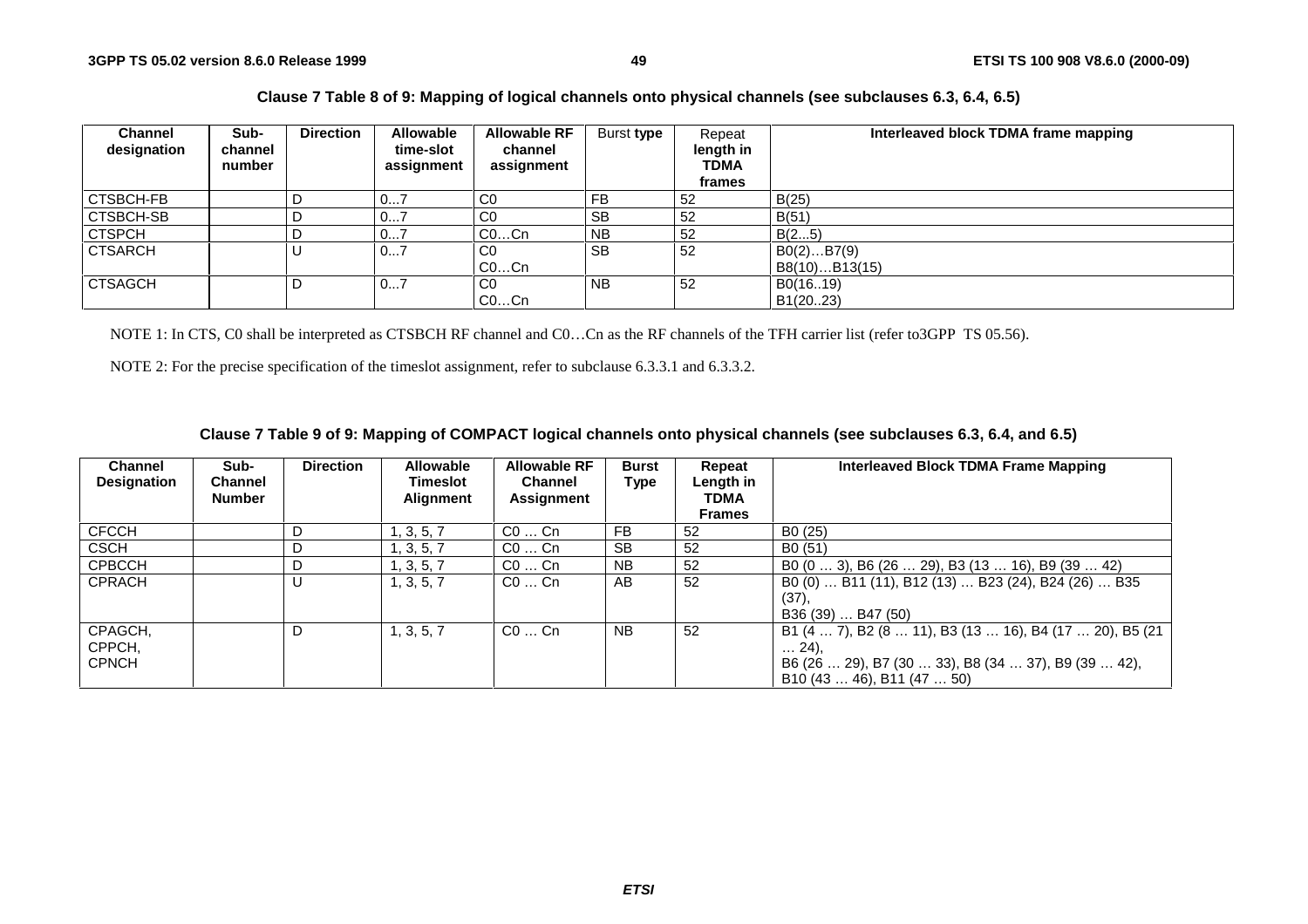### **Clause 7 Table 8 of 9: Mapping of logical channels onto physical channels (see subclauses 6.3, 6.4, 6.5)**

| <b>Channel</b><br>designation | Sub-<br>channel<br>number | <b>Direction</b> | <b>Allowable</b><br>time-slot<br>assignment | <b>Allowable RF</b><br>channel<br>assignment | Burst type | Repeat<br>length in<br><b>TDMA</b><br>frames | Interleaved block TDMA frame mapping |
|-------------------------------|---------------------------|------------------|---------------------------------------------|----------------------------------------------|------------|----------------------------------------------|--------------------------------------|
| <b>CTSBCH-FB</b>              |                           |                  | 07                                          | C <sub>0</sub>                               | FB         | 52                                           | B(25)                                |
|                               |                           |                  |                                             |                                              |            |                                              |                                      |
| <b>CTSBCH-SB</b>              |                           |                  | 07                                          | C <sub>0</sub>                               | <b>SB</b>  | 52                                           | B(51)                                |
| <b>CTSPCH</b>                 |                           |                  | 07                                          | $CO$ Cn                                      | <b>NB</b>  | 52                                           | B(25)                                |
| <b>CTSARCH</b>                |                           |                  | 07                                          | C <sub>0</sub>                               | <b>SB</b>  | 52                                           | B0(2)B7(9)                           |
|                               |                           |                  |                                             | $CO$ Cn                                      |            |                                              | B8(10)B13(15)                        |
| <b>CTSAGCH</b>                |                           |                  | 07                                          | C <sub>0</sub>                               | <b>NB</b>  | 52                                           | B0(1619)                             |
|                               |                           |                  |                                             | COCn                                         |            |                                              | B1(20.23)                            |

NOTE 1: In CTS, C0 shall be interpreted as CTSBCH RF channel and C0…Cn as the RF channels of the TFH carrier list (refer to3GPP TS 05.56).

NOTE 2: For the precise specification of the timeslot assignment, refer to subclause 6.3.3.1 and 6.3.3.2.

### **Clause 7 Table 9 of 9: Mapping of COMPACT logical channels onto physical channels (see subclauses 6.3, 6.4, and 6.5)**

| <b>Channel</b><br><b>Designation</b> | Sub-<br><b>Channel</b><br><b>Number</b> | <b>Direction</b> | <b>Allowable</b><br>Timeslot<br><b>Alignment</b> | <b>Allowable RF</b><br><b>Channel</b><br>Assignment | <b>Burst</b><br>Type | Repeat<br>Length in<br><b>TDMA</b><br><b>Frames</b> | Interleaved Block TDMA Frame Mapping                                                                                                                   |
|--------------------------------------|-----------------------------------------|------------------|--------------------------------------------------|-----------------------------------------------------|----------------------|-----------------------------------------------------|--------------------------------------------------------------------------------------------------------------------------------------------------------|
| <b>CFCCH</b>                         |                                         | D                | 1, 3, 5, 7                                       | $CO \dots$ Cn                                       | FB                   | 52                                                  | B <sub>0</sub> (25)                                                                                                                                    |
| <b>CSCH</b>                          |                                         | D                | 1, 3, 5, 7                                       | $CO \dots$ Cn                                       | <b>SB</b>            | 52                                                  | B <sub>0</sub> (51)                                                                                                                                    |
| <b>CPBCCH</b>                        |                                         | D                | 1, 3, 5, 7                                       | $CO \dots$ Cn                                       | NB.                  | 52                                                  | B0 (0  3), B6 (26  29), B3 (13  16), B9 (39  42)                                                                                                       |
| <b>CPRACH</b>                        |                                         | U                | 1, 3, 5, 7                                       | $CO \dots$ Cn                                       | AB                   | 52                                                  | B0 (0)  B11 (11), B12 (13)  B23 (24), B24 (26)  B35<br>(37),<br>B36 (39)  B47 (50)                                                                     |
| CPAGCH,<br>CPPCH,<br><b>CPNCH</b>    |                                         | D                | 1, 3, 5, 7                                       | $CO \dots$ Cn                                       | NB.                  | 52                                                  | B1 (4  7), B2 (8  11), B3 (13  16), B4 (17  20), B5 (21<br>$\dots$ 24).<br>B6 (26  29), B7 (30  33), B8 (34  37), B9 (39  42),<br>B10(4346), B11(4750) |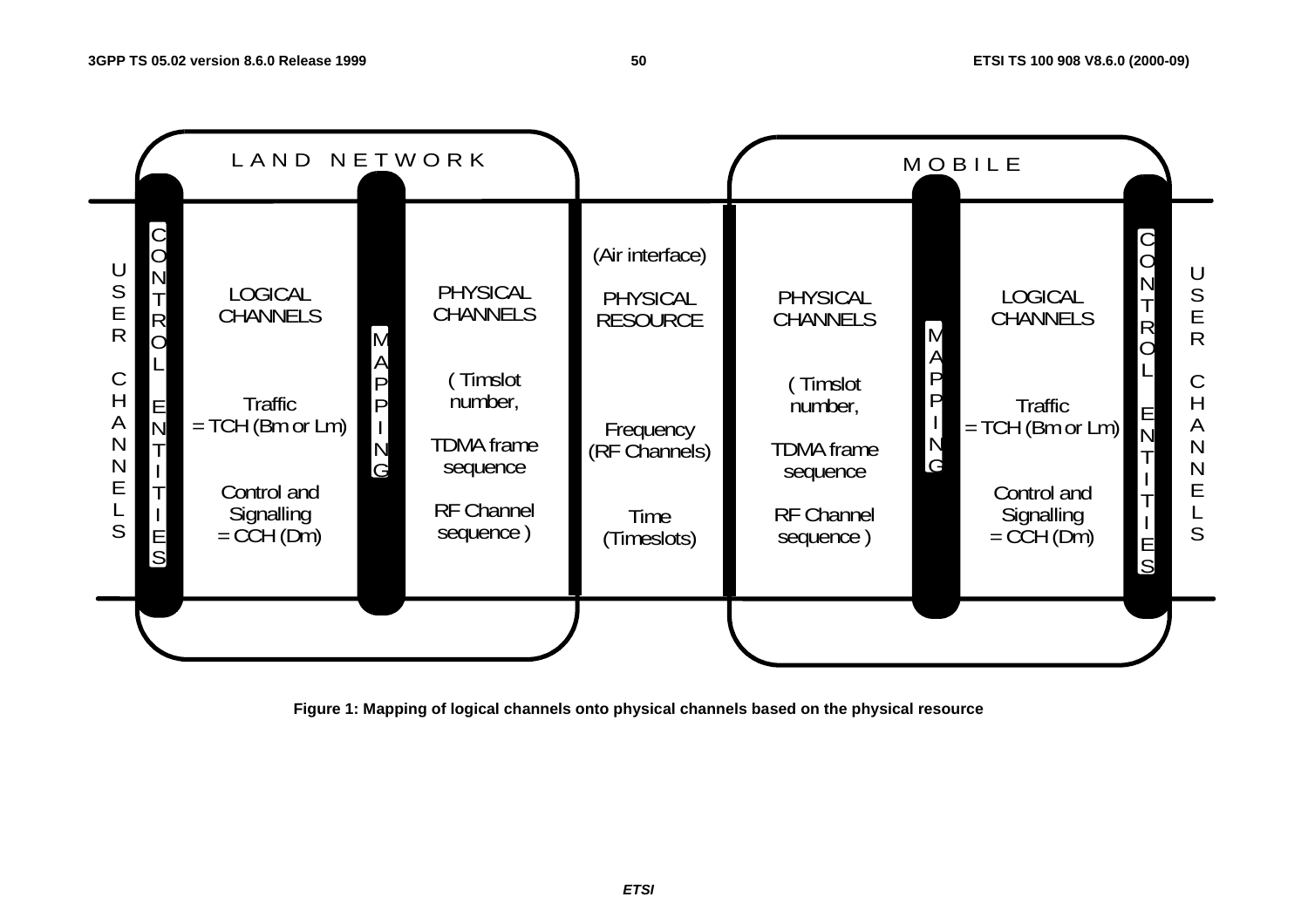

**Figure 1: Mapping of logical channels onto physical channels based on the physical resource**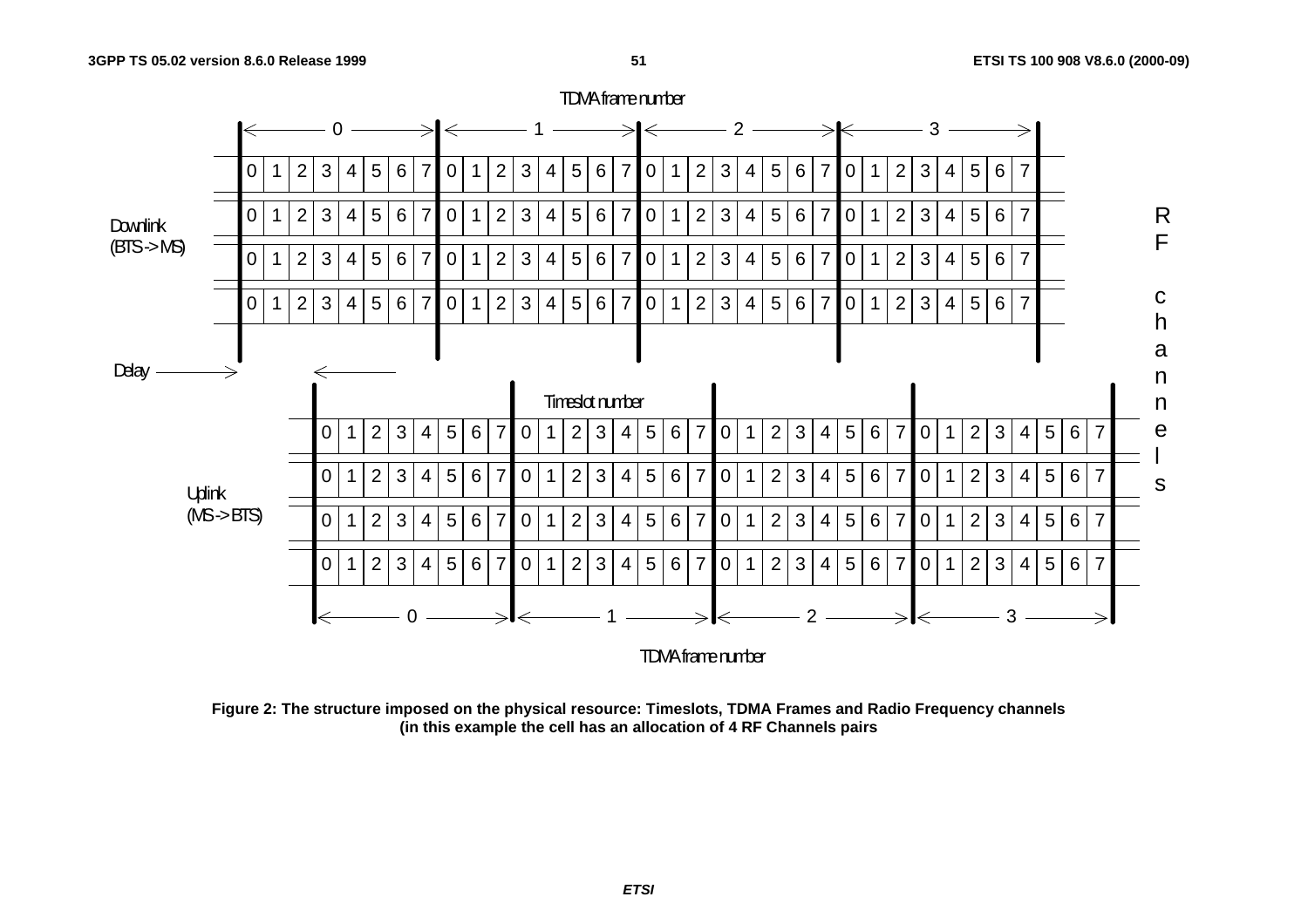

**Figure 2: The structure imposed on the physical resource: Timeslots, TDMA Frames and Radio Frequency channels (in this example the cell has an allocation of 4 RF Channels pairs**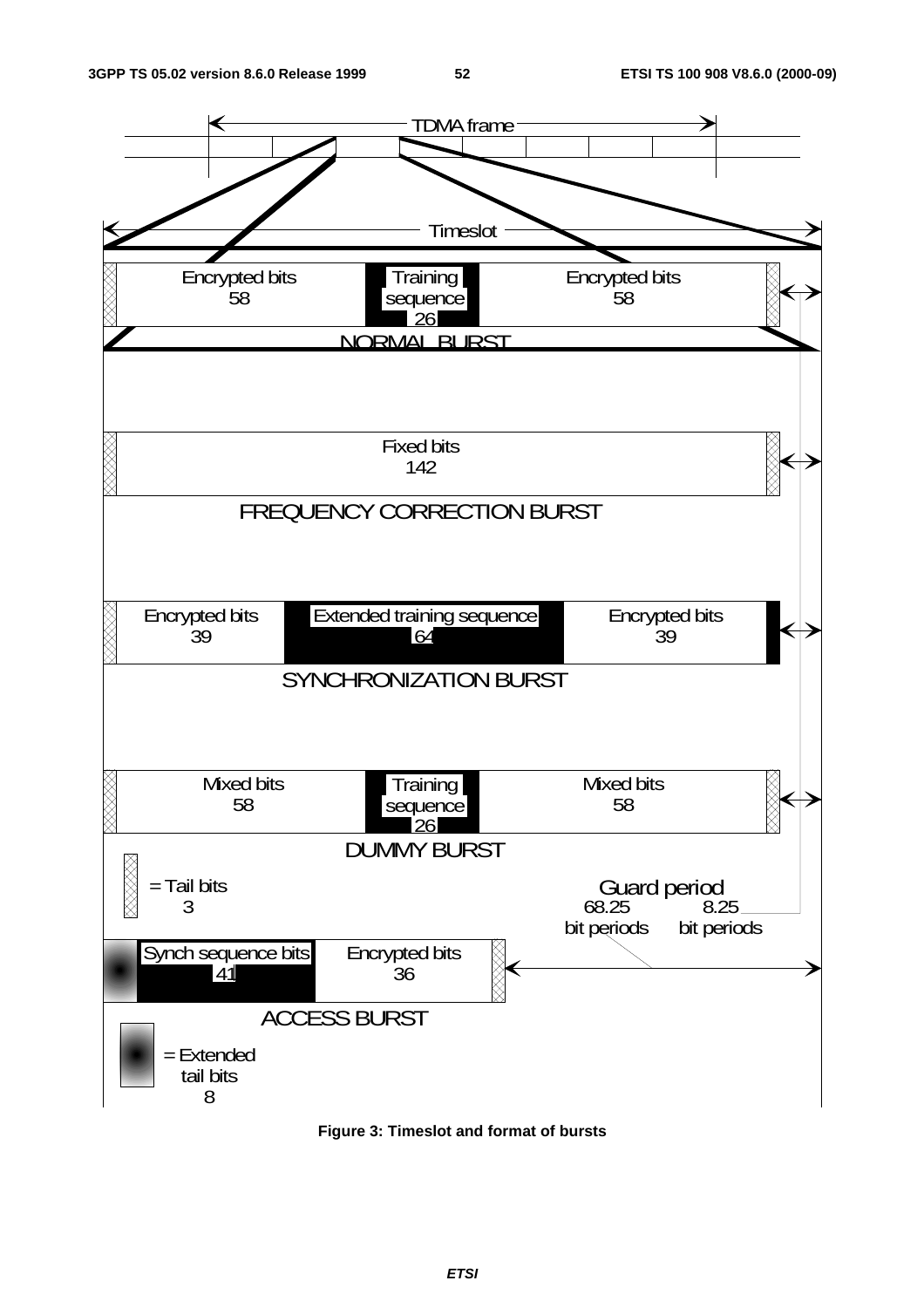

**Figure 3: Timeslot and format of bursts**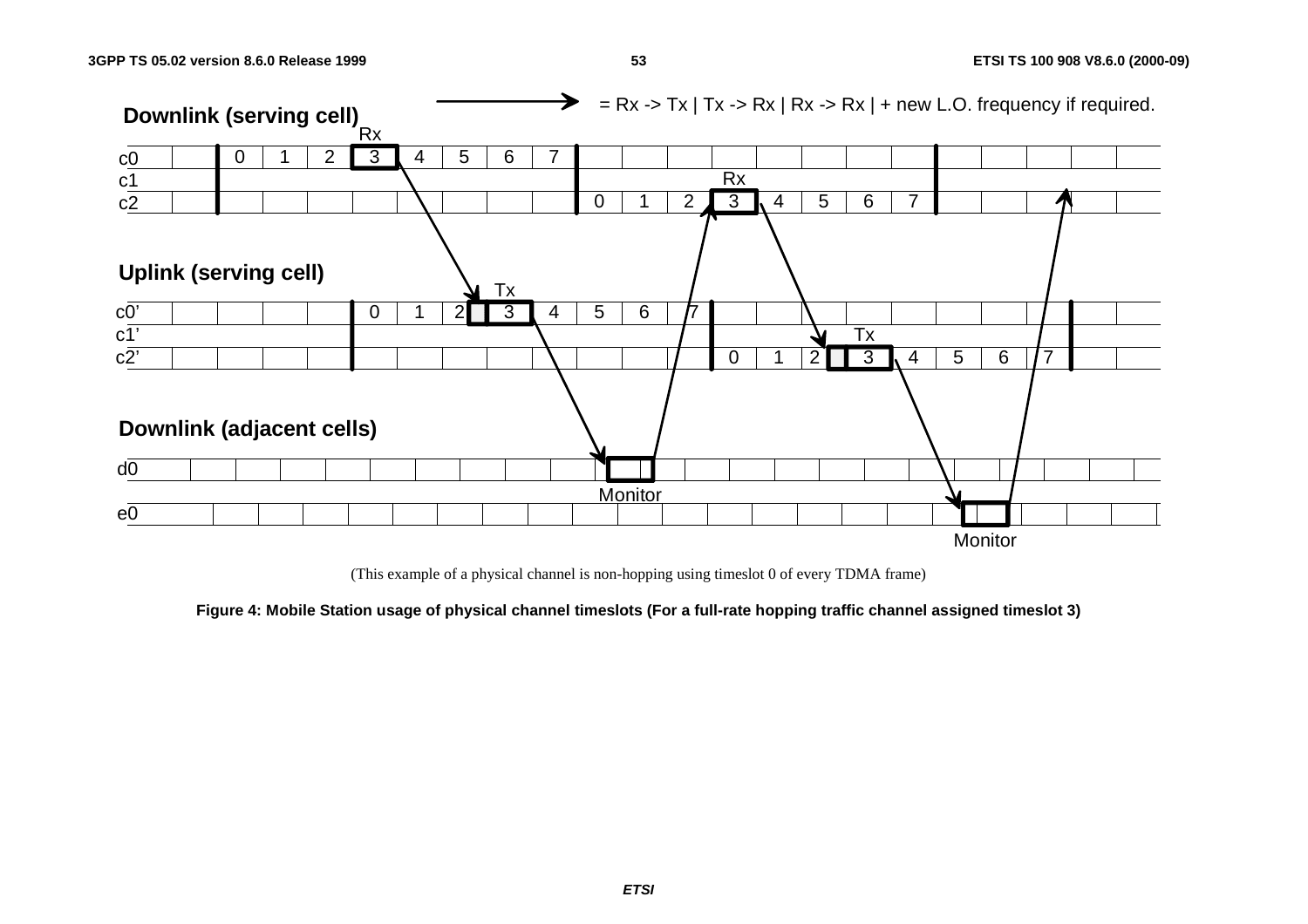

(This example of a physical channel is non-hopping using timeslot 0 of every TDMA frame)

**Figure 4: Mobile Station usage of physical channel timeslots (For a full-rate hopping traffic channel assigned timeslot 3)**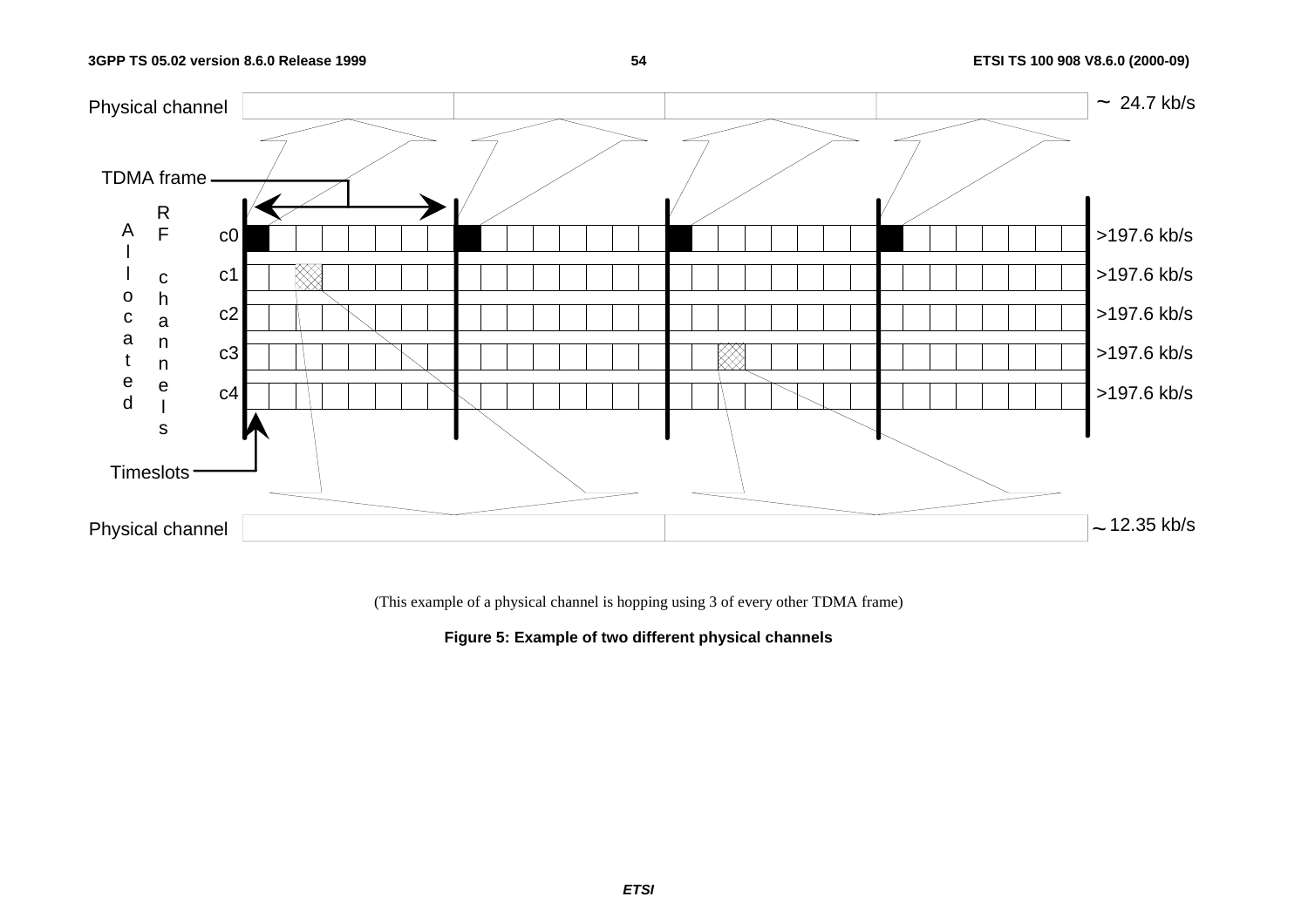### **54 ETSI TS 100 908 V8.6.0 (2000-09)**



(This example of a physical channel is hopping using 3 of every other TDMA frame)

**Figure 5: Example of two different physical channels**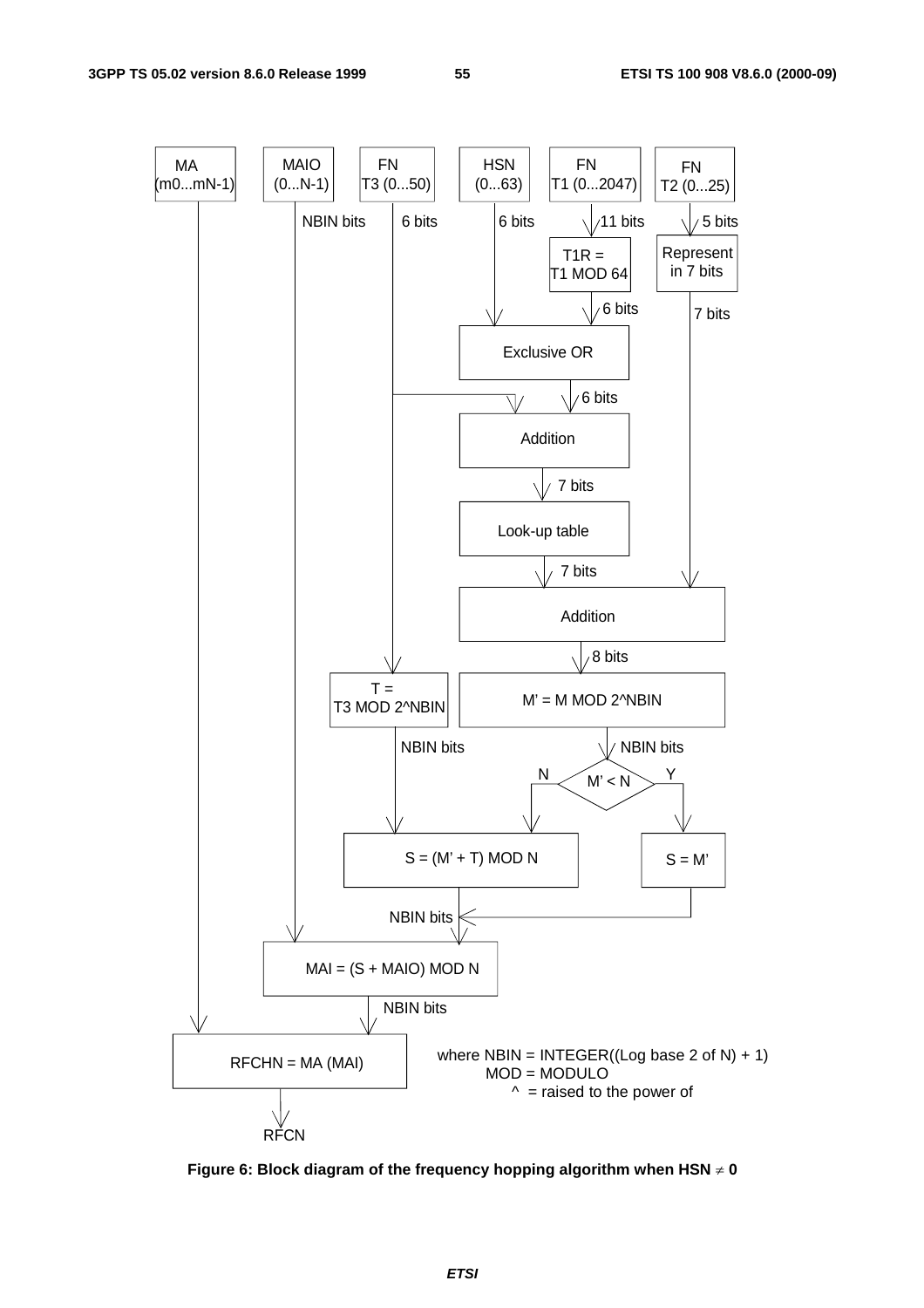

**Figure 6: Block diagram of the frequency hopping algorithm when HSN 0**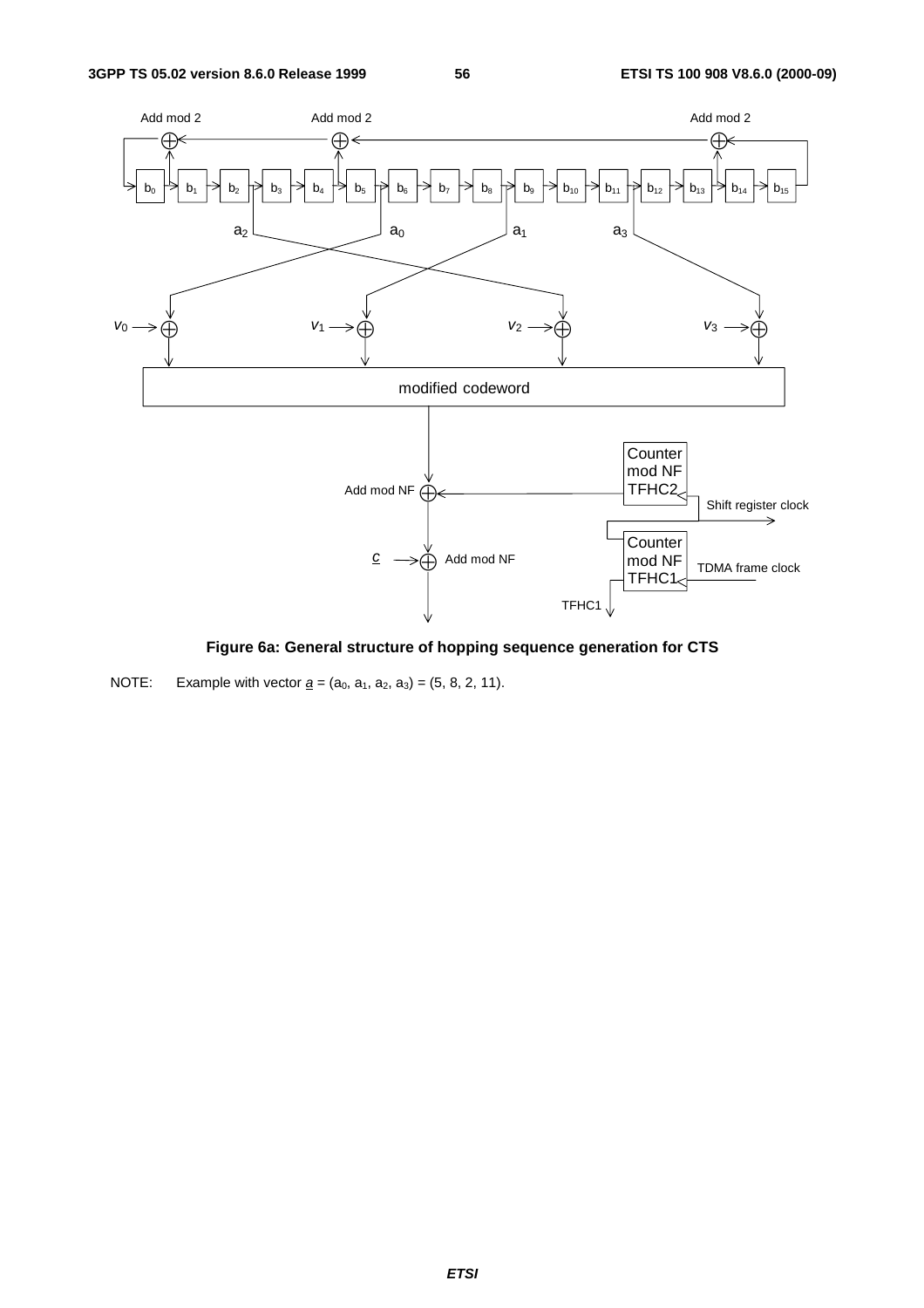

**Figure 6a: General structure of hopping sequence generation for CTS** 

NOTE: Example with vector  $\underline{a} = (a_0, a_1, a_2, a_3) = (5, 8, 2, 11)$ .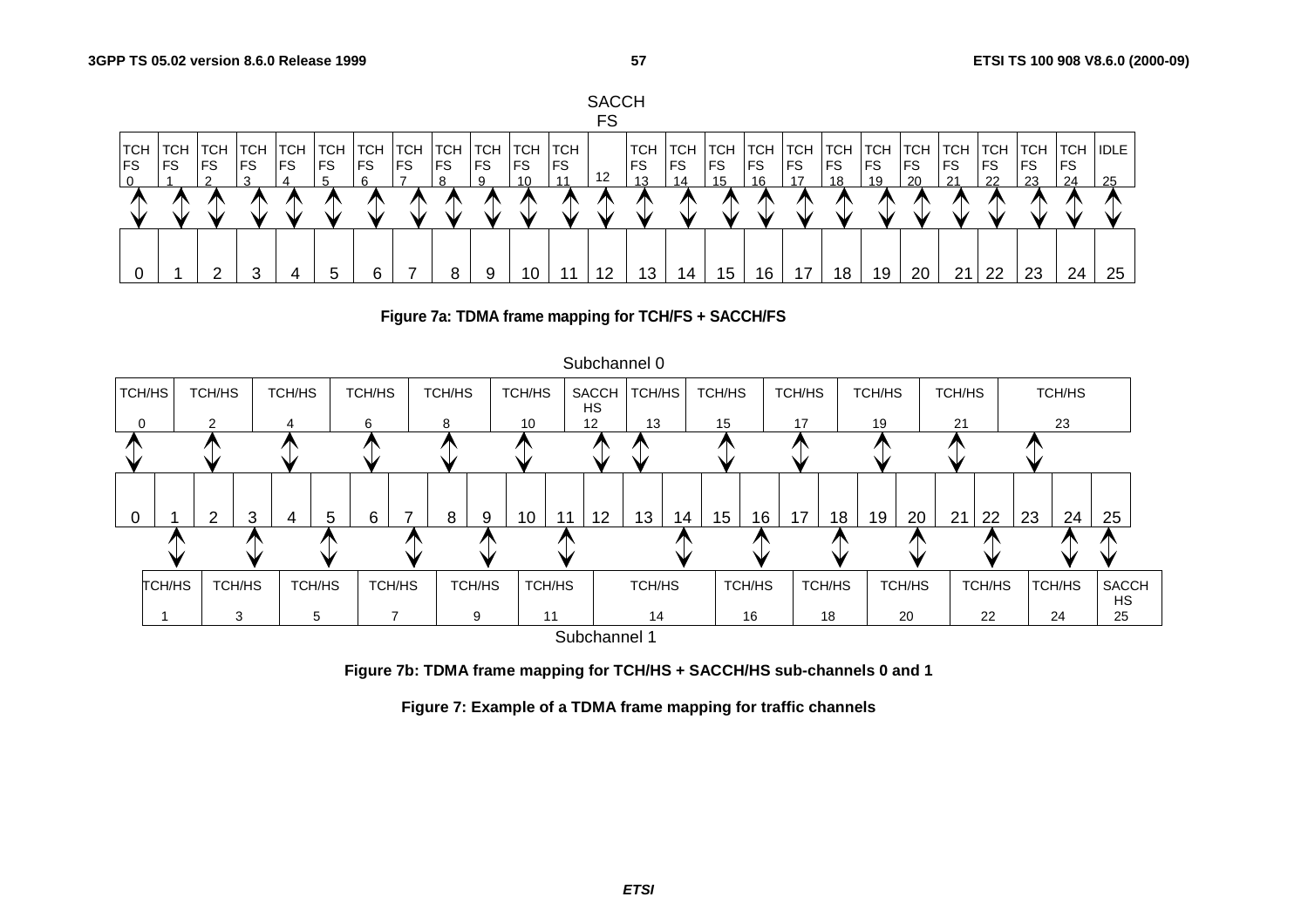







**Figure 7b: TDMA frame mapping for TCH/HS + SACCH/HS sub-channels 0 and 1** 

**Figure 7: Example of a TDMA frame mapping for traffic channels**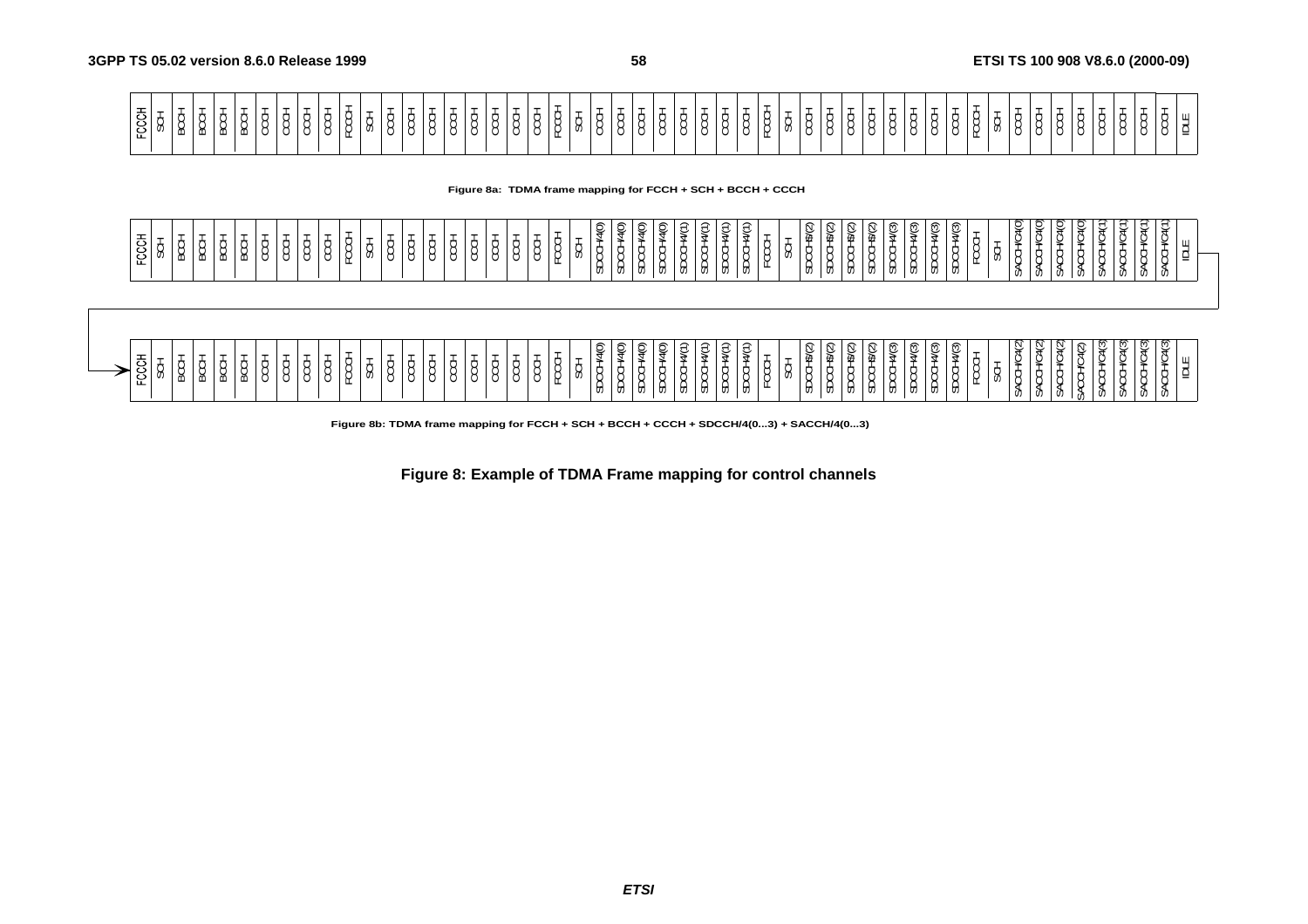| ⊥ ພ∣ັ |  |
|-------|--|
|       |  |
|       |  |
|       |  |
|       |  |
|       |  |
| .     |  |
|       |  |
|       |  |
|       |  |
|       |  |
|       |  |

**Figure 8a: TDMA frame mapping for FCCH + SCH + BCCH + CCCH**

| $\overline{\phantom{a}}$<br>$\supset$<br>՞<br>≘<br>≏<br>≂<br>$\supset$<br>$\sim$<br>$\sim$<br>$\Rightarrow$<br>$\sim$<br>$\supset$<br>$\rightarrow$<br>՞<br>ପ୍ର<br>$\hat{\phantom{a}}$<br>$\sim$<br>∼<br>৺<br>¥<br>৺<br>ນ<br>ے<br>$\tilde{\phantom{a}}$<br>$\overline{\phantom{0}}$<br>w<br>ັ<br>ັ<br>╰<br>ັ<br>.,<br>$\ddotsc$<br>$\check{ }$<br>$\tilde{}$<br>~<br>s<br>s<br>₩<br>$\check{ }$<br>$\check{ }$<br>$\check{ }$<br>$\check{ }$<br>$\check{ }$<br>$\checkmark$<br>$\check{ }$<br>$\check{ }$<br>$\lambda$<br>$\overline{\phantom{a}}$<br>⊕<br>$\cdot$<br>⇔<br>$\sim$<br><b>__</b><br>≖<br>$\mathbf{v}$<br>ັ<br>$\frac{1}{2}$<br>. .<br>. .<br>ັ<br>$\sim$<br>$\overline{\phantom{a}}$<br>∼<br>. .<br>$\overline{\phantom{0}}$<br>.<br>. .<br>$\sim$<br>∼<br>∽<br>. .<br>$\sim$<br>ັ<br>$\overline{\phantom{0}}$<br>$\overline{ }$<br>$\overline{\phantom{0}}$<br>の<br>ັ<br>. .<br>. .<br>$\sim$<br>. .<br>$\overline{\phantom{0}}$<br>$\sim$<br>$\sim$<br>ີ<br>$\sim$<br>$\overline{\phantom{0}}$<br>⊍ ا ت<br>$\overline{\phantom{a}}$<br>$\overline{ }$<br>$\sim$<br>ັ<br><br>v<br>മ<br>$\sim$<br>ື<br>$\sim$<br>. .<br>◡<br>ັບ<br>◡<br>. .<br>∼<br>ີ<br>. .<br>ີ<br>. .<br>ັ<br>ັ<br>ັ<br>ັ<br>ັ<br>ັ<br>ັ<br>ັ<br>-<br>ັ<br>ັ<br>ັ<br>$\check{ }$<br>-<br>ட<br>◡<br>$\overline{\phantom{0}}$<br>$\overline{ }$<br>$\sim$<br>$\sim$<br>. .<br>₩<br>--<br>க<br>ზ<br>U)<br>U)<br>U)<br>U)<br>U)<br>$\cdot$<br><b>UJ</b><br>v<br>ັບ<br><b>v</b><br><b>v</b><br>ັບ<br><b>v</b> ,<br>U.<br>v,<br>$\mathsf{v}$<br>.U<br><b>U</b><br>v.<br><b>UJ</b><br>v,<br>u<br>ັບ |  |
|-------------------------------------------------------------------------------------------------------------------------------------------------------------------------------------------------------------------------------------------------------------------------------------------------------------------------------------------------------------------------------------------------------------------------------------------------------------------------------------------------------------------------------------------------------------------------------------------------------------------------------------------------------------------------------------------------------------------------------------------------------------------------------------------------------------------------------------------------------------------------------------------------------------------------------------------------------------------------------------------------------------------------------------------------------------------------------------------------------------------------------------------------------------------------------------------------------------------------------------------------------------------------------------------------------------------------------------------------------------------------------------------------------------------------------------------------------------------------------------------------------------------------------------------------------------------------------|--|
|-------------------------------------------------------------------------------------------------------------------------------------------------------------------------------------------------------------------------------------------------------------------------------------------------------------------------------------------------------------------------------------------------------------------------------------------------------------------------------------------------------------------------------------------------------------------------------------------------------------------------------------------------------------------------------------------------------------------------------------------------------------------------------------------------------------------------------------------------------------------------------------------------------------------------------------------------------------------------------------------------------------------------------------------------------------------------------------------------------------------------------------------------------------------------------------------------------------------------------------------------------------------------------------------------------------------------------------------------------------------------------------------------------------------------------------------------------------------------------------------------------------------------------------------------------------------------------|--|



**Figure 8b: TDMA frame mapping for FCCH + SCH + BCCH + CCCH + SDCCH/4(0...3) + SACCH/4(0...3)**

**Figure 8: Example of TDMA Frame mapping for control channels** 

**ETSI**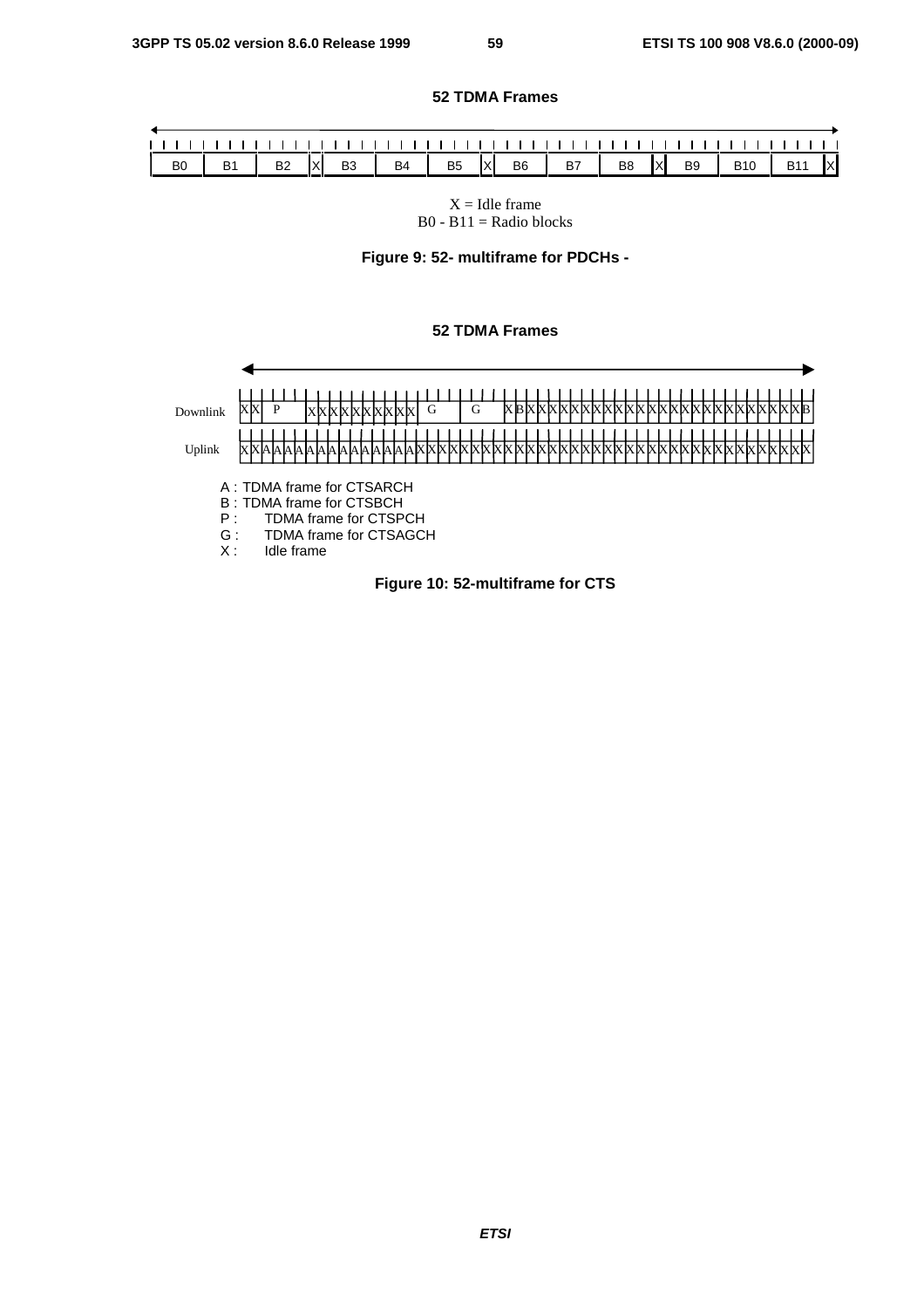### **52 TDMA Frames**

| B <sub>0</sub> | <b>B2</b> X B3 B4 B5 X B6 B7 B8 X B9 B10 B11 X |  |  |  |  |  |  |  |
|----------------|------------------------------------------------|--|--|--|--|--|--|--|

 $X =$  Idle frame  $B0 - B11 =$  Radio blocks

**Figure 9: 52- multiframe for PDCHs -** 

### **52 TDMA Frames**



**ETSI**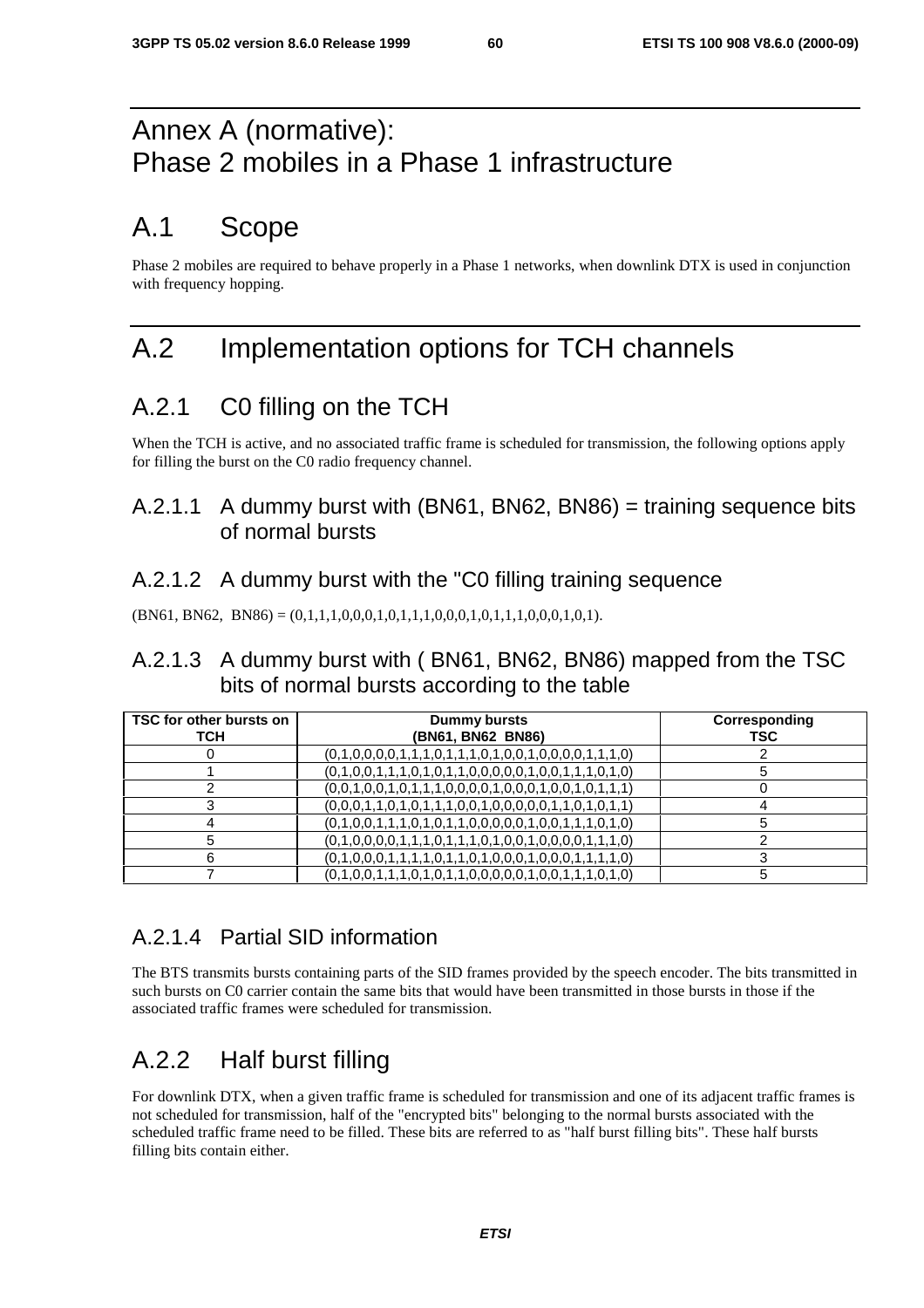# Annex A (normative): Phase 2 mobiles in a Phase 1 infrastructure

# A.1 Scope

Phase 2 mobiles are required to behave properly in a Phase 1 networks, when downlink DTX is used in conjunction with frequency hopping.

# A.2 Implementation options for TCH channels

## A.2.1 C0 filling on the TCH

When the TCH is active, and no associated traffic frame is scheduled for transmission, the following options apply for filling the burst on the C0 radio frequency channel.

## A.2.1.1 A dummy burst with (BN61, BN62, BN86) = training sequence bits of normal bursts

## A.2.1.2 A dummy burst with the "C0 filling training sequence

 $(BN61, BN62, BN86) = (0,1,1,1,0,0,0,1,0,1,1,1,0,0,0,1,0,1,1,1,0,0,0,1,0,1).$ 

## A.2.1.3 A dummy burst with ( BN61, BN62, BN86) mapped from the TSC bits of normal bursts according to the table

| TSC for other bursts on<br>тсн | Dummy bursts<br>(BN61, BN62 BN86)                       | Corresponding<br>TSC |
|--------------------------------|---------------------------------------------------------|----------------------|
|                                | $(0,1,0,0,0,0,1,1,1,0,1,1,1,0,1,0,0,1,0,0,0,0,1,1,1,0)$ |                      |
|                                | $(0,1,0,0,1,1,1,0,1,0,1,1,0,0,0,0,0,1,0,0,1,1,1,0,1,0)$ |                      |
|                                | $(0,0,1,0,0,1,0,1,1,1,0,0,0,0,1,0,0,1,0,0,1,0,1,1,1)$   |                      |
|                                | $(0,0,0,1,1,0,1,0,1,1,1,0,0,1,0,0,0,0,1,1,0,1,0,1,1)$   |                      |
|                                | $(0,1,0,0,1,1,1,0,1,0,1,1,0,0,0,0,0,1,0,0,1,1,1,0,1,0)$ |                      |
|                                | $(0,1,0,0,0,0,1,1,1,0,1,1,1,0,1,0,0,1,0,0,0,0,1,1,1,0)$ |                      |
| 6                              | $(0,1,0,0,0,1,1,1,1,0,1,1,0,1,0,0,0,1,0,0,0,1,1,1,1,0)$ |                      |
|                                | $(0,1,0,0,1,1,1,0,1,0,1,1,0,0,0,0,0,1,0,0,1,1,1,0,1,0)$ |                      |

## A.2.1.4 Partial SID information

The BTS transmits bursts containing parts of the SID frames provided by the speech encoder. The bits transmitted in such bursts on C0 carrier contain the same bits that would have been transmitted in those bursts in those if the associated traffic frames were scheduled for transmission.

# A.2.2 Half burst filling

For downlink DTX, when a given traffic frame is scheduled for transmission and one of its adjacent traffic frames is not scheduled for transmission, half of the "encrypted bits" belonging to the normal bursts associated with the scheduled traffic frame need to be filled. These bits are referred to as "half burst filling bits". These half bursts filling bits contain either.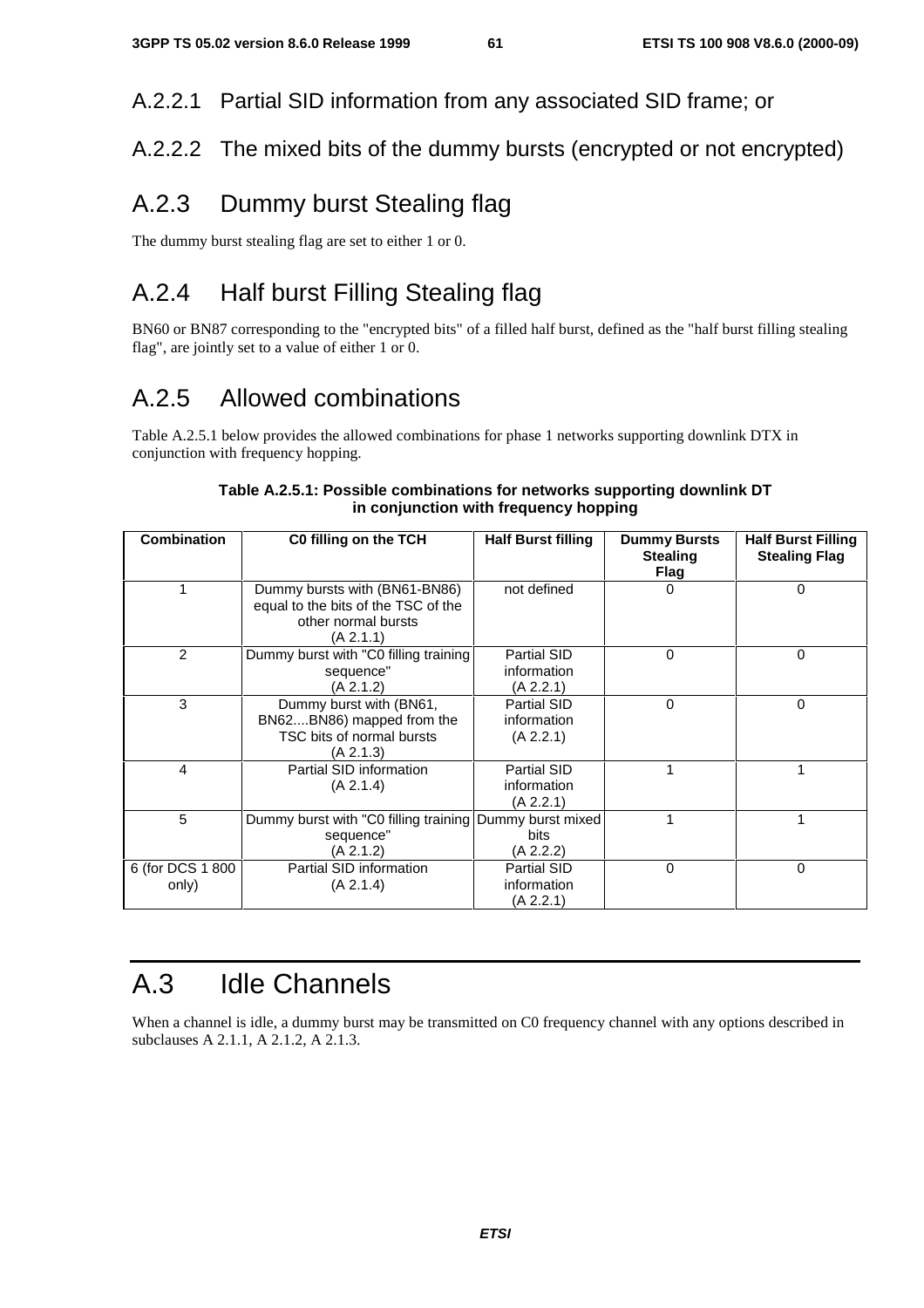A.2.2.1 Partial SID information from any associated SID frame; or

## A.2.2.2 The mixed bits of the dummy bursts (encrypted or not encrypted)

## A.2.3 Dummy burst Stealing flag

The dummy burst stealing flag are set to either 1 or 0.

# A.2.4 Half burst Filling Stealing flag

BN60 or BN87 corresponding to the "encrypted bits" of a filled half burst, defined as the "half burst filling stealing flag", are jointly set to a value of either 1 or 0.

# A.2.5 Allowed combinations

Table A.2.5.1 below provides the allowed combinations for phase 1 networks supporting downlink DTX in conjunction with frequency hopping.

| Combination               | C0 filling on the TCH                                                                                    | <b>Half Burst filling</b>               | <b>Dummy Bursts</b><br><b>Stealing</b><br><b>Flag</b> | <b>Half Burst Filling</b><br><b>Stealing Flag</b> |
|---------------------------|----------------------------------------------------------------------------------------------------------|-----------------------------------------|-------------------------------------------------------|---------------------------------------------------|
|                           | Dummy bursts with (BN61-BN86)<br>equal to the bits of the TSC of the<br>other normal bursts<br>(A 2.1.1) | not defined                             | O                                                     | 0                                                 |
| 2                         | Dummy burst with "C0 filling training<br>sequence"<br>(A 2.1.2)                                          | Partial SID<br>information<br>(A 2.2.1) | 0                                                     | 0                                                 |
| 3                         | Dummy burst with (BN61,<br>BN62BN86) mapped from the<br>TSC bits of normal bursts<br>(A 2.1.3)           | Partial SID<br>information<br>(A 2.2.1) | 0                                                     | 0                                                 |
| 4                         | Partial SID information<br>(A 2.1.4)                                                                     | Partial SID<br>information<br>(A 2.2.1) |                                                       |                                                   |
| 5                         | Dummy burst with "C0 filling training<br>sequence"<br>(A 2.1.2)                                          | Dummy burst mixed<br>bits<br>(A 2.2.2)  |                                                       |                                                   |
| 6 (for DCS 1 800<br>only) | Partial SID information<br>(A 2.1.4)                                                                     | Partial SID<br>information<br>(A 2.2.1) | $\Omega$                                              | 0                                                 |

### **Table A.2.5.1: Possible combinations for networks supporting downlink DT in conjunction with frequency hopping**

# A.3 Idle Channels

When a channel is idle, a dummy burst may be transmitted on C0 frequency channel with any options described in subclauses A 2.1.1, A 2.1.2, A 2.1.3.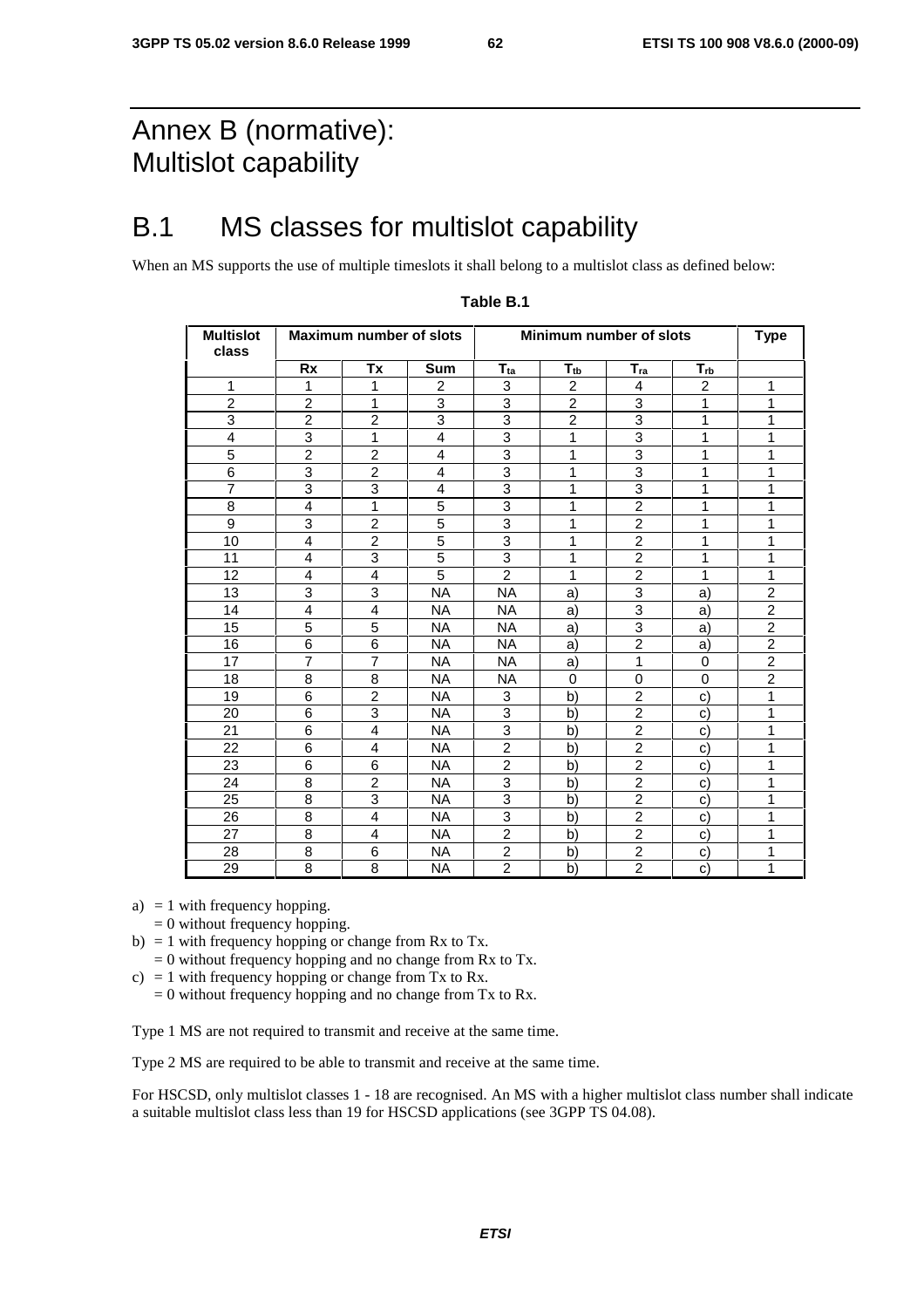# Annex B (normative): Multislot capability

# B.1 MS classes for multislot capability

When an MS supports the use of multiple timeslots it shall belong to a multislot class as defined below:

| Multislot<br>class |                | Maximum number of slots |                |                      | Minimum number of slots |                |                | <b>Type</b>    |
|--------------------|----------------|-------------------------|----------------|----------------------|-------------------------|----------------|----------------|----------------|
|                    | <b>Rx</b>      | Tx                      | Sum            | $T_{\underline{ta}}$ | $T_{\underline{tb}}$    | $T_{ra}$       | $T_{rb}$       |                |
| 1                  | $\mathbf{1}$   | 1                       | 2              | 3                    | $\overline{2}$          | 4              | $\overline{2}$ | 1              |
| $\overline{2}$     | $\overline{2}$ | $\mathbf{1}$            | 3              | 3                    | $\overline{2}$          | 3              | $\mathbf{1}$   | 1              |
| $\overline{3}$     | $\overline{2}$ | $\overline{2}$          | $\overline{3}$ | $\overline{3}$       | $\overline{2}$          | $\overline{3}$ | 1              | 1              |
| 4                  | 3              | 1                       | $\overline{4}$ | 3                    | 1                       | 3              | 1              | 1              |
| 5                  | $\overline{2}$ | $\overline{2}$          | $\overline{4}$ | 3                    | 1                       | 3              | 1              | 1              |
| $\overline{6}$     | 3              | $\overline{c}$          | $\overline{4}$ | $\overline{3}$       | 1                       | $\overline{3}$ | 1              | 1              |
| $\overline{7}$     | 3              | 3                       | 4              | 3                    | 1                       | 3              | 1              | 1              |
| 8                  | $\overline{4}$ | 1                       | 5              | 3                    | 1                       | $\overline{2}$ | 1              | 1              |
| $\boldsymbol{9}$   | 3              | $\overline{c}$          | 5              | 3                    | 1                       | $\overline{2}$ | 1              | 1              |
| 10                 | $\overline{4}$ | $\overline{c}$          | 5              | 3                    | 1                       | $\overline{2}$ | 1              | 1              |
| 11                 | $\overline{4}$ | 3                       | 5              | 3                    | 1                       | $\overline{2}$ | 1              | 1              |
| 12                 | 4              | 4                       | 5              | $\overline{2}$       | 1                       | $\overline{c}$ | 1              | 1              |
| 13                 | 3              | 3                       | <b>NA</b>      | <b>NA</b>            | a)                      | 3              | a)             | $\overline{2}$ |
| 14                 | $\overline{4}$ | $\overline{4}$          | <b>NA</b>      | <b>NA</b>            | a)                      | $\overline{3}$ | a)             | $\overline{2}$ |
| 15                 | 5              | 5                       | NA.            | NA.                  | a)                      | 3              | a)             | $\overline{c}$ |
| 16                 | 6              | 6                       | NA.            | <b>NA</b>            | a)                      | $\overline{2}$ | a)             | $\overline{2}$ |
| 17                 | $\overline{7}$ | $\overline{7}$          | <b>NA</b>      | <b>NA</b>            | a)                      | $\mathbf{1}$   | $\Omega$       | $\overline{2}$ |
| 18                 | 8              | 8                       | NA.            | NA.                  | $\Omega$                | 0              | $\Omega$       | $\overline{c}$ |
| 19                 | 6              | $\overline{2}$          | NA.            | 3                    | b)                      | $\overline{2}$ | $\mathbf{C}$   | 1              |
| 20                 | 6              | 3                       | NA.            | 3                    | b)                      | $\overline{2}$ | C)             | 1              |
| 21                 | 6              | 4                       | <b>NA</b>      | 3                    | b)                      | $\overline{2}$ | C)             | 1              |
| 22                 | 6              | 4                       | NA.            | $\overline{2}$       | b)                      | $\overline{2}$ | C)             | 1              |
| 23                 | 6              | 6                       | <b>NA</b>      | $\overline{2}$       | b)                      | $\overline{2}$ | C)             | 1              |
| 24                 | 8              | $\overline{2}$          | NA.            | 3                    | b)                      | $\overline{2}$ | C)             | 1              |
| 25                 | 8              | 3                       | NA.            | 3                    | b)                      | $\overline{2}$ | C)             | 1              |
| 26                 | 8              | 4                       | <b>NA</b>      | 3                    | b)                      | $\overline{2}$ | $\mathbf{C}$   | 1              |
| 27                 | 8              | 4                       | <b>NA</b>      | $\overline{2}$       | b)                      | $\overline{2}$ | C)             | 1              |
| 28                 | 8              | 6                       | NA.            | $\overline{c}$       | b)                      | $\overline{2}$ | C)             | 1              |
| 29                 | 8              | 8                       | <b>NA</b>      | $\overline{2}$       | b)                      | $\overline{2}$ | $\mathbf{C}$   | 1              |

### **Table B.1**

a)  $= 1$  with frequency hopping.

 $= 0$  without frequency hopping.

- b) = 1 with frequency hopping or change from Rx to Tx.
- $= 0$  without frequency hopping and no change from Rx to Tx.
- c) = 1 with frequency hopping or change from Tx to Rx.
	- $= 0$  without frequency hopping and no change from Tx to Rx.

Type 1 MS are not required to transmit and receive at the same time.

Type 2 MS are required to be able to transmit and receive at the same time.

For HSCSD, only multislot classes 1 - 18 are recognised. An MS with a higher multislot class number shall indicate a suitable multislot class less than 19 for HSCSD applications (see 3GPP TS 04.08).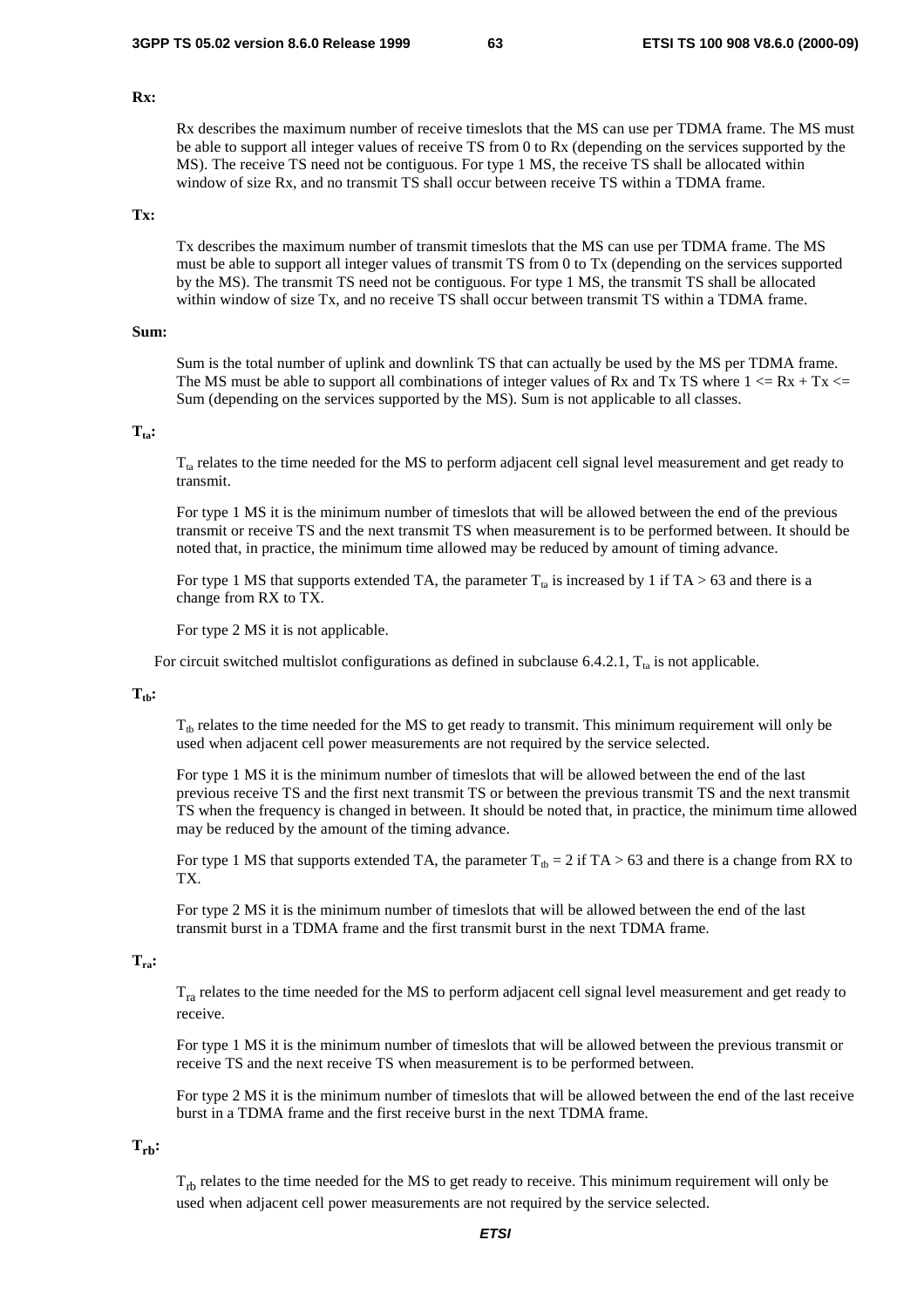### **Rx:**

 Rx describes the maximum number of receive timeslots that the MS can use per TDMA frame. The MS must be able to support all integer values of receive TS from 0 to Rx (depending on the services supported by the MS). The receive TS need not be contiguous. For type 1 MS, the receive TS shall be allocated within window of size Rx, and no transmit TS shall occur between receive TS within a TDMA frame.

### **Tx:**

 Tx describes the maximum number of transmit timeslots that the MS can use per TDMA frame. The MS must be able to support all integer values of transmit TS from 0 to Tx (depending on the services supported by the MS). The transmit TS need not be contiguous. For type 1 MS, the transmit TS shall be allocated within window of size Tx, and no receive TS shall occur between transmit TS within a TDMA frame.

### **Sum:**

 Sum is the total number of uplink and downlink TS that can actually be used by the MS per TDMA frame. The MS must be able to support all combinations of integer values of Rx and Tx TS where  $1 \le Rx + Tx \le$ Sum (depending on the services supported by the MS). Sum is not applicable to all classes.

### **Tta:**

 $T_{ta}$  relates to the time needed for the MS to perform adjacent cell signal level measurement and get ready to transmit.

 For type 1 MS it is the minimum number of timeslots that will be allowed between the end of the previous transmit or receive TS and the next transmit TS when measurement is to be performed between. It should be noted that, in practice, the minimum time allowed may be reduced by amount of timing advance.

For type 1 MS that supports extended TA, the parameter  $T_{ta}$  is increased by 1 if TA > 63 and there is a change from RX to TX.

For type 2 MS it is not applicable.

For circuit switched multislot configurations as defined in subclause 6.4.2.1,  $T_{ta}$  is not applicable.

#### $T_{th}$ :

 $T_{th}$  relates to the time needed for the MS to get ready to transmit. This minimum requirement will only be used when adjacent cell power measurements are not required by the service selected.

 For type 1 MS it is the minimum number of timeslots that will be allowed between the end of the last previous receive TS and the first next transmit TS or between the previous transmit TS and the next transmit TS when the frequency is changed in between. It should be noted that, in practice, the minimum time allowed may be reduced by the amount of the timing advance.

For type 1 MS that supports extended TA, the parameter  $T_{th} = 2$  if TA > 63 and there is a change from RX to TX.

 For type 2 MS it is the minimum number of timeslots that will be allowed between the end of the last transmit burst in a TDMA frame and the first transmit burst in the next TDMA frame.

### **Tra:**

 $T_{ra}$  relates to the time needed for the MS to perform adjacent cell signal level measurement and get ready to receive.

 For type 1 MS it is the minimum number of timeslots that will be allowed between the previous transmit or receive TS and the next receive TS when measurement is to be performed between.

 For type 2 MS it is the minimum number of timeslots that will be allowed between the end of the last receive burst in a TDMA frame and the first receive burst in the next TDMA frame.

### $T_{\rm rh}$ :

 $T_{\text{rh}}$  relates to the time needed for the MS to get ready to receive. This minimum requirement will only be used when adjacent cell power measurements are not required by the service selected.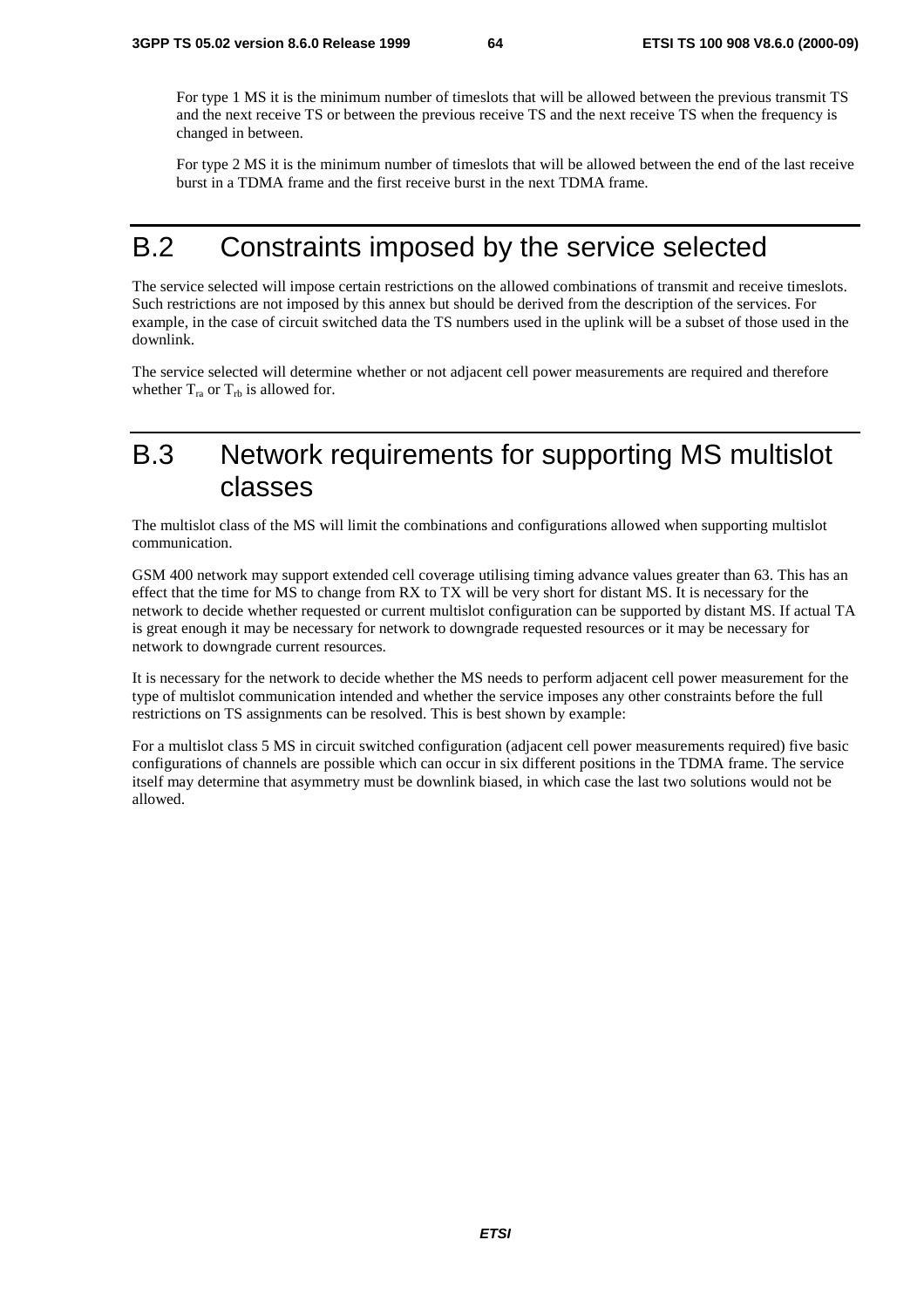For type 1 MS it is the minimum number of timeslots that will be allowed between the previous transmit TS and the next receive TS or between the previous receive TS and the next receive TS when the frequency is changed in between.

 For type 2 MS it is the minimum number of timeslots that will be allowed between the end of the last receive burst in a TDMA frame and the first receive burst in the next TDMA frame.

## B.2 Constraints imposed by the service selected

The service selected will impose certain restrictions on the allowed combinations of transmit and receive timeslots. Such restrictions are not imposed by this annex but should be derived from the description of the services. For example, in the case of circuit switched data the TS numbers used in the uplink will be a subset of those used in the downlink.

The service selected will determine whether or not adjacent cell power measurements are required and therefore whether  $T_{ra}$  or  $T_{rb}$  is allowed for.

# B.3 Network requirements for supporting MS multislot classes

The multislot class of the MS will limit the combinations and configurations allowed when supporting multislot communication.

GSM 400 network may support extended cell coverage utilising timing advance values greater than 63. This has an effect that the time for MS to change from RX to TX will be very short for distant MS. It is necessary for the network to decide whether requested or current multislot configuration can be supported by distant MS. If actual TA is great enough it may be necessary for network to downgrade requested resources or it may be necessary for network to downgrade current resources.

It is necessary for the network to decide whether the MS needs to perform adjacent cell power measurement for the type of multislot communication intended and whether the service imposes any other constraints before the full restrictions on TS assignments can be resolved. This is best shown by example:

For a multislot class 5 MS in circuit switched configuration (adjacent cell power measurements required) five basic configurations of channels are possible which can occur in six different positions in the TDMA frame. The service itself may determine that asymmetry must be downlink biased, in which case the last two solutions would not be allowed.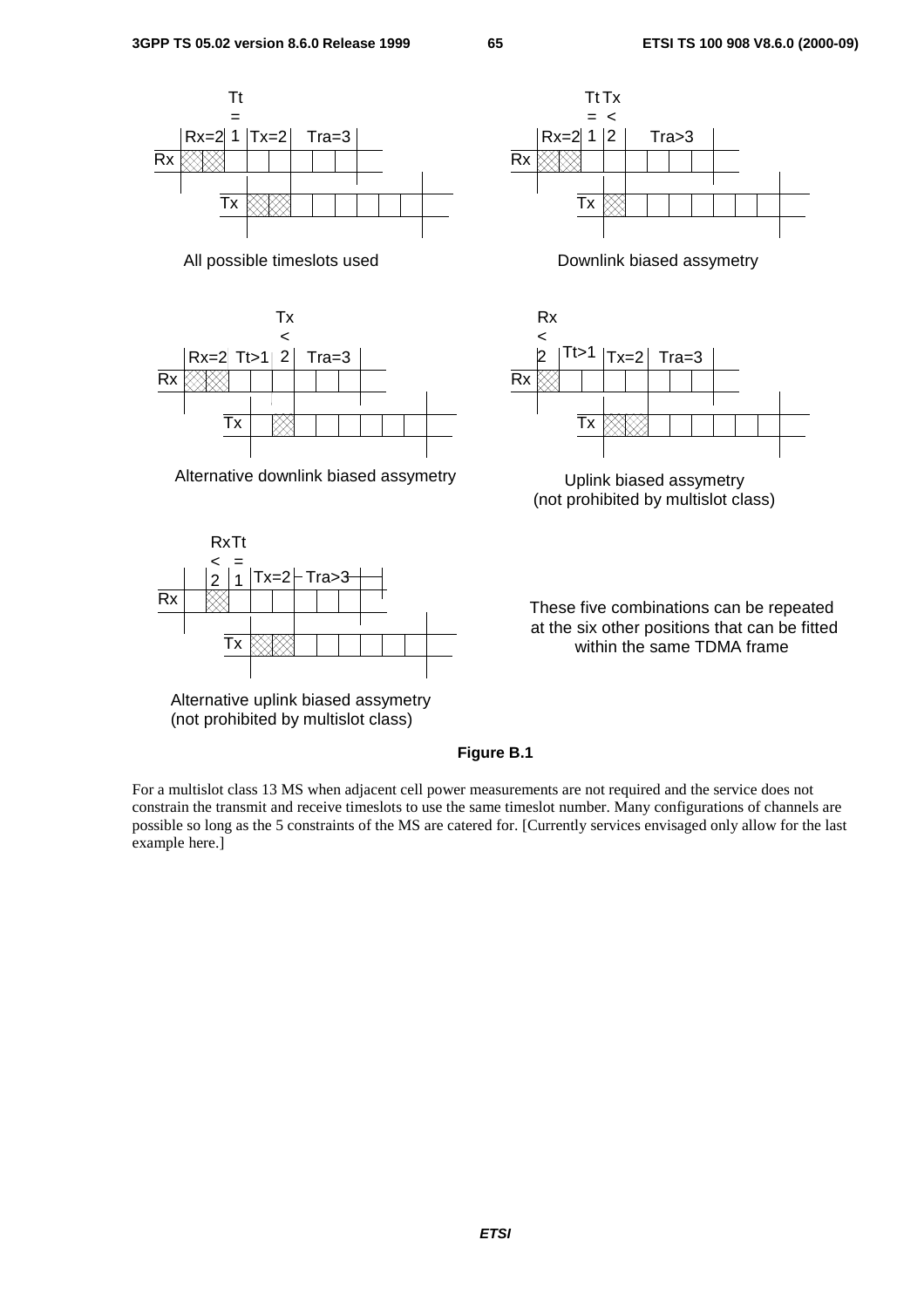

Alternative downlink biased assymetry **Uplink biased assymetry** 



Alternative uplink biased assymetry (not prohibited by multislot class)





(not prohibited by multislot class)

These five combinations can be repeated at the six other positions that can be fitted within the same TDMA frame

### **Figure B.1**

For a multislot class 13 MS when adjacent cell power measurements are not required and the service does not constrain the transmit and receive timeslots to use the same timeslot number. Many configurations of channels are possible so long as the 5 constraints of the MS are catered for. [Currently services envisaged only allow for the last example here.]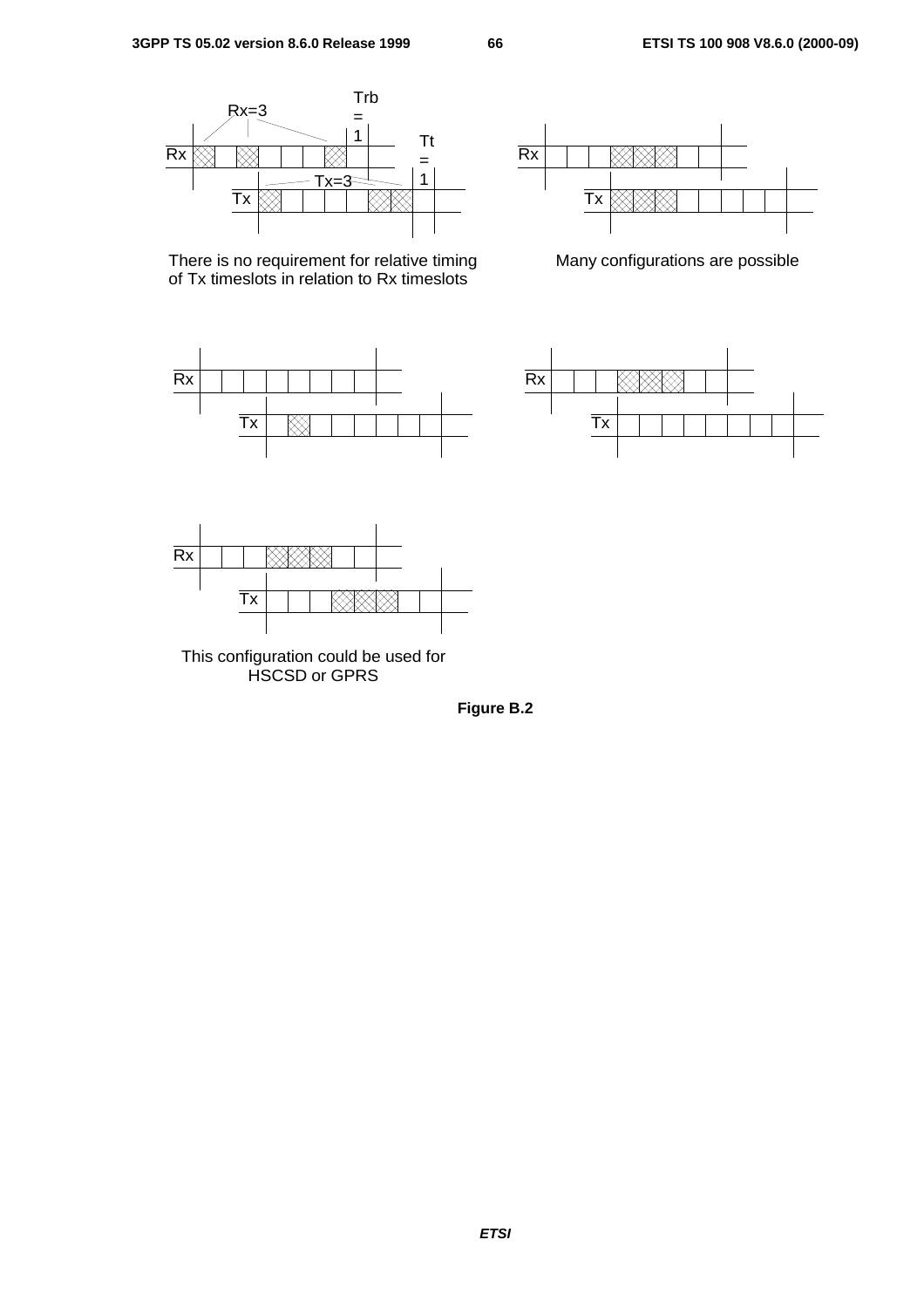

There is no requirement for relative timing of Tx timeslots in relation to Rx timeslots





Many configurations are possible





This configuration could be used for HSCSD or GPRS

**Figure B.2**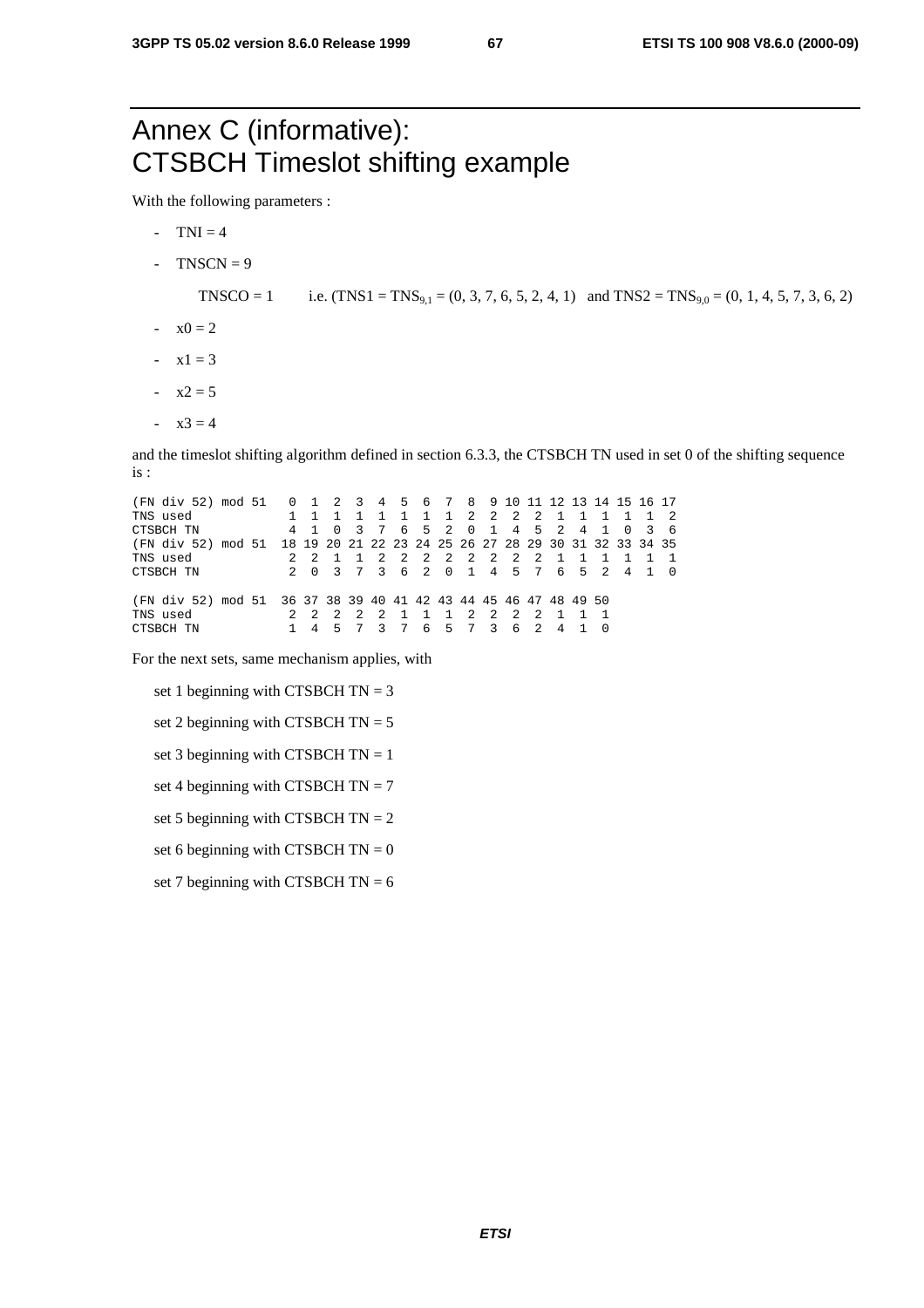# Annex C (informative): CTSBCH Timeslot shifting example

With the following parameters :

- $-TNI = 4$
- $TNSCN = 9$

- TNSCO = 1 i.e.  $(TNS1 = TNS_{9,1} = (0, 3, 7, 6, 5, 2, 4, 1)$  and  $TNS2 = TNS_{9,0} = (0, 1, 4, 5, 7, 3, 6, 2)$
- $-x0 = 2$
- $-x1 = 3$
- $-x2 = 5$
- $x3 = 4$

and the timeslot shifting algorithm defined in section 6.3.3, the CTSBCH TN used in set 0 of the shifting sequence is :

(FN div 52) mod 51 0 1 2 3 4 5 6 7 8 9 10 11 12 13 14 15 16 17 TNS used 1 1 1 1 1 1 1 1 2 2 2 2 1 1 1 1 1 2 CTSBCH TN 4 1 0 3 7 6 5 2 0 1 4 5 2 4 1 0 3 6 (FN div 52) mod 51 18 19 20 21 22 23 24 25 26 27 28 29 30 31 32 33 34 35 TNS used 2 2 1 1 2 2 2 2 2 2 2 2 1 1 1 1 1 1  $\begin{array}{ccccccccccccc}\n2 & 4 & 1 & 0 \\
\end{array}$ (FN div 52) mod 51 36 37 38 39 40 41 42 43 44 45 46 47 48 49 50<br>TNS used 2 2 2 2 1 1 1 2 2 2 2 1 1 1 1 CTSBCH TN 1 4 5 7 3 7 6 5 7 3 6 2 4 1 0 TNS used <br>  $2$  2 2 2 2 1 1 1 2 2 2 2 1 1 1 CTSBCH TN 1 4 5 7 3 7 6 5 7 3 6 2 4 1 0  $\begin{array}{ccccccccc}2&1&1&1&2\\3&7&6&5&7\end{array}$ 

For the next sets, same mechanism applies, with

- set 1 beginning with CTSBCH  $TN = 3$
- set 2 beginning with CTSBCH  $TN = 5$
- set 3 beginning with CTSBCH  $TN = 1$
- set 4 beginning with CTSBCH  $TN = 7$
- set 5 beginning with CTSBCH  $TN = 2$
- set 6 beginning with CTSBCH  $TN = 0$
- set 7 beginning with CTSBCH  $TN = 6$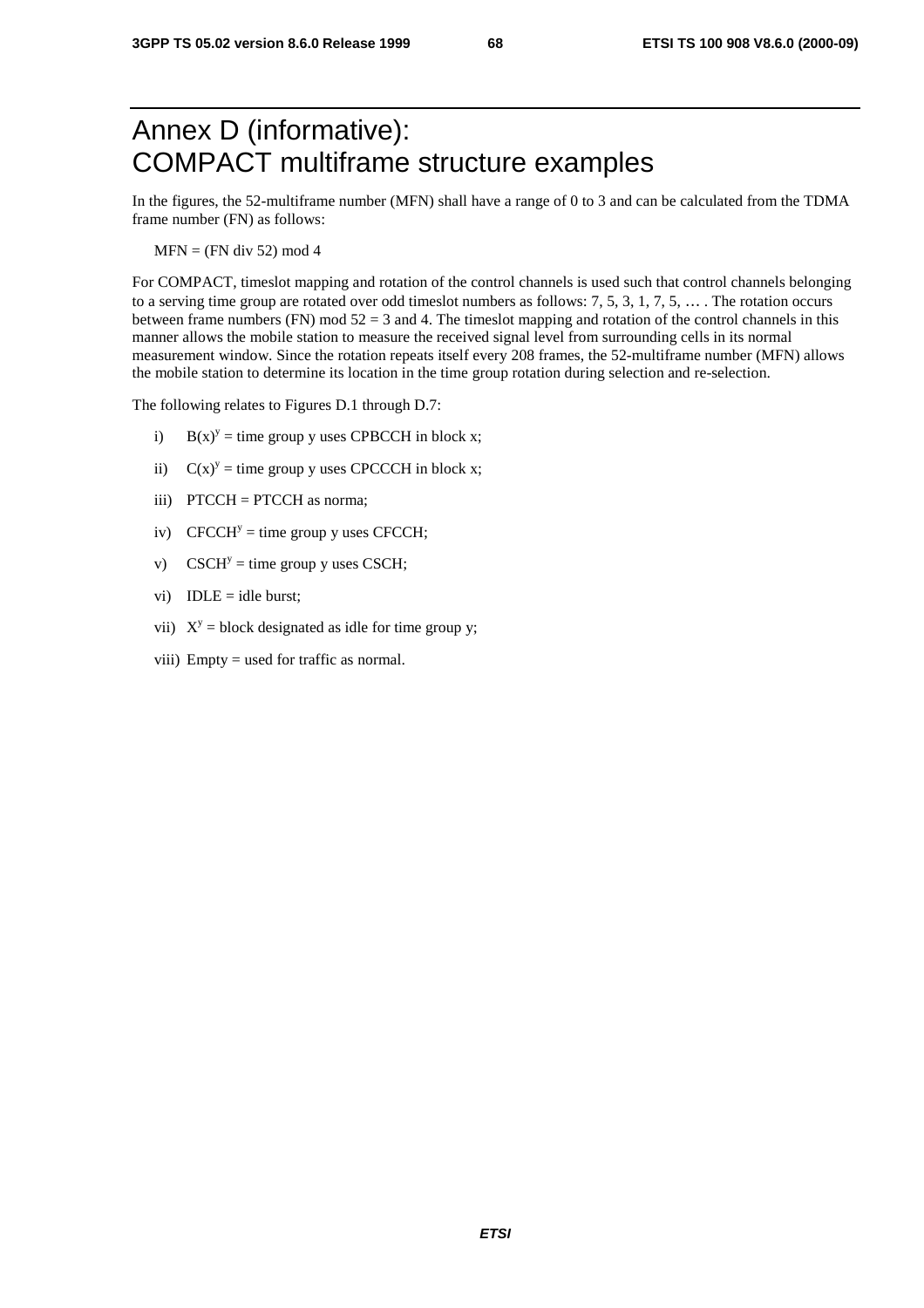# Annex D (informative): COMPACT multiframe structure examples

In the figures, the 52-multiframe number (MFN) shall have a range of 0 to 3 and can be calculated from the TDMA frame number (FN) as follows:

 $MFN = (FN div 52) mod 4$ 

For COMPACT, timeslot mapping and rotation of the control channels is used such that control channels belonging to a serving time group are rotated over odd timeslot numbers as follows: 7, 5, 3, 1, 7, 5, … . The rotation occurs between frame numbers (FN) mod 52 = 3 and 4. The timeslot mapping and rotation of the control channels in this manner allows the mobile station to measure the received signal level from surrounding cells in its normal measurement window. Since the rotation repeats itself every 208 frames, the 52-multiframe number (MFN) allows the mobile station to determine its location in the time group rotation during selection and re-selection.

The following relates to Figures D.1 through D.7:

- i)  $B(x)^y =$  time group y uses CPBCCH in block x;
- ii)  $C(x)^y =$  time group y uses CPCCCH in block x;
- iii) PTCCH = PTCCH as norma;
- iv) CFCCH<sup>y</sup> = time group y uses CFCCH;
- v) CSCH<sup>y</sup> = time group y uses CSCH;
- vi)  $IDLE = idle burst;$
- vii)  $X^y$  = block designated as idle for time group y;
- viii) Empty = used for traffic as normal.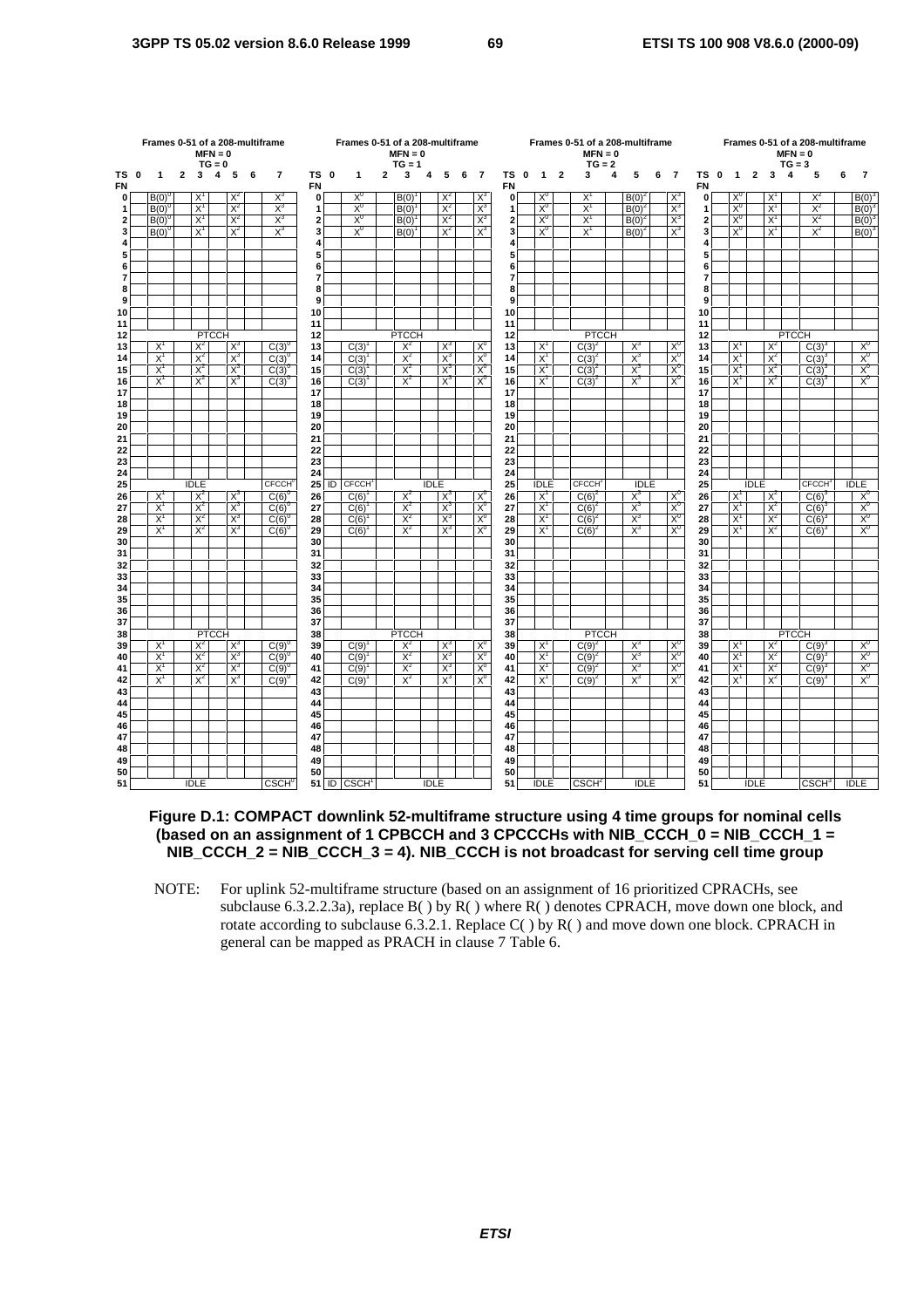|                     |                   |                |              |                | $MFN = 0$<br>$TG = 0$ |                | Frames 0-51 of a 208-multiframe<br>Frames 0-51 of a 208-multiframe<br>$MFN = 0$<br>$TG = 1$<br>TS 0<br>3<br>6<br>$\overline{\mathbf{r}}$<br>$\mathbf{1}$<br>$\mathbf{2}$<br>5<br>6<br>4 |                                  |                     |    |                |  |                     |             |                |             |                         |                         |                         |                         | Frames 0-51 of a 208-multiframe<br>$MFN = 0$<br>$TG = 2$ |   |                |   |                |                         |                |                   |                | $MFN = 0$<br>$TG = 3$ | Frames 0-51 of a 208-multiframe |   |                |
|---------------------|-------------------|----------------|--------------|----------------|-----------------------|----------------|-----------------------------------------------------------------------------------------------------------------------------------------------------------------------------------------|----------------------------------|---------------------|----|----------------|--|---------------------|-------------|----------------|-------------|-------------------------|-------------------------|-------------------------|-------------------------|----------------------------------------------------------|---|----------------|---|----------------|-------------------------|----------------|-------------------|----------------|-----------------------|---------------------------------|---|----------------|
| TS 0<br>FN          |                   | 1              | $\mathbf{z}$ | 3              | 4                     | 5              |                                                                                                                                                                                         |                                  | <b>FN</b>           |    |                |  |                     |             |                |             | $\overline{7}$          | TS 0<br><b>FN</b>       | $\overline{\mathbf{1}}$ | $\overline{\mathbf{2}}$ | 3                                                        | 4 | 5              | 6 | $\overline{7}$ | TS 0<br><b>FN</b>       | $\overline{1}$ | $\overline{2}$    | 3              | 4                     | 5                               | 6 | $\overline{7}$ |
| $\mathbf{0}$        |                   | $B(0)^{0}$     |              | $X^1$          |                       | $X^2$          |                                                                                                                                                                                         | $X_3$                            | $\pmb{0}$           |    | $X_0$          |  | B(0)                |             | $X^2$          |             | $X_3$                   | $\mathbf{0}$            | $X^0$                   |                         | $X^1$                                                    |   | $B(0)^2$       |   | $X^3$          | $\mathbf{0}$            | $X^0$          |                   | $X^1$          |                       | $X^2$                           |   | B(0)           |
| 1                   |                   | $B(0)^{0}$     |              | $X^1$          |                       | $X^2$          |                                                                                                                                                                                         | $X^3$                            | 1                   |    | $X_0$          |  | B(0)                |             | $X^2$          |             | $X^3$                   | 1                       | X <sup>0</sup>          |                         | $X^1$                                                    |   | $B(0)^{2}$     |   | $X_3$          | 1                       | $X_0$          |                   | $X^1$          |                       | $X^2$                           |   | $B(0)^3$       |
| $\mathbf{2}$        |                   | $B(0)^{0}$     |              | $X^1$          |                       | $X^2$          |                                                                                                                                                                                         | $X^3$                            | $\boldsymbol{2}$    |    | X <sup>0</sup> |  | $B(0)$ <sup>1</sup> |             | $X^2$          |             | $X^3$                   | $\overline{\mathbf{2}}$ | $X^0$                   |                         | $X^1$                                                    |   | $B(0)^2$       |   | $X^3$          | $\overline{\mathbf{2}}$ | $X^0$          |                   | $X^1$          |                       | $X^2$                           |   | $B(0)^3$       |
| 3 <sup>1</sup>      |                   | $B(0)^{0}$     |              | $X^1$          |                       | $X^2$          |                                                                                                                                                                                         | $\overline{X}^3$                 | 3 <sup>1</sup>      |    | X <sup>0</sup> |  | $B(0)$ <sup>1</sup> |             | $X^2$          |             | $X^3$                   | 3                       | $X_0$                   |                         | $X^1$                                                    |   | $B(0)^2$       |   | $X^3$          | 3 <sup>1</sup>          | $X_0$          |                   | $X^1$          |                       | $X^2$                           |   | $B(0)^3$       |
| 4                   |                   |                |              |                |                       |                |                                                                                                                                                                                         |                                  | 4                   |    |                |  |                     |             |                |             |                         | 4                       |                         |                         |                                                          |   |                |   |                | 4                       |                |                   |                |                       |                                 |   |                |
| 5                   |                   |                |              |                |                       |                |                                                                                                                                                                                         |                                  | 5                   |    |                |  |                     |             |                |             |                         | 5                       |                         |                         |                                                          |   |                |   |                | 5                       |                |                   |                |                       |                                 |   |                |
| 6                   |                   |                |              |                |                       |                |                                                                                                                                                                                         |                                  | 6                   |    |                |  |                     |             |                |             |                         | 6                       |                         |                         |                                                          |   |                |   |                | 6                       |                |                   |                |                       |                                 |   |                |
| $\overline{7}$<br>8 |                   |                |              |                |                       |                |                                                                                                                                                                                         |                                  | $\overline{7}$<br>8 |    |                |  |                     |             |                |             |                         | $\overline{7}$<br>8     |                         |                         |                                                          |   |                |   |                | 7<br>8                  |                |                   |                |                       |                                 |   |                |
| 9                   |                   |                |              |                |                       |                |                                                                                                                                                                                         |                                  | 9                   |    |                |  |                     |             |                |             |                         | 9                       |                         |                         |                                                          |   |                |   |                | 9                       |                |                   |                |                       |                                 |   |                |
| 10                  |                   |                |              |                |                       |                |                                                                                                                                                                                         |                                  | 10                  |    |                |  |                     |             |                |             |                         | 10                      |                         |                         |                                                          |   |                |   |                | 10                      |                |                   |                |                       |                                 |   |                |
| 11                  |                   |                |              |                |                       |                |                                                                                                                                                                                         |                                  | 11                  |    |                |  |                     |             |                |             |                         | 11                      |                         |                         |                                                          |   |                |   |                | 11                      |                |                   |                |                       |                                 |   |                |
| 12                  |                   |                |              |                | <b>PTCCH</b>          |                |                                                                                                                                                                                         |                                  | 12                  |    |                |  | <b>PTCCH</b>        |             |                |             |                         | 12                      |                         |                         | <b>PTCCH</b>                                             |   |                |   |                | 12                      |                |                   |                | <b>PTCCH</b>          |                                 |   |                |
| 13                  |                   | $X^1$          |              | $X^2$          |                       | $X^3$          |                                                                                                                                                                                         | $C(3)$ <sup><math>(</math></sup> | 13                  |    | C(3)           |  | $X^2$               |             | $X^3$          |             | $X_0$                   | 13                      | $X^1$                   |                         | $C(3)^{2}$                                               |   | $X^3$          |   | $X^0$          | 13                      | $X^1$          |                   | $X^2$          |                       | $C(3)^{3}$                      |   | $X_0$          |
| 14                  |                   | $X^1$          |              | $X^2$          |                       | $X^3$          |                                                                                                                                                                                         | $C(3)$ <sup><math>(</math></sup> | 14                  |    | C(3)           |  | $X^2$               |             | $X^3$          |             | $X^0$                   | 14                      | $X^1$                   |                         | $C(3)^{2}$                                               |   | $X^3$          |   | $X^0$          | 14                      | $X^1$          |                   | $X^2$          |                       | $C(3)^3$                        |   | $X^0$          |
| 15                  |                   | $X^1$          |              | $X^2$          |                       | $X^3$          |                                                                                                                                                                                         | $C(3)^{6}$                       | 15                  |    | C(3)           |  | $X^2$               |             | $X^3$          |             | $X_0$                   | 15                      | $X^1$                   |                         | $C(3)^{2}$                                               |   | $X^3$          |   | $X_0$          | 15                      | $X^1$          |                   | $X^2$          |                       | $C(3)^{3}$                      |   | $X^0$          |
| 16                  |                   | $X^1$          |              | $X^2$          |                       | $X^3$          |                                                                                                                                                                                         | $C(3)^{0}$                       | 16                  |    | $C(3)^{1}$     |  | $X^2$               |             | $X^3$          |             | X <sup>0</sup>          | 16                      | $X^1$                   |                         | $C(3)^{2}$                                               |   | $X^3$          |   | $X_0$          | 16                      | $X^1$          |                   | $X^2$          |                       | $C(3)^{3}$                      |   | $X_0$          |
| 17                  |                   |                |              |                |                       |                |                                                                                                                                                                                         |                                  | 17                  |    |                |  |                     |             |                |             |                         | 17                      |                         |                         |                                                          |   |                |   |                | 17                      |                |                   |                |                       |                                 |   |                |
| 18                  |                   |                |              |                |                       |                |                                                                                                                                                                                         |                                  | 18                  |    |                |  |                     |             |                |             |                         | 18                      |                         |                         |                                                          |   |                |   |                | 18                      |                |                   |                |                       |                                 |   |                |
| 19<br>20            |                   |                |              |                |                       |                |                                                                                                                                                                                         |                                  | 19<br>20            |    |                |  |                     |             |                |             |                         | 19<br>20                |                         |                         |                                                          |   |                |   |                | 19<br>20                |                |                   |                |                       |                                 |   |                |
| 21                  |                   |                |              |                |                       |                |                                                                                                                                                                                         |                                  | 21                  |    |                |  |                     |             |                |             |                         | 21                      |                         |                         |                                                          |   |                |   |                | 21                      |                |                   |                |                       |                                 |   |                |
| 22                  |                   |                |              |                |                       |                |                                                                                                                                                                                         |                                  | 22                  |    |                |  |                     |             |                |             |                         | 22                      |                         |                         |                                                          |   |                |   |                | 22                      |                |                   |                |                       |                                 |   |                |
| 23                  |                   |                |              |                |                       |                |                                                                                                                                                                                         |                                  | 23                  |    |                |  |                     |             |                |             |                         | 23                      |                         |                         |                                                          |   |                |   |                | 23                      |                |                   |                |                       |                                 |   |                |
| 24                  |                   |                |              |                |                       |                |                                                                                                                                                                                         |                                  | 24                  |    |                |  |                     |             |                |             |                         | 24                      |                         |                         |                                                          |   |                |   |                | 24                      |                |                   |                |                       |                                 |   |                |
| 25                  |                   |                |              | <b>IDLE</b>    |                       |                |                                                                                                                                                                                         | <b>CFCCH</b>                     | 25                  | ID | <b>CFCCH</b>   |  |                     | <b>IDLE</b> |                |             |                         | 25                      | <b>IDLE</b>             |                         | CFCCH <sup>2</sup>                                       |   | <b>IDLE</b>    |   |                | 25                      |                | <b>IDLE</b>       |                |                       | <b>CFCCH</b>                    |   | <b>IDLE</b>    |
| 26                  |                   | $X^1$          |              | $X^2$          |                       | $X^3$          |                                                                                                                                                                                         | $C(6)^{0}$                       | 26                  |    | C(6)           |  | $X^2$               |             | $X^3$          |             | $X^0$                   | 26                      | $X^1$                   |                         | $C(6)^2$                                                 |   | $X^3$          |   | $X_0$          | 26                      | $X^1$          |                   | $X^2$          |                       | $C(6)^3$                        |   | X <sup>0</sup> |
| 27                  |                   | $X^1$          |              | $X^2$          |                       | $X^3$          |                                                                                                                                                                                         | C(6)                             | 27                  |    | C(6)           |  | $X^2$               |             | $X_3$          |             | $X_0$                   | 27                      | $X^1$                   |                         | $C(6)^2$                                                 |   | $X_3$          |   | $X_0$          | 27                      | $X^1$          |                   | $X^2$          |                       | $C(6)^3$                        |   | $X^0$          |
| 28                  |                   | $X^1$          |              | $X^2$          |                       | $X^3$          |                                                                                                                                                                                         | C(6)                             | 28                  |    | C(6)           |  | $X^2$               |             | $X^3$          |             | X <sup>0</sup>          | 28                      | $X^1$                   |                         | $C(6)^2$                                                 |   | $X^3$          |   | $X_0$          | 28                      | $X^1$          |                   | $X^2$          |                       | $C(6)^3$                        |   | X <sup>0</sup> |
| 29                  |                   | $X^1$          |              | $X^2$          |                       | $X^3$          |                                                                                                                                                                                         | $C(6)^{0}$                       | 29                  |    | C(6)           |  | $X^2$               |             | $X^3$          |             | $X^0$                   | 29                      | $X^1$                   |                         | $C(6)^{2}$                                               |   | $X^3$          |   | $X_0$          | 29                      | $X^1$          |                   | $X^2$          |                       | $C(6)^3$                        |   | $X_0$          |
| 30<br>31            |                   |                |              |                |                       |                |                                                                                                                                                                                         |                                  | 30<br>31            |    |                |  |                     |             |                |             |                         | 30<br>31                |                         |                         |                                                          |   |                |   |                | 30<br>31                |                |                   |                |                       |                                 |   |                |
| 32                  |                   |                |              |                |                       |                |                                                                                                                                                                                         |                                  | 32                  |    |                |  |                     |             |                |             |                         | 32                      |                         |                         |                                                          |   |                |   |                | 32                      |                |                   |                |                       |                                 |   |                |
| 33                  |                   |                |              |                |                       |                |                                                                                                                                                                                         |                                  | 33                  |    |                |  |                     |             |                |             |                         | 33                      |                         |                         |                                                          |   |                |   |                | 33                      |                |                   |                |                       |                                 |   |                |
| 34                  |                   |                |              |                |                       |                |                                                                                                                                                                                         |                                  | 34                  |    |                |  |                     |             |                |             |                         | 34                      |                         |                         |                                                          |   |                |   |                | 34                      |                |                   |                |                       |                                 |   |                |
| 35                  |                   |                |              |                |                       |                |                                                                                                                                                                                         |                                  | 35                  |    |                |  |                     |             |                |             |                         | 35                      |                         |                         |                                                          |   |                |   |                | 35                      |                |                   |                |                       |                                 |   |                |
| 36                  |                   |                |              |                |                       |                |                                                                                                                                                                                         |                                  | 36                  |    |                |  |                     |             |                |             |                         | 36                      |                         |                         |                                                          |   |                |   |                | 36                      |                |                   |                |                       |                                 |   |                |
| 37                  |                   |                |              |                |                       |                |                                                                                                                                                                                         |                                  | 37                  |    |                |  |                     |             |                |             |                         | 37                      |                         |                         |                                                          |   |                |   |                | 37                      |                |                   |                |                       |                                 |   |                |
| 38                  |                   |                |              |                | <b>PTCCH</b>          |                |                                                                                                                                                                                         |                                  | 38                  |    |                |  | <b>PTCCH</b>        |             |                |             |                         | 38                      |                         |                         | <b>PTCCH</b>                                             |   |                |   |                | 38                      |                |                   |                | <b>PTCCH</b>          |                                 |   |                |
| 39<br>40            |                   | $X^1$<br>$X^1$ |              | $X^2$<br>$X^2$ |                       | $X^3$<br>$X^3$ |                                                                                                                                                                                         | C(9)                             | 39<br>40            |    | C(9)           |  | $X^2$               |             | $X_3$<br>$X^3$ |             | $X^0$<br>X <sup>0</sup> | 39<br>40                | $X^1$<br>$X^1$          |                         | $C(9)^{2}$                                               |   | $X^3$<br>$X^3$ |   | $X^0$<br>$X_0$ | 39<br>40                | $X^1$<br>$X^1$ |                   | $X^2$<br>$X^2$ |                       | $C(9)^{3}$                      |   | $X^0$<br>$X_0$ |
| 41                  |                   | $X^1$          |              | $X^2$          |                       | $X^3$          |                                                                                                                                                                                         | C(9)<br>C(9)                     | 41                  |    | C(9)<br>C(9)   |  | $X^2$<br>$X^2$      |             | $X^3$          |             | X <sup>0</sup>          | 41                      | $X^1$                   |                         | $C(9)^{2}$<br>$C(9)^{2}$                                 |   | $X^3$          |   | $X_0$          | 41                      | $X^1$          |                   | $X^2$          |                       | $C(9)^{3}$<br>$C(9)^3$          |   | $X_0$          |
| 42                  |                   | $X^1$          |              | $X^2$          |                       | $X^3$          |                                                                                                                                                                                         | $C(9)^0$                         | 42                  |    | C(9)           |  | $X^2$               |             | $X^3$          |             | $X^0$                   | 42                      | $X^1$                   |                         | $C(9)^2$                                                 |   | $X^3$          |   | $X_0$          | 42                      | $X^1$          |                   | $X^2$          |                       | $C(9)^3$                        |   | X <sup>0</sup> |
| 43                  |                   |                |              |                |                       |                |                                                                                                                                                                                         |                                  | 43                  |    |                |  |                     |             |                |             |                         | 43                      |                         |                         |                                                          |   |                |   |                | 43                      |                |                   |                |                       |                                 |   |                |
| 44                  |                   |                |              |                |                       |                |                                                                                                                                                                                         |                                  | 44                  |    |                |  |                     |             |                |             |                         | 44                      |                         |                         |                                                          |   |                |   |                | 44                      |                |                   |                |                       |                                 |   |                |
| 45                  |                   |                |              |                |                       |                |                                                                                                                                                                                         |                                  | 45                  |    |                |  |                     |             |                |             |                         | 45                      |                         |                         |                                                          |   |                |   |                | 45                      |                |                   |                |                       |                                 |   |                |
| 46                  |                   |                |              |                |                       |                |                                                                                                                                                                                         |                                  | 46                  |    |                |  |                     |             |                |             |                         | 46                      |                         |                         |                                                          |   |                |   |                | 46                      |                |                   |                |                       |                                 |   |                |
| 47                  |                   |                |              |                |                       |                |                                                                                                                                                                                         |                                  | 47                  |    |                |  |                     |             |                |             |                         | 47                      |                         |                         |                                                          |   |                |   |                | 47                      |                |                   |                |                       |                                 |   |                |
| 48                  |                   |                |              |                |                       |                |                                                                                                                                                                                         |                                  | 48                  |    |                |  |                     |             |                |             |                         | 48                      |                         |                         |                                                          |   |                |   |                | 48                      |                |                   |                |                       |                                 |   |                |
| 49                  |                   |                |              |                |                       |                |                                                                                                                                                                                         |                                  | 49                  |    |                |  |                     |             |                |             |                         | 49                      |                         |                         |                                                          |   |                |   |                | 49                      |                |                   |                |                       |                                 |   |                |
| 50                  |                   |                |              |                |                       |                |                                                                                                                                                                                         |                                  | 50                  |    |                |  |                     |             |                |             |                         | 50                      |                         |                         |                                                          |   |                |   |                | 50                      |                |                   |                |                       |                                 |   |                |
|                     | 51<br><b>IDLE</b> |                |              |                | CSCH <sup>0</sup>     |                | $51$ ID                                                                                                                                                                                 | CSCH <sup>1</sup>                |                     |    | <b>IDLE</b>    |  |                     |             | 51             | <b>IDLE</b> |                         | CSCH <sup>2</sup>       |                         | <b>IDLE</b>             |                                                          |   | 51             |   | <b>IDLE</b>    |                         |                | CSCH <sup>3</sup> |                | <b>IDLE</b>           |                                 |   |                |

### **Figure D.1: COMPACT downlink 52-multiframe structure using 4 time groups for nominal cells (based on an assignment of 1 CPBCCH and 3 CPCCCHs with NIB\_CCCH\_0 = NIB\_CCCH\_1 = NIB\_CCCH\_2 = NIB\_CCCH\_3 = 4). NIB\_CCCH is not broadcast for serving cell time group**

NOTE: For uplink 52-multiframe structure (based on an assignment of 16 prioritized CPRACHs, see subclause 6.3.2.2.3a), replace B( ) by R( ) where R( ) denotes CPRACH, move down one block, and rotate according to subclause 6.3.2.1. Replace C( ) by R( ) and move down one block. CPRACH in general can be mapped as PRACH in clause 7 Table 6.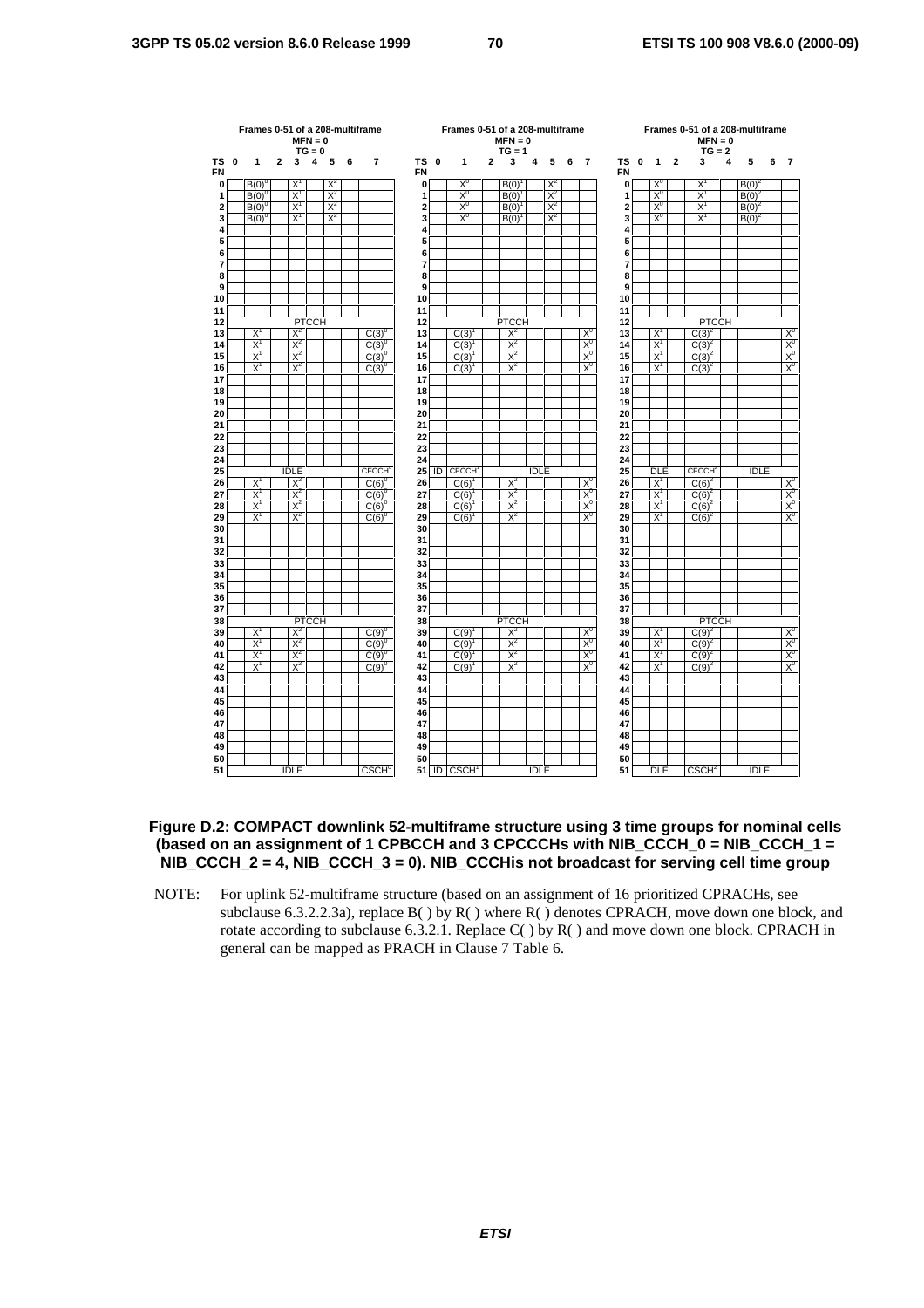| $\overline{2}$<br>5<br>7<br>TS 0<br>3<br>TS<br>$\overline{\mathbf{2}}$<br>5<br>$\mathbf{0}$<br>1<br>3<br>4<br>6<br>$\mathbf{1}$<br>$\overline{a}$<br>4<br>5<br>6<br>$\overline{7}$<br>$\mathbf{0}$<br>1<br>3<br>4<br>6<br><b>FN</b><br><b>FN</b><br>$X^0$<br>$X^2$<br>$X^2$<br>X <sup>0</sup><br>$X^1$<br>$B(0)^{0}$<br>B(0)<br>$B(0)^2$<br>Χ<br>0<br>0<br>$X^0$<br>$X^1$<br>$X^1$<br>$X^2$<br>$X^2$<br>$X^0$<br>$B(0)^{0}$<br>B(0)<br>1<br>$B(0)^2$<br>1<br>$X^1$<br>$X^1$<br>$X^2$<br>$X_0$<br>$X^2$<br>2<br>$X_0$<br>$B(0)^{0}$<br>$\overline{a}$<br>B(0)<br>$B(0)^2$<br>$X^2$<br>X <sup>0</sup><br>$X^2$<br>3<br>$X^0$<br>$X^1$<br>$B(0)^{0}$<br>$X^1$<br>3<br>$B(0)^{1}$<br>$B(0)^2$<br>4<br>4<br>5<br>5<br>6<br>6<br>$\overline{7}$<br>7<br>8<br>8<br>9<br>9<br>10<br>10<br>11<br>11<br><b>PTCCH</b><br><b>PTCCH</b><br><b>PTCCH</b><br>12<br>12<br>$X^2$<br>$X^2$<br>$X^0$<br>X <sup>0</sup><br>$C(3)^2$<br>$X^1$<br>$C(3)^{0}$<br>C(3)<br>$X^1$<br>13<br>13<br>$\frac{X^0}{X^0}$<br>$X^1$<br>$X^2$<br>$X^2$<br>$X^0$<br>$X^1$<br>$C(3)^{0}$<br>14<br>C(3)<br>14<br>$C(3)^{2}$<br>$X^0$<br>$X^1$<br>$X^2$<br>$X^2$<br>15<br>$X^1$<br>$C(3)^{0}$<br>15<br>C(3)<br>$C(3)^{2}$<br>X <sub>0</sub><br>$X^1$<br>$X^2$<br>$X^2$<br>$X^1$<br>$\overline{C(3)}^2$<br>$C(3)^{0}$<br>$C(3)^{1}$<br>16<br>16<br>17<br>17<br>18<br>18<br>19<br>19<br>20<br>20<br>21<br>21<br>22<br>22<br>23<br>23<br>24<br>24<br><b>CECCH</b> <sup>C</sup><br>CECCH <sub>1</sub><br>CFCCH <sup>2</sup><br>25<br>ID<br><b>IDLE</b><br>25<br><b>IDLE</b><br><b>IDLE</b><br><b>IDLE</b><br>$X^2$<br>$X^2$<br>X <sup>0</sup><br>26<br>$X^1$<br>$\times^{\infty}_{X_0}$<br>$X^1$<br>$C(6)^{0}$<br>26<br>$C(6)^2$<br>C(6)<br>$X^2$<br>$X^0$<br>$X^1$<br>$X^2$<br>$X^1$<br>27<br>$C(6)^{0}$<br>27<br>C(6)<br>$C(6)^2$<br>$X^2$<br>$X^0$<br>$X^1$<br>$X^2$<br>$X^1$<br>$C(6)^{0}$<br>C(6)<br>28<br>$C(6)^2$<br>28<br>$X^1$<br>$X^2$<br>$X^2$<br>$X_0$<br>29<br>$X^1$<br>$C(6)^{0}$<br>29<br>C(6)<br>$C(6)^2$<br>30<br>30<br>31<br>31<br>32<br>32<br>33<br>33<br>34<br>34<br>35<br>35<br>36<br>36<br>37<br>37<br><b>PTCCH</b><br><b>PTCCH</b><br><b>PTCCH</b><br>38<br>38<br>$X^2$<br>$X^2$<br>$X_0$<br>$C(9)^{2}$<br>$\times^{\infty}_{X_0}$<br>$X^1$<br>$C(9)^{0}$<br>39<br>$X^1$<br>39<br>C(9)<br>X <sup>0</sup><br>$X^1$<br>$X^2$<br>$X^2$<br>$X^1$<br>$C(9)^2$<br>$C(9)^0$<br>C(9)<br>40<br>40<br>$X^0$<br>$X^2$<br>$X^1$<br>$X^2$<br>$C(9)^{0}$<br>41<br>C(9)<br>41<br>$X^1$<br>$C(9)^2$<br>$X^2$<br>X <sup>0</sup><br>$X^1$<br>$X^2$<br>42<br>$X^1$<br>$C(9)^{0}$<br>42<br>$C(9)^{1}$<br>$C(9)^2$<br>43<br>43<br>44<br>44<br>45<br>45<br>46<br>46<br>47<br>47<br>48<br>48<br>49<br>49<br>50<br>50<br><b>IDLE</b><br>51<br>ID CSCH<br><b>IDLE</b><br>51<br><b>IDLE</b><br><b>IDLE</b> |           | Frames 0-51 of a 208-multiframe | $MFN = 0$ | $TG = 0$ |  |                   |  | Frames 0-51 of a 208-multiframe | $MFN = 0$<br>$TG = 1$ |  |  |  |  | $MFN = 0$<br>$TG = 2$ | Frames 0-51 of a 208-multiframe |  |  |                |
|--------------------------------------------------------------------------------------------------------------------------------------------------------------------------------------------------------------------------------------------------------------------------------------------------------------------------------------------------------------------------------------------------------------------------------------------------------------------------------------------------------------------------------------------------------------------------------------------------------------------------------------------------------------------------------------------------------------------------------------------------------------------------------------------------------------------------------------------------------------------------------------------------------------------------------------------------------------------------------------------------------------------------------------------------------------------------------------------------------------------------------------------------------------------------------------------------------------------------------------------------------------------------------------------------------------------------------------------------------------------------------------------------------------------------------------------------------------------------------------------------------------------------------------------------------------------------------------------------------------------------------------------------------------------------------------------------------------------------------------------------------------------------------------------------------------------------------------------------------------------------------------------------------------------------------------------------------------------------------------------------------------------------------------------------------------------------------------------------------------------------------------------------------------------------------------------------------------------------------------------------------------------------------------------------------------------------------------------------------------------------------------------------------------------------------------------------------------------------------------------------------------------------------------------------------------------------------------------------------------------------------------------------------------------------------------------------------------------------------------------------------------|-----------|---------------------------------|-----------|----------|--|-------------------|--|---------------------------------|-----------------------|--|--|--|--|-----------------------|---------------------------------|--|--|----------------|
|                                                                                                                                                                                                                                                                                                                                                                                                                                                                                                                                                                                                                                                                                                                                                                                                                                                                                                                                                                                                                                                                                                                                                                                                                                                                                                                                                                                                                                                                                                                                                                                                                                                                                                                                                                                                                                                                                                                                                                                                                                                                                                                                                                                                                                                                                                                                                                                                                                                                                                                                                                                                                                                                                                                                                              | <b>TS</b> |                                 |           |          |  |                   |  |                                 |                       |  |  |  |  |                       |                                 |  |  | $\overline{7}$ |
|                                                                                                                                                                                                                                                                                                                                                                                                                                                                                                                                                                                                                                                                                                                                                                                                                                                                                                                                                                                                                                                                                                                                                                                                                                                                                                                                                                                                                                                                                                                                                                                                                                                                                                                                                                                                                                                                                                                                                                                                                                                                                                                                                                                                                                                                                                                                                                                                                                                                                                                                                                                                                                                                                                                                                              |           |                                 |           |          |  |                   |  |                                 |                       |  |  |  |  |                       |                                 |  |  |                |
|                                                                                                                                                                                                                                                                                                                                                                                                                                                                                                                                                                                                                                                                                                                                                                                                                                                                                                                                                                                                                                                                                                                                                                                                                                                                                                                                                                                                                                                                                                                                                                                                                                                                                                                                                                                                                                                                                                                                                                                                                                                                                                                                                                                                                                                                                                                                                                                                                                                                                                                                                                                                                                                                                                                                                              |           |                                 |           |          |  |                   |  |                                 |                       |  |  |  |  |                       |                                 |  |  |                |
|                                                                                                                                                                                                                                                                                                                                                                                                                                                                                                                                                                                                                                                                                                                                                                                                                                                                                                                                                                                                                                                                                                                                                                                                                                                                                                                                                                                                                                                                                                                                                                                                                                                                                                                                                                                                                                                                                                                                                                                                                                                                                                                                                                                                                                                                                                                                                                                                                                                                                                                                                                                                                                                                                                                                                              |           |                                 |           |          |  |                   |  |                                 |                       |  |  |  |  |                       |                                 |  |  |                |
|                                                                                                                                                                                                                                                                                                                                                                                                                                                                                                                                                                                                                                                                                                                                                                                                                                                                                                                                                                                                                                                                                                                                                                                                                                                                                                                                                                                                                                                                                                                                                                                                                                                                                                                                                                                                                                                                                                                                                                                                                                                                                                                                                                                                                                                                                                                                                                                                                                                                                                                                                                                                                                                                                                                                                              |           |                                 |           |          |  |                   |  |                                 |                       |  |  |  |  |                       |                                 |  |  |                |
|                                                                                                                                                                                                                                                                                                                                                                                                                                                                                                                                                                                                                                                                                                                                                                                                                                                                                                                                                                                                                                                                                                                                                                                                                                                                                                                                                                                                                                                                                                                                                                                                                                                                                                                                                                                                                                                                                                                                                                                                                                                                                                                                                                                                                                                                                                                                                                                                                                                                                                                                                                                                                                                                                                                                                              |           |                                 |           |          |  |                   |  |                                 |                       |  |  |  |  |                       |                                 |  |  |                |
|                                                                                                                                                                                                                                                                                                                                                                                                                                                                                                                                                                                                                                                                                                                                                                                                                                                                                                                                                                                                                                                                                                                                                                                                                                                                                                                                                                                                                                                                                                                                                                                                                                                                                                                                                                                                                                                                                                                                                                                                                                                                                                                                                                                                                                                                                                                                                                                                                                                                                                                                                                                                                                                                                                                                                              |           |                                 |           |          |  |                   |  |                                 |                       |  |  |  |  |                       |                                 |  |  |                |
|                                                                                                                                                                                                                                                                                                                                                                                                                                                                                                                                                                                                                                                                                                                                                                                                                                                                                                                                                                                                                                                                                                                                                                                                                                                                                                                                                                                                                                                                                                                                                                                                                                                                                                                                                                                                                                                                                                                                                                                                                                                                                                                                                                                                                                                                                                                                                                                                                                                                                                                                                                                                                                                                                                                                                              |           |                                 |           |          |  |                   |  |                                 |                       |  |  |  |  |                       |                                 |  |  |                |
|                                                                                                                                                                                                                                                                                                                                                                                                                                                                                                                                                                                                                                                                                                                                                                                                                                                                                                                                                                                                                                                                                                                                                                                                                                                                                                                                                                                                                                                                                                                                                                                                                                                                                                                                                                                                                                                                                                                                                                                                                                                                                                                                                                                                                                                                                                                                                                                                                                                                                                                                                                                                                                                                                                                                                              |           |                                 |           |          |  |                   |  |                                 |                       |  |  |  |  |                       |                                 |  |  |                |
|                                                                                                                                                                                                                                                                                                                                                                                                                                                                                                                                                                                                                                                                                                                                                                                                                                                                                                                                                                                                                                                                                                                                                                                                                                                                                                                                                                                                                                                                                                                                                                                                                                                                                                                                                                                                                                                                                                                                                                                                                                                                                                                                                                                                                                                                                                                                                                                                                                                                                                                                                                                                                                                                                                                                                              |           |                                 |           |          |  |                   |  |                                 |                       |  |  |  |  |                       |                                 |  |  |                |
|                                                                                                                                                                                                                                                                                                                                                                                                                                                                                                                                                                                                                                                                                                                                                                                                                                                                                                                                                                                                                                                                                                                                                                                                                                                                                                                                                                                                                                                                                                                                                                                                                                                                                                                                                                                                                                                                                                                                                                                                                                                                                                                                                                                                                                                                                                                                                                                                                                                                                                                                                                                                                                                                                                                                                              |           |                                 |           |          |  |                   |  |                                 |                       |  |  |  |  |                       |                                 |  |  |                |
|                                                                                                                                                                                                                                                                                                                                                                                                                                                                                                                                                                                                                                                                                                                                                                                                                                                                                                                                                                                                                                                                                                                                                                                                                                                                                                                                                                                                                                                                                                                                                                                                                                                                                                                                                                                                                                                                                                                                                                                                                                                                                                                                                                                                                                                                                                                                                                                                                                                                                                                                                                                                                                                                                                                                                              |           |                                 |           |          |  |                   |  |                                 |                       |  |  |  |  |                       |                                 |  |  |                |
|                                                                                                                                                                                                                                                                                                                                                                                                                                                                                                                                                                                                                                                                                                                                                                                                                                                                                                                                                                                                                                                                                                                                                                                                                                                                                                                                                                                                                                                                                                                                                                                                                                                                                                                                                                                                                                                                                                                                                                                                                                                                                                                                                                                                                                                                                                                                                                                                                                                                                                                                                                                                                                                                                                                                                              |           |                                 |           |          |  |                   |  |                                 |                       |  |  |  |  |                       |                                 |  |  |                |
|                                                                                                                                                                                                                                                                                                                                                                                                                                                                                                                                                                                                                                                                                                                                                                                                                                                                                                                                                                                                                                                                                                                                                                                                                                                                                                                                                                                                                                                                                                                                                                                                                                                                                                                                                                                                                                                                                                                                                                                                                                                                                                                                                                                                                                                                                                                                                                                                                                                                                                                                                                                                                                                                                                                                                              |           |                                 |           |          |  |                   |  |                                 |                       |  |  |  |  |                       |                                 |  |  |                |
|                                                                                                                                                                                                                                                                                                                                                                                                                                                                                                                                                                                                                                                                                                                                                                                                                                                                                                                                                                                                                                                                                                                                                                                                                                                                                                                                                                                                                                                                                                                                                                                                                                                                                                                                                                                                                                                                                                                                                                                                                                                                                                                                                                                                                                                                                                                                                                                                                                                                                                                                                                                                                                                                                                                                                              |           |                                 |           |          |  |                   |  |                                 |                       |  |  |  |  |                       |                                 |  |  |                |
|                                                                                                                                                                                                                                                                                                                                                                                                                                                                                                                                                                                                                                                                                                                                                                                                                                                                                                                                                                                                                                                                                                                                                                                                                                                                                                                                                                                                                                                                                                                                                                                                                                                                                                                                                                                                                                                                                                                                                                                                                                                                                                                                                                                                                                                                                                                                                                                                                                                                                                                                                                                                                                                                                                                                                              |           |                                 |           |          |  |                   |  |                                 |                       |  |  |  |  |                       |                                 |  |  |                |
|                                                                                                                                                                                                                                                                                                                                                                                                                                                                                                                                                                                                                                                                                                                                                                                                                                                                                                                                                                                                                                                                                                                                                                                                                                                                                                                                                                                                                                                                                                                                                                                                                                                                                                                                                                                                                                                                                                                                                                                                                                                                                                                                                                                                                                                                                                                                                                                                                                                                                                                                                                                                                                                                                                                                                              |           |                                 |           |          |  |                   |  |                                 |                       |  |  |  |  |                       |                                 |  |  |                |
|                                                                                                                                                                                                                                                                                                                                                                                                                                                                                                                                                                                                                                                                                                                                                                                                                                                                                                                                                                                                                                                                                                                                                                                                                                                                                                                                                                                                                                                                                                                                                                                                                                                                                                                                                                                                                                                                                                                                                                                                                                                                                                                                                                                                                                                                                                                                                                                                                                                                                                                                                                                                                                                                                                                                                              |           |                                 |           |          |  |                   |  |                                 |                       |  |  |  |  |                       |                                 |  |  |                |
|                                                                                                                                                                                                                                                                                                                                                                                                                                                                                                                                                                                                                                                                                                                                                                                                                                                                                                                                                                                                                                                                                                                                                                                                                                                                                                                                                                                                                                                                                                                                                                                                                                                                                                                                                                                                                                                                                                                                                                                                                                                                                                                                                                                                                                                                                                                                                                                                                                                                                                                                                                                                                                                                                                                                                              |           |                                 |           |          |  |                   |  |                                 |                       |  |  |  |  |                       |                                 |  |  |                |
|                                                                                                                                                                                                                                                                                                                                                                                                                                                                                                                                                                                                                                                                                                                                                                                                                                                                                                                                                                                                                                                                                                                                                                                                                                                                                                                                                                                                                                                                                                                                                                                                                                                                                                                                                                                                                                                                                                                                                                                                                                                                                                                                                                                                                                                                                                                                                                                                                                                                                                                                                                                                                                                                                                                                                              |           |                                 |           |          |  |                   |  |                                 |                       |  |  |  |  |                       |                                 |  |  |                |
|                                                                                                                                                                                                                                                                                                                                                                                                                                                                                                                                                                                                                                                                                                                                                                                                                                                                                                                                                                                                                                                                                                                                                                                                                                                                                                                                                                                                                                                                                                                                                                                                                                                                                                                                                                                                                                                                                                                                                                                                                                                                                                                                                                                                                                                                                                                                                                                                                                                                                                                                                                                                                                                                                                                                                              |           |                                 |           |          |  |                   |  |                                 |                       |  |  |  |  |                       |                                 |  |  |                |
|                                                                                                                                                                                                                                                                                                                                                                                                                                                                                                                                                                                                                                                                                                                                                                                                                                                                                                                                                                                                                                                                                                                                                                                                                                                                                                                                                                                                                                                                                                                                                                                                                                                                                                                                                                                                                                                                                                                                                                                                                                                                                                                                                                                                                                                                                                                                                                                                                                                                                                                                                                                                                                                                                                                                                              |           |                                 |           |          |  |                   |  |                                 |                       |  |  |  |  |                       |                                 |  |  |                |
|                                                                                                                                                                                                                                                                                                                                                                                                                                                                                                                                                                                                                                                                                                                                                                                                                                                                                                                                                                                                                                                                                                                                                                                                                                                                                                                                                                                                                                                                                                                                                                                                                                                                                                                                                                                                                                                                                                                                                                                                                                                                                                                                                                                                                                                                                                                                                                                                                                                                                                                                                                                                                                                                                                                                                              |           |                                 |           |          |  |                   |  |                                 |                       |  |  |  |  |                       |                                 |  |  |                |
|                                                                                                                                                                                                                                                                                                                                                                                                                                                                                                                                                                                                                                                                                                                                                                                                                                                                                                                                                                                                                                                                                                                                                                                                                                                                                                                                                                                                                                                                                                                                                                                                                                                                                                                                                                                                                                                                                                                                                                                                                                                                                                                                                                                                                                                                                                                                                                                                                                                                                                                                                                                                                                                                                                                                                              |           |                                 |           |          |  |                   |  |                                 |                       |  |  |  |  |                       |                                 |  |  |                |
|                                                                                                                                                                                                                                                                                                                                                                                                                                                                                                                                                                                                                                                                                                                                                                                                                                                                                                                                                                                                                                                                                                                                                                                                                                                                                                                                                                                                                                                                                                                                                                                                                                                                                                                                                                                                                                                                                                                                                                                                                                                                                                                                                                                                                                                                                                                                                                                                                                                                                                                                                                                                                                                                                                                                                              |           |                                 |           |          |  |                   |  |                                 |                       |  |  |  |  |                       |                                 |  |  |                |
|                                                                                                                                                                                                                                                                                                                                                                                                                                                                                                                                                                                                                                                                                                                                                                                                                                                                                                                                                                                                                                                                                                                                                                                                                                                                                                                                                                                                                                                                                                                                                                                                                                                                                                                                                                                                                                                                                                                                                                                                                                                                                                                                                                                                                                                                                                                                                                                                                                                                                                                                                                                                                                                                                                                                                              |           |                                 |           |          |  |                   |  |                                 |                       |  |  |  |  |                       |                                 |  |  |                |
|                                                                                                                                                                                                                                                                                                                                                                                                                                                                                                                                                                                                                                                                                                                                                                                                                                                                                                                                                                                                                                                                                                                                                                                                                                                                                                                                                                                                                                                                                                                                                                                                                                                                                                                                                                                                                                                                                                                                                                                                                                                                                                                                                                                                                                                                                                                                                                                                                                                                                                                                                                                                                                                                                                                                                              |           |                                 |           |          |  |                   |  |                                 |                       |  |  |  |  |                       |                                 |  |  |                |
|                                                                                                                                                                                                                                                                                                                                                                                                                                                                                                                                                                                                                                                                                                                                                                                                                                                                                                                                                                                                                                                                                                                                                                                                                                                                                                                                                                                                                                                                                                                                                                                                                                                                                                                                                                                                                                                                                                                                                                                                                                                                                                                                                                                                                                                                                                                                                                                                                                                                                                                                                                                                                                                                                                                                                              |           |                                 |           |          |  |                   |  |                                 |                       |  |  |  |  |                       |                                 |  |  |                |
|                                                                                                                                                                                                                                                                                                                                                                                                                                                                                                                                                                                                                                                                                                                                                                                                                                                                                                                                                                                                                                                                                                                                                                                                                                                                                                                                                                                                                                                                                                                                                                                                                                                                                                                                                                                                                                                                                                                                                                                                                                                                                                                                                                                                                                                                                                                                                                                                                                                                                                                                                                                                                                                                                                                                                              |           |                                 |           |          |  |                   |  |                                 |                       |  |  |  |  |                       |                                 |  |  |                |
|                                                                                                                                                                                                                                                                                                                                                                                                                                                                                                                                                                                                                                                                                                                                                                                                                                                                                                                                                                                                                                                                                                                                                                                                                                                                                                                                                                                                                                                                                                                                                                                                                                                                                                                                                                                                                                                                                                                                                                                                                                                                                                                                                                                                                                                                                                                                                                                                                                                                                                                                                                                                                                                                                                                                                              |           |                                 |           |          |  |                   |  |                                 |                       |  |  |  |  |                       |                                 |  |  |                |
|                                                                                                                                                                                                                                                                                                                                                                                                                                                                                                                                                                                                                                                                                                                                                                                                                                                                                                                                                                                                                                                                                                                                                                                                                                                                                                                                                                                                                                                                                                                                                                                                                                                                                                                                                                                                                                                                                                                                                                                                                                                                                                                                                                                                                                                                                                                                                                                                                                                                                                                                                                                                                                                                                                                                                              |           |                                 |           |          |  |                   |  |                                 |                       |  |  |  |  |                       |                                 |  |  |                |
|                                                                                                                                                                                                                                                                                                                                                                                                                                                                                                                                                                                                                                                                                                                                                                                                                                                                                                                                                                                                                                                                                                                                                                                                                                                                                                                                                                                                                                                                                                                                                                                                                                                                                                                                                                                                                                                                                                                                                                                                                                                                                                                                                                                                                                                                                                                                                                                                                                                                                                                                                                                                                                                                                                                                                              |           |                                 |           |          |  |                   |  |                                 |                       |  |  |  |  |                       |                                 |  |  |                |
|                                                                                                                                                                                                                                                                                                                                                                                                                                                                                                                                                                                                                                                                                                                                                                                                                                                                                                                                                                                                                                                                                                                                                                                                                                                                                                                                                                                                                                                                                                                                                                                                                                                                                                                                                                                                                                                                                                                                                                                                                                                                                                                                                                                                                                                                                                                                                                                                                                                                                                                                                                                                                                                                                                                                                              |           |                                 |           |          |  |                   |  |                                 |                       |  |  |  |  |                       |                                 |  |  |                |
|                                                                                                                                                                                                                                                                                                                                                                                                                                                                                                                                                                                                                                                                                                                                                                                                                                                                                                                                                                                                                                                                                                                                                                                                                                                                                                                                                                                                                                                                                                                                                                                                                                                                                                                                                                                                                                                                                                                                                                                                                                                                                                                                                                                                                                                                                                                                                                                                                                                                                                                                                                                                                                                                                                                                                              |           |                                 |           |          |  |                   |  |                                 |                       |  |  |  |  |                       |                                 |  |  |                |
|                                                                                                                                                                                                                                                                                                                                                                                                                                                                                                                                                                                                                                                                                                                                                                                                                                                                                                                                                                                                                                                                                                                                                                                                                                                                                                                                                                                                                                                                                                                                                                                                                                                                                                                                                                                                                                                                                                                                                                                                                                                                                                                                                                                                                                                                                                                                                                                                                                                                                                                                                                                                                                                                                                                                                              |           |                                 |           |          |  |                   |  |                                 |                       |  |  |  |  |                       |                                 |  |  |                |
|                                                                                                                                                                                                                                                                                                                                                                                                                                                                                                                                                                                                                                                                                                                                                                                                                                                                                                                                                                                                                                                                                                                                                                                                                                                                                                                                                                                                                                                                                                                                                                                                                                                                                                                                                                                                                                                                                                                                                                                                                                                                                                                                                                                                                                                                                                                                                                                                                                                                                                                                                                                                                                                                                                                                                              |           |                                 |           |          |  |                   |  |                                 |                       |  |  |  |  |                       |                                 |  |  |                |
|                                                                                                                                                                                                                                                                                                                                                                                                                                                                                                                                                                                                                                                                                                                                                                                                                                                                                                                                                                                                                                                                                                                                                                                                                                                                                                                                                                                                                                                                                                                                                                                                                                                                                                                                                                                                                                                                                                                                                                                                                                                                                                                                                                                                                                                                                                                                                                                                                                                                                                                                                                                                                                                                                                                                                              |           |                                 |           |          |  |                   |  |                                 |                       |  |  |  |  |                       |                                 |  |  |                |
|                                                                                                                                                                                                                                                                                                                                                                                                                                                                                                                                                                                                                                                                                                                                                                                                                                                                                                                                                                                                                                                                                                                                                                                                                                                                                                                                                                                                                                                                                                                                                                                                                                                                                                                                                                                                                                                                                                                                                                                                                                                                                                                                                                                                                                                                                                                                                                                                                                                                                                                                                                                                                                                                                                                                                              |           |                                 |           |          |  |                   |  |                                 |                       |  |  |  |  |                       |                                 |  |  |                |
|                                                                                                                                                                                                                                                                                                                                                                                                                                                                                                                                                                                                                                                                                                                                                                                                                                                                                                                                                                                                                                                                                                                                                                                                                                                                                                                                                                                                                                                                                                                                                                                                                                                                                                                                                                                                                                                                                                                                                                                                                                                                                                                                                                                                                                                                                                                                                                                                                                                                                                                                                                                                                                                                                                                                                              |           |                                 |           |          |  |                   |  |                                 |                       |  |  |  |  |                       |                                 |  |  |                |
|                                                                                                                                                                                                                                                                                                                                                                                                                                                                                                                                                                                                                                                                                                                                                                                                                                                                                                                                                                                                                                                                                                                                                                                                                                                                                                                                                                                                                                                                                                                                                                                                                                                                                                                                                                                                                                                                                                                                                                                                                                                                                                                                                                                                                                                                                                                                                                                                                                                                                                                                                                                                                                                                                                                                                              |           |                                 |           |          |  |                   |  |                                 |                       |  |  |  |  |                       |                                 |  |  |                |
|                                                                                                                                                                                                                                                                                                                                                                                                                                                                                                                                                                                                                                                                                                                                                                                                                                                                                                                                                                                                                                                                                                                                                                                                                                                                                                                                                                                                                                                                                                                                                                                                                                                                                                                                                                                                                                                                                                                                                                                                                                                                                                                                                                                                                                                                                                                                                                                                                                                                                                                                                                                                                                                                                                                                                              |           |                                 |           |          |  |                   |  |                                 |                       |  |  |  |  |                       |                                 |  |  |                |
|                                                                                                                                                                                                                                                                                                                                                                                                                                                                                                                                                                                                                                                                                                                                                                                                                                                                                                                                                                                                                                                                                                                                                                                                                                                                                                                                                                                                                                                                                                                                                                                                                                                                                                                                                                                                                                                                                                                                                                                                                                                                                                                                                                                                                                                                                                                                                                                                                                                                                                                                                                                                                                                                                                                                                              |           |                                 |           |          |  |                   |  |                                 |                       |  |  |  |  |                       |                                 |  |  |                |
|                                                                                                                                                                                                                                                                                                                                                                                                                                                                                                                                                                                                                                                                                                                                                                                                                                                                                                                                                                                                                                                                                                                                                                                                                                                                                                                                                                                                                                                                                                                                                                                                                                                                                                                                                                                                                                                                                                                                                                                                                                                                                                                                                                                                                                                                                                                                                                                                                                                                                                                                                                                                                                                                                                                                                              |           |                                 |           |          |  |                   |  |                                 |                       |  |  |  |  |                       |                                 |  |  |                |
|                                                                                                                                                                                                                                                                                                                                                                                                                                                                                                                                                                                                                                                                                                                                                                                                                                                                                                                                                                                                                                                                                                                                                                                                                                                                                                                                                                                                                                                                                                                                                                                                                                                                                                                                                                                                                                                                                                                                                                                                                                                                                                                                                                                                                                                                                                                                                                                                                                                                                                                                                                                                                                                                                                                                                              |           |                                 |           |          |  |                   |  |                                 |                       |  |  |  |  |                       |                                 |  |  |                |
|                                                                                                                                                                                                                                                                                                                                                                                                                                                                                                                                                                                                                                                                                                                                                                                                                                                                                                                                                                                                                                                                                                                                                                                                                                                                                                                                                                                                                                                                                                                                                                                                                                                                                                                                                                                                                                                                                                                                                                                                                                                                                                                                                                                                                                                                                                                                                                                                                                                                                                                                                                                                                                                                                                                                                              |           |                                 |           |          |  |                   |  |                                 |                       |  |  |  |  |                       |                                 |  |  |                |
|                                                                                                                                                                                                                                                                                                                                                                                                                                                                                                                                                                                                                                                                                                                                                                                                                                                                                                                                                                                                                                                                                                                                                                                                                                                                                                                                                                                                                                                                                                                                                                                                                                                                                                                                                                                                                                                                                                                                                                                                                                                                                                                                                                                                                                                                                                                                                                                                                                                                                                                                                                                                                                                                                                                                                              |           |                                 |           |          |  |                   |  |                                 |                       |  |  |  |  |                       |                                 |  |  |                |
|                                                                                                                                                                                                                                                                                                                                                                                                                                                                                                                                                                                                                                                                                                                                                                                                                                                                                                                                                                                                                                                                                                                                                                                                                                                                                                                                                                                                                                                                                                                                                                                                                                                                                                                                                                                                                                                                                                                                                                                                                                                                                                                                                                                                                                                                                                                                                                                                                                                                                                                                                                                                                                                                                                                                                              |           |                                 |           |          |  |                   |  |                                 |                       |  |  |  |  |                       |                                 |  |  |                |
|                                                                                                                                                                                                                                                                                                                                                                                                                                                                                                                                                                                                                                                                                                                                                                                                                                                                                                                                                                                                                                                                                                                                                                                                                                                                                                                                                                                                                                                                                                                                                                                                                                                                                                                                                                                                                                                                                                                                                                                                                                                                                                                                                                                                                                                                                                                                                                                                                                                                                                                                                                                                                                                                                                                                                              |           |                                 |           |          |  |                   |  |                                 |                       |  |  |  |  |                       |                                 |  |  |                |
|                                                                                                                                                                                                                                                                                                                                                                                                                                                                                                                                                                                                                                                                                                                                                                                                                                                                                                                                                                                                                                                                                                                                                                                                                                                                                                                                                                                                                                                                                                                                                                                                                                                                                                                                                                                                                                                                                                                                                                                                                                                                                                                                                                                                                                                                                                                                                                                                                                                                                                                                                                                                                                                                                                                                                              |           |                                 |           |          |  |                   |  |                                 |                       |  |  |  |  |                       |                                 |  |  |                |
|                                                                                                                                                                                                                                                                                                                                                                                                                                                                                                                                                                                                                                                                                                                                                                                                                                                                                                                                                                                                                                                                                                                                                                                                                                                                                                                                                                                                                                                                                                                                                                                                                                                                                                                                                                                                                                                                                                                                                                                                                                                                                                                                                                                                                                                                                                                                                                                                                                                                                                                                                                                                                                                                                                                                                              |           |                                 |           |          |  |                   |  |                                 |                       |  |  |  |  |                       |                                 |  |  |                |
|                                                                                                                                                                                                                                                                                                                                                                                                                                                                                                                                                                                                                                                                                                                                                                                                                                                                                                                                                                                                                                                                                                                                                                                                                                                                                                                                                                                                                                                                                                                                                                                                                                                                                                                                                                                                                                                                                                                                                                                                                                                                                                                                                                                                                                                                                                                                                                                                                                                                                                                                                                                                                                                                                                                                                              |           |                                 |           |          |  | CSCH <sup>0</sup> |  |                                 |                       |  |  |  |  | CSCH <sup>2</sup>     |                                 |  |  |                |

### **Figure D.2: COMPACT downlink 52-multiframe structure using 3 time groups for nominal cells (based on an assignment of 1 CPBCCH and 3 CPCCCHs with NIB\_CCCH\_0 = NIB\_CCCH\_1 = NIB\_CCCH\_2 = 4, NIB\_CCCH\_3 = 0). NIB\_CCCHis not broadcast for serving cell time group**

NOTE: For uplink 52-multiframe structure (based on an assignment of 16 prioritized CPRACHs, see subclause 6.3.2.2.3a), replace B( ) by R( ) where R( ) denotes CPRACH, move down one block, and rotate according to subclause 6.3.2.1. Replace C( ) by R( ) and move down one block. CPRACH in general can be mapped as PRACH in Clause 7 Table 6.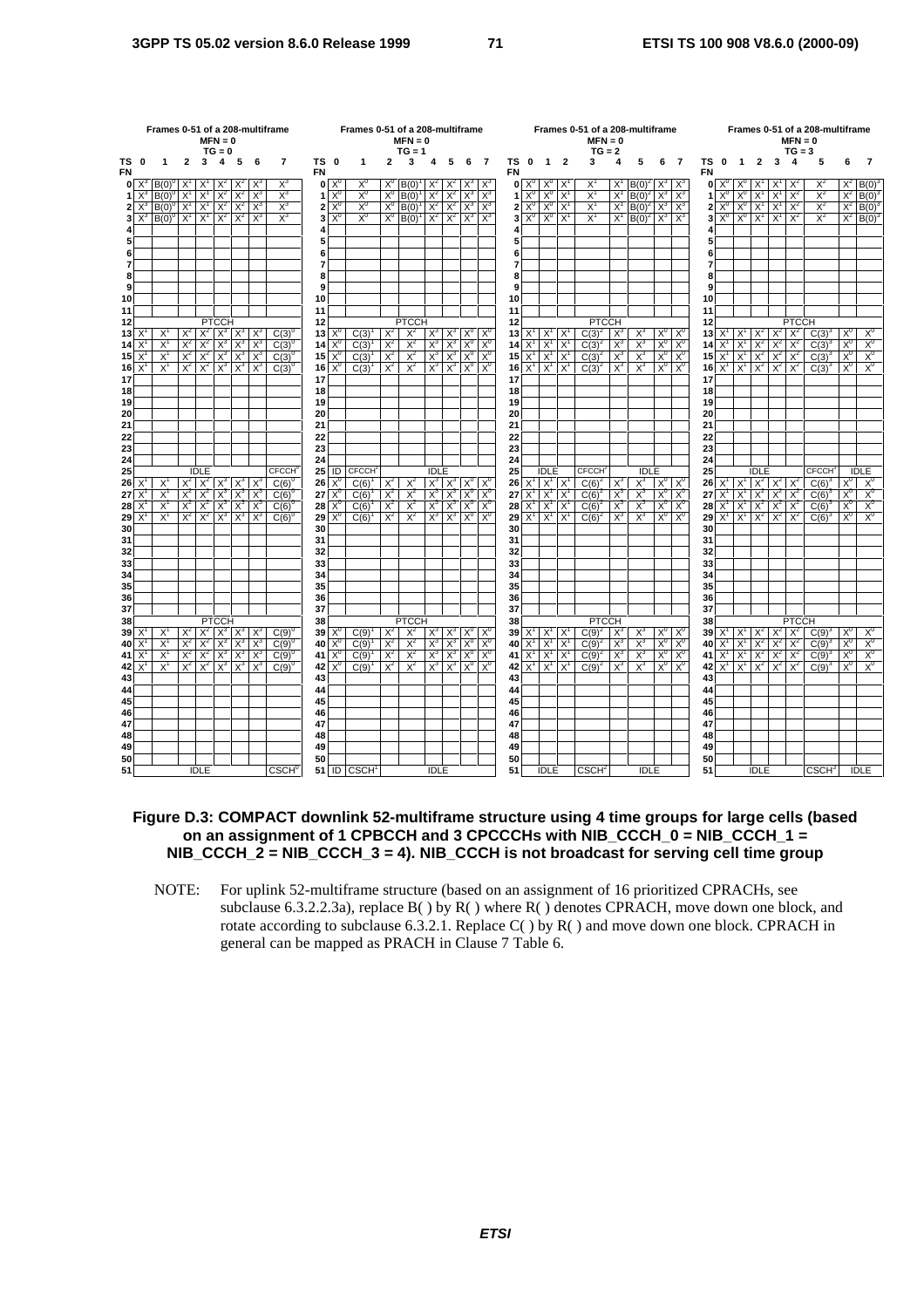|                 |                   |                                                                 |                |                               | $MFN = 0$<br>$TG = 0$ |                |                | Frames 0-51 of a 208-multiframe | Frames 0-51 of a 208-multiframe<br>$MFN = 0$<br>$TG = 1$<br>ΤS |                                      |                       |                |                |                |                |                   |                | Frames 0-51 of a 208-multiframe<br>$MFN = 0$<br>$TG = 2$ |                        |                            |                |                          |                |                         |                | Frames 0-51 of a 208-multiframe<br>$MFN = 0$<br>$TG = 3$ |                 |                |                         |                       |                               |                |                          |                  |                         |
|-----------------|-------------------|-----------------------------------------------------------------|----------------|-------------------------------|-----------------------|----------------|----------------|---------------------------------|----------------------------------------------------------------|--------------------------------------|-----------------------|----------------|----------------|----------------|----------------|-------------------|----------------|----------------------------------------------------------|------------------------|----------------------------|----------------|--------------------------|----------------|-------------------------|----------------|----------------------------------------------------------|-----------------|----------------|-------------------------|-----------------------|-------------------------------|----------------|--------------------------|------------------|-------------------------|
| ΤS<br><b>FN</b> | 0                 | 1                                                               | $\mathbf{2}$   | 3                             | 4                     | - 5            | - 6            | $\overline{7}$                  | <b>FN</b>                                                      | $\mathbf 0$                          | 1                     | $\mathbf{2}$   | 3              | 4              | 5              | 6                 | $\overline{7}$ | <b>FN</b>                                                | TS 0                   | $1\quad 2$                 |                | 3                        | 4              | 5                       | 6              | $\overline{7}$                                           | TS<br><b>FN</b> | $\mathbf 0$    | $1\quad 2$              |                       | $\mathbf{3}$                  | 4              | 5                        | 6                |                         |
|                 | $0^{\frac{1}{2}}$ | $B(0)^0$                                                        | $\mathsf{X}^1$ | X                             | $X^2$                 |                | X              | $X^3$                           |                                                                | $0 \times^0$                         | $X^0$                 | $X^C$          | B(0)           | $X^2$          | $X^2$          | $X^3$             |                |                                                          | $0 \times^0$           | $X^0$                      | X              | X                        | $X^1$          | $B(0)^2$                | $X^3$          | $X^{\circ}$                                              | $\mathbf{0}$    | $X^0$          | $X^0$                   | X                     |                               | X.             | X                        | $X^2$            | B(0)                    |
| 1               | $X^3$             | $B(0)^{0}$                                                      | $X^1$          | $X^1$                         | $X^2$                 | $X^2$          | $X^3$          | $X^3$                           | 1                                                              | $X^0$                                | $X_0$                 | $X^0$          | B(0)           | $X^2$          | $X^2$          | $X^3$             | $X^3$          | 1                                                        | $X^0$                  | $X^0$                      | $X^1$          | $X^1$                    | $X^1$          | $B(0)^2$                | $X^3$          | $X^3$                                                    | 1               | $X^0$          | $X^0$                   | $X^1$                 | $X^1$                         | $X^2$          | $X^2$                    | $X^2$            | B(0)                    |
| 2               | $X^3$             | $B(0)^{0}$ $X^{1}$ $X^{1}$                                      |                |                               | $X^2$                 | $X^2$          | $X^3$          | $X^3$                           | 2                                                              | $X^0$                                | $X^0$                 | $X^0$          | B(0)           | $X^2$          | $X^2$          | $X^3$             | $X^3$          | $\overline{2}$                                           | $X^0$                  | $X_0$                      | $X^1$          | $X^1$                    | $X^1$          | $B(0)^2$                | $\mathsf{X}^3$ | $X^3$                                                    | $\overline{2}$  | $X^0$          | $X^0$                   | $X^1$                 | $X^1$                         | $X^2$          | $X^2$                    |                  | $X^2$ B(0) <sup>3</sup> |
| 3               | $X^3$             | $B(0)^{0}$ $X^{1}$ $X^{1}$                                      |                |                               | $X^2$                 | $X^2$          | $X^3$          | $X^3$                           | 3                                                              | $X^0$                                | $X^0$                 | $X_0$          | $B(0)^{1}$     |                | $X^2$ $X^2$    | $X^3$             | $X^3$          | 3                                                        | $X^0$                  | $X_0$                      | $X^1$          | $X^1$                    |                | $X^1$ B(0) <sup>2</sup> | $X^3$          | $X^3$                                                    | 3               |                | $X_0$ $X_0$             | $X^1$                 | $X^1$                         | $X^2$          | $X^2$                    |                  | $X^2$ B(0) <sup>3</sup> |
| 4               |                   |                                                                 |                |                               |                       |                |                |                                 | 4                                                              |                                      |                       |                |                |                |                |                   |                |                                                          |                        |                            |                |                          |                |                         |                |                                                          | 4               |                |                         |                       |                               |                |                          |                  |                         |
| 5<br>6          |                   |                                                                 |                |                               |                       |                |                |                                 | 5<br>6                                                         |                                      |                       |                |                |                |                |                   |                | 5<br>6                                                   |                        |                            |                |                          |                |                         |                |                                                          | 5<br>6          |                |                         |                       |                               |                |                          |                  |                         |
| $\overline{7}$  |                   |                                                                 |                |                               |                       |                |                |                                 | $\overline{7}$                                                 |                                      |                       |                |                |                |                |                   |                | 7                                                        |                        |                            |                |                          |                |                         |                |                                                          | $\overline{7}$  |                |                         |                       |                               |                |                          |                  |                         |
| я               |                   |                                                                 |                |                               |                       |                |                |                                 | Я                                                              |                                      |                       |                |                |                |                |                   |                | я                                                        |                        |                            |                |                          |                |                         |                |                                                          | 8               |                |                         |                       |                               |                |                          |                  |                         |
| 9               |                   |                                                                 |                |                               |                       |                |                |                                 | 9                                                              |                                      |                       |                |                |                |                |                   |                | 9                                                        |                        |                            |                |                          |                |                         |                |                                                          | 9               |                |                         |                       |                               |                |                          |                  |                         |
| 10              |                   |                                                                 |                |                               |                       |                |                |                                 | 10                                                             |                                      |                       |                |                |                |                |                   |                | 10                                                       |                        |                            |                |                          |                |                         |                |                                                          | 10              |                |                         |                       |                               |                |                          |                  |                         |
| 11              |                   |                                                                 |                |                               |                       |                |                |                                 | 11                                                             |                                      |                       |                |                |                |                |                   |                | 11                                                       |                        |                            |                |                          |                |                         |                |                                                          | 11              |                |                         |                       |                               |                |                          |                  |                         |
| 12              |                   |                                                                 |                |                               | <b>PTCCH</b>          |                |                |                                 | 12                                                             |                                      |                       |                | <b>PTCCH</b>   |                |                |                   |                | 12                                                       |                        |                            |                | <b>PTCCH</b>             |                |                         |                |                                                          | 12              |                |                         |                       |                               | <b>PTCCH</b>   |                          |                  |                         |
| 13              | X                 | X<br>X                                                          | $X^2$          | $X^2$<br>$X^2$                | $X^3$                 | $X^3$<br>$X^3$ | $X^3$          | $C(3)^{0}$                      | 13                                                             | $X^{\mathfrak{c}}$<br>X <sup>0</sup> | C(3)                  | $X^2$<br>$X^2$ | $X^2$          | $X^3$<br>$X^3$ | $X^3$<br>$X^3$ | $X^0$<br>$X^0$    | $X^0$<br>$X^0$ | 13                                                       | $X^1$<br>$X^1$         | $X^1$                      | X              | $C(3)^{2}$               | $X^3$          | $X^3$                   | $X^0$<br>$X^0$ | $X^0$<br>$X^0$                                           | 13              | $X^1$<br>$X^1$ | $X^1$                   | $X^2$<br>$X^2$        | $X^2$                         | $X^2$ $X^2$    | $C(3)^3$                 | $X^0$<br>$X_0$   | $X^0$<br>$X_0$          |
| 14<br>15        | $X^1$             | $X^1$                                                           | $X^2$<br>$X^2$ | $X^2$                         | $X^3$                 | $X^3$ $X^3$    | $X^3$<br>$X^3$ | $C(3)^{0}$<br>$C(3)^{0}$        | 14<br>15                                                       | $X^0$                                | C(3)<br>C(3)          | $X^2$          | $X^2$<br>$X^2$ | $X^3$          | $X^3$          | $X_0$             | $X^0$          | 14<br>15                                                 | $X^1$                  | $X^1$<br>$X^1$             | $X^1$<br>$X^1$ | $C(3)^{2}$<br>$C(3)^{2}$ | $X^3$<br>$X^3$ | $X^3$<br>$X^3$          |                | $X_0$ $X_0$                                              | 14<br>15        |                | $X^1$<br>$X^1 \mid X^1$ | $X^2$                 | $X^2$                         | $X^2$<br>$X^2$ | $C(3)^{3}$<br>$C(3)^{3}$ | $\overline{X}^0$ | $X^0$                   |
| 16              | $X^1$             | X                                                               | $X^2$          | $X^2$                         | $X^3$                 | $X^3$          | $X^3$          | $C(3)^{0}$                      | 16                                                             | $X^0$                                | C(3)                  | $X^2$          | $X^2$          | $X^3$          | $X^3$          | $X^0$             | $X_0$          | 16                                                       | $X^1$                  | $X^1$                      | $X^1$          | $C(3)^2$                 | $X^3$          | $X^3$                   | $X_0$          | $X^0$                                                    | 16              |                | $X^1$ $X^1$             | $X^2$                 | $X^2$                         | $X^2$          | $C(3)^3$                 | $X^0$            | $X^0$                   |
| 17              |                   |                                                                 |                |                               |                       |                |                |                                 | 17                                                             |                                      |                       |                |                |                |                |                   |                | 17                                                       |                        |                            |                |                          |                |                         |                |                                                          | 17              |                |                         |                       |                               |                |                          |                  |                         |
| 18              |                   |                                                                 |                |                               |                       |                |                |                                 | 18                                                             |                                      |                       |                |                |                |                |                   |                | 18                                                       |                        |                            |                |                          |                |                         |                |                                                          | 18              |                |                         |                       |                               |                |                          |                  |                         |
| 19              |                   |                                                                 |                |                               |                       |                |                |                                 | 19                                                             |                                      |                       |                |                |                |                |                   |                | 19                                                       |                        |                            |                |                          |                |                         |                |                                                          | 19              |                |                         |                       |                               |                |                          |                  |                         |
| 20              |                   |                                                                 |                |                               |                       |                |                |                                 | 20                                                             |                                      |                       |                |                |                |                |                   |                | 20                                                       |                        |                            |                |                          |                |                         |                |                                                          | 20              |                |                         |                       |                               |                |                          |                  |                         |
| 21              |                   |                                                                 |                |                               |                       |                |                |                                 | 21                                                             |                                      |                       |                |                |                |                |                   |                | 21                                                       |                        |                            |                |                          |                |                         |                |                                                          | 21              |                |                         |                       |                               |                |                          |                  |                         |
| 22<br>23        |                   |                                                                 |                |                               |                       |                |                |                                 | 22<br>23                                                       |                                      |                       |                |                |                |                |                   |                | 22<br>23                                                 |                        |                            |                |                          |                |                         |                |                                                          | 22<br>23        |                |                         |                       |                               |                |                          |                  |                         |
| 24              |                   |                                                                 |                |                               |                       |                |                |                                 | 24                                                             |                                      |                       |                |                |                |                |                   |                | 24                                                       |                        |                            |                |                          |                |                         |                |                                                          | 24              |                |                         |                       |                               |                |                          |                  |                         |
| 25              |                   |                                                                 |                | <b>IDLE</b>                   |                       |                |                | <b>CECCH</b>                    | 25                                                             | ID                                   | <b>CFCCH</b>          |                |                | <b>IDLE</b>    |                |                   |                | 25                                                       |                        | <b>IDLE</b>                |                | CFCCH <sup>2</sup>       |                | <b>IDLE</b>             |                |                                                          | 25              |                |                         | <b>IDLE</b>           |                               |                | CECCH <sub>3</sub>       |                  | <b>IDLE</b>             |
| 26              | $X^1$             | $X^1$                                                           |                | $X^2$ $X^2$ $X^3$ $X^3$ $X^3$ |                       |                |                | $C(6)^{0}$                      | 26                                                             | $X^0$                                | C(6)                  | $X^2$          | $X^2$          |                |                | $X^3$ $X^3$ $X^0$ | $X^0$          |                                                          | $26$ $X^1$ $X^1$ $X^1$ |                            |                | $C(6)^{2}$               | $X^3$          | $X^3$                   |                | $X_0$ $X_0$                                              | 26              |                |                         |                       | $X^1$ $X^2$ $X^2$ $X^2$ $X^2$ |                | $C(6)^3$                 | $X^{\circ}$      | $X^0$                   |
| 27              |                   | X                                                               | $X^2$          | $X^2$                         | $X^3$                 | $X^3$          | $X^3$          | $C(6)^\circ$                    | 27                                                             | $X^0$                                | C(6)                  | $X^2$          | $X^2$          | $X^3$          | $X^3$          | $X^0$             | $X_0$          | 27                                                       | X'                     | $X^1$                      | $X^1$          | $C(6)^2$                 | $X^3$          | $X^3$                   | $X^0$          | $X_0$                                                    | 27              | X'             | $X^1$                   | $X^2$                 | $X^2$                         | $\mathsf{X}^2$ | $C(6)^3$                 | $X^{\sigma}$     | $X_0$                   |
| 28              | $X^1$             | $X^1$                                                           | $X^2$          | $X^2$                         | $X^3$                 | $X^3$          | $X^3$          | $C(6)^{0}$                      | 28                                                             | $X^0$                                | C(6)                  | $X^2$          | $X^2$          | $X^3$          | $X^3$          | $X^0$             | $X^0$          | 28                                                       | $X^1$                  | $X^1$                      | $X^1$          | $C(6)^{2}$               | $X^3$          | $X^3$                   | $X^0$          | $X^0$                                                    | 28              | $X^1$          | $X^1$                   | $X^2$                 | $X^2$                         | $X^2$          | C(6)                     | $X^0$            | $X^0$                   |
| 29              | $X^1$             | $X^1$                                                           | $X^2$          | $X^2$                         | $X^3$                 | $X^3$          | $X^3$          | $C(6)^{0}$                      | 29                                                             | X <sup>0</sup>                       | C(6)                  | $X^2$          | $X^2$          |                | $X^3$ $X^3$    | $X^0$             | $X^0$          |                                                          | $29$ $X^1$ $X^1$       |                            | $X^1$          | $C(6)^{2}$               | $X^3$          | $X^3$                   |                | $X^0$ $X^0$                                              | 29              |                | $X^1$ $X^1$             | $X^2$                 | $X^2$                         | $X^2$          | $C(6)^3$                 | $X^0$            | $X_0$                   |
| 30<br>31        |                   |                                                                 |                |                               |                       |                |                |                                 | 30<br>31                                                       |                                      |                       |                |                |                |                |                   |                | 30<br>31                                                 |                        |                            |                |                          |                |                         |                |                                                          | 30<br>31        |                |                         |                       |                               |                |                          |                  |                         |
| 32              |                   |                                                                 |                |                               |                       |                |                |                                 | 32                                                             |                                      |                       |                |                |                |                |                   |                | 32                                                       |                        |                            |                |                          |                |                         |                |                                                          | 32              |                |                         |                       |                               |                |                          |                  |                         |
| 33              |                   |                                                                 |                |                               |                       |                |                |                                 | 33                                                             |                                      |                       |                |                |                |                |                   |                | 33                                                       |                        |                            |                |                          |                |                         |                |                                                          | 33              |                |                         |                       |                               |                |                          |                  |                         |
| 34              |                   |                                                                 |                |                               |                       |                |                |                                 | 34                                                             |                                      |                       |                |                |                |                |                   |                | 34                                                       |                        |                            |                |                          |                |                         |                |                                                          | 34              |                |                         |                       |                               |                |                          |                  |                         |
| 35              |                   |                                                                 |                |                               |                       |                |                |                                 | 35                                                             |                                      |                       |                |                |                |                |                   |                | 35                                                       |                        |                            |                |                          |                |                         |                |                                                          | 35              |                |                         |                       |                               |                |                          |                  |                         |
| 36              |                   |                                                                 |                |                               |                       |                |                |                                 | 36                                                             |                                      |                       |                |                |                |                |                   |                | 36                                                       |                        |                            |                |                          |                |                         |                |                                                          | 36              |                |                         |                       |                               |                |                          |                  |                         |
| 37              |                   |                                                                 |                |                               |                       |                |                |                                 | 37                                                             |                                      |                       |                |                |                |                |                   |                | 37                                                       |                        |                            |                |                          |                |                         |                |                                                          | 37              |                |                         |                       |                               |                |                          |                  |                         |
| 38<br>39        | $X^1$             | <b>PTCCH</b><br>$X^2$<br>$X^1$<br>$X^2$<br>$X^3$<br>$X^3$<br>X, |                |                               |                       | $C(9)^{0}$     | 38<br>39       |                                 | C(9)                                                           | $X^2$                                | <b>PTCCH</b><br>$X^2$ | $X^3$          | $X^3$          | $X^0$          | $X^0$          | 38                | $39 X^1 X^1$   |                                                          | $X^1$                  | <b>PTCCH</b><br>$C(9)^{2}$ | $X^3$          | $X^3$                    | $X^0$          | $X^0$                   | 38<br>39       | $X^1$                                                    | $ X^1$          |                | $X^2$ $X^2$             | <b>PTCCH</b><br>$X^2$ |                               | $X^0$          | $X^0$                    |                  |                         |
| 40              | X                 | X                                                               | $X^2$          | $X^2$                         | $X^3$                 | $X^3$          | $X^3$          | $C(9)^{0}$                      | 40                                                             | $X^0$                                | C(9)                  | $X^2$          | $X^2$          | $X^3$          | $X^3$          | $X^0$             | $X_0$          | 40                                                       | $\mathsf{X}^1$         | $X^1$                      | X              | $C(9)^{2}$               | $X_3$          | $X^3$                   | $X_0$          | $X_0$                                                    | 40              | $X^1$          | $X^1$                   | $X^2$                 | $X^2$                         | $X^2$          | $C(9)^3$<br>$C(9)^{3}$   | $X_0$            | $X^0$                   |
| 41              | $\mathsf{X}^1$    | X                                                               | $X^2$          | $X^2$                         | $X^3$                 | $X^3$          | $X^3$          | $C(9)^{0}$                      | 41                                                             | $X^0$                                | C(9)                  | $X^2$          | $X^2$          | $X_3$          | $X^3$          | $X_0$             | X <sup>0</sup> |                                                          | 41 $X^1$               | $X^1$                      | $X^1$          | $C(9)^2$                 | $X_3$          | $X^3$                   | $X_0$          | $X^0$                                                    | 41              | $X^1$          | $X^1$                   |                       | $X^2$ $X^2$ $X^2$             |                | $C(9)^3$                 | $X^0$            | $X^0$                   |
| 42              | $X^1$             | $X^1$                                                           | $X^2$          | $X^2$                         | $X^3$                 | $X^3$          | $X^3$          | $C(9)^{0}$                      | 42                                                             | $X^0$                                | C(9)                  | $X^2$          | $X^2$          | $X^3$          | $X^3$          | $X^0$             | $X^0$          |                                                          | 42 $\chi^1$            | $X^1$                      | $X^1$          | $C(9)^2$                 | $X^3$          | $X^3$                   |                | $X^0$   $X^0$                                            | 42              |                | $X^1$ $X^1$             |                       | $X^2$ $X^2$ $X^2$             |                | $C(9)^3$                 | $X^0$            | $X^0$                   |
| 43              |                   |                                                                 |                |                               |                       |                |                |                                 | 43                                                             |                                      |                       |                |                |                |                |                   |                | 43                                                       |                        |                            |                |                          |                |                         |                |                                                          | 43              |                |                         |                       |                               |                |                          |                  |                         |
| 44              |                   |                                                                 |                |                               |                       |                |                |                                 | 44                                                             |                                      |                       |                |                |                |                |                   |                | 44                                                       |                        |                            |                |                          |                |                         |                |                                                          | 44              |                |                         |                       |                               |                |                          |                  |                         |
| 45              |                   |                                                                 |                |                               |                       |                |                |                                 | 45                                                             |                                      |                       |                |                |                |                |                   |                | 45                                                       |                        |                            |                |                          |                |                         |                |                                                          | 45              |                |                         |                       |                               |                |                          |                  |                         |
| 46              |                   |                                                                 |                |                               |                       |                |                |                                 | 46                                                             |                                      |                       |                |                |                |                |                   |                | 46                                                       |                        |                            |                |                          |                |                         |                |                                                          | 46              |                |                         |                       |                               |                |                          |                  |                         |
| 47<br>48        |                   |                                                                 |                |                               |                       |                |                |                                 | 47<br>48                                                       |                                      |                       |                |                |                |                |                   |                | 47<br>48                                                 |                        |                            |                |                          |                |                         |                |                                                          | 47<br>48        |                |                         |                       |                               |                |                          |                  |                         |
| 49              |                   |                                                                 |                |                               |                       |                |                |                                 | 49                                                             |                                      |                       |                |                |                |                |                   |                | 49                                                       |                        |                            |                |                          |                |                         |                |                                                          | 49              |                |                         |                       |                               |                |                          |                  |                         |
| 50              |                   |                                                                 |                |                               |                       |                |                |                                 | 50                                                             |                                      |                       |                |                |                |                |                   |                | 50                                                       |                        |                            |                |                          |                |                         |                |                                                          | 50              |                |                         |                       |                               |                |                          |                  |                         |
| 51              |                   |                                                                 |                | <b>IDLE</b>                   |                       |                |                | CSCH <sup>0</sup>               |                                                                |                                      | $51$ ID $CSCH1$       |                |                | <b>IDLE</b>    |                |                   |                | 51                                                       |                        | <b>IDLE</b>                |                | CSCH <sup>2</sup>        |                | <b>IDLE</b>             |                |                                                          | 51              |                |                         | <b>IDLE</b>           |                               |                | CSCH <sup>3</sup>        |                  | <b>IDLE</b>             |

### **Figure D.3: COMPACT downlink 52-multiframe structure using 4 time groups for large cells (based on an assignment of 1 CPBCCH and 3 CPCCCHs with NIB\_CCCH\_0 = NIB\_CCCH\_1 = NIB\_CCCH\_2 = NIB\_CCCH\_3 = 4). NIB\_CCCH is not broadcast for serving cell time group**

NOTE: For uplink 52-multiframe structure (based on an assignment of 16 prioritized CPRACHs, see subclause 6.3.2.2.3a), replace B( ) by R( ) where R( ) denotes CPRACH, move down one block, and rotate according to subclause 6.3.2.1. Replace C( ) by R( ) and move down one block. CPRACH in general can be mapped as PRACH in Clause 7 Table 6.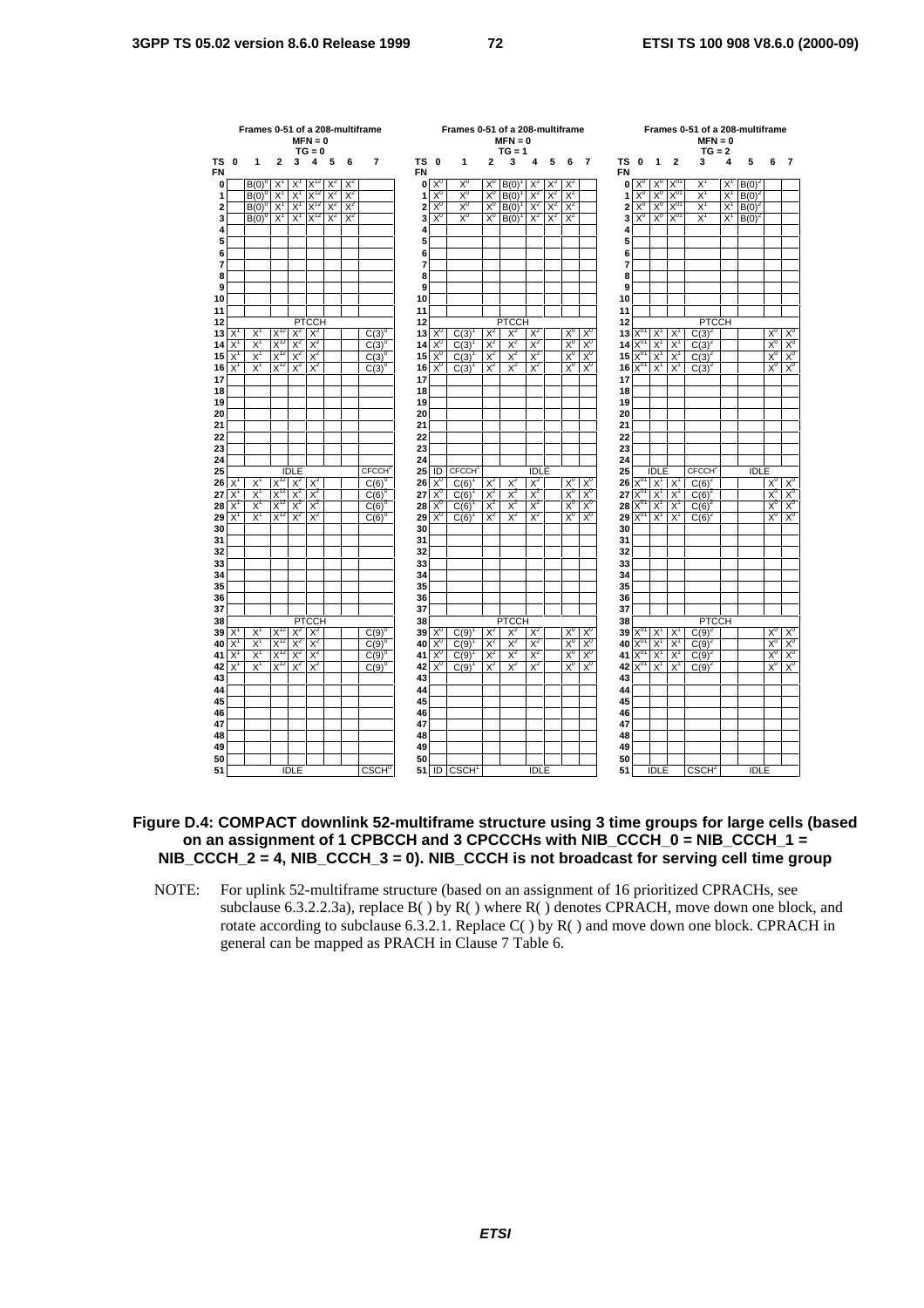|                |                |                      |                | $MFN = 0$<br>$TG = 0$ |       |       | Frames 0-51 of a 208-multiframe |                 |                | Frames 0-51 of a 208-multiframe |                | $MFN = 0$<br>$TG = 1$ |                |       |                         |                         |                 |                      |                |                 | Frames 0-51 of a 208-multiframe<br>$MFN = 0$<br>$TG = 2$ |       |             |                |                   |
|----------------|----------------|----------------------|----------------|-----------------------|-------|-------|---------------------------------|-----------------|----------------|---------------------------------|----------------|-----------------------|----------------|-------|-------------------------|-------------------------|-----------------|----------------------|----------------|-----------------|----------------------------------------------------------|-------|-------------|----------------|-------------------|
| ΤS<br>0<br>FN  | 1              | $\mathbf{2}$         | 3              | 4                     | 5     | 6     | $\overline{7}$                  | ΤS<br><b>FN</b> | 0              | 1                               | $\overline{a}$ | 3                     | 4              | 5     | 6                       | $\overline{7}$          | TS<br><b>FN</b> | $\mathbf{0}$         | 1              | $\mathbf{2}$    | 3                                                        | 4     | 5           | 6              | $\overline{7}$    |
| 0              | B(0)           | X                    | Χ              |                       |       | $X^2$ |                                 | 0               | $X_{c}$        | $X^0$                           | $X^0$          | B(0)                  | $X^2$          | X     | $X^2$                   |                         | 0               | $X^{\mathfrak{c}}$   | X <sup>0</sup> |                 | Χ                                                        | X     | $B(0)^2$    |                |                   |
|                | $B(0)^{0}$     | $X^1$                | $X^1$          | $X^{12}$              | $X^2$ | $X^2$ |                                 | 1               | $X^0$          | X <sup>0</sup>                  | $X^0$          | $B(0)^{1}$            | $X^2$          | $X^2$ | $X^2$                   |                         | 1               | $X^0$                | $X^0$          | X <sub>0.</sub> | $X^1$                                                    | $X^1$ | $B(0)^2$    |                |                   |
|                | $B(0)^{0}$     | $X^1$                | $X^1$          | $X^{12}$              | $X^2$ | $X^2$ |                                 | 2               | $X_0$          | $X_0$                           | X <sup>0</sup> | $B(0)^{1}$            | $X^2$          | $X^2$ | $X^2$                   |                         | 2               | $X^0$                | X <sup>0</sup> | $X^{01}$        | $X^1$                                                    | $X^1$ | $B(0)^2$    |                |                   |
|                | $B(0)^{0}$     | $X^1$                | $X^1$          | $X^{12}$              | $X^2$ | $X^2$ |                                 | 3               | $X^0$          | X <sup>0</sup>                  | $X_0$          | $B(0)^{1}$            | $X^2$          | $X^2$ | $X^2$                   |                         | 3               | $X^0$                | $X^0$          | $X^{01}$        | $X^1$                                                    | $X^1$ | $B(0)^{2}$  |                |                   |
|                |                |                      |                |                       |       |       |                                 | 4               |                |                                 |                |                       |                |       |                         |                         | 4               |                      |                |                 |                                                          |       |             |                |                   |
|                |                |                      |                |                       |       |       |                                 | 5<br>6          |                |                                 |                |                       |                |       |                         |                         | 5<br>6          |                      |                |                 |                                                          |       |             |                |                   |
|                |                |                      |                |                       |       |       |                                 | 7               |                |                                 |                |                       |                |       |                         |                         | $\overline{7}$  |                      |                |                 |                                                          |       |             |                |                   |
|                |                |                      |                |                       |       |       |                                 | 8               |                |                                 |                |                       |                |       |                         |                         | 8               |                      |                |                 |                                                          |       |             |                |                   |
|                |                |                      |                |                       |       |       |                                 | 9               |                |                                 |                |                       |                |       |                         |                         | 9               |                      |                |                 |                                                          |       |             |                |                   |
|                |                |                      |                |                       |       |       |                                 | 10              |                |                                 |                |                       |                |       |                         |                         | 10              |                      |                |                 |                                                          |       |             |                |                   |
|                |                |                      |                |                       |       |       |                                 | 11              |                |                                 |                |                       |                |       |                         |                         | 11              |                      |                |                 |                                                          |       |             |                |                   |
|                |                |                      |                | <b>PTCCH</b>          |       |       |                                 | 12              |                |                                 |                | <b>PTCCH</b>          |                |       |                         |                         | 12              |                      |                |                 | <b>PTCCH</b>                                             |       |             |                |                   |
| X              | Х              | $X^{12}$             | $X^2$          | $X^2$                 |       |       | $C(3)^{0}$                      | 13              | $X^0$          | C(3)                            | $X^2$          | $X^2$                 | $X^2$          |       | $X_0$                   | X <sup>0</sup>          | 13              | $X^0$                | X              | X               | $C(3)^{2}$                                               |       |             | $X_0$          | $X^c$             |
| $X^1$          | $X^1$          | $X^{12}$             | $X^2$          | $X^2$                 |       |       | $C(3)^{0}$                      | 14              | $X^0$          | C(3)                            | $X^2$          | $X^2$                 | $X^2$          |       | $X_0$                   | $X_0$                   | 14              | $X_0$                | $X^1$          | $X^1$           | $C(3)^{2}$                                               |       |             | $X_0$          | $\frac{X^0}{X^0}$ |
| $X^1$<br>$X^1$ | $X^1$<br>$X^1$ | $X^{12}$<br>$X^{12}$ | $X^2$<br>$X^2$ | $X^2$<br>$X^2$        |       |       | $C(3)^{0}$<br>$C(3)^{0}$        | 15<br>16        | $X^0$<br>$X^0$ | C(3)<br>C(3)                    | $X^2$<br>$X^2$ | $X^2$<br>$X^2$        | $X^2$<br>$X^2$ |       | $X^0$<br>X <sup>0</sup> | $X_0$<br>X <sup>0</sup> | 15<br>16        | $X^{01}$<br>$X^{01}$ | $X^1$<br>$X^1$ | $X^1$<br>$X^1$  | $C(3)^{2}$<br>$C(3)^2$                                   |       |             | $X_0$<br>$X_0$ |                   |
|                |                |                      |                |                       |       |       |                                 | 17              |                |                                 |                |                       |                |       |                         |                         | 17              |                      |                |                 |                                                          |       |             |                |                   |
|                |                |                      |                |                       |       |       |                                 | 18              |                |                                 |                |                       |                |       |                         |                         | 18              |                      |                |                 |                                                          |       |             |                |                   |
|                |                |                      |                |                       |       |       |                                 | 19              |                |                                 |                |                       |                |       |                         |                         | 19              |                      |                |                 |                                                          |       |             |                |                   |
|                |                |                      |                |                       |       |       |                                 | 20              |                |                                 |                |                       |                |       |                         |                         | 20              |                      |                |                 |                                                          |       |             |                |                   |
|                |                |                      |                |                       |       |       |                                 | 21              |                |                                 |                |                       |                |       |                         |                         | 21              |                      |                |                 |                                                          |       |             |                |                   |
|                |                |                      |                |                       |       |       |                                 | 22              |                |                                 |                |                       |                |       |                         |                         | 22              |                      |                |                 |                                                          |       |             |                |                   |
|                |                |                      |                |                       |       |       |                                 | 23              |                |                                 |                |                       |                |       |                         |                         | 23              |                      |                |                 |                                                          |       |             |                |                   |
|                |                |                      | <b>IDLE</b>    |                       |       |       | <b>CECCH</b> <sup>C</sup>       | 24<br>25        | ID             | <b>CFCCH</b>                    |                |                       | <b>IDLE</b>    |       |                         |                         | 24<br>25        |                      | <b>IDLE</b>    |                 | <b>CECCH</b>                                             |       | <b>IDLE</b> |                |                   |
| $X^1$          | $X^1$          | $X^{12}$             | $X^2$          | $X^2$                 |       |       | $C(6)^{0}$                      | 26              | $X^0$          | C(6)                            | $X^2$          | $X^2$                 | $X^2$          |       | $\overline{X}^0$        | X <sup>0</sup>          | 26              | $X^{01}$             | $X^1$          | $X^1$           | $C(6)^2$                                                 |       |             | $X_0$          | X <sup>0</sup>    |
| X              | $X^1$          | $X^{12}$             | $X^2$          | $X^2$                 |       |       | $C(6)^\circ$                    | 27              | $X^0$          | C(6)                            | $X^2$          | $X^2$                 | $X^2$          |       | $X_0$                   | $X^0$                   | 27              | $X_0$                | $X^1$          | $X^1$           | $C(6)^2$                                                 |       |             | $X^0$          | X <sup>0</sup>    |
| $X^1$          | $X^1$          | $X^{12}$             | $X^2$          | $X^2$                 |       |       | $C(6)^{0}$                      | 28              | $X_0$          | C(6)                            | $X^2$          | $X^2$                 | $X^2$          |       | $X^0$                   | X <sup>0</sup>          | 28              | $X_0$                | $X^1$          | $X^1$           | $C(6)^2$                                                 |       |             | $X_0$          | $X^0$             |
| $X^1$          | $X^1$          | $X^{12}$             | $X^2$          | $X^2$                 |       |       | $C(6)^{0}$                      | 29              | $X^0$          | C(6)                            | $X^2$          | $X^2$                 | $X^2$          |       | $X^0$                   | $X^0$                   | 29              | $X^{01}$             | $X^1$          | $X^1$           | $C(6)^{2}$                                               |       |             | X <sup>0</sup> | $X^0$             |
|                |                |                      |                |                       |       |       |                                 | 30              |                |                                 |                |                       |                |       |                         |                         | 30              |                      |                |                 |                                                          |       |             |                |                   |
|                |                |                      |                |                       |       |       |                                 | 31              |                |                                 |                |                       |                |       |                         |                         | 31              |                      |                |                 |                                                          |       |             |                |                   |
|                |                |                      |                |                       |       |       |                                 | 32              |                |                                 |                |                       |                |       |                         |                         | 32              |                      |                |                 |                                                          |       |             |                |                   |
|                |                |                      |                |                       |       |       |                                 | 33              |                |                                 |                |                       |                |       |                         |                         | 33<br>34        |                      |                |                 |                                                          |       |             |                |                   |
|                |                |                      |                |                       |       |       |                                 | 34<br>35        |                |                                 |                |                       |                |       |                         |                         | 35              |                      |                |                 |                                                          |       |             |                |                   |
|                |                |                      |                |                       |       |       |                                 | 36              |                |                                 |                |                       |                |       |                         |                         | 36              |                      |                |                 |                                                          |       |             |                |                   |
|                |                |                      |                |                       |       |       |                                 | 37              |                |                                 |                |                       |                |       |                         |                         | 37              |                      |                |                 |                                                          |       |             |                |                   |
|                |                |                      |                | <b>PTCCH</b>          |       |       |                                 | 38              |                |                                 |                | <b>PTCCH</b>          |                |       |                         |                         | 38              |                      |                |                 | <b>PTCCH</b>                                             |       |             |                |                   |
| X              | X              | $X^{12}$             | $X^2$          | $X^2$                 |       |       | C(9)                            | 39              | $X^0$          | C(9)                            | $X^2$          | $X^2$                 | $X^2$          |       | $X^0$                   | X <sup>0</sup>          | 39              | $X_0$                | $X^1$          | X               | C(9)                                                     |       |             | $X_0$          | $X^0$             |
| X              | $X^1$          | $X^{12}$             | $X^2$          | $X^2$                 |       |       | $C(9)^{0}$                      | 40              | $X^0$          | C(9)                            | $X^2$          | $X^2$                 | $X^2$          |       | $X_0$                   | $X^0$                   | 40              | $X^{01}$             | $X^1$          | $X^1$           | $C(9)^{2}$                                               |       |             | $X_0$          | $X_0$             |
| $X^1$          | $X^1$          | $X^{12}$             | $X^2$          | $X^2$                 |       |       | $C(9)^{0}$                      | 41              | $X^0$          | C(9)                            | $X^2$          | $X^2$                 | $X^2$          |       | $X^0$                   | $X^0$                   | 41              | $X_0$                | $X^1$          | $X^1$           | $C(9)^{2}$                                               |       |             | X <sup>0</sup> | $X_0$             |
| $X^1$          | $X^1$          | $X^{12}$             | $X^2$          | $X^2$                 |       |       | $C(9)^{0}$                      | 42              | $X^0$          | C(9)                            | $X^2$          | $X^2$                 | $X^2$          |       | X <sup>0</sup>          | $X^0$                   | 42              | $X^{01}$             | $X^1$          | $X^1$           | $C(9)^2$                                                 |       |             | $X_0$          | $X^0$             |
|                |                |                      |                |                       |       |       |                                 | 43              |                |                                 |                |                       |                |       |                         |                         | 43              |                      |                |                 |                                                          |       |             |                |                   |
|                |                |                      |                |                       |       |       |                                 | 44<br>45        |                |                                 |                |                       |                |       |                         |                         | 44<br>45        |                      |                |                 |                                                          |       |             |                |                   |
|                |                |                      |                |                       |       |       |                                 | 46              |                |                                 |                |                       |                |       |                         |                         | 46              |                      |                |                 |                                                          |       |             |                |                   |
|                |                |                      |                |                       |       |       |                                 | 47              |                |                                 |                |                       |                |       |                         |                         | 47              |                      |                |                 |                                                          |       |             |                |                   |
|                |                |                      |                |                       |       |       |                                 | 48              |                |                                 |                |                       |                |       |                         |                         | 48              |                      |                |                 |                                                          |       |             |                |                   |
|                |                |                      |                |                       |       |       |                                 | 49              |                |                                 |                |                       |                |       |                         |                         | 49              |                      |                |                 |                                                          |       |             |                |                   |
|                |                |                      |                |                       |       |       |                                 | 50              |                |                                 |                |                       |                |       |                         |                         | 50              |                      |                |                 |                                                          |       |             |                |                   |
|                |                |                      | <b>IDLE</b>    |                       |       |       | CSCH <sub>0</sub>               | 51              | ID             | CSCH <sup>1</sup>               |                |                       | <b>IDLE</b>    |       |                         |                         | 51              |                      | <b>IDLE</b>    |                 | CSCH <sup>2</sup>                                        |       | <b>IDLE</b> |                |                   |

## **Figure D.4: COMPACT downlink 52-multiframe structure using 3 time groups for large cells (based on an assignment of 1 CPBCCH and 3 CPCCCHs with NIB\_CCCH\_0 = NIB\_CCCH\_1 = NIB\_CCCH\_2 = 4, NIB\_CCCH\_3 = 0). NIB\_CCCH is not broadcast for serving cell time group**

NOTE: For uplink 52-multiframe structure (based on an assignment of 16 prioritized CPRACHs, see subclause 6.3.2.2.3a), replace B( ) by R( ) where R( ) denotes CPRACH, move down one block, and rotate according to subclause 6.3.2.1. Replace C( ) by R( ) and move down one block. CPRACH in general can be mapped as PRACH in Clause 7 Table 6.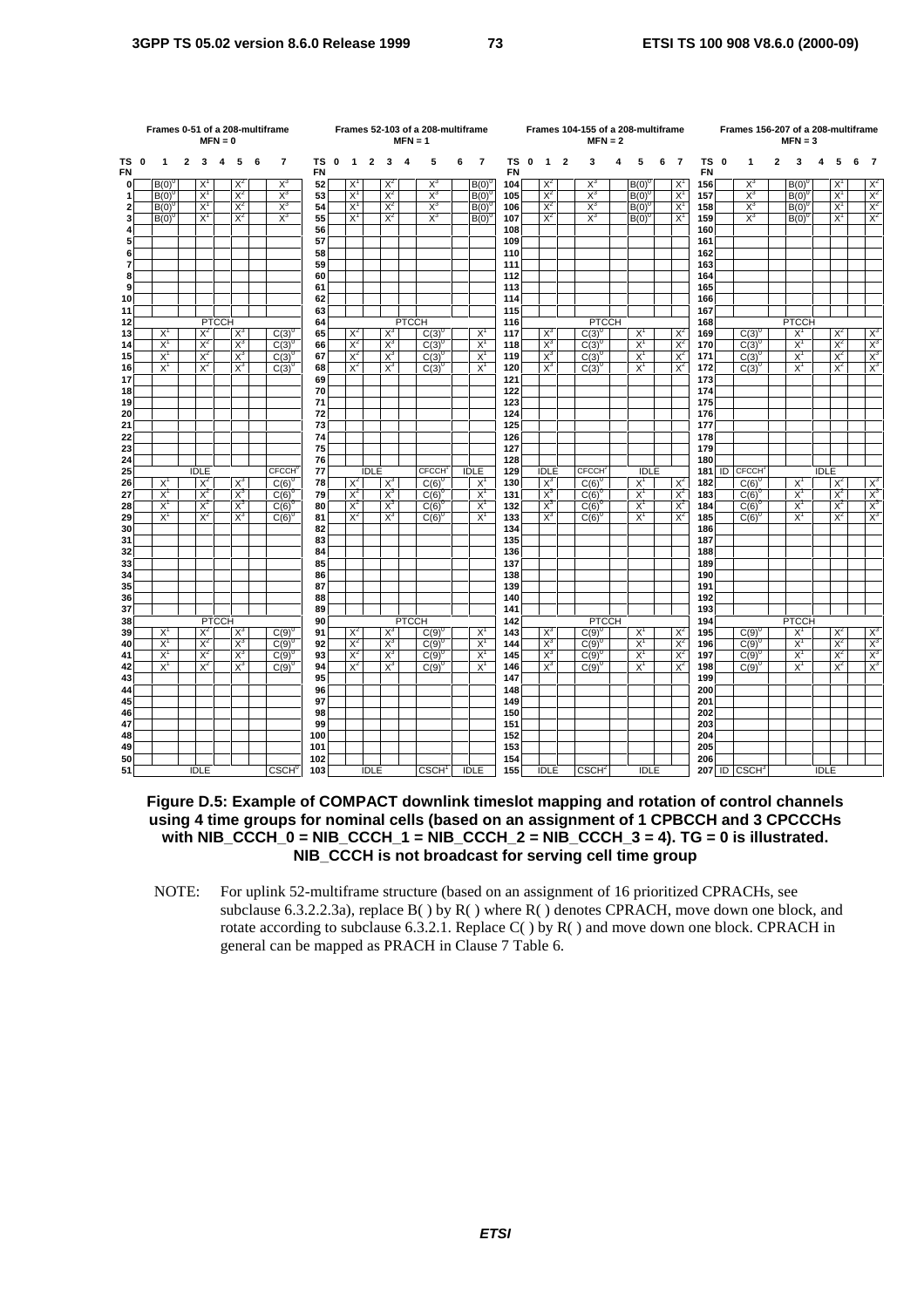|                | Frames 0-51 of a 208-multiframe<br>$MFN = 0$ |                |              |                |              |                |   |                          |                 |             | $MFN = 1$      | Frames 52-103 of a 208-multiframe |                |              |                          |   |                | Frames 104-155 of a 208-multiframe<br>$MFN = 2$ |                |                         |                          |   |                |   | Frames 156-207 of a 208-multiframe |            | $MFN = 3$ |                            |   |                |             |                |   |                                        |
|----------------|----------------------------------------------|----------------|--------------|----------------|--------------|----------------|---|--------------------------|-----------------|-------------|----------------|-----------------------------------|----------------|--------------|--------------------------|---|----------------|-------------------------------------------------|----------------|-------------------------|--------------------------|---|----------------|---|------------------------------------|------------|-----------|----------------------------|---|----------------|-------------|----------------|---|----------------------------------------|
| TS 0<br>FN     |                                              | 1              | $\mathbf{2}$ | $\mathbf{3}$   | 4            | 5              | 6 | $\overline{7}$           | тs<br><b>FN</b> | $\mathbf 0$ | $\mathbf{1}$   | $\overline{2}$                    | 3              | - 4          | 5                        | 6 | 7              | TS 0<br><b>FN</b>                               | $\mathbf{1}$   | $\overline{\mathbf{2}}$ | 3                        | 4 | 5              | 6 | $\overline{7}$                     | <b>FN</b>  | TS 0      | $\mathbf{1}$               | 2 | 3              |             | 5              | 6 | - 7                                    |
| $\mathbf 0$    |                                              | $B(0)^{0}$     |              | $X^1$          |              | $X^2$          |   | $X^3$                    | 52              |             | $X^1$          |                                   | $X^2$          |              | $X^3$                    |   | B(0)           | 104                                             | $X^2$          |                         | $X^3$                    |   | B(0)           |   | X,                                 | 156        |           | $X^3$                      |   | B(0)           |             | X              |   | $X^2$                                  |
| $\mathbf{1}$   |                                              | $B(0)^{0}$     |              | $X^1$          |              | $X^2$          |   | $X^3$                    | 53              |             | $X^1$          |                                   | $X^2$          |              | $X^3$                    |   | $B(0)^{0}$     | 105                                             | $X^2$          |                         | $X^3$                    |   | $B(0)^{0}$     |   | $X^1$                              | 157        |           | $X^3$                      |   | $B(0)^{0}$     |             | $X^1$          |   | $X^2$                                  |
| $\mathbf{2}$   |                                              | $B(0)^{6}$     |              | $X^1$          |              | $X^2$          |   | $X^3$                    | 54              |             | $X^1$          |                                   | $X^2$          |              | $X^3$                    |   | $B(0)^{0}$     | 106                                             | $X^2$          |                         | $X^3$                    |   | $B(0)^{0}$     |   | $X^1$                              | 158        |           | $X_3$                      |   | $B(0)^{0}$     |             | $X^1$          |   | $\overline{X}^2$                       |
| 3              |                                              | $B(0)^{0}$     |              | $X^1$          |              | $X^2$          |   | $X^3$                    | 55              |             | $X^1$          |                                   | $X^2$          |              | $X^3$                    |   | $B(0)^{0}$     | 107                                             | $X^2$          |                         | $X_3$                    |   | $B(0)^{0}$     |   | $X^1$                              | 159        |           | $X_3$                      |   | $B(0)^{0}$     |             | $X^1$          |   | $X^2$                                  |
| 4<br>5         |                                              |                |              |                |              |                |   |                          | 56<br>57        |             |                |                                   |                |              |                          |   |                | 108<br>109                                      |                |                         |                          |   |                |   |                                    | 160<br>161 |           |                            |   |                |             |                |   |                                        |
| 6              |                                              |                |              |                |              |                |   |                          | 58              |             |                |                                   |                |              |                          |   |                | 110                                             |                |                         |                          |   |                |   |                                    | 162        |           |                            |   |                |             |                |   |                                        |
| $\overline{7}$ |                                              |                |              |                |              |                |   |                          | 59              |             |                |                                   |                |              |                          |   |                | 111                                             |                |                         |                          |   |                |   |                                    | 163        |           |                            |   |                |             |                |   |                                        |
| 8              |                                              |                |              |                |              |                |   |                          | 60              |             |                |                                   |                |              |                          |   |                | 112                                             |                |                         |                          |   |                |   |                                    | 164        |           |                            |   |                |             |                |   |                                        |
| 9              |                                              |                |              |                |              |                |   |                          | 61              |             |                |                                   |                |              |                          |   |                | 113                                             |                |                         |                          |   |                |   |                                    | 165        |           |                            |   |                |             |                |   |                                        |
| 10             |                                              |                |              |                |              |                |   |                          | 62              |             |                |                                   |                |              |                          |   |                | 114                                             |                |                         |                          |   |                |   |                                    | 166        |           |                            |   |                |             |                |   |                                        |
| 11             |                                              |                |              |                |              |                |   |                          | 63              |             |                |                                   |                |              |                          |   |                | 115                                             |                |                         |                          |   |                |   |                                    | 167        |           |                            |   |                |             |                |   |                                        |
| 12             |                                              |                |              |                | <b>PTCCH</b> |                |   |                          | 64              |             |                |                                   |                | <b>PTCCH</b> |                          |   |                | 116                                             |                |                         | <b>PTCCH</b>             |   |                |   |                                    | 168        |           |                            |   | <b>PTCCH</b>   |             |                |   |                                        |
| 13             |                                              | $X^1$          |              | $X^2$          |              | $X^3$          |   | $C(3)^{0}$               | 65              |             | $X^2$          |                                   | $X^3$          |              | $C(3)^{0}$               |   | $X^1$          | 117                                             | $X^3$          |                         | $C(3)^{0}$               |   | $X^1$          |   | $X^2$                              | 169        |           | $C(3)^{0}$                 |   | $X^1$          |             | $X^2$          |   | $\frac{x^3}{x^3}$<br>$\frac{x^3}{x^3}$ |
| 14<br>15       |                                              | $X^1$<br>$X^1$ |              | $X^2$<br>$X^2$ |              | $X^3$<br>$X^3$ |   | $C(3)^{0}$               | 66<br>67        |             | $X^2$<br>$X^2$ |                                   | $X^3$<br>$X^3$ |              | $C(3)^{0}$<br>$C(3)^{0}$ |   | $X^1$<br>$X^1$ | 118<br>119                                      | $X^3$<br>$X^3$ |                         | $C(3)^{0}$<br>$C(3)^{0}$ |   | $X^1$<br>$X^1$ |   | $X^2$<br>$X^2$                     | 170<br>171 |           | $C(3)^{0}$                 |   | $X^1$<br>$X^1$ |             | $X^2$<br>$X^2$ |   |                                        |
| 16             |                                              | $X^1$          |              | $X^2$          |              | $X^3$          |   | $C(3)^{0}$<br>$C(3)^{0}$ | 68              |             | $X^2$          |                                   | $X^3$          |              | $C(3)^{0}$               |   | $X^1$          | 120                                             | $X^3$          |                         | C(3)                     |   | $X^1$          |   | $X^2$                              | 172        |           | $C(3)^{0}$<br>$C(3)^\circ$ |   | $X^1$          |             | $X^2$          |   |                                        |
| 17             |                                              |                |              |                |              |                |   |                          | 69              |             |                |                                   |                |              |                          |   |                | 121                                             |                |                         |                          |   |                |   |                                    | 173        |           |                            |   |                |             |                |   |                                        |
| 18             |                                              |                |              |                |              |                |   |                          | 70              |             |                |                                   |                |              |                          |   |                | 122                                             |                |                         |                          |   |                |   |                                    | 174        |           |                            |   |                |             |                |   |                                        |
| 19             |                                              |                |              |                |              |                |   |                          | 71              |             |                |                                   |                |              |                          |   |                | 123                                             |                |                         |                          |   |                |   |                                    | 175        |           |                            |   |                |             |                |   |                                        |
| 20             |                                              |                |              |                |              |                |   |                          | 72              |             |                |                                   |                |              |                          |   |                | 124                                             |                |                         |                          |   |                |   |                                    | 176        |           |                            |   |                |             |                |   |                                        |
| 21             |                                              |                |              |                |              |                |   |                          | 73              |             |                |                                   |                |              |                          |   |                | 125                                             |                |                         |                          |   |                |   |                                    | 177        |           |                            |   |                |             |                |   |                                        |
| 22             |                                              |                |              |                |              |                |   |                          | 74              |             |                |                                   |                |              |                          |   |                | 126                                             |                |                         |                          |   |                |   |                                    | 178        |           |                            |   |                |             |                |   |                                        |
| 23<br>24       |                                              |                |              |                |              |                |   |                          | 75<br>76        |             |                |                                   |                |              |                          |   |                | 127<br>128                                      |                |                         |                          |   |                |   |                                    | 179<br>180 |           |                            |   |                |             |                |   |                                        |
| 25             |                                              |                |              | <b>IDLE</b>    |              |                |   | <b>CFCCH</b>             | 77              |             |                | <b>IDLE</b>                       |                |              | <b>CFCCH</b>             |   | <b>IDLE</b>    | 129                                             | <b>IDLE</b>    |                         | <b>CECCH</b>             |   | <b>IDLE</b>    |   |                                    | 181        |           | <b>ID</b> CFCCH            |   |                | <b>IDLE</b> |                |   |                                        |
| 26             |                                              | $X^1$          |              | $X^2$          |              | $X^3$          |   | $C(6)^{0}$               | 78              |             | $X^2$          |                                   | $X^3$          |              | $C(6)^{0}$               |   | $X^1$          | 130                                             | $X^3$          |                         | $C(6)^0$                 |   | $X^1$          |   | $X^2$                              | 182        |           | $C(6)^{0}$                 |   | $X^1$          |             | $X^2$          |   |                                        |
| 27             |                                              | $X^1$          |              | $X^2$          |              | $X^3$          |   | $C(6)^{0}$               | 79              |             | $X^2$          |                                   | $X^3$          |              | $C(6)^{0}$               |   | $X^1$          | 131                                             | $X^3$          |                         | $C(6)^{6}$               |   | $X^1$          |   | $X^2$                              | 183        |           | $C(6)^{0}$                 |   | $X^1$          |             | $X^2$          |   | $\frac{X^3}{X^3}$                      |
| 28             |                                              | $X^1$          |              | $X^2$          |              | $X^3$          |   | $C(6)^{0}$               | 80              |             | $X^2$          |                                   | $X^3$          |              | $C(6)^{0}$               |   | $X^1$          | 132                                             | $X^3$          |                         | $C(6)^{0}$               |   | $X^1$          |   | $X^2$                              | 184        |           | $C(6)^{0}$                 |   | $X^1$          |             | $X^2$          |   |                                        |
| 29             |                                              | $X^1$          |              | $X^2$          |              | $X^3$          |   | $C(6)^{0}$               | 81              |             | $X^2$          |                                   | $X^3$          |              | $C(6)^{0}$               |   | $X^1$          | 133                                             | $X^3$          |                         | $C(6)^{0}$               |   | $X^1$          |   | $X^2$                              | 185        |           | $C(6)^{0}$                 |   | $X^1$          |             | $X^2$          |   | $X^3$                                  |
| 30             |                                              |                |              |                |              |                |   |                          | 82              |             |                |                                   |                |              |                          |   |                | 134                                             |                |                         |                          |   |                |   |                                    | 186        |           |                            |   |                |             |                |   |                                        |
| 31             |                                              |                |              |                |              |                |   |                          | 83              |             |                |                                   |                |              |                          |   |                | 135                                             |                |                         |                          |   |                |   |                                    | 187        |           |                            |   |                |             |                |   |                                        |
| 32             |                                              |                |              |                |              |                |   |                          | 84              |             |                |                                   |                |              |                          |   |                | 136                                             |                |                         |                          |   |                |   |                                    | 188        |           |                            |   |                |             |                |   |                                        |
| 33<br>34       |                                              |                |              |                |              |                |   |                          | 85<br>86        |             |                |                                   |                |              |                          |   |                | 137<br>138                                      |                |                         |                          |   |                |   |                                    | 189<br>190 |           |                            |   |                |             |                |   |                                        |
| 35             |                                              |                |              |                |              |                |   |                          | 87              |             |                |                                   |                |              |                          |   |                | 139                                             |                |                         |                          |   |                |   |                                    | 191        |           |                            |   |                |             |                |   |                                        |
| 36             |                                              |                |              |                |              |                |   |                          | 88              |             |                |                                   |                |              |                          |   |                | 140                                             |                |                         |                          |   |                |   |                                    | 192        |           |                            |   |                |             |                |   |                                        |
| 37             |                                              |                |              |                |              |                |   |                          | 89              |             |                |                                   |                |              |                          |   |                | 141                                             |                |                         |                          |   |                |   |                                    | 193        |           |                            |   |                |             |                |   |                                        |
| 38             |                                              |                |              |                | <b>PTCCH</b> |                |   |                          | 90              |             |                |                                   |                | <b>PTCCH</b> |                          |   |                | 142                                             |                |                         | <b>PTCCH</b>             |   |                |   |                                    | 194        |           |                            |   | <b>PTCCH</b>   |             |                |   |                                        |
| 39             |                                              | $X^1$          |              | $X^2$          |              | $X^3$          |   | $C(9)^{0}$               | 91              |             | $X^2$          |                                   | $X^3$          |              | $C(9)^{0}$               |   | $X^1$          | 143                                             | $X^3$          |                         | $C(9)^{0}$               |   | $X^1$          |   | $X^2$                              | 195        |           | $C(9)^{0}$                 |   | $X^1$          |             | $X^2$          |   | $\frac{X^3}{X^3}$                      |
| 40             |                                              | $X^1$          |              | $X^2$          |              | $X^3$          |   | $C(9)^{0}$               | 92              |             | $X^2$          |                                   | $X^3$          |              | $C(9)^{0}$               |   | $X^1$          | 144                                             | $X^3$          |                         | $C(9)^0$                 |   | $X^1$          |   | $X^2$                              | 196        |           | $C(9)^{0}$                 |   | $X^1$          |             | $X^2$          |   |                                        |
| 41             |                                              | $X^1$<br>$X^1$ |              | $X^2$<br>$X^2$ |              | $X^3$<br>$X^3$ |   | $C(9)^{0}$               | 93              |             | $X^2$<br>$X^2$ |                                   | $X^3$<br>$X^3$ |              | $C(9)^{0}$               |   | $X^1$<br>$X^1$ | 145                                             | $X^3$          |                         | $C(9)^{0}$               |   | $X^1$<br>$X^1$ |   | $X^2$<br>$X^2$                     | 197        |           | $C(9)^{0}$                 |   | $X^1$          |             | $X^2$<br>$X^2$ |   | $X^3$<br>$X^3$                         |
| 42<br>43       |                                              |                |              |                |              |                |   | $C(9)^{0}$               | 94<br>95        |             |                |                                   |                |              | $C(9)^{0}$               |   |                | 146<br>147                                      | $X^3$          |                         | $C(9)^{0}$               |   |                |   |                                    | 198<br>199 |           | $C(9)^{0}$                 |   | $X^1$          |             |                |   |                                        |
| 44             |                                              |                |              |                |              |                |   |                          | 96              |             |                |                                   |                |              |                          |   |                | 148                                             |                |                         |                          |   |                |   |                                    | 200        |           |                            |   |                |             |                |   |                                        |
| 45             |                                              |                |              |                |              |                |   |                          | 97              |             |                |                                   |                |              |                          |   |                | 149                                             |                |                         |                          |   |                |   |                                    | 201        |           |                            |   |                |             |                |   |                                        |
| 46             |                                              |                |              |                |              |                |   |                          | 98              |             |                |                                   |                |              |                          |   |                | 150                                             |                |                         |                          |   |                |   |                                    | 202        |           |                            |   |                |             |                |   |                                        |
| 47             |                                              |                |              |                |              |                |   |                          | 99              |             |                |                                   |                |              |                          |   |                | 151                                             |                |                         |                          |   |                |   |                                    | 203        |           |                            |   |                |             |                |   |                                        |
| 48             |                                              |                |              |                |              |                |   |                          | 100             |             |                |                                   |                |              |                          |   |                | 152                                             |                |                         |                          |   |                |   |                                    | 204        |           |                            |   |                |             |                |   |                                        |
| 49             |                                              |                |              |                |              |                |   |                          | 101             |             |                |                                   |                |              |                          |   |                | 153                                             |                |                         |                          |   |                |   |                                    | 205        |           |                            |   |                |             |                |   |                                        |
| 50             |                                              |                |              |                |              |                |   |                          | 102             |             |                |                                   |                |              |                          |   |                | 154                                             |                |                         |                          |   |                |   |                                    | 206        |           |                            |   |                |             |                |   |                                        |
| 51             |                                              |                |              | <b>IDLE</b>    |              |                |   | <b>CSCH</b> <sup>0</sup> | 103             |             |                | <b>IDLE</b>                       |                |              | CSCH <sup>1</sup>        |   | <b>IDLE</b>    | 155                                             | <b>IDLE</b>    |                         | CSCH <sup>2</sup>        |   | <b>IDLE</b>    |   |                                    |            |           | $207$ ID $CSCH3$           |   |                | <b>IDLE</b> |                |   |                                        |

**Figure D.5: Example of COMPACT downlink timeslot mapping and rotation of control channels using 4 time groups for nominal cells (based on an assignment of 1 CPBCCH and 3 CPCCCHs with NIB\_CCCH\_0 = NIB\_CCCH\_1 = NIB\_CCCH\_2 = NIB\_CCCH\_3 = 4). TG = 0 is illustrated. NIB\_CCCH is not broadcast for serving cell time group** 

NOTE: For uplink 52-multiframe structure (based on an assignment of 16 prioritized CPRACHs, see subclause 6.3.2.2.3a), replace  $B()$  by  $R()$  where  $R()$  denotes CPRACH, move down one block, and rotate according to subclause 6.3.2.1. Replace  $C()$  by  $R()$  and move down one block. CPRACH in general can be mapped as PRACH in Clause 7 Table 6.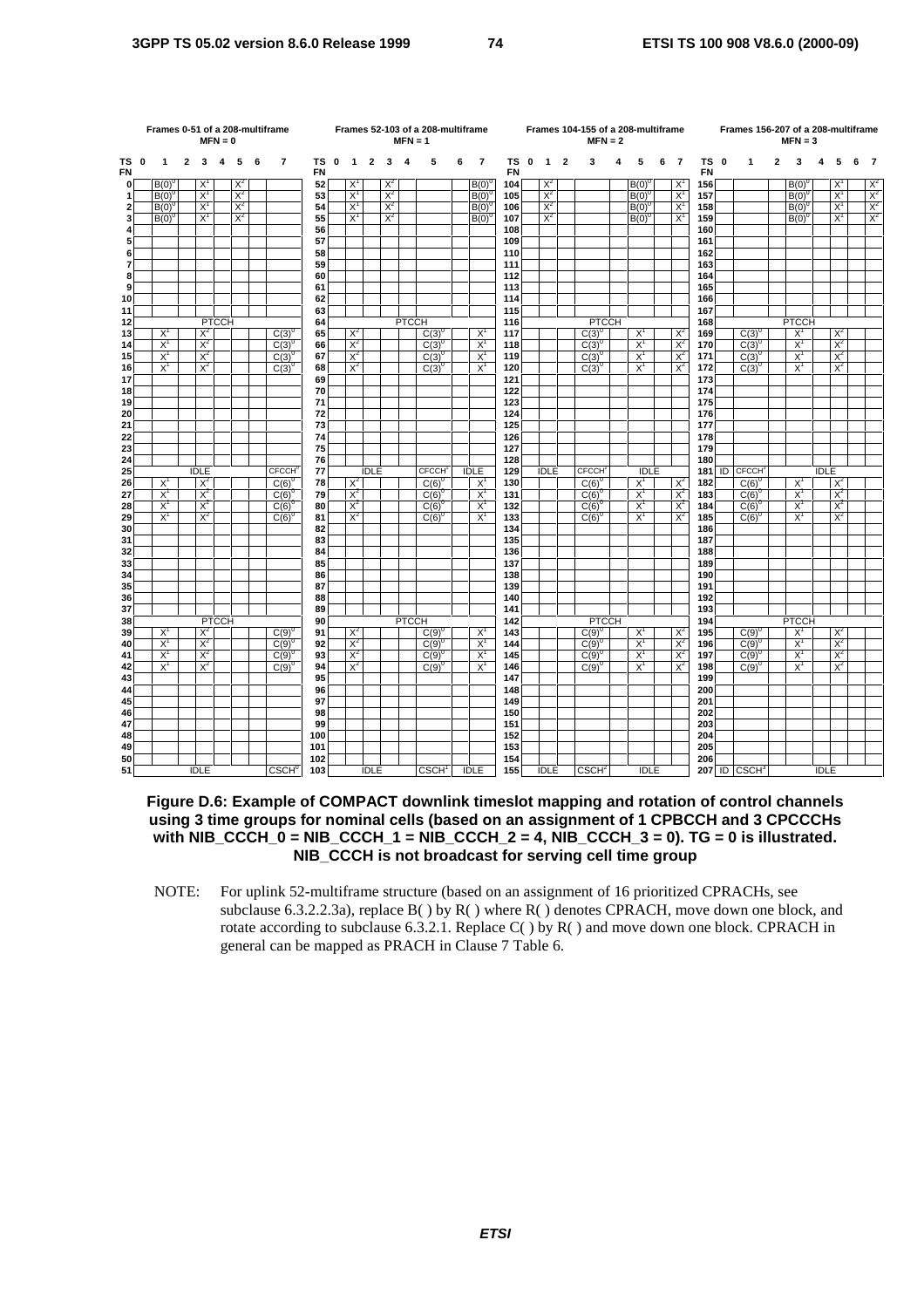|                         | Frames 0-51 of a 208-multiframe<br>$MFN = 0$ |                |                |                |              |       |   |                          |          |             | $MFN = 1$      | Frames 52-103 of a 208-multiframe |       |              |                          |   |                |            | Frames 104-155 of a 208-multiframe<br>$MFN = 2$ |              |                |                           |   |                | Frames 156-207 of a 208-multiframe |                | $MFN = 3$         |                            |              |                |             |                |   |                         |
|-------------------------|----------------------------------------------|----------------|----------------|----------------|--------------|-------|---|--------------------------|----------|-------------|----------------|-----------------------------------|-------|--------------|--------------------------|---|----------------|------------|-------------------------------------------------|--------------|----------------|---------------------------|---|----------------|------------------------------------|----------------|-------------------|----------------------------|--------------|----------------|-------------|----------------|---|-------------------------|
| ΤS<br>FN                | 0                                            | 1              | $\overline{2}$ | 3              | 4            | 5     | 6 | $\overline{7}$           | ΤS<br>FN | $\mathbf 0$ | $\mathbf{1}$   | $\overline{\mathbf{2}}$           | 3     | 4            | 5                        | 6 | $\overline{7}$ | ΤS<br>FN   | $\mathbf 0$                                     | $\mathbf{1}$ | $\overline{2}$ | 3                         | 4 | 5              | 6                                  | $\overline{7}$ | TS 0<br><b>FN</b> | $\mathbf{1}$               | $\mathbf{2}$ | 3              | 4           | 5              | 6 | - 7                     |
| $\mathbf{0}$            |                                              | B(0)           |                | $X^1$          |              | $X^2$ |   |                          | 52       |             | X              |                                   | $X^2$ |              |                          |   | B(0)           | 104        |                                                 | $X^2$        |                |                           |   | $B(0)^{6}$     |                                    | $X^1$          | 156               |                            |              | B(0)           |             | X              |   | $X^2$                   |
| $\mathbf{1}$            |                                              | $B(0)^{0}$     |                | $X^1$          |              | $X^2$ |   |                          | 53       |             | $X^1$          |                                   | $X^2$ |              |                          |   | $B(0)^{0}$     | 105        |                                                 | $X^2$        |                |                           |   | $B(0)^C$       |                                    | $X^1$          | 157               |                            |              | $B(0)^{0}$     |             | $X^1$          |   | $X^2$                   |
| $\overline{\mathbf{2}}$ |                                              | $B(0)^{6}$     |                | $X^1$          |              | $X^2$ |   |                          | 54       |             | $X^1$          |                                   | $X^2$ |              |                          |   | $B(0)^{0}$     | 106        |                                                 | $X^2$        |                |                           |   | $B(0)^{0}$     |                                    | $X^1$          | 158               |                            |              | $B(0)^{0}$     |             | $X^1$          |   | $\frac{\chi^2}{\chi^2}$ |
| 3                       |                                              | $B(0)^{0}$     |                | $X^1$          |              | $X^2$ |   |                          | 55       |             | $X^1$          |                                   | $X^2$ |              |                          |   | $B(0)^{0}$     | 107        |                                                 | $X^2$        |                |                           |   | $B(0)^{0}$     |                                    | $X^1$          | 159               |                            |              | $B(0)^{0}$     |             | $X^1$          |   |                         |
| 4                       |                                              |                |                |                |              |       |   |                          | 56       |             |                |                                   |       |              |                          |   |                | 108        |                                                 |              |                |                           |   |                |                                    |                | 160               |                            |              |                |             |                |   |                         |
| 5                       |                                              |                |                |                |              |       |   |                          | 57<br>58 |             |                |                                   |       |              |                          |   |                | 109<br>110 |                                                 |              |                |                           |   |                |                                    |                | 161               |                            |              |                |             |                |   |                         |
| 6<br>$\overline{7}$     |                                              |                |                |                |              |       |   |                          | 59       |             |                |                                   |       |              |                          |   |                | 111        |                                                 |              |                |                           |   |                |                                    |                | 162<br>163        |                            |              |                |             |                |   |                         |
| 8                       |                                              |                |                |                |              |       |   |                          | 60       |             |                |                                   |       |              |                          |   |                | 112        |                                                 |              |                |                           |   |                |                                    |                | 164               |                            |              |                |             |                |   |                         |
| 9                       |                                              |                |                |                |              |       |   |                          | 61       |             |                |                                   |       |              |                          |   |                | 113        |                                                 |              |                |                           |   |                |                                    |                | 165               |                            |              |                |             |                |   |                         |
| 10                      |                                              |                |                |                |              |       |   |                          | 62       |             |                |                                   |       |              |                          |   |                | 114        |                                                 |              |                |                           |   |                |                                    |                | 166               |                            |              |                |             |                |   |                         |
| 11                      |                                              |                |                |                |              |       |   |                          | 63       |             |                |                                   |       |              |                          |   |                | 115        |                                                 |              |                |                           |   |                |                                    |                | 167               |                            |              |                |             |                |   |                         |
| 12                      |                                              |                |                |                | <b>PTCCH</b> |       |   |                          | 64       |             |                |                                   |       | <b>PTCCH</b> |                          |   |                | 116        |                                                 |              |                | <b>PTCCH</b>              |   |                |                                    |                | 168               |                            |              | <b>PTCCH</b>   |             |                |   |                         |
| 13                      |                                              | $X^1$          |                | $X^2$          |              |       |   | $C(3)^{0}$               | 65       |             | $X^2$          |                                   |       |              | $C(3)^{0}$               |   | $X^1$          | 117        |                                                 |              |                | $C(3)^{0}$                |   | $X^1$          |                                    | $X^2$          | 169               | $C(3)^{0}$                 |              | $X^1$          |             | $X^2$          |   |                         |
| 14                      |                                              | $X^1$          |                | $X^2$          |              |       |   | $C(3)^{0}$               | 66       |             | $X^2$          |                                   |       |              | $C(3)^{0}$               |   | $X^1$          | 118        |                                                 |              |                | $C(3)^{0}$                |   | $X^1$          |                                    | $X^2$          | 170               | $C(3)^{0}$                 |              | $X^1$          |             | $X^2$          |   |                         |
| 15<br>16                |                                              | $X^1$<br>$X^1$ |                | $X^2$<br>$X^2$ |              |       |   | $C(3)^{0}$<br>$C(3)^{0}$ | 67<br>68 |             | $X^2$<br>$X^2$ |                                   |       |              | $C(3)^{0}$<br>$C(3)^{0}$ |   | $X^1$<br>$X^1$ | 119<br>120 |                                                 |              |                | $C(3)^{0}$<br>$C(3)^{0}$  |   | $X^1$<br>$X^1$ |                                    | $X^2$<br>$X^2$ | 171<br>172        | $C(3)^{0}$<br>$C(3)^{0}$   |              | $X^1$<br>$X^1$ |             | $X^2$<br>$X^2$ |   |                         |
| 17                      |                                              |                |                |                |              |       |   |                          | 69       |             |                |                                   |       |              |                          |   |                | 121        |                                                 |              |                |                           |   |                |                                    |                | 173               |                            |              |                |             |                |   |                         |
| 18                      |                                              |                |                |                |              |       |   |                          | 70       |             |                |                                   |       |              |                          |   |                | 122        |                                                 |              |                |                           |   |                |                                    |                | 174               |                            |              |                |             |                |   |                         |
| 19                      |                                              |                |                |                |              |       |   |                          | 71       |             |                |                                   |       |              |                          |   |                | 123        |                                                 |              |                |                           |   |                |                                    |                | 175               |                            |              |                |             |                |   |                         |
| 20                      |                                              |                |                |                |              |       |   |                          | 72       |             |                |                                   |       |              |                          |   |                | 124        |                                                 |              |                |                           |   |                |                                    |                | 176               |                            |              |                |             |                |   |                         |
| 21                      |                                              |                |                |                |              |       |   |                          | 73       |             |                |                                   |       |              |                          |   |                | 125        |                                                 |              |                |                           |   |                |                                    |                | 177               |                            |              |                |             |                |   |                         |
| 22                      |                                              |                |                |                |              |       |   |                          | 74       |             |                |                                   |       |              |                          |   |                | 126        |                                                 |              |                |                           |   |                |                                    |                | 178               |                            |              |                |             |                |   |                         |
| 23                      |                                              |                |                |                |              |       |   |                          | 75       |             |                |                                   |       |              |                          |   |                | 127        |                                                 |              |                |                           |   |                |                                    |                | 179               |                            |              |                |             |                |   |                         |
| 24<br>25                |                                              |                |                | <b>IDLE</b>    |              |       |   | <b>CFCCH</b>             | 76<br>77 |             |                | <b>IDLE</b>                       |       |              | <b>CFCCH</b>             |   | <b>IDLE</b>    | 128<br>129 |                                                 | <b>IDLE</b>  |                | <b>CFCCH</b> <sup>®</sup> |   | <b>IDLE</b>    |                                    |                | 180<br>181        | <b>ID CFCCH</b>            |              |                | <b>IDLE</b> |                |   |                         |
| 26                      |                                              | $X^1$          |                | $X^2$          |              |       |   | $C(6)^{0}$               | 78       |             | $X^2$          |                                   |       |              | $C(6)^{0}$               |   | $X^1$          | 130        |                                                 |              |                | $C(6)^0$                  |   | $X^1$          |                                    | $X^2$          | 182               | $C(6)^{0}$                 |              | $X^1$          |             | $X^2$          |   |                         |
| 27                      |                                              | $X^1$          |                | $X^2$          |              |       |   | $C(6)^{0}$               | 79       |             | $X^2$          |                                   |       |              | $C(6)^6$                 |   | $X^1$          | 131        |                                                 |              |                | $C(6)^{6}$                |   | $X^1$          |                                    | $X^2$          | 183               | $C(6)^{0}$                 |              | $X^1$          |             | $X^2$          |   |                         |
| 28                      |                                              | $X^1$          |                | $X^2$          |              |       |   | $C(6)^{0}$               | 80       |             | $X^2$          |                                   |       |              | $C(6)^{0}$               |   | $X^1$          | 132        |                                                 |              |                | $C(6)^{6}$                |   | $X^1$          |                                    | $X^2$          | 184               | $C(6)^{0}$                 |              | $X^1$          |             | $X^2$          |   |                         |
| 29                      |                                              | $X^1$          |                | $X^2$          |              |       |   | $C(6)^{0}$               | 81       |             | $X^2$          |                                   |       |              | $C(6)^{0}$               |   | $X^1$          | 133        |                                                 |              |                | $C(6)^{6}$                |   | $X^1$          |                                    | $X^2$          | 185               | $C(6)^{0}$                 |              | $X^1$          |             | $X^2$          |   |                         |
| 30                      |                                              |                |                |                |              |       |   |                          | 82       |             |                |                                   |       |              |                          |   |                | 134        |                                                 |              |                |                           |   |                |                                    |                | 186               |                            |              |                |             |                |   |                         |
| 31                      |                                              |                |                |                |              |       |   |                          | 83       |             |                |                                   |       |              |                          |   |                | 135        |                                                 |              |                |                           |   |                |                                    |                | 187               |                            |              |                |             |                |   |                         |
| 32                      |                                              |                |                |                |              |       |   |                          | 84       |             |                |                                   |       |              |                          |   |                | 136        |                                                 |              |                |                           |   |                |                                    |                | 188               |                            |              |                |             |                |   |                         |
| 33                      |                                              |                |                |                |              |       |   |                          | 85       |             |                |                                   |       |              |                          |   |                | 137        |                                                 |              |                |                           |   |                |                                    |                | 189               |                            |              |                |             |                |   |                         |
| 34<br>35                |                                              |                |                |                |              |       |   |                          | 86<br>87 |             |                |                                   |       |              |                          |   |                | 138<br>139 |                                                 |              |                |                           |   |                |                                    |                | 190<br>191        |                            |              |                |             |                |   |                         |
| 36                      |                                              |                |                |                |              |       |   |                          | 88       |             |                |                                   |       |              |                          |   |                | 140        |                                                 |              |                |                           |   |                |                                    |                | 192               |                            |              |                |             |                |   |                         |
| 37                      |                                              |                |                |                |              |       |   |                          | 89       |             |                |                                   |       |              |                          |   |                | 141        |                                                 |              |                |                           |   |                |                                    |                | 193               |                            |              |                |             |                |   |                         |
| 38                      |                                              |                |                |                | <b>PTCCH</b> |       |   |                          | 90       |             |                |                                   |       | <b>PTCCH</b> |                          |   |                | 142        |                                                 |              |                | <b>PTCCH</b>              |   |                |                                    |                | 194               |                            |              | <b>PTCCH</b>   |             |                |   |                         |
| 39                      |                                              | $X^1$          |                | $X^2$          |              |       |   | $C(9)^{0}$               | 91       |             | $X^2$          |                                   |       |              | $C(9)^{0}$               |   | $X^1$          | 143        |                                                 |              |                | $C(9)^0$                  |   | $X^1$          |                                    | $X^2$          | 195               | $C(9)^{0}$                 |              | $X^1$          |             | $X^2$          |   |                         |
| 40                      |                                              | $X^1$          |                | $X^2$          |              |       |   | $C(9)^{0}$               | 92       |             | $X^2$          |                                   |       |              | $C(9)^{0}$               |   | $X^1$          | 144        |                                                 |              |                | $C(9)^0$                  |   | $X^1$          |                                    | $X^2$          | 196               | $C(9)^{0}$                 |              | $X^1$          |             | $X^2$          |   |                         |
| 41                      |                                              | $X^1$          |                | $X^2$          |              |       |   | $C(9)^{0}$               | 93       |             | $X^2$          |                                   |       |              | $C(9)^{0}$               |   | $X^1$          | 145        |                                                 |              |                | $C(9)^{0}$                |   | $X^1$          |                                    | $X^2$          | 197               | $C(9)^{0}$                 |              | $X^1$          |             | $X^2$          |   |                         |
| 42                      |                                              | $X^1$          |                | $X^2$          |              |       |   | $C(9)^{0}$               | 94       |             | $X^2$          |                                   |       |              | $C(9)^{0}$               |   | $X^1$          | 146        |                                                 |              |                | $C(9)^{0}$                |   | $X^1$          |                                    | $X^2$          | 198               | $C(9)^{0}$                 |              | $X^1$          |             | $X^2$          |   |                         |
| 43<br>44                |                                              |                |                |                |              |       |   |                          | 95<br>96 |             |                |                                   |       |              |                          |   |                | 147<br>148 |                                                 |              |                |                           |   |                |                                    |                | 199<br>200        |                            |              |                |             |                |   |                         |
| 45                      |                                              |                |                |                |              |       |   |                          | 97       |             |                |                                   |       |              |                          |   |                | 149        |                                                 |              |                |                           |   |                |                                    |                | 201               |                            |              |                |             |                |   |                         |
| 46                      |                                              |                |                |                |              |       |   |                          | 98       |             |                |                                   |       |              |                          |   |                | 150        |                                                 |              |                |                           |   |                |                                    |                | 202               |                            |              |                |             |                |   |                         |
| 47                      |                                              |                |                |                |              |       |   |                          | 99       |             |                |                                   |       |              |                          |   |                | 151        |                                                 |              |                |                           |   |                |                                    |                | 203               |                            |              |                |             |                |   |                         |
| 48                      |                                              |                |                |                |              |       |   |                          | 100      |             |                |                                   |       |              |                          |   |                | 152        |                                                 |              |                |                           |   |                |                                    |                | 204               |                            |              |                |             |                |   |                         |
| 49                      |                                              |                |                |                |              |       |   |                          | 101      |             |                |                                   |       |              |                          |   |                | 153        |                                                 |              |                |                           |   |                |                                    |                | 205               |                            |              |                |             |                |   |                         |
| 50                      |                                              |                |                |                |              |       |   |                          | 102      |             |                |                                   |       |              |                          |   |                | 154        |                                                 |              |                |                           |   |                |                                    |                | 206               |                            |              |                |             |                |   |                         |
| 51                      |                                              |                |                | <b>IDLE</b>    |              |       |   | CSCH <sup>0</sup>        | 103      |             |                | <b>IDLE</b>                       |       |              | CSCH <sup>1</sup>        |   | <b>IDLE</b>    | 155        |                                                 | <b>IDLE</b>  |                | CSCH <sup>2</sup>         |   | <b>IDLE</b>    |                                    |                |                   | $207$ ID CSCH <sup>3</sup> |              |                | <b>IDLE</b> |                |   |                         |

**Figure D.6: Example of COMPACT downlink timeslot mapping and rotation of control channels using 3 time groups for nominal cells (based on an assignment of 1 CPBCCH and 3 CPCCCHs with NIB\_CCCH\_0 = NIB\_CCCH\_1 = NIB\_CCCH\_2 = 4, NIB\_CCCH\_3 = 0). TG = 0 is illustrated. NIB\_CCCH is not broadcast for serving cell time group** 

NOTE: For uplink 52-multiframe structure (based on an assignment of 16 prioritized CPRACHs, see subclause 6.3.2.2.3a), replace  $B()$  by  $R()$  where  $R()$  denotes CPRACH, move down one block, and rotate according to subclause 6.3.2.1. Replace  $C()$  by  $R()$  and move down one block. CPRACH in general can be mapped as PRACH in Clause 7 Table 6.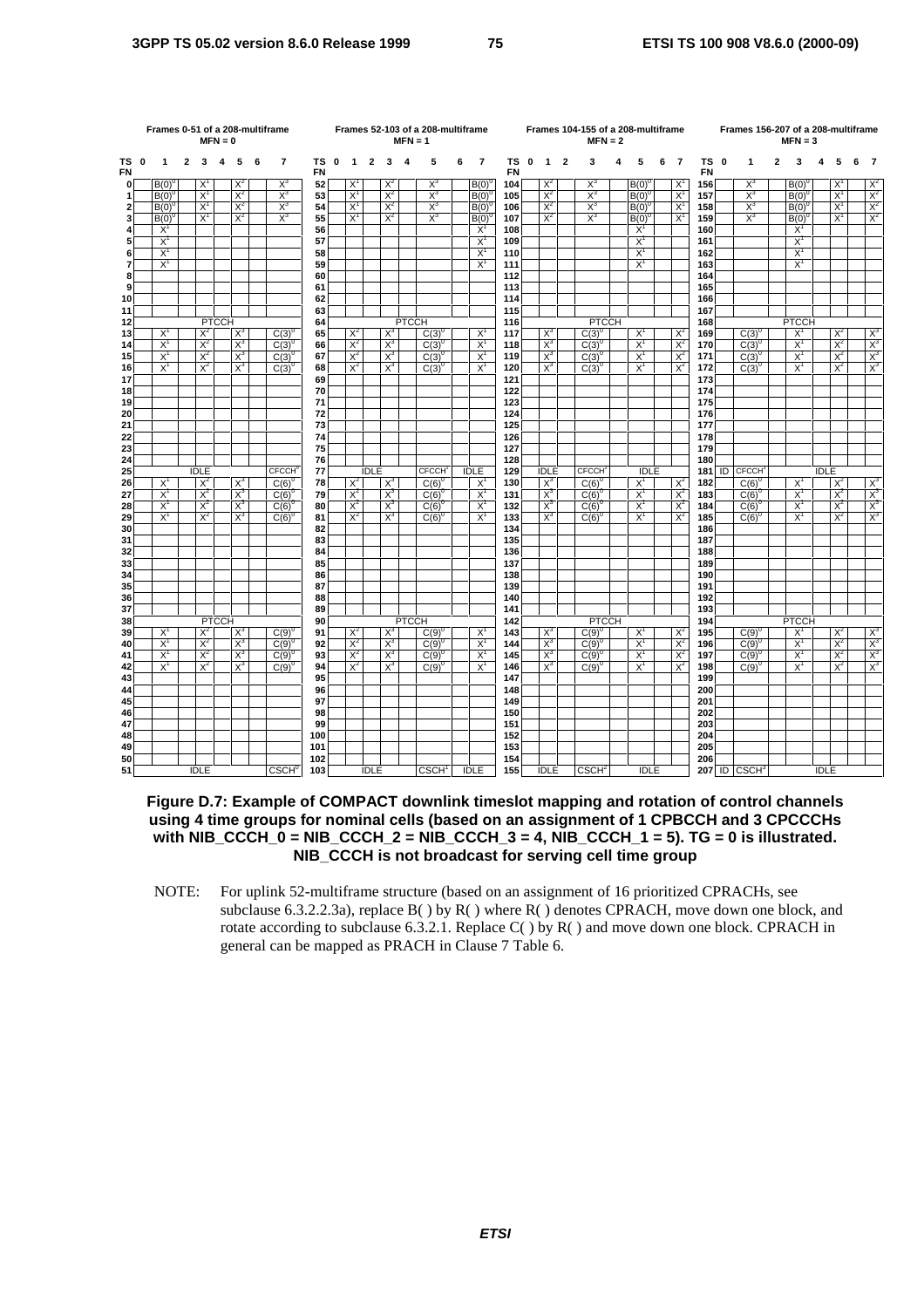|                | Frames 0-51 of a 208-multiframe<br>$MFN = 0$ |                     |                |                |              |                |   |                          |            | $MFN = 1$   | Frames 52-103 of a 208-multiframe |                |                |              |                          |   |                | Frames 104-155 of a 208-multiframe<br>$MFN = 2$ |             |                |                |                          |   | Frames 156-207 of a 208-multiframe |                     | $MFN = 3$  |   |                            |   |                     |             |                |   |                         |
|----------------|----------------------------------------------|---------------------|----------------|----------------|--------------|----------------|---|--------------------------|------------|-------------|-----------------------------------|----------------|----------------|--------------|--------------------------|---|----------------|-------------------------------------------------|-------------|----------------|----------------|--------------------------|---|------------------------------------|---------------------|------------|---|----------------------------|---|---------------------|-------------|----------------|---|-------------------------|
| тs<br>FN       | 0                                            | 1                   | $\overline{2}$ | $\mathbf{3}$   | 4            | 5              | 6 | $\overline{7}$           | ΤS<br>FN   | $\mathbf 0$ | $\mathbf{1}$                      | $\overline{2}$ | 3              | -4           | 5                        | 6 | $\overline{7}$ | TS<br>FN                                        | $\mathbf 0$ | $\mathbf{1}$   | $\overline{2}$ | 3                        | 4 | 5                                  | $\overline{7}$<br>6 | ΤS<br>FN   | 0 | 1                          | 2 | 3                   | 4           | 5              | 6 | -7                      |
| $\mathbf 0$    |                                              | B(0)                |                | $X^1$          |              | $X^2$          |   | $X^3$                    | 52         |             | $X^1$                             |                | $X^2$          |              | $X^3$                    |   | B(0)           | 104                                             |             | $X^2$          |                | $X^3$                    |   | $B(0)^{0}$                         | $X^1$               | 156        |   | $X^3$                      |   | B(0)                |             | $X^1$          |   | $X^2$                   |
| 1              |                                              | $B(0)^{6}$          |                | $X^1$          |              | $X^2$          |   | $X^3$                    | 53         |             | $X^1$                             |                | $X^2$          |              | $X^3$                    |   | $B(0)^{0}$     | 105                                             |             | $X^2$          |                | $X^3$                    |   | $B(0)^{0}$                         | $X^1$               | 157        |   | $X^3$                      |   | $B(0)^{6}$          |             | $X^1$          |   | $X^2$                   |
| $\mathbf{2}$   |                                              | $B(0)^{6}$          |                | $X^1$          |              | $X^2$          |   | $X^3$                    | 54         |             | $X^1$                             |                | $X^2$          |              | $X_3$                    |   | B(0)           | 106                                             |             | $X^2$          |                | $X^3$                    |   | $B(0)^{0}$                         | $X^1$               | 158        |   | $X^3$                      |   | $B(0)^{0}$          |             | $X^1$          |   | $X^2$                   |
| 3              |                                              | $B(0)^{6}$<br>$X^1$ |                | $X^1$          |              | $X^2$          |   | $X^3$                    | 55         |             | $X^1$                             |                | $X^2$          |              | $X_3$                    |   | B(0)<br>$X^1$  | 107                                             |             | $X^2$          |                | $X_3$                    |   | B(0)                               | $X^1$               | 159        |   | $X^3$                      |   | $B(0)^{0}$<br>$X^1$ |             | $X^1$          |   | $X^2$                   |
| 4<br>5         |                                              | $X^1$               |                |                |              |                |   |                          | 56<br>57   |             |                                   |                |                |              |                          |   | $X^1$          | 108<br>109                                      |             |                |                |                          |   | $X^1$<br>$X^1$                     |                     | 160<br>161 |   |                            |   | $X^1$               |             |                |   |                         |
| 6              |                                              | $X^1$               |                |                |              |                |   |                          | 58         |             |                                   |                |                |              |                          |   | $X^1$          | 110                                             |             |                |                |                          |   | $X^1$                              |                     | 162        |   |                            |   | $X^1$               |             |                |   |                         |
| $\overline{7}$ |                                              | $X^1$               |                |                |              |                |   |                          | 59         |             |                                   |                |                |              |                          |   | $X^1$          | 111                                             |             |                |                |                          |   | $X^1$                              |                     | 163        |   |                            |   | $X^1$               |             |                |   |                         |
| 8              |                                              |                     |                |                |              |                |   |                          | 60         |             |                                   |                |                |              |                          |   |                | 112                                             |             |                |                |                          |   |                                    |                     | 164        |   |                            |   |                     |             |                |   |                         |
| 9              |                                              |                     |                |                |              |                |   |                          | 61         |             |                                   |                |                |              |                          |   |                | 113                                             |             |                |                |                          |   |                                    |                     | 165        |   |                            |   |                     |             |                |   |                         |
| 10             |                                              |                     |                |                |              |                |   |                          | 62         |             |                                   |                |                |              |                          |   |                | 114                                             |             |                |                |                          |   |                                    |                     | 166        |   |                            |   |                     |             |                |   |                         |
| 11             |                                              |                     |                |                |              |                |   |                          | 63         |             |                                   |                |                |              |                          |   |                | 115                                             |             |                |                |                          |   |                                    |                     | 167        |   |                            |   |                     |             |                |   |                         |
| 12             |                                              |                     |                |                | <b>PTCCH</b> |                |   |                          | 64         |             |                                   |                |                | <b>PTCCH</b> |                          |   |                | 116                                             |             |                |                | <b>PTCCH</b>             |   |                                    |                     | 168        |   |                            |   | <b>PTCCH</b>        |             |                |   |                         |
| 13             |                                              | $X^1$               |                | $X^2$          |              | $X^3$          |   | $C(3)^{0}$               | 65         |             | $X^2$                             |                | $X^3$          |              | $C(3)^{0}$               |   | $X^1$          | 117                                             |             | $X^3$          |                | $C(3)^{0}$               |   | $X^1$                              | $X^2$               | 169        |   | $C(3)^{0}$                 |   | $X^1$               |             | $X^2$          |   | $\frac{\chi^3}{\chi^3}$ |
| 14             |                                              | $X^1$               |                | $X^2$          |              | $X^3$          |   | $C(3)^{0}$               | 66         |             | $X^2$                             |                | $X^3$          |              | $C(3)^{0}$               |   | $X^1$          | 118                                             |             | $X_3$          |                | $C(3)^{6}$               |   | $X^1$                              | $X^2$               | 170        |   | $C(3)^{0}$                 |   | $X^1$               |             | $X^2$          |   |                         |
| 15             |                                              | $X^1$<br>$X^1$      |                | $X^2$<br>$X^2$ |              | $X^3$<br>$X^3$ |   | $C(3)^{0}$               | 67         |             | $X^2$<br>$X^2$                    |                | $X_3$<br>$X^3$ |              | $C(3)^{0}$               |   | $X^1$<br>$X^1$ | 119<br>120                                      |             | $X^3$<br>$X_3$ |                | $C(3)^{0}$               |   | $X^1$<br>$X^1$                     | $X^2$<br>$X^2$      | 171<br>172 |   | $C(3)^{0}$                 |   | $X^1$<br>$X^1$      |             | $X^2$<br>$X^2$ |   | $\frac{\chi^3}{\chi^3}$ |
| 16<br>17       |                                              |                     |                |                |              |                |   | $C(3)^{0}$               | 68<br>69   |             |                                   |                |                |              | $C(3)^{0}$               |   |                | 121                                             |             |                |                | $C(3)^{0}$               |   |                                    |                     | 173        |   | $C(3)^{0}$                 |   |                     |             |                |   |                         |
| 18             |                                              |                     |                |                |              |                |   |                          | 70         |             |                                   |                |                |              |                          |   |                | 122                                             |             |                |                |                          |   |                                    |                     | 174        |   |                            |   |                     |             |                |   |                         |
| 19             |                                              |                     |                |                |              |                |   |                          | 71         |             |                                   |                |                |              |                          |   |                | 123                                             |             |                |                |                          |   |                                    |                     | 175        |   |                            |   |                     |             |                |   |                         |
| 20             |                                              |                     |                |                |              |                |   |                          | 72         |             |                                   |                |                |              |                          |   |                | 124                                             |             |                |                |                          |   |                                    |                     | 176        |   |                            |   |                     |             |                |   |                         |
| 21             |                                              |                     |                |                |              |                |   |                          | 73         |             |                                   |                |                |              |                          |   |                | 125                                             |             |                |                |                          |   |                                    |                     | 177        |   |                            |   |                     |             |                |   |                         |
| 22             |                                              |                     |                |                |              |                |   |                          | 74         |             |                                   |                |                |              |                          |   |                | 126                                             |             |                |                |                          |   |                                    |                     | 178        |   |                            |   |                     |             |                |   |                         |
| 23             |                                              |                     |                |                |              |                |   |                          | 75         |             |                                   |                |                |              |                          |   |                | 127                                             |             |                |                |                          |   |                                    |                     | 179        |   |                            |   |                     |             |                |   |                         |
| 24             |                                              |                     |                |                |              |                |   |                          | 76         |             |                                   |                |                |              |                          |   |                | 128                                             |             |                |                |                          |   |                                    |                     | 180        |   |                            |   |                     |             |                |   |                         |
| 25             |                                              |                     |                | <b>IDLE</b>    |              |                |   | <b>CECCH</b>             | 77         |             |                                   | <b>IDLE</b>    |                |              | <b>CFCCH</b>             |   | <b>IDLE</b>    | 129                                             |             | <b>IDLE</b>    |                | <b>CECCH</b>             |   | <b>IDLE</b>                        |                     | 181        |   | ID CFCCH                   |   |                     | <b>IDLE</b> |                |   |                         |
| 26             |                                              | $X^1$               |                | $X^2$          |              | $X^3$          |   | $C(6)^{0}$               | 78         |             | $X^2$                             |                | $X^3$          |              | $C(6)^{0}$               |   | $X^1$          | 130                                             |             | $X^3$          |                | $C(6)^{0}$               |   | $X^1$                              | $X^2$               | 182        |   | $C(6)^{0}$                 |   | $X^1$               |             | $X^2$          |   | $\frac{X^3}{X^3}$       |
| 27             |                                              | $X^1$<br>$X^1$      |                | $X^2$<br>$X^2$ |              | $X^3$<br>$X^3$ |   | $C(6)^{0}$               | 79         |             | $X^2$<br>$X^2$                    |                | $X^3$<br>$X^3$ |              | $C(6)^{0}$               |   | $X^1$<br>$X^1$ | 131                                             |             | $X^3$<br>$X_3$ |                | $C(6)^{6}$               |   | $X^1$<br>$X^1$                     | $X^2$<br>$X^2$      | 183<br>184 |   | $C(6)^{0}$                 |   | $X^1$<br>$X^1$      |             | $X^2$<br>$X^2$ |   |                         |
| 28<br>29       |                                              | $X^1$               |                | $X^2$          |              | $X^3$          |   | $C(6)^{0}$<br>$C(6)^{0}$ | 80<br>81   |             | $X^2$                             |                | $X^3$          |              | $C(6)^{0}$<br>$C(6)^{0}$ |   | $X^1$          | 132<br>133                                      |             | $X^3$          |                | $C(6)^{0}$<br>$C(6)^{6}$ |   | $X^1$                              | $X^2$               | 185        |   | $C(6)^{0}$<br>$C(6)^{0}$   |   | $X^1$               |             | $X^2$          |   | $X^3$                   |
| 30             |                                              |                     |                |                |              |                |   |                          | 82         |             |                                   |                |                |              |                          |   |                | 134                                             |             |                |                |                          |   |                                    |                     | 186        |   |                            |   |                     |             |                |   |                         |
| 31             |                                              |                     |                |                |              |                |   |                          | 83         |             |                                   |                |                |              |                          |   |                | 135                                             |             |                |                |                          |   |                                    |                     | 187        |   |                            |   |                     |             |                |   |                         |
| 32             |                                              |                     |                |                |              |                |   |                          | 84         |             |                                   |                |                |              |                          |   |                | 136                                             |             |                |                |                          |   |                                    |                     | 188        |   |                            |   |                     |             |                |   |                         |
| 33             |                                              |                     |                |                |              |                |   |                          | 85         |             |                                   |                |                |              |                          |   |                | 137                                             |             |                |                |                          |   |                                    |                     | 189        |   |                            |   |                     |             |                |   |                         |
| 34             |                                              |                     |                |                |              |                |   |                          | 86         |             |                                   |                |                |              |                          |   |                | 138                                             |             |                |                |                          |   |                                    |                     | 190        |   |                            |   |                     |             |                |   |                         |
| 35             |                                              |                     |                |                |              |                |   |                          | 87         |             |                                   |                |                |              |                          |   |                | 139                                             |             |                |                |                          |   |                                    |                     | 191        |   |                            |   |                     |             |                |   |                         |
| 36             |                                              |                     |                |                |              |                |   |                          | 88         |             |                                   |                |                |              |                          |   |                | 140                                             |             |                |                |                          |   |                                    |                     | 192        |   |                            |   |                     |             |                |   |                         |
| 37             |                                              |                     |                |                |              |                |   |                          | 89         |             |                                   |                |                |              |                          |   |                | 141                                             |             |                |                |                          |   |                                    |                     | 193        |   |                            |   |                     |             |                |   |                         |
| 38             |                                              |                     |                |                | <b>PTCCH</b> |                |   |                          | 90         |             |                                   |                |                | <b>PTCCH</b> |                          |   | $X^1$          | 142                                             |             |                |                | <b>PTCCH</b>             |   |                                    |                     | 194        |   | $C(9)^{0}$                 |   | <b>PTCCH</b>        |             |                |   |                         |
| 39<br>40       |                                              | $X^1$<br>$X^1$      |                | $X^2$<br>$X^2$ |              | $X^3$<br>$X^3$ |   | $C(9)^{0}$<br>$C(9)^{0}$ | 91<br>92   |             | $X^2$<br>$X^2$                    |                | $X^3$<br>$X^3$ |              | $C(9)^{0}$<br>$C(9)^{0}$ |   | $X^1$          | 143<br>144                                      |             | $X^3$<br>$X^3$ |                | $C(9)^{0}$<br>$C(9)^0$   |   | $X^1$<br>$X^1$                     | $X^2$<br>$X^2$      | 195<br>196 |   | $C(9)^{0}$                 |   | $X^1$<br>$X^1$      |             | $X^2$<br>$X^2$ |   | $\frac{X^3}{X^3}$       |
| 41             |                                              | $X^1$               |                | $X^2$          |              | $X^3$          |   | $C(9)^{0}$               | 93         |             | $X^2$                             |                | $X^3$          |              | $C(9)^{0}$               |   | $X^1$          | 145                                             |             | $X^3$          |                | $C(9)^{0}$               |   | $X^1$                              | $X^2$               | 197        |   | $C(9)^{0}$                 |   | $X^1$               |             | $X^2$          |   | $X^3$                   |
| 42             |                                              | $X^1$               |                | $X^2$          |              | $X^3$          |   | $C(9)^{0}$               | 94         |             | $X^2$                             |                | $X^3$          |              | $C(9)^{0}$               |   | $X^1$          | 146                                             |             | $X^3$          |                | $C(9)^{0}$               |   | $X^1$                              | $X^2$               | 198        |   | $C(9)^{0}$                 |   | $X^1$               |             | $X^2$          |   | $X^3$                   |
| 43             |                                              |                     |                |                |              |                |   |                          | 95         |             |                                   |                |                |              |                          |   |                | 147                                             |             |                |                |                          |   |                                    |                     | 199        |   |                            |   |                     |             |                |   |                         |
| 44             |                                              |                     |                |                |              |                |   |                          | 96         |             |                                   |                |                |              |                          |   |                | 148                                             |             |                |                |                          |   |                                    |                     | 200        |   |                            |   |                     |             |                |   |                         |
| 45             |                                              |                     |                |                |              |                |   |                          | 97         |             |                                   |                |                |              |                          |   |                | 149                                             |             |                |                |                          |   |                                    |                     | 201        |   |                            |   |                     |             |                |   |                         |
| 46             |                                              |                     |                |                |              |                |   |                          | 98         |             |                                   |                |                |              |                          |   |                | 150                                             |             |                |                |                          |   |                                    |                     | 202        |   |                            |   |                     |             |                |   |                         |
| 47             |                                              |                     |                |                |              |                |   |                          | 99         |             |                                   |                |                |              |                          |   |                | 151                                             |             |                |                |                          |   |                                    |                     | 203        |   |                            |   |                     |             |                |   |                         |
| 48             |                                              |                     |                |                |              |                |   |                          | 100        |             |                                   |                |                |              |                          |   |                | 152                                             |             |                |                |                          |   |                                    |                     | 204        |   |                            |   |                     |             |                |   |                         |
| 49             |                                              |                     |                |                |              |                |   |                          | 101        |             |                                   |                |                |              |                          |   |                | 153                                             |             |                |                |                          |   |                                    |                     | 205        |   |                            |   |                     |             |                |   |                         |
| 50<br>51       |                                              |                     |                | <b>IDLE</b>    |              |                |   | <b>CSCH</b> <sup>0</sup> | 102<br>103 |             |                                   | <b>IDLE</b>    |                |              | CSCH <sup>1</sup>        |   | <b>IDLE</b>    | 154<br>155                                      |             | <b>IDLE</b>    |                | CSCH <sup>2</sup>        |   | <b>IDLE</b>                        |                     | 206        |   | $207$ ID CSCH <sup>3</sup> |   |                     | <b>IDLE</b> |                |   |                         |
|                |                                              |                     |                |                |              |                |   |                          |            |             |                                   |                |                |              |                          |   |                |                                                 |             |                |                |                          |   |                                    |                     |            |   |                            |   |                     |             |                |   |                         |

## **Figure D.7: Example of COMPACT downlink timeslot mapping and rotation of control channels using 4 time groups for nominal cells (based on an assignment of 1 CPBCCH and 3 CPCCCHs with NIB\_CCCH\_0 = NIB\_CCCH\_2 = NIB\_CCCH\_3 = 4, NIB\_CCCH\_1 = 5). TG = 0 is illustrated. NIB\_CCCH is not broadcast for serving cell time group**

NOTE: For uplink 52-multiframe structure (based on an assignment of 16 prioritized CPRACHs, see subclause 6.3.2.2.3a), replace  $B()$  by  $R()$  where  $R()$  denotes CPRACH, move down one block, and rotate according to subclause 6.3.2.1. Replace  $C()$  by  $R()$  and move down one block. CPRACH in general can be mapped as PRACH in Clause 7 Table 6.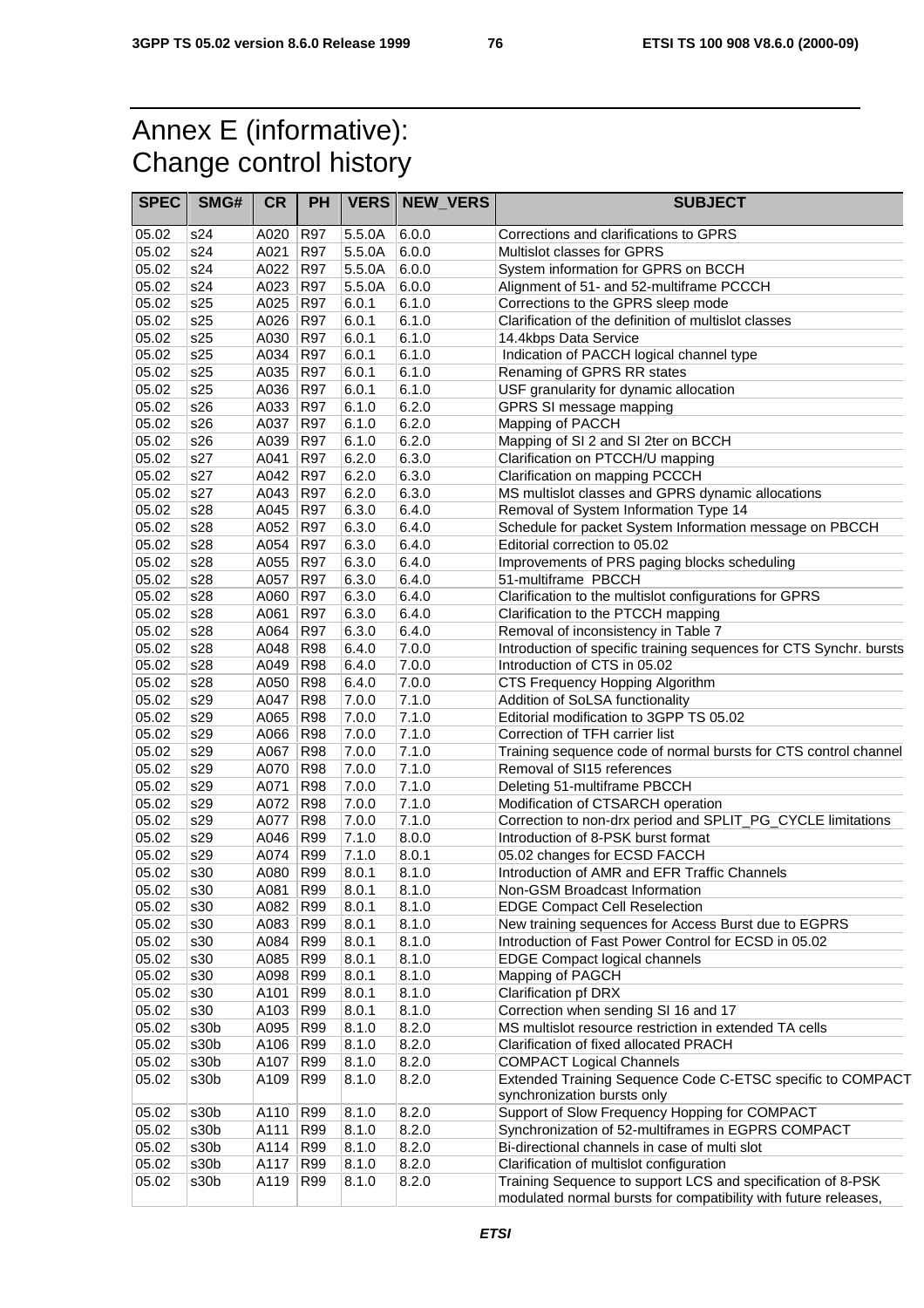## Annex E (informative): Change control history

| <b>SPEC</b>    | SMG#       | <b>CR</b>    | PH         |                  | <b>VERS   NEW_VERS</b> | <b>SUBJECT</b>                                                                 |
|----------------|------------|--------------|------------|------------------|------------------------|--------------------------------------------------------------------------------|
|                |            |              |            |                  |                        |                                                                                |
| 05.02          | s24        | A020         | <b>R97</b> | 5.5.0A           | 6.0.0                  | Corrections and clarifications to GPRS                                         |
| 05.02          | s24        | A021         | <b>R97</b> | 5.5.0A           | 6.0.0                  | Multislot classes for GPRS                                                     |
| 05.02<br>05.02 | s24<br>s24 | A022<br>A023 | R97<br>R97 | 5.5.0A<br>5.5.0A | 6.0.0<br>6.0.0         | System information for GPRS on BCCH                                            |
| 05.02          | s25        | A025         | R97        |                  | 6.1.0                  | Alignment of 51- and 52-multiframe PCCCH<br>Corrections to the GPRS sleep mode |
| 05.02          | s25        | A026         |            | 6.0.1<br>6.0.1   | 6.1.0                  |                                                                                |
| 05.02          | s25        | A030         | R97<br>R97 | 6.0.1            | 6.1.0                  | Clarification of the definition of multislot classes                           |
| 05.02          | s25        | A034         | R97        | 6.0.1            | 6.1.0                  | 14.4kbps Data Service<br>Indication of PACCH logical channel type              |
| 05.02          | s25        | A035         | R97        | 6.0.1            | 6.1.0                  | Renaming of GPRS RR states                                                     |
| 05.02          | s25        | A036         | R97        | 6.0.1            | 6.1.0                  | USF granularity for dynamic allocation                                         |
| 05.02          | s26        | A033         | R97        | 6.1.0            | 6.2.0                  | GPRS SI message mapping                                                        |
| 05.02          | s26        | A037         | R97        | 6.1.0            | 6.2.0                  | Mapping of PACCH                                                               |
| 05.02          | s26        | A039         | R97        | 6.1.0            | 6.2.0                  | Mapping of SI 2 and SI 2ter on BCCH                                            |
| 05.02          | s27        | A041         | R97        | 6.2.0            | 6.3.0                  | Clarification on PTCCH/U mapping                                               |
| 05.02          | s27        | A042         | <b>R97</b> | 6.2.0            | 6.3.0                  | Clarification on mapping PCCCH                                                 |
| 05.02          | s27        | A043         | R97        | 6.2.0            | 6.3.0                  | MS multislot classes and GPRS dynamic allocations                              |
| 05.02          | s28        | A045         | <b>R97</b> | 6.3.0            | 6.4.0                  | Removal of System Information Type 14                                          |
| 05.02          | s28        | A052         | R97        | 6.3.0            | 6.4.0                  | Schedule for packet System Information message on PBCCH                        |
| 05.02          | s28        | A054         | R97        | 6.3.0            | 6.4.0                  | Editorial correction to 05.02                                                  |
| 05.02          | s28        | A055         | <b>R97</b> | 6.3.0            | 6.4.0                  | Improvements of PRS paging blocks scheduling                                   |
| 05.02          | s28        | A057         | <b>R97</b> | 6.3.0            | 6.4.0                  | 51-multiframe PBCCH                                                            |
| 05.02          | s28        | A060         | R97        | 6.3.0            | 6.4.0                  | Clarification to the multislot configurations for GPRS                         |
| 05.02          | s28        | A061         | <b>R97</b> | 6.3.0            | 6.4.0                  | Clarification to the PTCCH mapping                                             |
| 05.02          | s28        | A064         | <b>R97</b> | 6.3.0            | 6.4.0                  | Removal of inconsistency in Table 7                                            |
| 05.02          | s28        | A048         | <b>R98</b> | 6.4.0            | 7.0.0                  | Introduction of specific training sequences for CTS Synchr. bursts             |
| 05.02          | s28        | A049         | R98        | 6.4.0            | 7.0.0                  | Introduction of CTS in 05.02                                                   |
| 05.02          | s28        | A050         | <b>R98</b> | 6.4.0            | 7.0.0                  | CTS Frequency Hopping Algorithm                                                |
| 05.02          | s29        | A047         | R98        | 7.0.0            | 7.1.0                  | Addition of SoLSA functionality                                                |
| 05.02          | s29        | A065         | <b>R98</b> | 7.0.0            | 7.1.0                  | Editorial modification to 3GPP TS 05.02                                        |
| 05.02          | s29        | A066         | <b>R98</b> | 7.0.0            | 7.1.0                  | Correction of TFH carrier list                                                 |
| 05.02          | s29        | A067         | R98        | 7.0.0            | 7.1.0                  | Training sequence code of normal bursts for CTS control channel                |
| 05.02          | s29        | A070         | <b>R98</b> | 7.0.0            | 7.1.0                  | Removal of SI15 references                                                     |
| 05.02          | s29        | A071         | R98        | 7.0.0            | 7.1.0                  | Deleting 51-multiframe PBCCH                                                   |
| 05.02          | s29        | A072         | <b>R98</b> | 7.0.0            | 7.1.0                  | Modification of CTSARCH operation                                              |
| 05.02          | s29        | A077         | <b>R98</b> | 7.0.0            | 7.1.0                  | Correction to non-drx period and SPLIT_PG_CYCLE limitations                    |
| 05.02          | s29        | A046         | R99        | 7.1.0            | 8.0.0                  | Introduction of 8-PSK burst format                                             |
| 05.02          | s29        | A074         | R99        | 7.1.0            | 8.0.1                  | 05.02 changes for ECSD FACCH                                                   |
| 05.02          | s30        | A080         | R99        | 8.0.1            | 8.1.0                  | Introduction of AMR and EFR Traffic Channels                                   |
| 05.02          | s30        | A081         | R99        | 8.0.1            | 8.1.0                  | Non-GSM Broadcast Information                                                  |
| 05.02          | s30        | A082         | R99        | 8.0.1            | 8.1.0                  | <b>EDGE Compact Cell Reselection</b>                                           |
| 05.02          | s30        | A083         | R99        | 8.0.1            | 8.1.0                  | New training sequences for Access Burst due to EGPRS                           |
| 05.02          | s30        | A084         | R99        | 8.0.1            | 8.1.0                  | Introduction of Fast Power Control for ECSD in 05.02                           |
| 05.02          | s30        | A085         | R99        | 8.0.1            | 8.1.0                  | <b>EDGE Compact logical channels</b>                                           |
| 05.02          | s30        | A098         | R99        | 8.0.1            | 8.1.0                  | Mapping of PAGCH                                                               |
| 05.02          | s30        | A101         | <b>R99</b> | 8.0.1            | 8.1.0                  | Clarification pf DRX                                                           |
| 05.02          | s30        | A103         | R99        | 8.0.1            | 8.1.0                  | Correction when sending SI 16 and 17                                           |
| 05.02          | s30b       | A095         | R99        | 8.1.0            | 8.2.0                  | MS multislot resource restriction in extended TA cells                         |
| 05.02          | s30b       | A106         | R99        | 8.1.0            | 8.2.0                  | Clarification of fixed allocated PRACH                                         |
| 05.02          | s30b       | A107         | R99        | 8.1.0            | 8.2.0                  | <b>COMPACT Logical Channels</b>                                                |
| 05.02          | s30b       | A109         | R99        | 8.1.0            | 8.2.0                  | Extended Training Sequence Code C-ETSC specific to COMPACT                     |
|                |            |              |            |                  |                        | synchronization bursts only                                                    |
| 05.02          | s30b       | A110         | R99        | 8.1.0            | 8.2.0                  | Support of Slow Frequency Hopping for COMPACT                                  |
| 05.02          | s30b       | A111         | R99        | 8.1.0            | 8.2.0                  | Synchronization of 52-multiframes in EGPRS COMPACT                             |
| 05.02          | s30b       | A114         | R99        | 8.1.0            | 8.2.0                  | Bi-directional channels in case of multi slot                                  |
| 05.02          | s30b       | A117         | R99        | 8.1.0            | 8.2.0                  | Clarification of multislot configuration                                       |
| 05.02          | s30b       | A119         | R99        | 8.1.0            | 8.2.0                  | Training Sequence to support LCS and specification of 8-PSK                    |
|                |            |              |            |                  |                        | modulated normal bursts for compatibility with future releases,                |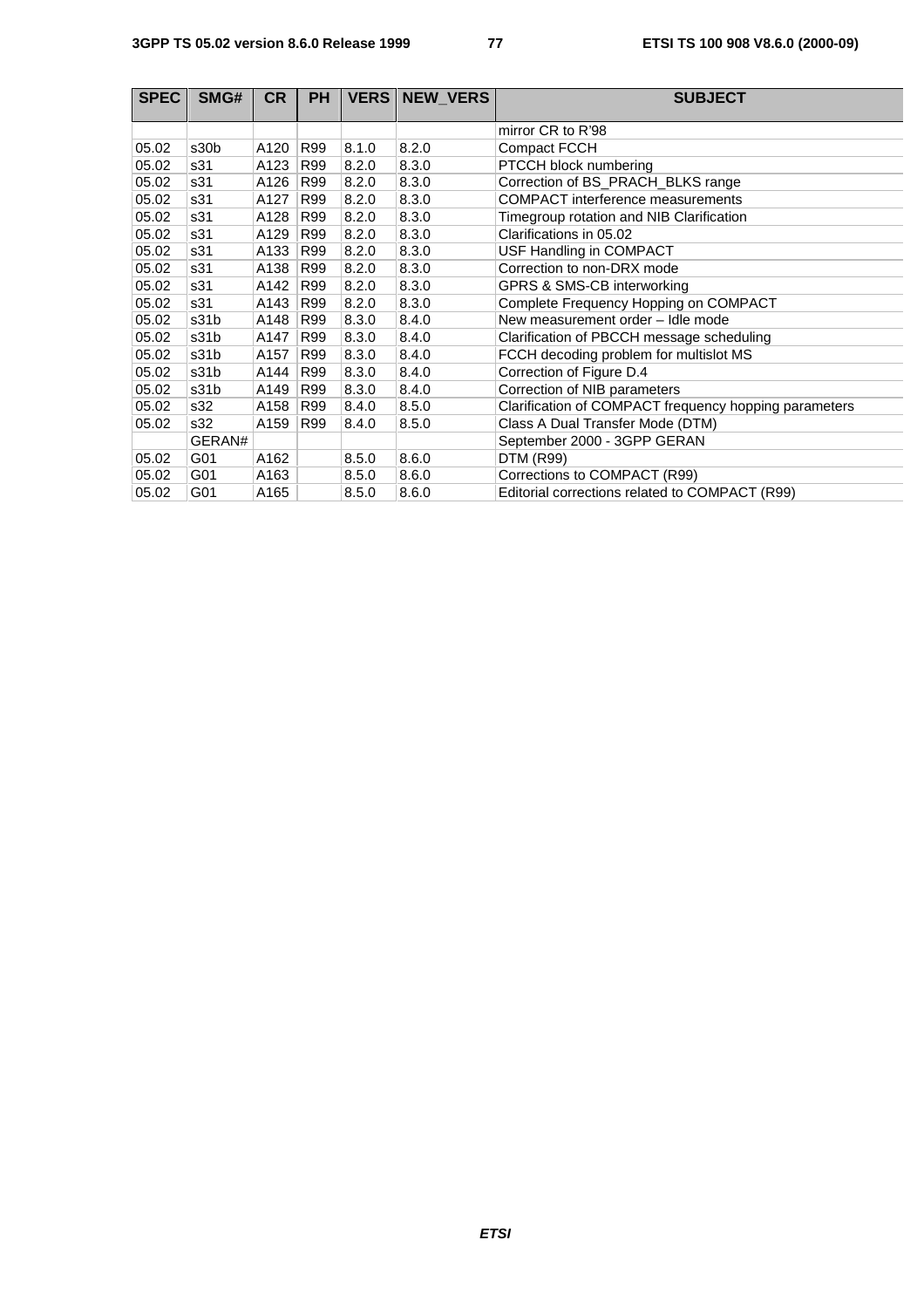| <b>SPEC</b> | SMG#   | <b>CR</b> | <b>PH</b> | <b>VERS</b> | <b>NEW VERS</b> | <b>SUBJECT</b>                                        |
|-------------|--------|-----------|-----------|-------------|-----------------|-------------------------------------------------------|
|             |        |           |           |             |                 | mirror CR to R'98                                     |
| 05.02       | s30b   | A120      | R99       | 8.1.0       | 8.2.0           | <b>Compact FCCH</b>                                   |
| 05.02       | s31    | A123      | R99       | 8.2.0       | 8.3.0           | PTCCH block numbering                                 |
| 05.02       | s31    | A126      | R99       | 8.2.0       | 8.3.0           | Correction of BS_PRACH_BLKS range                     |
| 05.02       | s31    | A127      | R99       | 8.2.0       | 8.3.0           | <b>COMPACT</b> interference measurements              |
| 05.02       | s31    | A128      | R99       | 8.2.0       | 8.3.0           | Timegroup rotation and NIB Clarification              |
| 05.02       | s31    | A129      | R99       | 8.2.0       | 8.3.0           | Clarifications in 05.02                               |
| 05.02       | s31    | A133      | R99       | 8.2.0       | 8.3.0           | USF Handling in COMPACT                               |
| 05.02       | s31    | A138      | R99       | 8.2.0       | 8.3.0           | Correction to non-DRX mode                            |
| 05.02       | s31    | A142      | R99       | 8.2.0       | 8.3.0           | GPRS & SMS-CB interworking                            |
| 05.02       | s31    | A143      | R99       | 8.2.0       | 8.3.0           | Complete Frequency Hopping on COMPACT                 |
| 05.02       | s31b   | A148      | R99       | 8.3.0       | 8.4.0           | New measurement order - Idle mode                     |
| 05.02       | s31b   | A147      | R99       | 8.3.0       | 8.4.0           | Clarification of PBCCH message scheduling             |
| 05.02       | s31b   | A157      | R99       | 8.3.0       | 8.4.0           | FCCH decoding problem for multislot MS                |
| 05.02       | s31b   | A144      | R99       | 8.3.0       | 8.4.0           | Correction of Figure D.4                              |
| 05.02       | s31b   | A149      | R99       | 8.3.0       | 8.4.0           | Correction of NIB parameters                          |
| 05.02       | s32    | A158      | R99       | 8.4.0       | 8.5.0           | Clarification of COMPACT frequency hopping parameters |
| 05.02       | s32    | A159      | R99       | 8.4.0       | 8.5.0           | Class A Dual Transfer Mode (DTM)                      |
|             | GERAN# |           |           |             |                 | September 2000 - 3GPP GERAN                           |
| 05.02       | G01    | A162      |           | 8.5.0       | 8.6.0           | <b>DTM (R99)</b>                                      |
| 05.02       | G01    | A163      |           | 8.5.0       | 8.6.0           | Corrections to COMPACT (R99)                          |
| 05.02       | G01    | A165      |           | 8.5.0       | 8.6.0           | Editorial corrections related to COMPACT (R99)        |